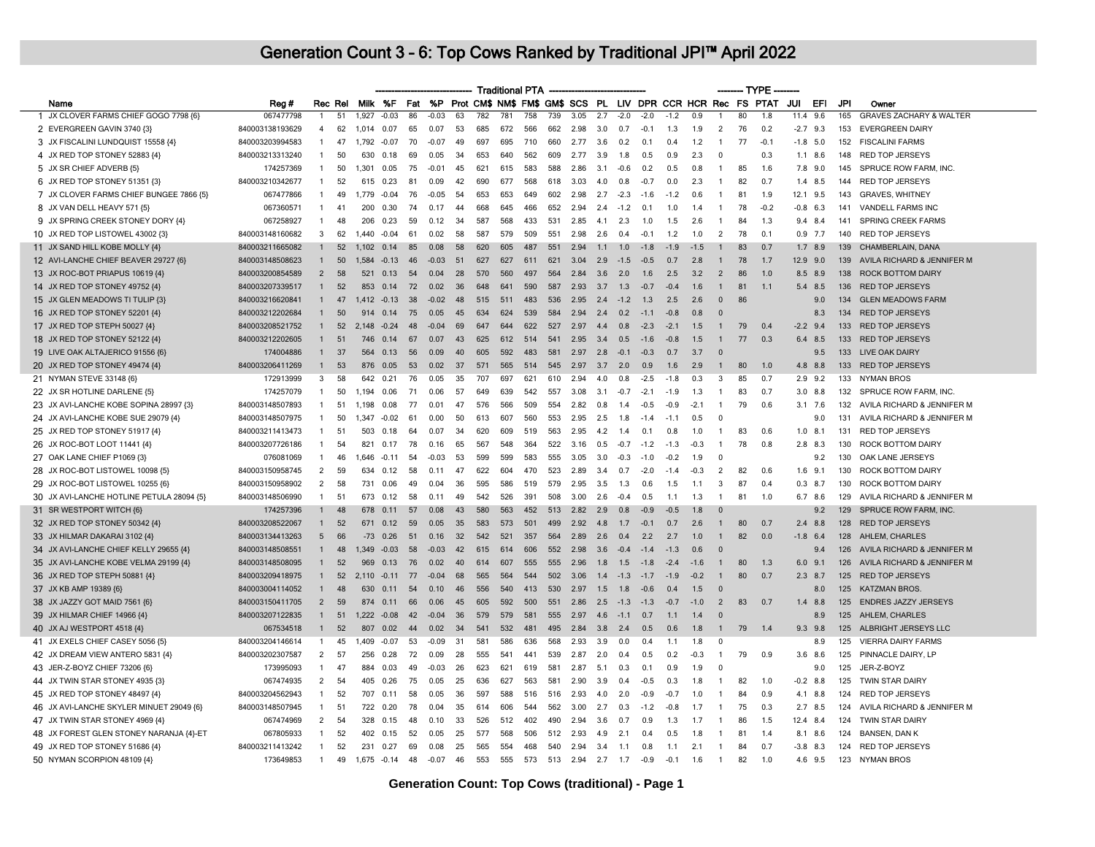|                                           |                 |                |         |             |               |       |         |       |     |     | <b>Traditional PTA</b> |     |                                 |     |        |                             |        |        |                     | — TYPE |        |            |             |     |                                    |
|-------------------------------------------|-----------------|----------------|---------|-------------|---------------|-------|---------|-------|-----|-----|------------------------|-----|---------------------------------|-----|--------|-----------------------------|--------|--------|---------------------|--------|--------|------------|-------------|-----|------------------------------------|
| Name                                      | Reg #           |                | Rec Rel |             | Milk %F       | Fat   | %P      |       |     |     |                        |     | Prot CM\$ NM\$ FM\$ GM\$ SCS PL |     |        | LIV DPR CCR HCR Rec FS PTAT |        |        |                     |        |        | JUI        | EFI         | JPI | Owner                              |
| JX CLOVER FARMS CHIEF GOGO 7798 {6}       | 067477798       |                | 51      | 1,927       | $-0.03$       | 86    | $-0.03$ | 63    | 782 | 781 | 758                    | 739 | 3.05                            | 2.7 | $-2.0$ | $-2.0$                      | $-1.2$ | 0.9    |                     | 80     | 1.8    | 11.4       | 9.6         | 165 | <b>GRAVES ZACHARY &amp; WALTER</b> |
| 2 EVERGREEN GAVIN 3740 {3}                | 840003138193629 | $\overline{4}$ | 62      | 1.014       | 0.07          | 65    | 0.07    | 53    | 685 | 672 | 566                    | 662 | 2.98                            | 3.0 | 0.7    | $-0.1$                      | -1.3   | 1.9    | 2                   | 76     | 0.2    | $-2.7$ 9.3 |             | 153 | <b>EVERGREEN DAIRY</b>             |
| 3 JX FISCALINI LUNDQUIST 15558 {4}        | 840003203994583 | -1             | 47      | 1.792       | $-0.07$       | 70    | $-0.07$ | 49    | 697 | 695 | 710                    | 660 | 2.77                            | 3.6 | 0.2    | 0.1                         | 0.4    | 1.2    | $\overline{1}$      | 77     | $-0.1$ | $-1.8$ 5.0 |             | 152 | <b>FISCALINI FARMS</b>             |
| 4 JX RED TOP STONEY 52883 {4}             | 840003213313240 | $\mathbf{1}$   | 50      | 630         | 0.18          | 69    | 0.05    | -34   | 653 | 640 | 562                    | 609 | 2.77                            | 3.9 | 1.8    | 0.5                         | 0.9    | 2.3    | $\mathbf{0}$        |        | 0.3    |            | $1.1$ 8.6   | 148 | <b>RED TOP JERSEYS</b>             |
| 5 JX SR CHIEF ADVERB {5}                  | 174257369       | -1             | 50      | 1.301       | 0.05          | 75    | $-0.01$ | 45    | 621 | 615 | 583                    | 588 | 2.86                            | 3.1 | $-0.6$ | 0.2                         | 0.5    | 0.8    | $\overline{1}$      | 85     | 1.6    |            | 7.8 9.0     | 145 | SPRUCE ROW FARM, INC.              |
| 6 JX RED TOP STONEY 51351 {3}             | 840003210342677 | $\mathbf{1}$   | 52      | 615         | 0.23          | 81    | 0.09    | 42    | 690 | 677 | 568                    | 618 | 3.03                            | 4.0 | 0.8    | $-0.7$                      | 0.0    | 2.3    | $\mathbf{1}$        | 82     | 0.7    |            | $1.4$ 8.5   | 144 | <b>RED TOP JERSEYS</b>             |
| 7 JX CLOVER FARMS CHIEF BUNGEE 7866 {5}   | 067477866       | $\overline{1}$ | 49      | 1.779       | $-0.04$       | 76    | $-0.05$ | 54    | 653 | 653 | 649                    | 602 | 2.98                            | 2.7 | $-2.3$ | $-1.6$                      | $-12$  | 0.6    | $\overline{1}$      | 81     | 1.9    | 12.1 9.5   |             | 143 | <b>GRAVES, WHITNEY</b>             |
| 8 JX VAN DELL HEAVY 571 {5}               | 067360571       | -1             | 41      | 200         | 0.30          | 74    | በ 17    | 44    | 668 | 645 | 466                    | 652 | 294                             | 2.4 | $-1.2$ | $\Omega$                    | 10     | 14     | $\overline{1}$      | 78     | $-0.2$ | $-0.8$ 6.3 |             | 141 | <b>VANDELL FARMS INC</b>           |
| 9 JX SPRING CREEK STONEY DORY {4}         | 067258927       | $\mathbf{1}$   | 48      | 206         | 0.23          | 59    | 0.12    | 34    | 587 | 568 | 433                    | 531 | 2.85                            | 4.1 | 2.3    | 1.0                         | 1.5    | 2.6    | $\mathbf{1}$        | 84     | 1.3    | 9.4        | 8.4         | 141 | <b>SPRING CREEK FARMS</b>          |
| 10 JX RED TOP LISTOWEL 43002 {3}          | 840003148160682 | 3              | 62      | 1.440       | $-0.04$       | 61    | 0.02    | 58    | 587 | 579 | 509                    | 551 | 2.98                            | 2.6 | 0.4    | $-0.1$                      | 1.2    | 1.0    | 2                   | 78     | 0.1    |            | $0.9$ 7.7   | 140 | <b>RED TOP JERSEYS</b>             |
| 11 JX SAND HILL KOBE MOLLY {4}            | 840003211665082 | $\mathbf{1}$   | 52      | 1.102       | 0.14          | 85    | 0.08    | 58    | 620 | 605 | 487                    | 551 | 2.94                            | 1.1 | 1.0    | $-1.8$                      | $-1.9$ | $-1.5$ | $\mathbf{1}$        | 83     | 0.7    | 1.7        | 8.9         | 139 | CHAMBERLAIN, DANA                  |
| 12 AVI-LANCHE CHIEF BEAVER 29727 {6}      | 840003148508623 | $\mathbf{1}$   | 50      | 1.584       | $-0.13$       | 46    | $-0.03$ | $-51$ | 627 | 627 | 611                    | 621 | 3.04                            | 2.9 | $-1.5$ | $-0.5$                      | 0.7    | 2.8    | $\mathbf{1}$        | 78     | 1.7    | 12.9 9.0   |             | 139 | AVILA RICHARD & JENNIFER M         |
| 13 JX ROC-BOT PRIAPUS 10619 {4}           | 840003200854589 | $\overline{2}$ | 58      | 521         | 0.13          | 54    | 0.04    | 28    | 570 | 560 | 497                    | 564 | 2.84                            | 3.6 | 2.0    | 1.6                         | 2.5    | 3.2    | $\overline{2}$      | 86     | 1.0    |            | 8.5 8.9     | 138 | <b>ROCK BOTTOM DAIRY</b>           |
| 14 JX RED TOP STONEY 49752 {4}            | 840003207339517 | $\mathbf{1}$   | 52      | 853         | 0.14          | 72    | 0.02    | 36    | 648 | 641 | 590                    | 587 | 2.93                            | 3.7 | 1.3    | $-0.7$                      | $-0.4$ | 1.6    | $\mathbf{1}$        | 81     | 1.1    |            | 5.4 8.5     | 136 | <b>RED TOP JERSEYS</b>             |
| 15 JX GLEN MEADOWS TI TULIP {3}           | 840003216620841 | $\mathbf{1}$   | 47      |             | $1,412 -0.13$ | 38    | $-0.02$ | 48    | 515 | 511 | 483                    | 536 | 2.95                            | 2.4 | $-1.2$ | 1.3                         | 2.5    | 2.6    | $\Omega$            | 86     |        |            | 9.0         | 134 | <b>GLEN MEADOWS FARM</b>           |
| 16 JX RED TOP STONEY 52201 {4}            | 840003212202684 | $\mathbf{1}$   | 50      | 914         | 0.14          | 75    | 0.05    | 45    | 634 | 624 | 539                    | 584 | 2.94                            | 2.4 | 0.2    | $-1.1$                      | $-0.8$ | 0.8    | $\Omega$            |        |        |            | 8.3         | 134 | <b>RED TOP JERSEYS</b>             |
| 17 JX RED TOP STEPH 50027 {4}             | 840003208521752 | $\mathbf{1}$   | 52      | 2.148 -0.24 |               | 48    | $-0.04$ | 69    | 647 | 644 | 622                    | 527 | 2.97                            | 4.4 | 0.8    | $-2.3$                      | $-2.1$ | 1.5    | $\overline{1}$      | 79     | 0.4    | $-2.2$ 9.4 |             | 133 | <b>RED TOP JERSEYS</b>             |
| 18 JX RED TOP STONEY 52122 {4}            | 840003212202605 | 1              | 51      | 746         | 0.14          | 67    | 0.07    | 43    | 625 | 612 | 514                    | 541 | 2.95                            | 3.4 | 0.5    | $-1.6$                      | $-0.8$ | 1.5    |                     | 77     | 0.3    | 6.4        | 8.5         | 133 | <b>RED TOP JERSEYS</b>             |
| 19 LIVE OAK ALTAJERICO 91556 {6}          | 174004886       | $\mathbf{1}$   | 37      | 564         | 0.13          | 56    | 0.09    | 40    | 605 | 592 | 483                    | 581 | 2.97                            | 2.8 | $-0.1$ | $-0.3$                      | 0.7    | 3.7    | 0                   |        |        |            | 9.5         | 133 | LIVE OAK DAIRY                     |
| 20 JX RED TOP STONEY 49474 {4}            | 840003206411269 | $\mathbf{1}$   | 53      | 876         | 0.05          | 53    | 0.02    | 37    | 571 | 565 | 514                    | 545 | 2.97                            | 3.7 | 2.0    | 0.9                         | 1.6    | 2.9    | $\mathbf{1}$        | 80     | 1.0    |            | 4.8 8.8     | 133 | <b>RED TOP JERSEYS</b>             |
| 21 NYMAN STEVE 33148 {6}                  | 172913999       | 3              | 58      | 642         | 0.21          | 76    | 0.05    | 35    | 707 | 697 | 621                    | 610 | 2.94                            | 4.0 | 0.8    | $-2.5$                      | $-1.8$ | 0.3    | 3                   | 85     | 0.7    |            | $2.9$ 9.2   | 133 | <b>NYMAN BROS</b>                  |
| 22 JX SR HOTLINE DARLENE {5}              | 174257079       | $\mathbf{1}$   | 50      | 1,194       | 0.06          | 71    | 0.06    | 57    | 649 | 639 | 542                    | 557 | 3.08                            | 3.1 | $-0.7$ | $-2.1$                      | $-1.9$ | 1.3    | $\overline{1}$      | 83     | 0.7    |            | $3.0$ $8.8$ | 132 | SPRUCE ROW FARM, INC.              |
| 23 JX AVI-LANCHE KOBE SOPINA 28997 {3}    | 840003148507893 | $\mathbf{1}$   | 51      | 1,198       | 0.08          | -77   | 0.01    | 47    | 576 | 566 | 509                    | 554 | 2.82                            | 0.8 | 1.4    | $-0.5$                      | $-0.9$ | $-2.1$ | $\overline{1}$      | 79     | 0.6    |            | $3.1$ 7.6   | 132 | AVILA RICHARD & JENNIFER M         |
| 24 JX AVI-LANCHE KOBE SUE 29079 {4}       | 840003148507975 | $\mathbf{1}$   | 50      | 1.347       | $-0.02$       | 61    | 0.00    | 50    | 613 | 607 | 560                    | 553 | 2.95                            | 2.5 | 1.8    | $-14$                       | $-1.1$ | 0.5    | $\overline{0}$      |        |        |            | 9.0         | 131 | AVILA RICHARD & JENNIFER M         |
| 25 JX RED TOP STONEY 51917 {4}            | 840003211413473 | $\mathbf{1}$   | 51      | 503         | 0.18          | 64    | 0.07    | -34   | 620 | 609 | 519                    | 563 | 2.95                            | 4.2 | 1.4    | 0.1                         | 0.8    | 1.0    | $\overline{1}$      | 83     | 0.6    | 1.0        | 8.1         | 131 | <b>RED TOP JERSEYS</b>             |
| 26 JX ROC-BOT LOOT 11441 {4}              | 840003207726186 | 1              | 54      | 821         | 0.17          | 78    | 0.16    | 65    | 567 | 548 | 364                    | 522 | 3.16                            | 0.5 | $-0.7$ | $-1.2$                      | $-1.3$ | $-0.3$ | $\overline{1}$      | 78     | 0.8    |            | $2.8$ 8.3   | 130 | ROCK BOTTOM DAIRY                  |
| 27 OAK LANE CHIEF P1069 {3}               | 076081069       | $\overline{1}$ | 46      | 1.646       | $-0.11$       | 54    | $-0.03$ | 53    | 599 | 599 | 583                    | 555 | 3.05                            | 3.0 | $-0.3$ | $-1.0$                      | $-0.2$ | 1.9    | $\mathbf 0$         |        |        |            | 9.2         | 130 | OAK LANE JERSEYS                   |
| 28 JX ROC-BOT LISTOWEL 10098 {5}          | 840003150958745 | 2              | 59      | 634         | 0.12          | 58    | 011     | 47    | 622 | 604 | 470                    | 523 | 2.89                            | 3.4 | 0.7    | $-2.0$                      | $-14$  | $-0.3$ | 2                   | 82     | 0.6    |            | $1.6$ 9.1   | 130 | ROCK BOTTOM DAIRY                  |
| 29 JX ROC-BOT LISTOWEL 10255 {6}          | 840003150958902 | $\overline{2}$ | 58      | 731         | 0.06          | 49    | . በ በ4  | 36    | 595 | 586 | 519                    | 579 | 2.95                            | 3.5 | 1.3    | 06                          | 1.5    | 1.1    | $\mathbf{3}$        | 87     | 0.4    |            | $0.3$ 8.7   | 130 | ROCK BOTTOM DAIRY                  |
| 30 JX AVI-LANCHE HOTLINE PETULA 28094 {5} | 840003148506990 | $\mathbf{1}$   | -51     | 673         | 0.12          | 58    | 0.11    | 49    | 542 | 526 | 391                    | 508 | 3.00                            | 2.6 | $-0.4$ | 0.5                         | 1.1    | 1.3    | $\overline{1}$      | 81     | 1.0    |            | 6.7 8.6     | 129 | AVILA RICHARD & JENNIFER M         |
| 31 SR WESTPORT WITCH {6}                  | 174257396       | 1              | 48      | 678         | 0.11          | 57    | 0.08    | 43    | 580 | 563 | 452                    | 513 | 2.82                            | 2.9 | 0.8    | $-0.9$                      | $-0.5$ | 1.8    | $\Omega$            |        |        |            | 9.2         | 129 | SPRUCE ROW FARM, INC.              |
| 32 JX RED TOP STONEY 50342 {4}            | 840003208522067 | $\mathbf{1}$   | 52      | 671         | 0.12          | 59    | 0.05    | 35    | 583 | 573 | 501                    | 499 | 2.92                            | 4.8 | 1.7    | $-0.1$                      | 0.7    | 2.6    | $\overline{1}$      | 80     | 0.7    | 2.4        | 8.8         | 128 | <b>RED TOP JERSEYS</b>             |
| 33 JX HILMAR DAKARAI 3102 {4}             | 840003134413263 | 5              | 66      | $-73$       | 0.26          | $-51$ | 0.16    | 32    | 542 | 521 | 357                    | 564 | 2.89                            | 2.6 | 0.4    | 2.2                         | 2.7    | 1.0    | $\mathbf{1}$        | 82     | 0.0    | $-1.8$ 6.4 |             | 128 | AHLEM, CHARLES                     |
| 34 JX AVI-LANCHE CHIEF KELLY 29655 {4}    | 840003148508551 | 1              | 48      | 1.349       | $-0.03$       | 58    | $-0.03$ | 42    | 615 | 614 | 606                    | 552 | 2.98                            | 3.6 | $-0.4$ | $-1.4$                      | $-1.3$ | 0.6    | $\Omega$            |        |        |            | 9.4         | 126 | AVILA RICHARD & JENNIFER M         |
| 35 JX AVI-LANCHE KOBE VELMA 29199 {4}     | 840003148508095 | 1              | 52      | 969         | 0.13          | 76    | 0.02    | 40    | 614 | 607 | 555                    | 555 | 2.96                            | 1.8 | 1.5    | $-1.8$                      | $-2.4$ | $-1.6$ |                     | 80     | 1.3    | 6.0        | 9.1         | 126 | AVILA RICHARD & JENNIFER M         |
| 36 JX RED TOP STEPH 50881 {4}             | 840003209418975 | $\mathbf{1}$   | 52      | 2 1 1 0     | $-0.11$       | 77    | -0.04   | 68    | 565 | 564 | 544                    | 502 | 3.06                            | 1.4 | $-1.3$ | $-17$                       | $-1.9$ | $-0.2$ | -1                  | 80     | 0.7    |            | $2.3$ 8.7   | 125 | <b>RED TOP JERSEYS</b>             |
| 37 JX KB AMP 19389 {6}                    | 840003004114052 | $\mathbf{1}$   | 48      | 630         | 0.11          | 54    | 0.10    | 46    | 556 | 540 | 413                    | 530 | 2.97                            | 1.5 | 1.8    | $-0.6$                      | 0.4    | 1.5    | $\Omega$            |        |        |            | 8.0         | 125 | <b>KATZMAN BROS.</b>               |
| 38 JX JAZZY GOT MAID 7561 {6}             | 840003150411705 | 2              | 59      | 874         | 0.11          | 66    | 0.06    | 45    | 605 | 592 | 500                    | 551 | 2.86                            | 2.5 | $-1.3$ | $-1.3$                      | $-0.7$ | $-1.0$ | $\overline{2}$      | 83     | 0.7    |            | $1.4$ 8.8   | 125 | <b>ENDRES JAZZY JERSEYS</b>        |
| 39 JX HILMAR CHIEF 14966 {4}              | 840003207122835 | $\mathbf{1}$   | 51      | 1.222       | $-0.08$       | 42    | $-0.04$ | 36    | 579 | 579 | 581                    | 555 | 2.97                            | 4.6 | $-1.1$ | 0.7                         | 1.1    | 1.4    | $\Omega$            |        |        |            | 8.9         | 125 | AHLEM, CHARLES                     |
| 40 JX AJ WESTPORT 4518 {4}                | 067534518       | $\mathbf{1}$   | 52      | 807         | 0.02          | 44    | 0.02    | 34    | 541 | 532 | 481                    | 495 | 2.84                            | 3.8 | 2.4    | 0.5                         | 0.6    | 1.8    | $\overline{1}$      | 79     | 1.4    |            | $9.3$ $9.8$ | 125 | ALBRIGHT JERSEYS LLC               |
| 41 JX EXELS CHIEF CASEY 5056 {5}          | 840003204146614 | 1              | 45      | 1.409       | $-0.07$       | 53    | $-0.09$ | 31    | 581 | 586 | 636                    | 568 | 2.93                            | 3.9 | 0.0    | 0.4                         | 1.1    | 1.8    | $\ddot{\mathbf{0}}$ |        |        |            | 8.9         | 125 | <b>VIERRA DAIRY FARMS</b>          |
| 42 JX DREAM VIEW ANTERO 5831 {4}          | 840003202307587 | 2              | 57      | 256         | 0.28          | 72    | 0.09    | 28    | 555 | 541 | 441                    | 539 | 2.87                            | 2.0 | 0.4    | 0.5                         | 0.2    | $-0.3$ | $\overline{1}$      | 79     | 0.9    | 3.6        | 8.6         | 125 | PINNACLE DAIRY, LP                 |
| 43 JER-Z-BOYZ CHIEF 73206 {6}             | 173995093       | $\mathbf{1}$   | 47      | 884         | 0.03          | 49    | $-0.03$ | -26   | 623 | 621 | 619                    | 581 | 2.87                            | 5.1 | 0.3    | 0.1                         | 0.9    | 1.9    | - 0                 |        |        |            | 9.0         | 125 | JER-Z-BOYZ                         |
| 44 JX TWIN STAR STONEY 4935 {3}           | 067474935       | 2              | 54      | 405         | 0.26          | 75    | 0.05    | 25    | 636 | 627 | 563                    | 581 | 2.90                            | 3.9 | 0.4    | $-0.5$                      | 0.3    | 1.8    | $\overline{1}$      | 82     | 1.0    |            | $-0.2$ 8.8  | 125 | TWIN STAR DAIRY                    |
| 45 JX RED TOP STONEY 48497 {4}            | 840003204562943 | $\mathbf{1}$   | 52      | 707         | 0.11          | 58    | 0.05    | 36    | 597 | 588 | 516                    | 516 | 2.93                            | 4.0 | 2.0    | -0.9                        | $-0.7$ | 1.0    | -1                  | 84     | 0.9    | 4.1        | 8.8         | 124 | <b>RED TOP JERSEYS</b>             |
| 46 JX AVI-LANCHE SKYLER MINUET 29049 {6}  | 840003148507945 | $\mathbf{1}$   | 51      | 722         | 0.20          | 78    | 0.04    | 35    | 614 | 606 | 544                    | 562 | 3.00                            | 2.7 | 0.3    | $-1.2$                      | $-0.8$ | 1.7    | $\overline{1}$      | 75     | 0.3    |            | $2.7$ 8.5   | 124 | AVILA RICHARD & JENNIFER M         |
| 47 JX TWIN STAR STONEY 4969 {4}           | 067474969       | $\overline{2}$ | 54      | 328         | 0.15          | 48    | 0.10    | 33    | 526 | 512 | 402                    | 490 | 2.94                            | 3.6 | 0.7    | 0.9                         | 1.3    | 1.7    | $\overline{1}$      | 86     | 1.5    | 12.4 8.4   |             | 124 | <b>TWIN STAR DAIRY</b>             |
| 48 JX FOREST GLEN STONEY NARANJA {4}-ET   | 067805933       | $\mathbf{1}$   | 52      | 402         | 0.15          | 52    | 0.05    | 25    | 577 | 568 | 506                    | 512 | 2.93                            | 4.9 | 2.1    | 0.4                         | 0.5    | 1.8    | $\mathbf{1}$        | 81     | 1.4    |            | 8.1 8.6     | 124 | <b>BANSEN, DAN K</b>               |
| 49 JX RED TOP STONEY 51686 {4}            | 840003211413242 | $\mathbf{1}$   | 52      | 231         | 0.27          | 69    | 0.08    | 25    | 565 | 554 | 468                    | 540 | 2.94                            | 3.4 | 1.1    | 0.8                         | 1.1    | 2.1    | $\mathbf{1}$        | 84     | 0.7    |            | $-3.8$ 8.3  | 124 | RED TOP JERSEYS                    |
| 50 NYMAN SCORPION 48109 {4}               | 173649853       | $\overline{1}$ | 49      |             | 1.675 -0.14   | 48    | -0.07   | 46    | 553 | 555 | 573                    | 513 | 2.94                            | 2.7 | 1.7    | $-0.9$                      | $-0.1$ | 1.6    | $\overline{1}$      | 82     | 1.0    | 46         | 9.5         | 123 | <b>NYMAN BROS</b>                  |
|                                           |                 |                |         |             |               |       |         |       |     |     |                        |     |                                 |     |        |                             |        |        |                     |        |        |            |             |     |                                    |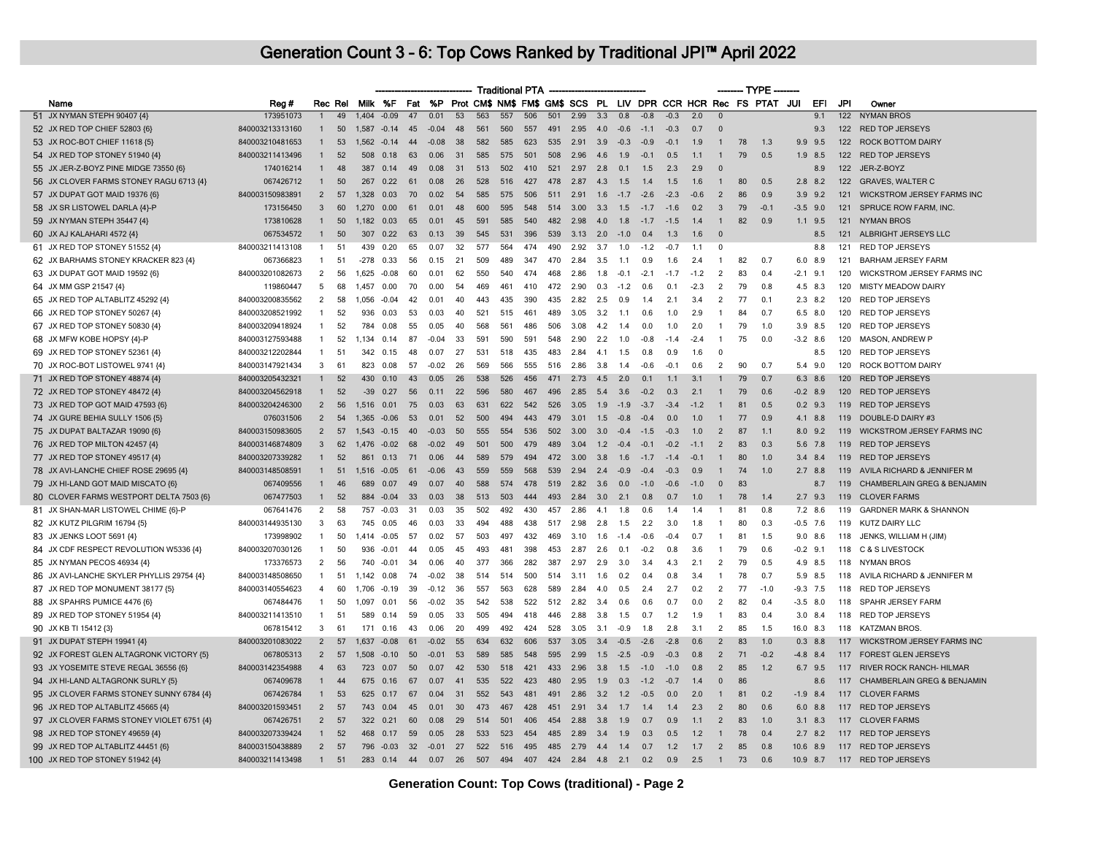|                                                                                |                 |                |         |                |           |     |         |      |     | <b>Traditional PTA</b> |     |          |      |         |        |        |        |        |                | -- TYPE |                                                                 |            |             |     |                                   |
|--------------------------------------------------------------------------------|-----------------|----------------|---------|----------------|-----------|-----|---------|------|-----|------------------------|-----|----------|------|---------|--------|--------|--------|--------|----------------|---------|-----------------------------------------------------------------|------------|-------------|-----|-----------------------------------|
| Name                                                                           | Reg #           |                | Rec Rel |                | Milk %F   | Fat | %P      |      |     |                        |     |          |      |         |        |        |        |        |                |         | Prot CM\$ NM\$ FM\$ GM\$ SCS PL LIV DPR CCR HCR Rec FS PTAT JUI |            | EFI         | JPI | Owner                             |
| 51 JX NYMAN STEPH 90407 {4}                                                    | 173951073       | $\overline{1}$ | 49      | 1,404          | $-0.09$   | 47  | 0.01    | 53   | 563 | 557                    | 506 | 501      | 2.99 | 3.3     | 0.8    | $-0.8$ | $-0.3$ | 2.0    | $\overline{0}$ |         |                                                                 |            | 9.1         | 122 | <b>NYMAN BROS</b>                 |
| 52 JX RED TOP CHIEF 52803 {6}                                                  | 840003213313160 | $\mathbf{1}$   | 50      | 1,587          | $-0.14$   | 45  | $-0.04$ | 48   | 561 | 560                    | 557 | 491      | 2.95 | 4.0     | $-0.6$ | $-1.1$ | $-0.3$ | 0.7    | $\Omega$       |         |                                                                 |            | 9.3         |     | 122 RED TOP JERSEYS               |
| 53 JX ROC-BOT CHIEF 11618 {5}                                                  | 840003210481653 | $\mathbf{1}$   | 53      | $1,562 -0.14$  |           | 44  | $-0.08$ | 38   | 582 | 585                    | 623 | 535      | 2.91 | 3.9     | $-0.3$ | $-0.9$ | $-0.1$ | 1.9    | $\mathbf{1}$   | 78      | 1.3                                                             |            | $9.9$ $9.5$ |     | 122 ROCK BOTTOM DAIRY             |
| 54 JX RED TOP STONEY 51940 {4}                                                 | 840003211413496 | $\mathbf{1}$   | 52      | 508            | 0.18      | 63  | 0.06    | 31   | 585 | 575                    | 501 | 508      | 2.96 | 4.6     | 1.9    | $-0.1$ | 0.5    | 1.1    | $\mathbf{1}$   | 79      | 0.5                                                             | 1.9        | 8.5         |     | 122 RED TOP JERSEYS               |
| 55 JX JER-Z-BOYZ PINE MIDGE 73550 {6}                                          | 174016214       |                | 48      | 387            | 0.14      | 49  | 0.08    | 31   | 513 | 502                    | 410 | 521      | 2.97 | 2.8     | 0.1    | 1.5    | 2.3    | 2.9    | $\Omega$       |         |                                                                 |            | 8.9         | 122 | JER-Z-BOYZ                        |
| 56 JX CLOVER FARMS STONEY RAGU 6713 {4}                                        | 067426712       | $\mathbf{1}$   | 50      | 267            | 0.22      | 61  | 0.08    | 26   | 528 | 516                    | 427 | 478      | 2.87 | 4.3     | 1.5    | 1.4    | 1.5    | 1.6    | $\mathbf{1}$   | 80      | 0.5                                                             |            | $2.8$ 8.2   |     | 122 GRAVES, WALTER C              |
| 57 JX DUPAT GOT MAID 19376 {6}                                                 | 840003150983891 | 2              | 57      | 1,328          | 0.03      | 70  | 0.02    | 54   | 585 | 575                    | 506 | 511 2.91 |      | 1.6     | $-1.7$ | $-2.6$ | $-2.3$ | $-0.6$ | $\overline{2}$ | 86      | 0.9                                                             |            | 3.9 9.2     |     | 121 WICKSTROM JERSEY FARMS INC    |
| 58 JX SR LISTOWEL DARLA {4}-P                                                  | 173156450       | $\mathbf{3}$   | 60      | 1.270          | 0.00      | 61  | 0.01    | 48   | 600 | 595                    | 548 | 514      | 3.00 | 3.3     | 1.5    | $-17$  | $-1.6$ | 0.2    | $\mathbf{3}$   | 79      | $-0.1$                                                          |            | $-3.5$ 9.0  |     | 121 SPRUCE ROW FARM. INC.         |
| 59 JX NYMAN STEPH 35447 {4}                                                    | 173810628       | $\mathbf{1}$   | 50      | 1,182          | 0.03      | 65  | 0.01    | 45   | 591 | 585                    | 540 | 482      | 2.98 | 4.0     | 1.8    | $-1.7$ | $-1.5$ | 1.4    | $\mathbf{1}$   | 82      | 0.9                                                             |            | $1.1$ 9.5   | 121 | <b>NYMAN BROS</b>                 |
| 60 JX AJ KALAHARI 4572 {4}                                                     | 067534572       | $\mathbf{1}$   | 50      | 307            | 0.22      | 63  | 0.13    | 39   | 545 | 531                    | 396 | 539      | 3.13 | 2.0     | $-1.0$ | 0.4    | 1.3    | 1.6    | $\Omega$       |         |                                                                 |            | 8.5         |     | 121 ALBRIGHT JERSEYS LLC          |
| 61 JX RED TOP STONEY 51552 {4}                                                 | 840003211413108 | $\overline{1}$ | 51      | 439            | 0.20      | 65  | 0.07    | 32   | 577 | 564                    | 474 | 490      | 2.92 | 3.7     | 1.0    | $-1.2$ | $-0.7$ | 1.1    | $\Omega$       |         |                                                                 |            | 8.8         | 121 | RED TOP JERSEYS                   |
| 62 JX BARHAMS STONEY KRACKER 823 {4}                                           | 067366823       | $\mathbf{1}$   | 51      | -278           | 0.33      | 56  | 0.15    | 21   | 509 | 489                    | 347 | 470      | 2.84 | 3.5     | 1.1    | 0.9    | 1.6    | 2.4    | $\mathbf{1}$   | 82      | 0.7                                                             |            | 6.0 8.9     | 121 | <b>BARHAM JERSEY FARM</b>         |
| 63 JX DUPAT GOT MAID 19592 {6}                                                 | 840003201082673 | $\overline{2}$ | 56      | 1.625          | $-0.08$   | 60  | 0.01    | 62   | 550 | 540                    | 474 | 468      | 2.86 | 1.8     | $-0.1$ | $-2.1$ | $-1.7$ | $-1.2$ | $\overline{2}$ | 83      | 0.4                                                             | $-2.1$     | 9.1         | 120 | WICKSTROM JERSEY FARMS INC        |
| 64 JX MM GSP 21547 {4}                                                         | 119860447       | 5              | 68      | 1,457          | 0.00      | 70  | 0.00    | 54   | 469 | 461                    | 410 | 472      | 2.90 | 0.3     | $-1.2$ | 0.6    | 0.1    | $-2.3$ | $\overline{2}$ | 79      | 0.8                                                             |            | 4.5 8.3     | 120 | <b>MISTY MEADOW DAIRY</b>         |
| 65 JX RED TOP ALTABLITZ 45292 {4}                                              | 840003200835562 | $\overline{2}$ | 58      | 1,056          | $-0.04$   | 42  | 0.01    | 40   | 443 | 435                    | 390 | 435      | 2.82 | 2.5     | 0.9    | 1.4    | 2.1    | 3.4    | $\overline{2}$ | 77      | 0.1                                                             |            | $2.3$ 8.2   |     | 120 RED TOP JERSEYS               |
| 66 JX RED TOP STONEY 50267 {4}                                                 | 840003208521992 | $\overline{1}$ | 52      | 936            | 0.03      | 53  | 0.03    | 40   | 521 | 515                    | 461 | 489      | 3.05 | 3.2     | 1.1    | 0.6    | 1.0    | 2.9    | $\mathbf{1}$   | 84      | 0.7                                                             | 6.5        | 8.0         | 120 | <b>RED TOP JERSEYS</b>            |
| 67 JX RED TOP STONEY 50830 {4}                                                 | 840003209418924 | $\mathbf{1}$   | 52      | 784            | 0.08      | 55  | 0.05    | 40   | 568 | 561                    | 486 | 506      | 3.08 | 4.2     | 1.4    | 0.0    | 1.0    | 2.0    | $\overline{1}$ | 79      | 1.0                                                             |            | $3.9$ 8.5   | 120 | <b>RED TOP JERSEYS</b>            |
| 68 JX MFW KOBE HOPSY {4}-P                                                     | 840003127593488 | $\mathbf{1}$   | 52      | 1.134          | 0.14      | 87  | $-0.04$ | 33   | 591 | 590                    | 591 | 548      | 2.90 | 2.2     | 1.0    | $-0.8$ | $-1.4$ | $-2.4$ | $\overline{1}$ | 75      | 0.0                                                             |            | $-3.2$ 8.6  | 120 | <b>MASON, ANDREW P</b>            |
| 69 JX RED TOP STONEY 52361 {4}                                                 | 840003212202844 | $\overline{1}$ | 51      | 342            | 0.15      | 48  | 0.07    | 27   | 531 | 518                    | 435 | 483      | 2.84 | 4.1     | 1.5    | 0.8    | 0.9    | 1.6    | $\mathbf 0$    |         |                                                                 |            | 8.5         | 120 | RED TOP JERSEYS                   |
| 70 JX ROC-BOT LISTOWEL 9741 {4}                                                | 840003147921434 | $\mathbf{3}$   | 61      | 823            | 0.08      | 57  | -0.02   | - 26 | 569 | 566                    | 555 | 516      | 2.86 | 3.8     | 14     | $-0.6$ | $-0.1$ | 0.6    | $\overline{2}$ | 90      | 0.7                                                             | 5.4        | 9.0         | 120 | ROCK BOTTOM DAIRY                 |
| 71 JX RED TOP STONEY 48874 {4}                                                 | 840003205432321 |                | 52      | 430            | 0.10      | 43  | 0.05    | 26   | 538 | 526                    | 456 | 471      | 2.73 | 4.5     | 2.0    | 0.1    | 1.1    | 3.1    |                | 79      | 0.7                                                             | 6.3        | 8.6         |     | 120 RED TOP JERSEYS               |
| 72 JX RED TOP STONEY 48472 {4}                                                 | 840003204562918 | $\mathbf{1}$   | 52      | $-39$          | 0.27      | 56  | 0.11    | 22   | 596 | 580                    | 467 | 496      | 2.85 | 5.4     | 3.6    | $-0.2$ | 0.3    | 2.1    |                | 79      | 0.6                                                             |            | $-0.2$ 8.9  |     | 120 RED TOP JERSEYS               |
| 73 JX RED TOP GOT MAID 47593 {6}                                               | 840003204246300 | $\overline{2}$ | 56      | 1.516          | 0.01      | 75  | 0.03    | -63  | 631 | 622                    | 542 | 526      | 3.05 | 1.9     | $-1.9$ | $-3.7$ | $-3.4$ | $-1.2$ |                | 81      | 0.5                                                             |            | $0.2$ 9.3   |     | 119 RED TOP JERSEYS               |
| 74 JX GURE BEHIA SULLY 1506 {5}                                                | 076031506       | 2              | 54      | 1.365 -0.06    |           | 53  | 0.01    | 52   | 500 | 494                    | 443 | 479      | 3.01 | 1.5     | $-0.8$ | $-0.4$ | 0.0    | 1.0    | $\mathbf{1}$   | 77      | 0.9                                                             |            | 4.1 8.8     |     | 119 DOUBLE-D DAIRY #3             |
| 75 JX DUPAT BALTAZAR 19090 {6}                                                 | 840003150983605 | 2              | 57      | 1.543          | $-0.15$   | 40  | $-0.03$ | 50   | 555 | 554                    | 536 | 502      | 3.00 | 3.0     | $-0.4$ | $-1.5$ | $-0.3$ | 1.0    | $\overline{2}$ | 87      | 1.1                                                             | 8.0        | 9.2         | 119 | <b>WICKSTROM JERSEY FARMS INC</b> |
| 76 JX RED TOP MILTON 42457 {4}                                                 | 840003146874809 | $\mathbf{3}$   | 62      | 1,476          | $-0.02$   | 68  | $-0.02$ | 49   | 501 | 500                    | 479 | 489      | 3.04 | 1.2     | $-0.4$ | $-0.1$ | $-0.2$ | $-1.1$ | $\overline{2}$ | 83      | 0.3                                                             |            | 5.6 7.8     |     | 119 RED TOP JERSEYS               |
| 77 JX RED TOP STONEY 49517 {4}                                                 | 840003207339282 | $\mathbf{1}$   | 52      | 861            | 0.13      | 71  | 0.06    | 44   | 589 | 579                    | 494 | 472      | 3.00 | 3.8     | 1.6    | $-1.7$ | $-1.4$ | $-0.1$ | $\mathbf{1}$   | 80      | 1.0                                                             |            | $3.4$ 8.4   |     | 119 RED TOP JERSEYS               |
| 78 JX AVI-LANCHE CHIEF ROSE 29695 {4}                                          | 840003148508591 | 1              | 51      | $1.516 - 0.05$ |           | 61  | $-0.06$ | 43   | 559 | 559                    | 568 | 539      | 2.94 | 2.4     | $-0.9$ | $-0.4$ | $-0.3$ | 0.9    | $\mathbf{1}$   | 74      | 1.0                                                             |            | $2.7$ 8.8   |     | 119 AVILA RICHARD & JENNIFER M    |
| 79 JX HI-LAND GOT MAID MISCATO {6}                                             | 067409556       | $\mathbf{1}$   | 46      | 689            | 0.07      | 49  | 0.07    | 40   | 588 | 574                    | 478 | 519      | 2.82 | 3.6     | 0.0    | $-1.0$ | $-0.6$ | $-1.0$ | $\Omega$       | 83      |                                                                 |            | 8.7         | 119 | CHAMBERLAIN GREG & BENJAMIN       |
| 80 CLOVER FARMS WESTPORT DELTA 7503 {6}                                        | 067477503       | $\mathbf{1}$   | 52      | 884            | $-0.04$   | 33  | 0.03    | -38  | 513 | 503                    | 444 | 493      | 2.84 | 3.0     | 2.1    | 0.8    | 0.7    | 1.0    | $\overline{1}$ | 78      | 1.4                                                             |            | $2.7$ 9.3   |     | 119 CLOVER FARMS                  |
| 81 JX SHAN-MAR LISTOWEL CHIME {6}-P                                            | 067641476       | 2              | 58      |                | 757 -0.03 | 31  | 0.03    | 35   | 502 | 492                    | 430 | 457      | 2.86 | 4.1     | 1.8    | 0.6    | 1.4    | 1.4    | -1             | 81      | 0.8                                                             |            | $7.2$ 8.6   |     | 119 GARDNER MARK & SHANNON        |
| 82 JX KUTZ PILGRIM 16794 {5}                                                   | 840003144935130 | 3              | 63      | 745            | 0.05      | 46  | 0.03    | 33   | 494 | 488                    | 438 | 517      | 2.98 | 2.8     | 1.5    | 2.2    | 3.0    | 1.8    | -1             | 80      | 0.3                                                             |            | $-0.5$ 7.6  | 119 | <b>KUTZ DAIRY LLC</b>             |
| 83 JX JENKS LOOT 5691 {4}                                                      | 173998902       | $\mathbf{1}$   | 50      | 1.414          | $-0.05$   | 57  | 0.02    | 57   | 503 | 497                    | 432 | 469      | 3.10 | 1.6     | $-1.4$ | $-0.6$ | $-0.4$ | 0.7    | $\mathbf{1}$   | 81      | 1.5                                                             |            | $9.0$ 8.6   | 118 | JENKS, WILLIAM H (JIM)            |
| 84 JX CDF RESPECT REVOLUTION W5336 {4}                                         | 840003207030126 | $\mathbf{1}$   | 50      | 936            | $-0.01$   | 44  | 0.05    | -45  | 493 | 481                    | 398 | 453      | 2.87 | 2.6     | 0.1    | $-0.2$ | 0.8    | 3.6    | -1             | 79      | 0.6                                                             | $-0.2$     | 9.1         | 118 | <b>C &amp; S LIVESTOCK</b>        |
| 85 JX NYMAN PECOS 46934 {4}                                                    | 173376573       | $\overline{2}$ | 56      | 740            | $-0.01$   | -34 | 0.06    | 40   | 377 | 366                    | 282 | 387      | 2.97 | 2.9     | 3.0    | 3.4    | 4.3    | 2.1    | 2              | 79      | 0.5                                                             |            | 4.9 8.5     |     | 118 NYMAN BROS                    |
| 86 JX AVI-LANCHE SKYLER PHYLLIS 29754 {4}                                      | 840003148508650 | $\overline{1}$ | 51      | 1.142          | 0.08      | 74  | $-0.02$ | 38   | 514 | 514                    | 500 | 514      | 3.11 | 1.6     | 0.2    | 0.4    | 0.8    | 3.4    | $\mathbf{1}$   | 78      | 0.7                                                             |            | 5.9 8.5     | 118 | AVILA RICHARD & JENNIFER M        |
| 87 JX RED TOP MONUMENT 38177 {5}                                               | 840003140554623 | $\overline{4}$ | 60      | 1,706          | $-0.19$   | 39  | $-0.12$ | 36   | 557 | 563                    | 628 | 589      | 2.84 | 4.0     | 0.5    | 2.4    | 2.7    | 0.2    | $\overline{2}$ | 77      | $-1.0$                                                          |            | $-9.3$ 7.5  |     | 118 RED TOP JERSEYS               |
| 88 JX SPAHRS PUMICE 4476 {6}                                                   | 067484476       | $\overline{1}$ | 50      | 1,097          | 0.01      | 56  | $-0.02$ | 35   | 542 | 538                    | 522 | 512      | 2.82 | 3.4     | 0.6    | 0.6    | 0.7    | 0.0    | $\overline{2}$ | 82      | 0.4                                                             |            | $-3.5$ 8.0  |     | 118 SPAHR JERSEY FARM             |
| 89 JX RED TOP STONEY 51954 {4}                                                 | 840003211413510 | $\mathbf{1}$   | 51      | 589            | 0.14      | 59  | 0.05    | 33   | 505 | 494                    | 418 | 446      | 2.88 | 3.8     | 1.5    | 0.7    | 1.2    | 1.9    | $\mathbf{1}$   | 83      | 0.4                                                             |            | $3.0$ $8.4$ |     | 118 RED TOP JERSEYS               |
| 90 JX KB TI 15412 {3}                                                          | 067815412       | $\overline{3}$ | 61      |                | 171 0.16  | 43  | 0.06    | 20   | 499 | 492                    | 424 | 528      | 3.05 | 3.1     | $-0.9$ | 1.8    | 2.8    | 3.1    | 2              | 85      | 1.5                                                             | 16.0 8.3   |             |     | 118 KATZMAN BROS.                 |
| 91 JX DUPAT STEPH 19941 {4}                                                    | 840003201083022 | $\overline{2}$ | 57      | 1.637          | $-0.08$   | 61  | $-0.02$ | 55   | 634 | 632                    | 606 | 537      | 3.05 | 3.4     | $-0.5$ | $-2.6$ | $-2.8$ | 0.6    | $\overline{2}$ | 83      | 1.0                                                             | 0.3        | 8.8         | 117 | <b>WICKSTROM JERSEY FARMS INC</b> |
| 92 JX FOREST GLEN ALTAGRONK VICTORY {5}                                        | 067805313       | $\overline{2}$ | 57      | 1,508          | $-0.10$   | 50  | $-0.01$ | 53   | 589 | 585                    | 548 | 595      | 2.99 | 1.5     | $-2.5$ | $-0.9$ | $-0.3$ | 0.8    | $\overline{2}$ | 71      | $-0.2$                                                          |            | $-4.8$ 8.4  |     | 117 FOREST GLEN JERSEYS           |
| 93 JX YOSEMITE STEVE REGAL 36556 {6}                                           | 840003142354988 | $\overline{4}$ | 63      | 723            | 0.07      | 50  | 0.07    | -42  | 530 | 518                    | 421 | 433      | 2.96 | 3.8     | 1.5    | $-1.0$ | $-1.0$ | 0.8    | $\overline{2}$ | 85      | 1.2                                                             | 6.7        | 9.5         |     | 117 RIVER ROCK RANCH- HILMAR      |
| 94 JX HI-LAND ALTAGRONK SURLY {5}                                              | 067409678       | ÷              | 44      | 675            | 0.16      | 67  | 0.07    | 41   | 535 | 522                    | 423 | 480      | 2.95 | 1.9     | 0.3    | $-1.2$ | $-0.7$ | 1.4    | $\Omega$       | 86      |                                                                 |            | 8.6         |     | 117 CHAMBERLAIN GREG & BENJAMIN   |
| 95 JX CLOVER FARMS STONEY SUNNY 6784 {4}                                       | 067426784       | $\mathbf{1}$   | 53      | 625            | 0.17      | 67  | 0.04    | 31   | 552 | 543                    | 481 | 491      | 2.86 | 3.2     | 1.2    | $-0.5$ | 0.0    | 2.0    |                | 81      | 0.2                                                             |            | $-1.9$ 8.4  |     | 117 CLOVER FARMS                  |
|                                                                                | 840003201593451 | $\overline{2}$ | 57      | 743            | 0.04      | 45  | 0.01    | 30   | 473 | 467                    | 428 | 451      | 2.91 | 3.4     | 1.7    | 1.4    | 1.4    | 2.3    | $\overline{2}$ | 80      | 0.6                                                             | 6.0        | 8.8         |     | 117 RED TOP JERSEYS               |
| 96 JX RED TOP ALTABLITZ 45665 {4}<br>97 JX CLOVER FARMS STONEY VIOLET 6751 {4} | 067426751       | 2              | 57      |                | 322 0.21  | 60  | 0.08    | 29   | 514 | 501                    | 406 | 454      | 2.88 | 3.8     | 1.9    | 0.7    | 0.9    | 1.1    | $\overline{2}$ | 83      | 1.0                                                             |            | $3.1 \t8.3$ |     | 117 CLOVER FARMS                  |
|                                                                                | 840003207339424 | $\mathbf{1}$   | 52      | 468            | 0.17      | 59  | 0.05    | 28   | 533 | 523                    | 454 | 485      | 2.89 | 3.4     | 1.9    | 0.3    | 0.5    | 1.2    | -1             | 78      | 0 <sub>4</sub>                                                  | 2.7        | 8.2         |     | 117 RED TOP JERSEYS               |
| 98 JX RED TOP STONEY 49659 {4}                                                 |                 |                |         |                |           |     |         |      |     |                        |     |          |      |         |        |        |        |        |                |         |                                                                 |            |             |     |                                   |
| 99 JX RED TOP ALTABLITZ 44451 {6}                                              | 840003150438889 | $\overline{2}$ | 57      |                | 796 -0.03 | 32  | $-0.01$ | 27   | 522 | 516                    | 495 | 485      | 2.79 | 4.4     | 1.4    | 0.7    | 1.2    | 1.7    | $\overline{2}$ | 85      | 0.8                                                             | $10.6$ 8.9 |             |     | 117 RED TOP JERSEYS               |
| 100 JX RED TOP STONEY 51942 {4}                                                | 840003211413498 | $\overline{1}$ | 51      | 283            | 0.14      | 44  | 0.07    | 26   | 507 | 494                    | 407 | 424      | 2.84 | 4.8 2.1 |        | 0.2    | 0.9    | 2.5    | $\overline{1}$ | 73      | 0.6                                                             | 10.9 8.7   |             |     | 117 RED TOP JERSEYS               |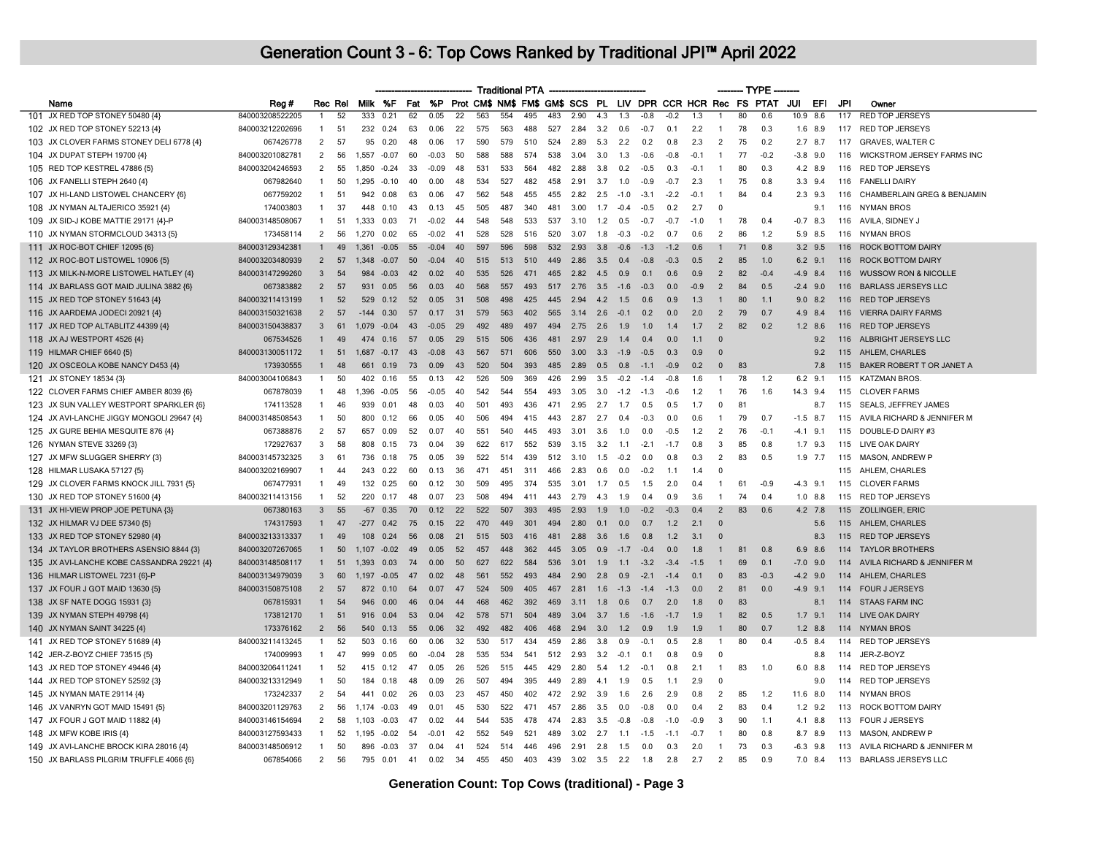|                                            |                 |                |         |         |          |     |         |                 |     | <b>Traditional PTA</b> |     |     |      |     |        |        |        |        |                          | ---- TYPE |                                                             |            |             |     |                                 |
|--------------------------------------------|-----------------|----------------|---------|---------|----------|-----|---------|-----------------|-----|------------------------|-----|-----|------|-----|--------|--------|--------|--------|--------------------------|-----------|-------------------------------------------------------------|------------|-------------|-----|---------------------------------|
| Name                                       | Reg #           |                | Rec Rel |         | Milk %F  | Fat | %P      |                 |     |                        |     |     |      |     |        |        |        |        |                          |           | Prot CM\$ NM\$ FM\$ GM\$ SCS PL LIV DPR CCR HCR Rec FS PTAT | JUI        | EFI         | JPI | Owner                           |
| 101 JX RED TOP STONEY 50480 {4}            | 840003208522205 |                | 52      | 333     | 0.21     | 62  | 0.05    | $\overline{22}$ | 563 | 554                    | 495 | 483 | 2.90 | 4.3 | 1.3    | $-0.8$ | $-0.2$ | 1.3    | -1                       | 80        | 0.6                                                         | 10.9       | 8.6         | 117 | <b>RED TOP JERSEYS</b>          |
| 102 JX RED TOP STONEY 52213 {4}            | 840003212202696 | -1             | 51      | 232     | 0.24     | 63  | 0.06    | 22              | 575 | 563                    | 488 | 527 | 2.84 | 3.2 | 0.6    | $-0.7$ | 0.1    | 2.2    | -1                       | 78        | 0.3                                                         |            | $1.6$ 8.9   | 117 | <b>RED TOP JERSEYS</b>          |
| 103 JX CLOVER FARMS STONEY DELI 6778 {4}   | 067426778       | $\overline{2}$ | 57      |         | 95 0.20  | 48  | 0.06    | 17              | 590 | 579                    | 510 | 524 | 2.89 | 5.3 | 2.2    | 02     | 0.8    | 2.3    | 2                        | 75        | 0.2                                                         |            | $2.7$ 8.7   | 117 | <b>GRAVES, WALTER C</b>         |
| 104 JX DUPAT STEPH 19700 {4}               | 840003201082781 | $\overline{2}$ | 56      | 1,557   | $-0.07$  | 60  | $-0.03$ | 50              | 588 | 588                    | 574 | 538 | 3.04 | 3.0 | 1.3    | $-0.6$ | $-0.8$ | $-0.1$ | $\overline{1}$           | 77        | $-0.2$                                                      | $-3.8$ 9.0 |             | 116 | WICKSTROM JERSEY FARMS INC      |
| 105 RED TOP KESTREL 47886 {5}              | 840003204246593 | 2              | 55      | 1,850   | $-0.24$  | 33  | $-0.09$ | 48              | 531 | 533                    | 564 | 482 | 2.88 | 3.8 | 0.2    | $-0.5$ | 0.3    | $-0.1$ | $\mathbf{1}$             | 80        | 0.3                                                         |            | 4.2 8.9     | 116 | <b>RED TOP JERSEYS</b>          |
| 106 JX FANELLI STEPH 2640 {4}              | 067982640       | $\overline{1}$ | 50      | 1,295   | $-0.10$  | 40  | 0.00    | 48              | 534 | 527                    | 482 | 458 | 2.91 | 3.7 | 1.0    | $-0.9$ | $-0.7$ | 2.3    | $\overline{1}$           | 75        | 0.8                                                         |            | $3.3$ $9.4$ | 116 | <b>FANELLI DAIRY</b>            |
| 107 JX HI-LAND LISTOWEL CHANCERY {6}       | 067759202       | $\mathbf{1}$   | 51      | 942     | 0.08     | 63  | 0.06    | 47              | 562 | 548                    | 455 | 455 | 2.82 | 2.5 | $-10$  | $-3.1$ | $-2.2$ | $-0$ . | $\overline{1}$           | 84        | 0.4                                                         |            | $2.3$ 9.3   | 116 | CHAMBERLAIN GREG & BENJAMIN     |
| 108 JX NYMAN ALTAJERICO 35921 {4}          | 174003803       | $\mathbf{1}$   | 37      |         | 448 0.10 | 43  | 0.13    | 45              | 505 | 487                    | 340 | 481 | 3.00 | 1.7 | $-0.4$ | $-0.5$ | 0.2    | 2.7    | $\overline{0}$           |           |                                                             |            | 9.1         | 116 | <b>NYMAN BROS</b>               |
| 109 JX SID-J KOBE MATTIE 29171 {4}-P       | 840003148508067 | $\overline{1}$ | 51      | 1.333   | 0.03     | 71  | $-0.02$ | 44              | 548 | 548                    | 533 | 537 | 3.10 | 1.2 | 0.5    | $-0.7$ | $-0.7$ | $-1.0$ | $\overline{1}$           | 78        | 0.4                                                         | $-0.7$     | 8.3         | 116 | AVILA, SIDNEY J                 |
| 110 JX NYMAN STORMCLOUD 34313 {5}          | 173458114       | 2              | 56      | 1.270   | 0.02     | 65  | $-0.02$ | 41              | 528 | 528                    | 516 | 520 | 3.07 | 1.8 | $-0.3$ | $-0.2$ | 0.7    | 0.6    | $\overline{2}$           | 86        | 1.2                                                         |            | 5.9 8.5     | 116 | <b>NYMAN BROS</b>               |
| 111 JX ROC-BOT CHIEF 12095 {6}             | 840003129342381 |                | 49      | 1.361   | $-0.05$  | 55  | $-0.04$ | 40 <sup>2</sup> | 597 | 596                    | 598 | 532 | 2.93 | 3.8 | $-0.6$ | $-1.3$ | $-1.2$ | 0.6    | $\mathbf{1}$             | 71        | 0.8                                                         |            | $3.2$ 9.5   | 116 | <b>ROCK BOTTOM DAIRY</b>        |
| 112 JX ROC-BOT LISTOWEL 10906 {5}          | 840003203480939 | 2              | 57      | 1.348   | $-0.07$  | 50  | $-0.04$ | 40              | 515 | 513                    | 510 | 449 | 2.86 | 3.5 | 0.4    | $-0.8$ | $-0.3$ | 0.5    | 2                        | 85        | 1.0                                                         |            | $6.2$ 9.1   | 116 | <b>ROCK BOTTOM DAIRY</b>        |
| 113 JX MILK-N-MORE LISTOWEL HATLEY {4}     | 840003147299260 | 3              | 54      | 984     | $-0.03$  | 42  | 0.02    |                 | 535 | 526                    | 471 | 465 | 2.82 | 4.5 | 0.9    | 0.1    | 0.6    | 0.9    | $\overline{2}$           | 82        | $-0.4$                                                      | $-4.9$ 8.4 |             | 116 | <b>WUSSOW RON &amp; NICOLLE</b> |
| 114 JX BARLASS GOT MAID JULINA 3882 {6}    | 067383882       | $\overline{2}$ | 57      | 931     | 0.05     | 56  | 0.03    | 40              | 568 | 557                    | 493 | 517 | 2.76 | 3.5 | $-1.6$ | $-0.3$ | 0.0    | $-0.9$ | $\overline{2}$           | 84        | 0.5                                                         | $-2.4$ 9.0 |             | 116 | <b>BARLASS JERSEYS LLC</b>      |
| 115 JX RED TOP STONEY 51643 {4}            | 840003211413199 |                | 52      | 529     | 0.12     | 52  | 0.05    | 31              | 508 | 498                    | 425 | 445 | 2.94 | 4.2 | 1.5    | 0.6    | 0.9    | 1.3    | $\mathbf{1}$             | 80        | 1.1                                                         |            | $9.0$ 8.2   | 116 | <b>RED TOP JERSEYS</b>          |
| 116 JX AARDEMA JODECI 20921 {4}            | 840003150321638 | $\overline{2}$ | 57      | $-144$  | 0.30     | 57  | 0.17    | 31              | 579 | 563                    | 402 | 565 | 3.14 | 2.6 | $-0.1$ | 0.2    | 0.0    | 2.0    | $\overline{2}$           | 79        | 0.7                                                         | 4.9        | 8.4         | 116 | <b>VIERRA DAIRY FARMS</b>       |
| 117 JX RED TOP ALTABLITZ 44399 {4}         | 840003150438837 | $\mathbf{3}$   | 61      | 1,079   | $-0.04$  | 43  | $-0.05$ | 29              | 492 | 489                    | 497 | 494 | 2.75 | 2.6 | 1.9    | 1.0    | 1.4    | 1.7    | $\overline{2}$           | 82        | 0.2                                                         |            | $1.2$ 8.6   | 116 | <b>RED TOP JERSEYS</b>          |
| 118 JX AJ WESTPORT 4526 {4}                | 067534526       | $\mathbf{1}$   | 49      | 474     | 0.16     | 57  | 0.05    | 29              | 515 | 506                    | 436 | 481 | 2.97 | 2.9 | 1.4    | 0.4    | 0.0    | 1.1    | $\overline{\mathbf{0}}$  |           |                                                             |            | 9.2         | 116 | ALBRIGHT JERSEYS LLC            |
| 119 HILMAR CHIEF 6640 {5}                  | 840003130051172 | $\mathbf{1}$   | 51      | 1,687   | $-0.17$  | 43  | $-0.08$ | 43              | 567 | 571                    | 606 | 550 | 3.00 | 3.3 | $-1.9$ | $-0.5$ | 0.3    | 0.9    | $\overline{0}$           |           |                                                             |            | 9.2         | 115 | AHLEM, CHARLES                  |
| 120 JX OSCEOLA KOBE NANCY D453 {4}         | 173930555       | $\mathbf{1}$   | 48      | 661     | 0.19     | 73  | 0.09    | 43              | 520 | 504                    | 393 | 485 | 2.89 | 0.5 | 0.8    | $-11$  | $-0.9$ | 0.2    | $\overline{0}$           | 83        |                                                             |            | 7.8         | 115 | BAKER ROBERT T OR JANET A       |
| 121 JX STONEY 18534 {3}                    | 840003004106843 | $\mathbf{1}$   | 50      | 402     | 0.16     | 55  | 0.13    | 42              | 526 | 509                    | 369 | 426 | 2.99 | 3.5 | $-0.2$ | $-1.4$ | $-0.8$ | 1.6    | $\mathbf{1}$             | 78        | 1.2                                                         | $6.2$ 9.1  |             | 115 | KATZMAN BROS.                   |
| 122 CLOVER FARMS CHIEF AMBER 8039 {6}      | 067878039       | $\mathbf{1}$   | 48      | 1,396   | $-0.05$  | 56  | $-0.05$ | 40              | 542 | 544                    | 554 | 493 | 3.05 | 3.0 | $-1.2$ | $-1.3$ | $-0.6$ | 1.2    | $\mathbf{1}$             | 76        | 1.6                                                         | 14.3 9.4   |             | 115 | <b>CLOVER FARMS</b>             |
| 123 JX SUN VALLEY WESTPORT SPARKLER {6}    | 174113528       | $\mathbf{1}$   | 46      | 939     | 0.01     | 48  | 0.03    | 40              | 501 | 493                    | 436 | 471 | 2.95 | 2.7 | 1.7    | 0.5    | 0.5    | 1.7    | $^{\circ}$               | R.        |                                                             |            | 8.7         | 115 | SEALS, JEFFREY JAMES            |
| 124 JX AVI-LANCHE JIGGY MONGOLI 29647 {4}  | 840003148508543 | $\mathbf{1}$   | 50      | 800     | 0.12     | 66  | 0.05    | 40              | 506 | 494                    | 415 | 443 | 2.87 | 2.7 | 0.4    | $-0.3$ | 0.0    | 0.6    | -1                       | 79        | 0.7                                                         | $-1.5$ 8.7 |             | 115 | AVILA RICHARD & JENNIFER M      |
| 125 JX GURE BEHIA MESQUITE 876 {4}         | 067388876       | $\overline{2}$ | 57      | 657     | 0.09     | 52  | 0.07    | 40              | 551 | 540                    | 445 | 493 | 3.01 | 3.6 | 1.0    | 0.0    | $-0.5$ | 1.2    | $\overline{\phantom{a}}$ | 76        | $-0.1$                                                      | $-4.1$     | 9.1         | 115 | DOUBLE-D DAIRY #3               |
| 126 NYMAN STEVE 33269 {3}                  | 172927637       | 3              | 58      | 808     | 0.15     | 73  | 0.04    | 39              | 622 | 617                    | 552 | 539 | 3.15 | 3.2 | 1.1    | $-2.1$ | $-1.7$ | 0.8    | 3                        | 85        | 0.8                                                         |            | $1.7$ 9.3   | 115 | LIVE OAK DAIRY                  |
| 127 JX MFW SLUGGER SHERRY {3}              | 840003145732325 | 3              | 61      | 736     | 0.18     | 75  | 0.05    | 39              | 522 | 514                    | 439 | 512 | 3.10 | 1.5 | $-0.2$ | n n    | 0.8    | 0.3    | $\overline{2}$           | 83        | 0.5                                                         |            | $1.9$ 7.7   | 115 | MASON, ANDREW P                 |
| 128 HILMAR LUSAKA 57127 {5}                | 840003202169907 | $\mathbf{1}$   | 44      | 243     | 0.22     | 60  | 0.13    | 36              | 471 | 451                    | 311 | 466 | 2.83 | 0.6 | 0.0    | $-0.2$ | 1.1    | 1.4    | $\Omega$                 |           |                                                             |            |             |     | 115 AHLEM, CHARLES              |
| 129 JX CLOVER FARMS KNOCK JILL 7931 {5}    | 067477931       | $\mathbf{1}$   | 49      | 132     | 0.25     | 60  | 0.12    | 30              | 509 | 495                    | 374 | 535 | 3.01 | 1.7 | 0.5    | 1.5    | 2.0    | 0.4    | $\overline{1}$           | 61        | $-0.9$                                                      | $-4.3$ 9.1 |             | 115 | <b>CLOVER FARMS</b>             |
| 130 JX RED TOP STONEY 51600 {4}            | 840003211413156 | $\overline{1}$ | 52      | 220     | 0.17     | 48  | 0.07    | 23              | 508 | 494                    | 411 | 443 | 2.79 | 4.3 | 1.9    | 0.4    | 0.9    | 3.6    | $\overline{1}$           | 74        | 0.4                                                         |            | $1.0$ 8.8   | 115 | <b>RED TOP JERSEYS</b>          |
| 131 JX HI-VIEW PROP JOE PETUNA {3}         | 067380163       | 3              | 55      | $-67$   | 0.35     | 70  | 0.12    | 22              | 522 | 507                    | 393 | 495 | 2.93 | 1.9 | 1.0    | $-0.2$ | $-0.3$ | 0.4    | $\overline{2}$           | 83        | 0.6                                                         |            | 4.2 7.8     | 115 | ZOLLINGER, ERIC                 |
| 132 JX HILMAR VJ DEE 57340 {5}             | 174317593       | $\mathbf{1}$   | 47      | $-277$  | 0.42     | 75  | 0.15    | 22              | 470 | 449                    | 301 | 494 | 2.80 | 0.1 | 0.0    | 0.7    | 1.2    | 2.1    | $\Omega$                 |           |                                                             |            | 5.6         | 115 | AHLEM, CHARLES                  |
| 133 JX RED TOP STONEY 52980 {4}            | 840003213313337 | $\mathbf{1}$   | 49      | 108     | 0.24     | 56  | 0.08    | 21              | 515 | 503                    | 416 | 481 | 2.88 | 3.6 | 1.6    | 0.8    | 1.2    | 3.1    | $\Omega$                 |           |                                                             |            | 8.3         | 115 | <b>RED TOP JERSEYS</b>          |
| 134 JX TAYLOR BROTHERS ASENSIO 8844 {3}    | 840003207267065 |                | 50      | 1,107   | $-0.02$  | 49  | 0.05    | 52              | 457 | 448                    | 362 | 445 | 3.05 | 0.9 | $-1.7$ | $-0.4$ | 0.0    | 1.8    |                          | 81        | 0.8                                                         | 6.9        | 8.6         | 114 | <b>TAYLOR BROTHERS</b>          |
| 135 JX AVI-LANCHE KOBE CASSANDRA 29221 {4} | 840003148508117 | $\mathbf{1}$   | 51      | 1,393   | 0.03     | 74  | 0.00    | 50              | 627 | 622                    | 584 | 536 | 3.01 | 1.9 | 1.1    | $-3.2$ | $-3.4$ | $-1.5$ | $\overline{1}$           | 69        | 0.1                                                         | $-7.0$     | 9.0         | 114 | AVILA RICHARD & JENNIFER M      |
| 136 HILMAR LISTOWEL 7231 {6}-P             | 840003134979039 | $\mathbf{3}$   | 60      | 1.197   | $-0.05$  | 47  | 0.02    | 48              | 561 | 552                    | 493 | 484 | 2.90 | 2.8 | 0.9    | $-2.1$ | $-14$  | 0.1    | $\Omega$                 | 83        | $-0.3$                                                      | $-4.2$ 9.0 |             | 114 | AHLEM, CHARLES                  |
| 137 JX FOUR J GOT MAID 13630 {5}           | 840003150875108 | $\overline{2}$ | 57      | 872     | 0.10     | 64  | 0.07    | 47              | 524 | 509                    | 405 | 467 | 2.81 | 1.6 | $-1.3$ | $-1.4$ | $-1.3$ | 0.0    | $\overline{2}$           | 81        | 0.0                                                         | $-4.9$ 9.1 |             | 114 | <b>FOUR J JERSEYS</b>           |
| 138 JX SF NATE DOGG 15931 {3}              | 067815931       | $\overline{1}$ | 54      | 946     | 0.00     | 46  | 0.04    | 44              | 468 | 462                    | 392 | 469 | 3.11 | 1.8 | 0.6    | 0.7    | 2.0    | 1.8    | $\mathbf{0}$             | 83        |                                                             |            | 8.1         | 114 | <b>STAAS FARM INC</b>           |
| 139 JX NYMAN STEPH 49798 {4}               | 173812170       | $\mathbf{1}$   | 51      | 916     | 0.04     | 53  | 0.04    | 42              | 578 | 571                    | 504 | 489 | 3.04 | 3.7 | 1.6    | $-1.6$ | $-1.7$ | 1.9    | $\overline{1}$           | 82        | 0.5                                                         | $1.7$ 9.1  |             | 114 | LIVE OAK DAIRY                  |
| 140 JX NYMAN SAINT 34225 {4}               | 173376162       | $\overline{2}$ | 56      | 540     | 0.13     | 55  | 0.06    | 32              | 492 | 482                    | 406 | 468 | 2.94 | 3.0 | $1.2$  | 0.9    | 1.9    | 1.9    | $\mathbf{1}$             | 80        | 0.7                                                         |            | $1.2$ 8.8   | 114 | <b>NYMAN BROS</b>               |
| 141 JX RED TOP STONEY 51689 {4}            | 840003211413245 | -1             | 52      | 503     | 0.16     | 60  | 0.06    | 32              | 530 | 517                    | 434 | 459 | 2.86 | 3.8 | 0.9    | $-0.1$ | 0.5    | 2.8    | $\mathbf{1}$             | 80        | 0.4                                                         | $-0.5$     | 8.4         | 114 | <b>RED TOP JERSEYS</b>          |
| 142 JER-Z-BOYZ CHIEF 73515 {5}             | 174009993       |                | 47      | 999     | 0.05     | 60  | $-0.04$ | 28              | 535 | 534                    | 541 | 512 | 2.93 | 3.2 | $-0.1$ | 0.1    | 0.8    | 0.9    | $\Omega$                 |           |                                                             |            | 8.8         | 114 | JER-Z-BOYZ                      |
| 143 JX RED TOP STONEY 49446 {4}            | 840003206411241 |                | 52      | 415     | 0.12     | 47  | 0.05    | 26              | 526 | 515                    | 445 | 429 | 2.80 | 5.4 | 1.2    | $-0.1$ | 0.8    | 2.1    | $\mathbf{1}$             | 83        | 1.0                                                         | 6.0        | 8.8         | 114 | <b>RED TOP JERSEYS</b>          |
| 144 JX RED TOP STONEY 52592 {3}            | 840003213312949 | -1             | 50      | 184     | 0.18     | 48  | 0.09    | 26              | 507 | 494                    | 395 | 449 | 2.89 | 4.1 | 1.9    | 0.5    | 1.1    | 2.9    | 0                        |           |                                                             |            | 9.0         | 114 | RED TOP JERSEYS                 |
| 145 JX NYMAN MATE 29114 {4}                | 173242337       | 2              | 54      | 441     | 0.02     | 26  | 0.03    | 23              | 457 | 450                    | 402 | 472 | 2.92 | 3.9 | 1.6    | 2.6    | 2.9    | 0.8    | $\overline{2}$           | 85        | 1.2                                                         | 11.6 8.0   |             |     | 114 NYMAN BROS                  |
| 146 JX VANRYN GOT MAID 15491 {5}           | 840003201129763 | 2              | 56      | 1 1 7 4 | $-0.03$  | 49  | 0.01    | 45              | 530 | 522                    | 471 | 457 | 2.86 | 3.5 | 0.0    | $-0.8$ | 0.0    | 0.4    | 2                        | 83        | 0.4                                                         |            | $1.2$ 9.2   | 113 | <b>ROCK BOTTOM DAIRY</b>        |
| 147 JX FOUR J GOT MAID 11882 {4}           | 840003146154694 | 2              | 58      | 1,103   | $-0.03$  | 47  | 0.02    | 44              | 544 | 535                    | 478 | 474 | 2.83 | 3.5 | $-0.8$ | $-0.8$ | $-1.0$ | $-0.9$ | 3                        | 90        | 1.1                                                         |            | 4.1 8.8     | 113 | <b>FOUR J JERSEYS</b>           |
| 148 JX MFW KOBE IRIS {4}                   | 840003127593433 | $\mathbf{1}$   | 52      | 1,195   | $-0.02$  | 54  | $-0.01$ | 42              | 552 | 549                    | 521 | 489 | 3.02 | 2.7 | 1.1    | $-1.5$ | $-1.1$ | $-0.7$ | -1                       | 80        | 0.8                                                         | 8.7        | 8.9         | 113 | MASON, ANDREW P                 |
| 149 JX AVI-LANCHE BROCK KIRA 28016 {4}     | 840003148506912 | $\mathbf{1}$   | 50      | 896     | $-0.03$  | 37  | 0.04    | 41              | 524 | 514                    | 446 | 496 | 2.91 | 2.8 | 1.5    | n n    | 0.3    | 2.0    | $\mathbf{1}$             | 73        | 0.3                                                         | $-6.3$ 9.8 |             |     | 113 AVILA RICHARD & JENNIFER M  |
| 150 JX BARLASS PILGRIM TRUFFLE 4066 {6}    | 067854066       | 2              | 56      | 795     | 0.01     | 41  | 0.02    | 34              | 455 | 450                    | 403 | 439 | 3.02 | 3.5 | 2.2    | 1.8    | 2.8    | 2.7    | $\overline{2}$           | 85        | 0.9                                                         |            | 7.0 8.4     | 113 | <b>BARLASS JERSEYS LLC</b>      |
|                                            |                 |                |         |         |          |     |         |                 |     |                        |     |     |      |     |        |        |        |        |                          |           |                                                             |            |             |     |                                 |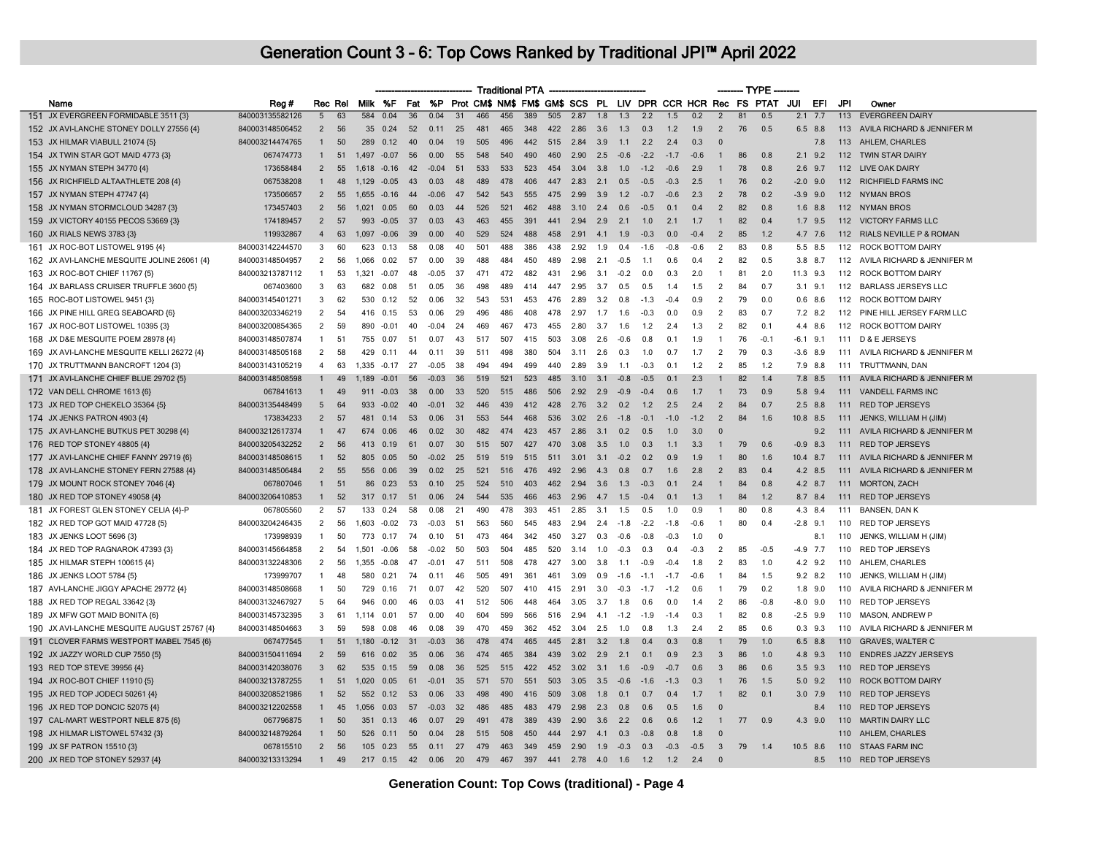|                                             |                 |                |         |              |          |     |         |     |     | <b>Traditional PTA</b> |     |     |      |     |        |                                                             |        |        |                | -- TYPE |        |        |             |         |                                |
|---------------------------------------------|-----------------|----------------|---------|--------------|----------|-----|---------|-----|-----|------------------------|-----|-----|------|-----|--------|-------------------------------------------------------------|--------|--------|----------------|---------|--------|--------|-------------|---------|--------------------------------|
| Name                                        | Reg#            |                | Rec Rel |              | Milk %F  | Fat | %P      |     |     |                        |     |     |      |     |        | Prot CM\$ NM\$ FM\$ GM\$ SCS PL LIV DPR CCR HCR Rec FS PTAT |        |        |                |         |        | JUI    | EFI         | JPI     | Owner                          |
| 151 JX EVERGREEN FORMIDABLE 3511 {3}        | 840003135582126 | 5              | 63      | 584          | 0.04     | 36  | 0.04    | 31  | 466 | 456                    | 389 | 505 | 2.87 | 1.8 | 1.3    | 2.2                                                         | 1.5    | 0.2    | $\overline{2}$ | 81      | 0.5    | 2.1    | 7.7         | 113     | <b>EVERGREEN DAIRY</b>         |
| 152 JX AVI-LANCHE STONEY DOLLY 27556 {4}    | 840003148506452 | $\overline{2}$ | 56      | 35           | 0.24     | 52  | 0.11    | 25  | 481 | 465                    | 348 | 422 | 2.86 | 3.6 | 1.3    | 0.3                                                         | 1.2    | 1.9    | $\overline{2}$ | 76      | 0.5    |        | 6.5 8.8     | 113     | AVILA RICHARD & JENNIFER M     |
| 153 JX HILMAR VIABULL 21074 {5}             | 840003214474765 | $\mathbf{1}$   | 50      |              | 289 0.12 | 40  | 0.04    | 19  | 505 | 496                    | 442 | 515 | 2.84 | 3.9 | 1.1    | 2.2                                                         | 2.4    | 0.3    | $\Omega$       |         |        |        | 7.8         | 113     | AHLEM, CHARLES                 |
| 154 JX TWIN STAR GOT MAID 4773 {3}          | 067474773       | $\mathbf{1}$   | 51      | 1497         | $-0.07$  | 56  | 0.00    | 55  | 548 | 540                    | 490 | 460 | 2.90 | 2.5 | $-0.6$ | $-2.2$                                                      | $-1.7$ | $-0.6$ | $\overline{1}$ | 86      | 0.8    |        | $2.1$ 9.2   | 112     | <b>TWIN STAR DAIRY</b>         |
| 155 JX NYMAN STEPH 34770 {4}                | 173658484       | $\overline{2}$ | 55      | 1,618        | $-0.16$  | 42  | $-0.04$ | 51  | 533 | 533                    | 523 | 454 | 3.04 | 3.8 | 1.0    | $-1.2$                                                      | $-0.6$ | 2.9    | $\overline{1}$ | 78      | 0.8    |        | $2.6$ 9.7   | 112     | LIVE OAK DAIRY                 |
| 156 JX RICHFIELD ALTAATHLETE 208 {4}        | 067538208       | $\mathbf{1}$   | 48      | 1,129        | $-0.05$  | 43  | 0.03    | 48  | 489 | 478                    | 406 | 447 | 2.83 | 2.1 | 0.5    | $-0.5$                                                      | $-0.3$ | 2.5    | $\overline{1}$ | 76      | 0.2    |        | $-2.0$ 9.0  |         | 112 RICHFIELD FARMS INC        |
| 157 JX NYMAN STEPH 47747 {4}                | 173506657       | $\mathcal{P}$  | 55      | 1,655        | -0.16    | 44  | -0.06   | 47  | 542 | 543                    | 555 | 475 | 2.99 | 39  | 1.2    | $-07$                                                       | $-06$  | 23     | $\overline{2}$ | 78      | 02     |        | $-3.9$ 9.0  | 112     | <b>NYMAN BROS</b>              |
| 158 JX NYMAN STORMCLOUD 34287 {3}           | 173457403       | $\overline{2}$ | 56      | $1.021$ 0.05 |          | 60  | 0.03    | 44  | 526 | 521                    | 462 | 488 | 3.10 | 2.4 | 0.6    | $-0.5$                                                      | 0.1    | 0.4    | $\overline{2}$ | 82      | 0.8    |        | $1.6$ $8.8$ |         | 112 NYMAN BROS                 |
| 159 JX VICTORY 40155 PECOS 53669 {3}        | 174189457       | 2              | 57      | 993          | $-0.05$  | 37  | 0.03    | 43  | 463 | 455                    | 391 | 441 | 2.94 | 2.9 | 2.1    | 1.0                                                         | 2.1    | 1.7    | $\mathbf{1}$   | 82      | 0.4    | 1.7    | 9.5         | 112     | <b>VICTORY FARMS LLC</b>       |
| 160 JX RIALS NEWS 3783 {3}                  | 119932867       | $\overline{4}$ | 63      | 1,097        | $-0.06$  | 39  | 0.00    | 40  | 529 | 524                    | 488 | 458 | 2.91 | 4.1 | 1.9    | $-0.3$                                                      | 0.0    | $-0.4$ | $\overline{2}$ | 85      | 1.2    |        | 4.7 7.6     | 112     | RIALS NEVILLE P & ROMAN        |
| 161 JX ROC-BOT LISTOWEL 9195 {4}            | 840003142244570 | 3              | 60      | 623          | 0.13     | 58  | 0.08    | 40  | 501 | 488                    | 386 | 438 | 2.92 | 1.9 | 0.4    | $-1.6$                                                      | $-0.8$ | $-0.6$ | $\overline{2}$ | 83      | 0.8    |        | 5.5 8.5     | 112     | ROCK BOTTOM DAIRY              |
| 162 JX AVI-LANCHE MESQUITE JOLINE 26061 {4} | 840003148504957 | 2              | 56      | 1.066        | 0.02     | 57  | 0.00    | 39  | 488 | 484                    | 450 | 489 | 2.98 | 2.1 | $-0.5$ | 1.1                                                         | 0.6    | 0.4    | $\overline{2}$ | 82      | 0.5    |        | 3.8 8.7     | 112     | AVILA RICHARD & JENNIFER M     |
| 163 JX ROC-BOT CHIEF 11767 {5}              | 840003213787112 | $\overline{1}$ | 53      | 1.321        | $-0.07$  | 48  | $-0.05$ | 37  | 471 | 472                    | 482 | 431 | 2.96 | 3.1 | $-0.2$ | 0.0                                                         | 0.3    | 2.0    | $\overline{1}$ | 81      | 2.0    |        | 11.3 9.3    | 112     | ROCK BOTTOM DAIRY              |
| 164 JX BARLASS CRUISER TRUFFLE 3600 {5}     | 067403600       | 3              | 63      | 682          | 0.08     | -51 | 0.05    | 36  | 498 | 489                    | 414 | 447 | 2.95 | 3.7 | 0.5    | 0.5                                                         | 1.4    | 1.5    | $\overline{2}$ | -84     | 0.7    | 3.1    | 9.1         | 112     | <b>BARLASS JERSEYS LLC</b>     |
| 165 ROC-BOT LISTOWEL 9451 {3}               | 840003145401271 | 3              | 62      | 530          | 0.12     | 52  | 0.06    | 32  | 543 | 531                    | 453 | 476 | 2.89 | 3.2 | 0.8    | $-1.3$                                                      | $-0.4$ | 0.9    | $\overline{2}$ | 79      | 0.0    |        | $0.6$ 8.6   | 112     | <b>ROCK BOTTOM DAIRY</b>       |
| 166 JX PINE HILL GREG SEABOARD {6}          | 840003203346219 | 2              | 54      | 416          | 0.15     | 53  | 0.06    | 29  | 496 | 486                    | 408 | 478 | 2.97 | 1.7 | 1.6    | $-0.3$                                                      | 0.0    | 0.9    | $\overline{2}$ | 83      | 0.7    | 7.2    | 8.2         | 112     | PINE HILL JERSEY FARM LLC      |
| 167 JX ROC-BOT LISTOWEL 10395 {3}           | 840003200854365 | 2              | 59      | 890          | $-0.01$  | 40  | $-0.04$ | 24  | 469 | 467                    | 473 | 455 | 2.80 | 3.7 | 1.6    | 1.2                                                         | 2.4    | 1.3    | $\overline{2}$ | 82      | 0.1    |        | 4.4 8.6     | 112     | <b>ROCK BOTTOM DAIRY</b>       |
| 168 JX D&E MESQUITE POEM 28978 {4}          | 840003148507874 | $\mathbf{1}$   | 51      | 755          | 0.07     | 51  | 0.07    | 43  | 517 | 507                    | 415 | 503 | 3.08 | 2.6 | $-0.6$ | 0.8                                                         | 0.1    | 1.9    | $\overline{1}$ | 76      | $-0.1$ | $-6.1$ | 9.1         | 111     | D & E JERSEYS                  |
| 169 JX AVI-LANCHE MESQUITE KELLI 26272 {4}  | 840003148505168 | $\overline{2}$ | 58      | 429          | 0.11     | 44  | 0.11    | 39  | 511 | 498                    | 380 | 504 | 3.11 | 2.6 | 0.3    | 1.0                                                         | 0.7    | 1.7    | $\overline{2}$ | 79      | 0.3    |        | $-3.6$ 8.9  | 111     | AVILA RICHARD & JENNIFER M     |
| 170 JX TRUTTMANN BANCROFT 1204 {3}          | 840003143105219 | $\overline{4}$ | 63      | 1.335        | $-0.17$  | 27  | $-0.05$ | -38 | 494 | 494                    | 499 | 440 | 2.89 | 3.9 | 1.1    | $-0.3$                                                      | 0.1    | 1.2    | $\overline{2}$ | 85      | 1.2    |        | 7.9 8.8     | 111     | TRUTTMANN, DAN                 |
| 171 JX AVI-LANCHE CHIEF BLUE 29702 {5}      | 840003148508598 |                | 49      | 1.189        | $-0.01$  | 56  | $-0.03$ | 36  | 519 | 521                    | 523 | 485 | 3.10 | 3.1 | $-0.8$ | $-0.5$                                                      | 0.1    | 2.3    |                | 82      | 1.4    | 7.8    | 8.5         | 111     | AVILA RICHARD & JENNIFER M     |
| 172 VAN DELL CHROME 1613 {6}                | 067841613       | $\mathbf{1}$   | 49      | 911          | $-0.03$  | 38  | 0.00    | 33  | 520 | 515                    | 486 | 506 | 2.92 | 2.9 | $-0.9$ | $-0.4$                                                      | 0.6    | 1.7    | $\overline{1}$ | 73      | 0.9    |        | 5.8 9.4     | 111     | <b>VANDELL FARMS INC</b>       |
| 173 JX RED TOP CHEKELO 35364 {5}            | 840003135448499 | 5              | 64      | 933          | $-0.02$  | 40  | $-0.01$ | 32  | 446 | 439                    | 412 | 428 | 2.76 | 3.2 | 0.2    | 1.2                                                         | 2.5    | 2.4    | $\overline{2}$ | 84      | 0.7    |        | $2.5$ 8.8   | 111     | <b>RED TOP JERSEYS</b>         |
| 174 JX JENKS PATRON 4903 {4}                | 173834233       | $\overline{2}$ | 57      | 481          | 0.14     | 53  | 0.06    | 31  | 553 | 544                    | 468 | 536 | 3.02 | 2.6 | $-1.8$ | $-0.1$                                                      | $-1.0$ | $-1.2$ | 2              | 84      | 1.6    |        | 10.8 8.5    |         | 111 JENKS, WILLIAM H (JIM)     |
| 175 JX AVI-LANCHE BUTKUS PET 30298 {4}      | 840003212617374 |                | 47      | 674          | 0.06     | 46  | 0.02    | 30  | 482 | 474                    | 423 | 457 | 2.86 | 3.1 | 0.2    | 0.5                                                         | 1.0    | 3.0    | $\Omega$       |         |        |        | 9.2         | 111     | AVILA RICHARD & JENNIFER M     |
| 176 RED TOP STONEY 48805 {4}                | 840003205432252 | $\overline{2}$ | 56      | 413          | 0.19     | 61  | 0.07    | 30  | 515 | 507                    | 427 | 470 | 3.08 | 3.5 | 1.0    | 0.3                                                         | 1.1    | 3.3    | -1             | 79      | 0.6    | $-0.9$ | 8.3         | 111     | <b>RED TOP JERSEYS</b>         |
| 177 JX AVI-LANCHE CHIEF FANNY 29719 {6}     | 840003148508615 | $\mathbf{1}$   | 52      | 805          | 0.05     | 50  | $-0.02$ | 25  | 519 | 519                    | 515 | 511 | 3.01 | 3.1 | $-0.2$ | 0.2                                                         | 0.9    | 1.9    |                | 80      | 1.6    | 10.4   | 8.7         | 111     | AVILA RICHARD & JENNIFER M     |
| 178 JX AVI-LANCHE STONEY FERN 27588 {4}     | 840003148506484 | $\overline{2}$ | 55      | 556          | 0.06     | 39  | 0.02    | 25  | 521 | 516                    | 476 | 492 | 2.96 | 4.3 | 0.8    | 0.7                                                         | 1.6    | 2.8    | $\overline{2}$ | 83      | 0.4    |        | 4.2 8.5     | 111     | AVILA RICHARD & JENNIFER M     |
| 179 JX MOUNT ROCK STONEY 7046 {4}           | 067807046       | $\mathbf{1}$   | 51      | 86           | 0.23     | 53  | 0.10    | 25  | 524 | 510                    | 403 | 462 | 2.94 | 3.6 | 1.3    | $-0.3$                                                      | 0.1    | 2.4    | $\mathbf{1}$   | 84      | 0.8    |        | 4.2 8.7     | 111     | <b>MORTON, ZACH</b>            |
| 180 JX RED TOP STONEY 49058 {4}             | 840003206410853 | $\mathbf{1}$   | 52      | 317          | 0.17     | 51  | 0.06    | 24  | 544 | 535                    | 466 | 463 | 2.96 | 4.7 | 1.5    | $-0.4$                                                      | 0.1    | 1.3    | $\overline{1}$ | 84      | 1.2    |        | 8.7 8.4     | 111     | <b>RED TOP JERSEYS</b>         |
| 181 JX FOREST GLEN STONEY CELIA {4}-P       | 067805560       | $\overline{2}$ | 57      | 133          | 0.24     | 58  | 0.08    | 21  | 490 | 478                    | 393 | 451 | 2.85 | 3.1 | 1.5    | 0.5                                                         | 1.0    | 0.9    | -1             | 80      | 0.8    |        | 4.3 8.4     | 111     | <b>BANSEN, DAN K</b>           |
| 182 JX RED TOP GOT MAID 47728 {5}           | 840003204246435 | $\overline{2}$ | 56      | 1.603        | $-0.02$  | 73  | -0.03   | -51 | 563 | 560                    | 545 | 483 | 2.94 | 24  | $-18$  | $-22$                                                       | $-18$  | -0.6   | $\overline{1}$ | 80      | 0.4    | $-2.8$ | 91          | 110     | <b>RED TOP JERSEYS</b>         |
| 183 JX JENKS LOOT 5696 {3}                  | 173998939       | $\mathbf{1}$   | 50      | 773          | 0.17     | 74  | 0.10    | -51 | 473 | 464                    | 342 | 450 | 3.27 | 0.3 | $-0.6$ | $-0.8$                                                      | $-0.3$ | 1.0    | $\mathbf 0$    |         |        |        | 8.1         | 110     | JENKS, WILLIAM H (JIM)         |
| 184 JX RED TOP RAGNAROK 47393 {3}           | 840003145664858 | 2              | 54      | 1.501        | $-0.06$  | 58  | $-0.02$ | 50  | 503 | 504                    | 485 | 520 | 3.14 | 1.0 | $-0.3$ | 0.3                                                         | 0.4    | $-0.3$ | $\overline{2}$ | 85      | $-0.5$ |        | $-4.9$ 7.7  | 110     | <b>RED TOP JERSEYS</b>         |
| 185 JX HILMAR STEPH 100615 {4}              | 840003132248306 | 2              | 56      | 1,355        | $-0.08$  | 47  | $-0.01$ | -47 | 511 | 508                    | 478 | 427 | 3.00 | 3.8 | 1.1    | $-0.9$                                                      | $-0.4$ | 1.8    | $\overline{2}$ | 83      | 1.0    |        | 4.2 9.2     | 110     | AHLEM, CHARLES                 |
| 186 JX JENKS LOOT 5784 {5}                  | 173999707       | $\mathbf{1}$   | 48      | 580          | 0.21     | 74  | 0.11    | 46  | 505 | 491                    | 361 | 461 | 3.09 | 0.9 | $-1.6$ | $-1.1$                                                      | $-1.7$ | $-0.6$ | $\overline{1}$ | 84      | 1.5    |        | $9.2$ 8.2   | 110     | JENKS, WILLIAM H (JIM)         |
| 187 AVI-LANCHE JIGGY APACHE 29772 {4}       | 840003148508668 | $\mathbf{1}$   | 50      | 729          | 0.16     | 71  | 0.07    | 42  | 520 | 507                    | 410 | 415 | 2.91 | 3.0 | $-0.3$ | $-1.7$                                                      | $-1.2$ | 0.6    | $\overline{1}$ | 79      | 0.2    | 1.8    | 9.0         | 110     | AVILA RICHARD & JENNIFER M     |
| 188 JX RED TOP REGAL 33642 {3}              | 840003132467927 | 5              | 64      | 946          | 0.00     | 46  | 0.03    | 41  | 512 | 506                    | 448 | 464 | 3.05 | 3.7 | 1.8    | 0.6                                                         | 0.0    | 1.4    | $\overline{2}$ | 86      | $-0.8$ |        | $-8.0$ 9.0  | 110     | <b>RED TOP JERSEYS</b>         |
| 189 JX MFW GOT MAID BONITA {6}              | 840003145732395 | 3              | 61      | 1.114        | 0.01     | 57  | 0.00    | 40  | 604 | 599                    | 566 | 516 | 2.94 | 4.1 | $-1.2$ | $-1.9$                                                      | $-1.4$ | 0.3    | $\mathbf{1}$   | 82      | 0.8    | $-2.5$ | 9.9         | 110     | MASON, ANDREW P                |
| 190 JX AVI-LANCHE MESQUITE AUGUST 25767 {4} | 840003148504663 | 3              | 59      | 598          | 0.08     | 46  | 0.08    | 39  | 470 | 459                    | 362 | 452 | 3.04 | 2.5 | 1.0    | 0.8                                                         | 1.3    | 2.4    | $\overline{2}$ | 85      | 0.6    |        | $0.3$ 9.3   |         | 110 AVILA RICHARD & JENNIFER M |
| 191 CLOVER FARMS WESTPORT MABEL 7545 {6}    | 067477545       |                | 51      | 1.180        | $-0.12$  | 31  | $-0.03$ | 36  | 478 | 474                    | 465 | 445 | 2.81 | 3.2 | 1.8    | 0.4                                                         | 0.3    | 0.8    | -1             | 79      | 1.0    | 6.5    | 8.8         | 110     | <b>GRAVES, WALTER C</b>        |
| 192 JX JAZZY WORLD CUP 7550 {5}             | 840003150411694 | $\overline{2}$ | 59      | 616          | 0.02     | 35  | 0.06    | 36  | 474 | 465                    | 384 | 439 | 3.02 | 2.9 | 2.1    | 0.1                                                         | 0.9    | 2.3    | 3              | 86      | 1.0    |        | 4.8 9.3     | 110     | <b>ENDRES JAZZY JERSEYS</b>    |
| 193 RED TOP STEVE 39956 {4}                 | 840003142038076 | $\mathbf{3}$   | 62      | 535          | 0.15     | 59  | 0.08    | 36  | 525 | 515                    | 422 | 452 | 3.02 | 3.1 | 1.6    | $-0.9$                                                      | $-0.7$ | 0.6    | $\overline{3}$ | 86      | 0.6    | 3.5    | 9.3         | 110     | <b>RED TOP JERSEYS</b>         |
| 194 JX ROC-BOT CHIEF 11910 {5}              | 840003213787255 | $\mathbf{1}$   | 51      | 1.020        | 0.05     | 61  | $-0.01$ | 35  | 571 | 570                    | 551 | 503 | 3.05 | 3.5 | $-0.6$ | $-1.6$                                                      | $-1.3$ | 0.3    | $\mathbf{1}$   | 76      | 1.5    |        | $5.0$ $9.2$ | 110     | ROCK BOTTOM DAIRY              |
| 195 JX RED TOP JODECI 50261 {4}             | 840003208521986 | $\overline{1}$ | 52      | 552          | 0.12     | 53  | 0.06    | 33  | 498 | 490                    | 416 | 509 | 3.08 | 1.8 | 0.1    | 0.7                                                         | 0.4    | 1.7    | $\overline{1}$ | 82      | 0.1    |        | $3.0$ 7.9   | 110     | <b>RED TOP JERSEYS</b>         |
| 196 JX RED TOP DONCIC 52075 {4}             | 840003212202558 | $\mathbf{1}$   | 45      | 1.056        | 0.03     | 57  | $-0.03$ | 32  | 486 | 485                    | 483 | 479 | 2.98 | 2.3 | 0.8    | 0.6                                                         | 0.5    | 1.6    | $\Omega$       |         |        |        | 8.4         | 110     | <b>RED TOP JERSEYS</b>         |
| 197 CAL-MART WESTPORT NELE 875 {6}          | 067796875       | $\mathbf{1}$   | 50      | 351          | 0.13     | 46  | 0.07    | 29  | 491 | 478                    | 389 | 439 | 2.90 | 3.6 | 2.2    | 0.6                                                         | 0.6    | 1.2    | $\overline{1}$ | 77      | 0.9    |        | 4.3 9.0     | 110     | <b>MARTIN DAIRY LLC</b>        |
| 198 JX HILMAR LISTOWEL 57432 {3}            | 840003214879264 | $\mathbf{1}$   | 50      | 526          | 0.11     | 50  | 0.04    | 28  | 515 | 508                    | 450 | 444 | 2.97 | 4.1 | 0.3    | $-0.8$                                                      | 0.8    | 1.8    | $\Omega$       |         |        |        |             | $110 -$ | AHLEM, CHARLES                 |
| 199 JX SF PATRON 15510 {3}                  | 067815510       | 2              | 56      |              | 105 0.23 | 55  | 0.11    | 27  | 479 | 463                    | 349 | 459 | 2.90 | 1.9 | $-0.3$ | 0.3                                                         | $-0.3$ | $-0.5$ | $\overline{3}$ | 79      | 1.4    |        | $10.5$ 8.6  |         | 110 STAAS FARM INC             |
| 200 JX RED TOP STONEY 52937 {4}             | 840003213313294 | $\mathbf{1}$   | 49      | 217          | 0.15     | 42  | 0.06    | 20  | 479 | 467                    | 397 | 441 | 2.78 | 4.0 | 1.6    | 1.2                                                         | 1.2    | 2.4    | $\Omega$       |         |        |        | 8.5         | 110     | <b>RED TOP JERSEYS</b>         |
|                                             |                 |                |         |              |          |     |         |     |     |                        |     |     |      |     |        |                                                             |        |        |                |         |        |        |             |         |                                |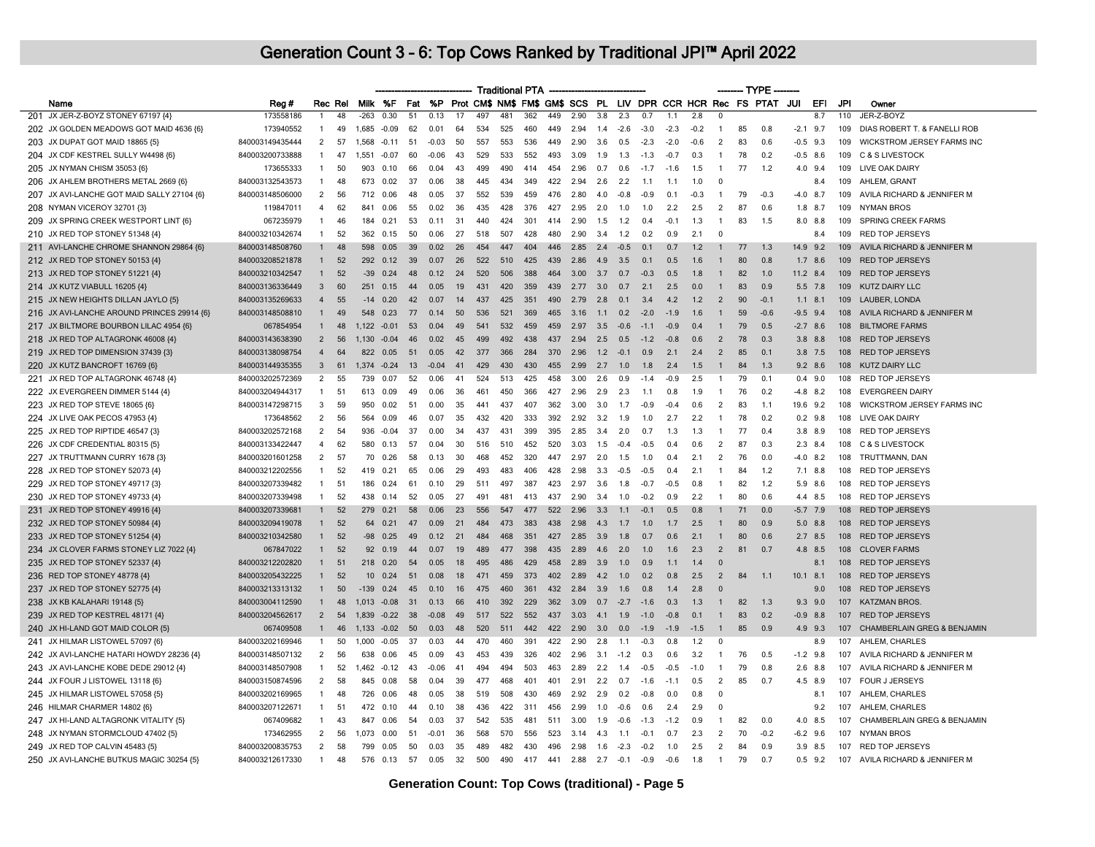|                                            |                 |                |    |                |          |      |         |        |     | <b>Traditional PTA</b> |     |     |      |     |        |        |        |        |                          |    | --- TYPE --                                                     |            |             |     |                              |
|--------------------------------------------|-----------------|----------------|----|----------------|----------|------|---------|--------|-----|------------------------|-----|-----|------|-----|--------|--------|--------|--------|--------------------------|----|-----------------------------------------------------------------|------------|-------------|-----|------------------------------|
| Name                                       | Reg#            | Rec Rel        |    |                | Milk %F  |      | Fat %P  |        |     |                        |     |     |      |     |        |        |        |        |                          |    | Prot CM\$ NM\$ FM\$ GM\$ SCS PL LIV DPR CCR HCR Rec FS PTAT JUI |            | EFI         | JPI | Owner                        |
| 201 JX JER-Z-BOYZ STONEY 67197 {4}         | 173558186       | $\mathbf{1}$   | 48 | $-263$         | 0.30     | 51   | 0.13    | 17     | 497 | 481                    | 362 | 449 | 2.90 | 3.8 | 2.3    | 0.7    | 1.1    | 2.8    | $\overline{0}$           |    |                                                                 |            | 8.7         | 110 | JER-Z-BOYZ                   |
| 202 JX GOLDEN MEADOWS GOT MAID 4636 {6}    | 173940552       | $\overline{1}$ | 49 | 1,685          | $-0.09$  | 62   | 0.01    | 64     | 534 | 525                    | 460 | 449 | 2.94 | 1.4 | $-2.6$ | $-3.0$ | $-2.3$ | $-0.2$ | $\mathbf{1}$             | 85 | 0.8                                                             | $-2.1$     | 9.7         | 109 | DIAS ROBERT T. & FANELLI ROB |
| 203 JX DUPAT GOT MAID 18865 (5)            | 840003149435444 | $\overline{2}$ | 57 | 1,568          | $-0.11$  | 51   | $-0.03$ | 50     | 557 | 553                    | 536 | 449 | 2.90 | 3.6 | 0.5    | $-2.3$ | $-2.0$ | $-0.6$ | $\overline{2}$           | 83 | 0.6                                                             |            | $-0.5$ 9.3  | 109 | WICKSTROM JERSEY FARMS INC   |
| 204 JX CDF KESTREL SULLY W4498 {6}         | 840003200733888 | $\overline{1}$ | 47 | 1.551          | $-0.07$  | 60   | $-0.06$ | 43     | 529 | 533                    | 552 | 493 | 3.09 | 1.9 | 1.3    | $-1.3$ | $-0.7$ | 0.3    | -1                       | 78 | 0.2                                                             |            | $-0.5$ 8.6  | 109 | C & S LIVESTOCK              |
| 205 JX NYMAN CHISM 35053 {6}               | 173655333       | $\overline{1}$ | 50 | 903            | 0.10     | 66   | 0.04    | 43     | 499 | 490                    | 414 | 454 | 2.96 | 0.7 | 0.6    | $-1.7$ | $-1.6$ | 1.5    | $\overline{1}$           | 77 | 1.2                                                             |            | 4.0 9.4     | 109 | LIVE OAK DAIRY               |
| 206 JX AHLEM BROTHERS METAL 2669 {6}       | 840003132543573 | $\overline{1}$ | 48 | 673            | 0.02     | 37   | 0.06    | 38     | 445 | 434                    | 349 | 422 | 2.94 | 2.6 | 2.2    | 1.1    | 1.1    | 1.0    | $\Omega$                 |    |                                                                 |            | 8.4         | 109 | AHLEM, GRANT                 |
| 207 JX AVI-LANCHE GOT MAID SALLY 27104 {6} | 840003148506000 | $\overline{2}$ | 56 | 712            | 0.06     | 48   | 0.05    | 37     | 552 | 539                    | 459 | 476 | 2.80 | 4.0 | $-0.8$ | -0.9   | 0.1    | $-0.3$ | -1                       | 79 | $-0.3$                                                          | $-4.0$ 8.7 |             | 109 | AVILA RICHARD & JENNIFER M   |
| 208 NYMAN VICEROY 32701 {3}                | 119847011       | $\overline{4}$ | 62 | 841            | 0.06     | 55   | 0.02    | 36     | 435 | 428                    | 376 | 427 | 2.95 | 2.0 | 1.0    | 1.0    | 2.2    | 2.5    | $\overline{2}$           | 87 | 0.6                                                             |            | $1.8$ 8.7   | 109 | <b>NYMAN BROS</b>            |
| 209 JX SPRING CREEK WESTPORT LINT {6}      | 067235979       | $\overline{1}$ | 46 | 184            | 0.21     | 53   | 0.11    | 31     | 440 | 424                    | 301 | 414 | 2.90 | 1.5 | 1.2    | 0.4    | $-0.1$ | 1.3    | $\overline{1}$           | 83 | 1.5                                                             |            | 8.0 8.8     | 109 | SPRING CREEK FARMS           |
| 210 JX RED TOP STONEY 51348 {4}            | 840003210342674 | $\overline{1}$ | 52 | 362            | 0.15     | 50   | 0.06    | 27     | 518 | 507                    | 428 | 480 | 2.90 | 3.4 | 1.2    | 0.2    | 0.9    | 2.1    | 0                        |    |                                                                 |            | 8.4         | 109 | <b>RED TOP JERSEYS</b>       |
| 211 AVI-LANCHE CHROME SHANNON 29864 {6}    | 840003148508760 |                | 48 | 598            | 0.05     | 39   | 0.02    | 26     | 454 | 447                    | 404 | 446 | 2.85 | 2.4 | $-0.5$ | 0.1    | 0.7    | 1.2    | $\overline{1}$           | 77 | 1.3                                                             | 14.9 9.2   |             | 109 | AVILA RICHARD & JENNIFER M   |
| 212 JX RED TOP STONEY 50153 {4}            | 840003208521878 | $\mathbf{1}$   | 52 |                | 292 0.12 | 39   | 0.07    | 26     | 522 | 510                    | 425 | 439 | 2.86 | 4.9 | 3.5    | 0.1    | 0.5    | 1.6    | $\overline{1}$           | 80 | 0.8                                                             |            | $1.7$ 8.6   | 109 | <b>RED TOP JERSEYS</b>       |
| 213 JX RED TOP STONEY 51221 {4}            | 840003210342547 | $\mathbf{1}$   | 52 | $-39$          | 0.24     | 48   | 0.12    | 24     | 520 | 506                    | 388 | 464 | 3.00 | 3.7 | 0.7    | $-0.3$ | 0.5    | 1.8    | $\mathbf{1}$             | 82 | 1.0                                                             | 11.2 8.4   |             | 109 | <b>RED TOP JERSEYS</b>       |
| 214 JX KUTZ VIABULL 16205 {4}              | 840003136336449 | 3              | 60 | 251            | 0.15     | 44   | 0.05    | 19     | 431 | 420                    | 359 | 439 | 2.77 | 3.0 | 0.7    | 2.1    | 2.5    | 0.0    | $\overline{1}$           | 83 | 0.9                                                             |            | 5.5 7.8     | 109 | <b>KUTZ DAIRY LLC</b>        |
| 215 JX NEW HEIGHTS DILLAN JAYLO {5}        | 840003135269633 | $\overline{4}$ | 55 | $-14$          | 0.20     | 42   | 0.07    | 14     | 437 | 425                    | 351 | 490 | 2.79 | 2.8 | 0.1    | 3.4    | 4.2    | 1.2    | $\overline{2}$           | 90 | $-0.1$                                                          |            | $1.1$ 8.1   | 109 | LAUBER, LONDA                |
| 216 JX AVI-LANCHE AROUND PRINCES 29914 {6} | 840003148508810 | $\mathbf{1}$   | 49 | 548            | 0.23     | 77   | 0,14    | $50 -$ | 536 | 521                    | 369 | 465 | 3.16 | 11  | 0.2    | $-20$  | $-19$  | 16     | -1                       | 59 | $-06$                                                           |            | $-9.5$ 9.4  | 108 | AVILA RICHARD & JENNIFER M   |
| 217 JX BILTMORE BOURBON LILAC 4954 {6}     | 067854954       | $\mathbf{1}$   | 48 | $1.122 - 0.01$ |          | 53   | 0.04    | 49     | 541 | 532                    | 459 | 459 | 2.97 | 3.5 | $-0.6$ | $-1.1$ | $-0.9$ | 0.4    | $\overline{1}$           | 79 | 0.5                                                             |            | $-2.7$ 8.6  | 108 | <b>BILTMORE FARMS</b>        |
| 218 JX RED TOP ALTAGRONK 46008 {4}         | 840003143638390 | $\overline{2}$ | 56 | 1.130          | $-0.04$  | 46   | 0.02    | 45     | 499 | 492                    | 438 | 437 | 2.94 | 2.5 | 0.5    | $-1.2$ | $-0.8$ | 0.6    | $\overline{2}$           | 78 | 0.3                                                             |            | $3.8$ $8.8$ | 108 | <b>RED TOP JERSEYS</b>       |
| 219 JX RED TOP DIMENSION 37439 {3}         | 840003138098754 | $\overline{4}$ | 64 | 822            | 0.05     | 51   | 0.05    | 42     | 377 | 366                    | 284 | 370 | 2.96 | 1.2 | $-0.1$ | 0.9    | 2.1    | 2.4    | $\overline{2}$           | 85 | 0.1                                                             |            | $3.8$ 7.5   | 108 | <b>RED TOP JERSEYS</b>       |
| 220 JX KUTZ BANCROFT 16769 {6}             | 840003144935355 | 3              | 61 | 1,374          | $-0.24$  | 13   | $-0.04$ | 41     | 429 | 430                    | 430 | 455 | 2.99 | 2.7 | 1.0    | 1.8    | 2.4    | 1.5    | -1                       | 84 | 1.3                                                             |            | $9.2$ 8.6   | 108 | KUTZ DAIRY LLC               |
| 221 JX RED TOP ALTAGRONK 46748 {4}         | 840003202572369 | 2              | 55 | 739            | 0.07     | 52   | 0.06    | 41     | 524 | 513                    | 425 | 458 | 3.00 | 2.6 | 0.9    | $-1.4$ | $-0.9$ | 2.5    | $\overline{1}$           | 79 | 0.1                                                             |            | $0.4$ 9.0   | 108 | <b>RED TOP JERSEYS</b>       |
| 222 JX EVERGREEN DIMMER 5144 {4}           | 840003204944317 | $\overline{1}$ | 51 | 613            | 0.09     | 49   | 0.06    | 36     | 461 | 450                    | 366 | 427 | 2.96 | 2.9 | 2.3    | 1.1    | 0.8    | 1.9    | $\mathbf{1}$             | 76 | 0.2                                                             |            | $-4.8$ 8.2  | 108 | <b>EVERGREEN DAIRY</b>       |
| 223 JX RED TOP STEVE 18065 {6}             | 840003147298715 | 3              | 59 | 950            | 0.02     | 51   | 0.00    | 35     | 441 | 437                    | 407 | 362 | 3.00 | 3.0 | 1.7    | $-0.9$ | $-0.4$ | 0.6    | $\overline{\phantom{a}}$ | 83 | 1.1                                                             | 19.6 9.2   |             | 108 | WICKSTROM JERSEY FARMS INC   |
| 224 JX LIVE OAK PECOS 47953 {4}            | 173648562       | 2              | 56 | 564            | 0.09     | 46   | 0.07    | 35     | 432 | 420                    | 333 | 392 | 2.92 | 3.2 | 1.9    | 1.0    | 2.7    | 2.2    | -1                       | 78 | 0.2                                                             |            | $0.2$ 9.8   |     | 108 LIVE OAK DAIRY           |
| 225 JX RED TOP RIPTIDE 46547 {3}           | 840003202572168 | $\overline{2}$ | 54 | 936            | $-0.04$  | 37   | 0.00    | 34     | 437 | 431                    | 399 | 395 | 2.85 | 3.4 | 2.0    | 0.7    | 1.3    | 1.3    | $\overline{1}$           | 77 | 0.4                                                             |            | 3.8 8.9     | 108 | <b>RED TOP JERSEYS</b>       |
| 226 JX CDF CREDENTIAL 80315 {5}            | 840003133422447 | $\overline{4}$ | 62 | 580            | 0.13     | 57   | 0.04    | 30     | 516 | 510                    | 452 | 520 | 3.03 | 1.5 | $-0.4$ | $-0.5$ | 0.4    | 0.6    | $\overline{2}$           | 87 | 0.3                                                             |            | $2.3$ 8.4   | 108 | <b>C &amp; S LIVESTOCK</b>   |
| 227 JX TRUTTMANN CURRY 1678 {3}            | 840003201601258 | $\overline{2}$ | 57 | 70             | 0.26     | 58   | 0.13    | 30     | 468 | 452                    | 320 | 447 | 2.97 | 2.0 | 1.5    | 1.0    | 0.4    | 2.1    | $\overline{2}$           | 76 | 0.0                                                             |            | $-4.0$ 8.2  | 108 | TRUTTMANN, DAN               |
| 228 JX RED TOP STONEY 52073 {4}            | 840003212202556 | $\overline{1}$ | 52 | 419            | 0.21     | 65   | 0.06    | 29     | 493 | 483                    | 406 | 428 | 2.98 | 3.3 | $-0.5$ | $-0.5$ | 0.4    | 2.1    | $\overline{1}$           | 84 | 1.2                                                             |            | $7.1$ 8.8   | 108 | RED TOP JERSEYS              |
| 229 JX RED TOP STONEY 49717 {3}            | 840003207339482 | $\overline{1}$ | 51 | 186            | 0.24     | 61   | 0.10    | 29     | 511 | 497                    | 387 | 423 | 2.97 | 3.6 | 1.8    | $-0.7$ | $-0.5$ | 0.8    | $\mathbf{1}$             | 82 | 1.2                                                             |            | 5.9 8.6     | 108 | <b>RED TOP JERSEYS</b>       |
| 230 JX RED TOP STONEY 49733 {4}            | 840003207339498 | $\overline{1}$ | 52 | 438            | 0.14     | 52   | 0.05    | 27     | 491 | 481                    | 413 | 437 | 2.90 | 3.4 | 1.0    | $-0.2$ | 0.9    | 2.2    | $\mathbf{1}$             | 80 | 0.6                                                             |            | 4.4 8.5     | 108 | <b>RED TOP JERSEYS</b>       |
| 231 JX RED TOP STONEY 49916 {4}            | 840003207339681 |                | 52 | 279            | 0.21     | 58   | 0.06    | 23     | 556 | 547                    | 477 | 522 | 2.96 | 3.3 | 1.1    | $-0.1$ | 0.5    | 0.8    |                          | 71 | 0.0                                                             |            | $-5.7$ 7.9  |     | 108 RED TOP JERSEYS          |
| 232 JX RED TOP STONEY 50984 {4}            | 840003209419078 | 1              | 52 | 64             | 0.21     | 47   | 0.09    | 21     | 484 | 473                    | 383 | 438 | 2.98 | 4.3 | 1.7    | 1.0    | 1.7    | 2.5    |                          | 80 | 0.9                                                             |            | $5.0$ $8.8$ | 108 | <b>RED TOP JERSEYS</b>       |
| 233 JX RED TOP STONEY 51254 {4}            | 840003210342580 | $\mathbf{1}$   | 52 | $-98$          | 0.25     | 49   | 0.12    | 21     | 484 | 468                    | 351 | 427 | 2.85 | 3.9 | 1.8    | 0.7    | 0.6    | 2.1    | $\mathbf{1}$             | 80 | 0.6                                                             |            | $2.7$ 8.5   | 108 | <b>RED TOP JERSEYS</b>       |
| 234 JX CLOVER FARMS STONEY LIZ 7022 {4}    | 067847022       | $\mathbf{1}$   | 52 | 92             | 0.19     | 44   | 0.07    | 19     | 489 | 477                    | 398 | 435 | 2.89 | 4.6 | 2.0    | 1.0    | 1.6    | 2.3    | $\overline{2}$           | 81 | 0.7                                                             | 4.8        | 8.5         | 108 | <b>CLOVER FARMS</b>          |
| 235 JX RED TOP STONEY 52337 {4}            | 840003212202820 | $\mathbf{1}$   | 51 | 218            | 0.20     | 54   | 0.05    | 18     | 495 | 486                    | 429 | 458 | 2.89 | 3.9 | 1.0    | 0.9    | 1.1    | 1.4    | $\overline{0}$           |    |                                                                 |            | 8.1         | 108 | <b>RED TOP JERSEYS</b>       |
| 236 RED TOP STONEY 48778 {4}               | 840003205432225 | $\mathbf{1}$   | 52 | 10             | 0.24     | 51   | 0.08    | 18     | 471 | 459                    | 373 | 402 | 2.89 | 4.2 | 1.0    | 0.2    | 0.8    | 2.5    | $\overline{2}$           | 84 | 1.1                                                             | $10.1$ 8.1 |             | 108 | <b>RED TOP JERSEYS</b>       |
| 237 JX RED TOP STONEY 52775 {4}            | 840003213313132 | $\mathbf{1}$   | 50 | $-139$         | 0.24     | 45   | 0.10    | 16     | 475 | 460                    | 361 | 432 | 2.84 | 3.9 | 1.6    | 0.8    | 1.4    | 2.8    | $\Omega$                 |    |                                                                 |            | 9.0         | 108 | <b>RED TOP JERSEYS</b>       |
| 238 JX KB KALAHARI 19148 {5}               | 840003004112590 | $\mathbf{1}$   | 48 | 1,013          | $-0.08$  | 31   | 0.13    | 66     | 410 | 392                    | 229 | 362 | 3.09 | 0.7 | $-2.7$ | $-1.6$ | 0.3    | 1.3    | $\overline{1}$           | 82 | 1.3                                                             |            | $9.3$ $9.0$ | 107 | <b>KATZMAN BROS</b>          |
| 239 JX RED TOP KESTREL 48171 {4}           | 840003204562617 | $\overline{2}$ | 54 | 1,839          | $-0.22$  | - 38 | $-0.08$ | 49     | 517 | 522                    | 552 | 437 | 3.03 | 4.1 | 1.9    | $-1.0$ | $-0.8$ | 0.1    | $\overline{1}$           | 83 | 0.2                                                             | $-0.9$     | 8.8         | 107 | <b>RED TOP JERSEYS</b>       |
| 240 JX HI-LAND GOT MAID COLOR {5}          | 067409508       | $\overline{1}$ | 46 | 1,133          | $-0.02$  | 50   | 0.03    | 48     | 520 | 511                    | 442 | 422 | 2.90 | 3.0 | 0.0    | $-1.9$ | $-1.9$ | $-1.5$ | $\overline{1}$           | 85 | 0.9                                                             |            | 4.9 9.3     | 107 | CHAMBERLAIN GREG & BENJAMIN  |
| 241 JX HILMAR LISTOWEL 57097 {6}           | 840003202169946 | -1             | 50 | 1.000          | $-0.05$  | 37   | 0.03    | 44     | 470 | 460                    | 391 | 422 | 2.90 | 2.8 | 1.1    | $-0.3$ | 0.8    | 1.2    | $\Omega$                 |    |                                                                 |            | 8.9         | 107 | AHLEM, CHARLES               |
| 242 JX AVI-LANCHE HATARI HOWDY 28236 {4}   | 840003148507132 | $\overline{2}$ | 56 | 638            | 0.06     | 45   | 0.09    | 43     | 453 | 439                    | 326 | 402 | 2.96 | 3.1 | $-1.2$ | 0.3    | 0.6    | 3.2    | $\mathbf{1}$             | 76 | 0.5                                                             |            | $-1.2$ 9.8  | 107 | AVILA RICHARD & JENNIFER M   |
| 243 JX AVI-LANCHE KOBE DEDE 29012 {4}      | 840003148507908 | $\overline{1}$ | 52 | 1.462          | $-0.12$  | 43   | $-0.06$ | 41     | 494 | 494                    | 503 | 463 | 2.89 | 2.2 | 1.4    | $-0.5$ | $-0.5$ | $-1.0$ | $\overline{1}$           | 79 | 0.8                                                             |            | $2.6$ $8.8$ | 107 | AVILA RICHARD & JENNIFER M   |
| 244 JX FOUR J LISTOWEL 13118 {6}           | 840003150874596 | $\overline{2}$ | 58 |                | 845 0.08 | 58   | 0.04    | 39     | 477 | 468                    | 401 | 401 | 2.91 | 2.2 | 0.7    | $-1.6$ | $-1.1$ | 0.5    | $\overline{2}$           | 85 | 0.7                                                             |            | 4.5 8.9     | 107 | FOUR J JERSEYS               |
| 245 JX HILMAR LISTOWEL 57058 {5}           | 840003202169965 | $\overline{1}$ | 48 | 726            | 0.06     | 48   | 0.05    | 38     | 519 | 508                    | 430 | 469 | 2.92 | 2.9 | 0.2    | $-0.8$ | 0.0    | 0.8    | $\Omega$                 |    |                                                                 |            | 8.1         | 107 | AHLEM, CHARLES               |
| 246 HILMAR CHARMER 14802 {6}               | 840003207122671 | $\overline{1}$ | 51 | 472            | 0.10     | 44   | 0.10    | 38     | 436 | 422                    | 311 | 456 | 2.99 | 1.0 | $-0.6$ | 0.6    | 2.4    | 2.9    | $\Omega$                 |    |                                                                 |            | 9.2         | 107 | AHLEM, CHARLES               |
| 247 JX HI-LAND ALTAGRONK VITALITY {5}      | 067409682       | $\overline{1}$ | 43 | 847            | 0.06     | 54   | 0.03    | 37     | 542 | 535                    | 481 | 511 | 3.00 | 1.9 | $-0.6$ | $-1.3$ | $-1.2$ | 0.9    | $\overline{1}$           | 82 | 0.0                                                             |            | 4.0 8.5     | 107 | CHAMBERLAIN GREG & BENJAMIN  |
| 248 JX NYMAN STORMCLOUD 47402 {5}          | 173462955       | 2              | 56 | 1.073          | 0.00     | 51   | $-0.01$ | 36     | 568 | 570                    | 556 | 523 | 3.14 | 4.3 | 1.1    | $-0.1$ | 0.7    | 2.3    | $\overline{2}$           | 70 | $-0.2$                                                          |            | $-6.2$ 9.6  | 107 | <b>NYMAN BROS</b>            |
| 249 JX RED TOP CALVIN 45483 {5}            | 840003200835753 | 2              | 58 | 799            | 0.05     | 50   | 0.03    | 35     | 489 | 482                    | 430 | 496 | 2.98 | 1.6 | $-2.3$ | $-0.2$ | 1.0    | 2.5    | $\overline{2}$           | 84 | 0.9                                                             |            | 3.9 8.5     |     | 107 RED TOP JERSEYS          |
| 250 JX AVI-LANCHE BUTKUS MAGIC 30254 {5}   | 840003212617330 | $\overline{1}$ | 48 | 576            | 0.13     | 57   | 0.05    | 32     | 500 | 490                    | 417 | 441 | 2.88 | 2.7 | $-0.1$ | $-0.9$ | $-0.6$ | 1.8    | $\overline{1}$           | 79 | 0.7                                                             |            | $0.5$ 9.2   | 107 | AVILA RICHARD & JENNIFER M   |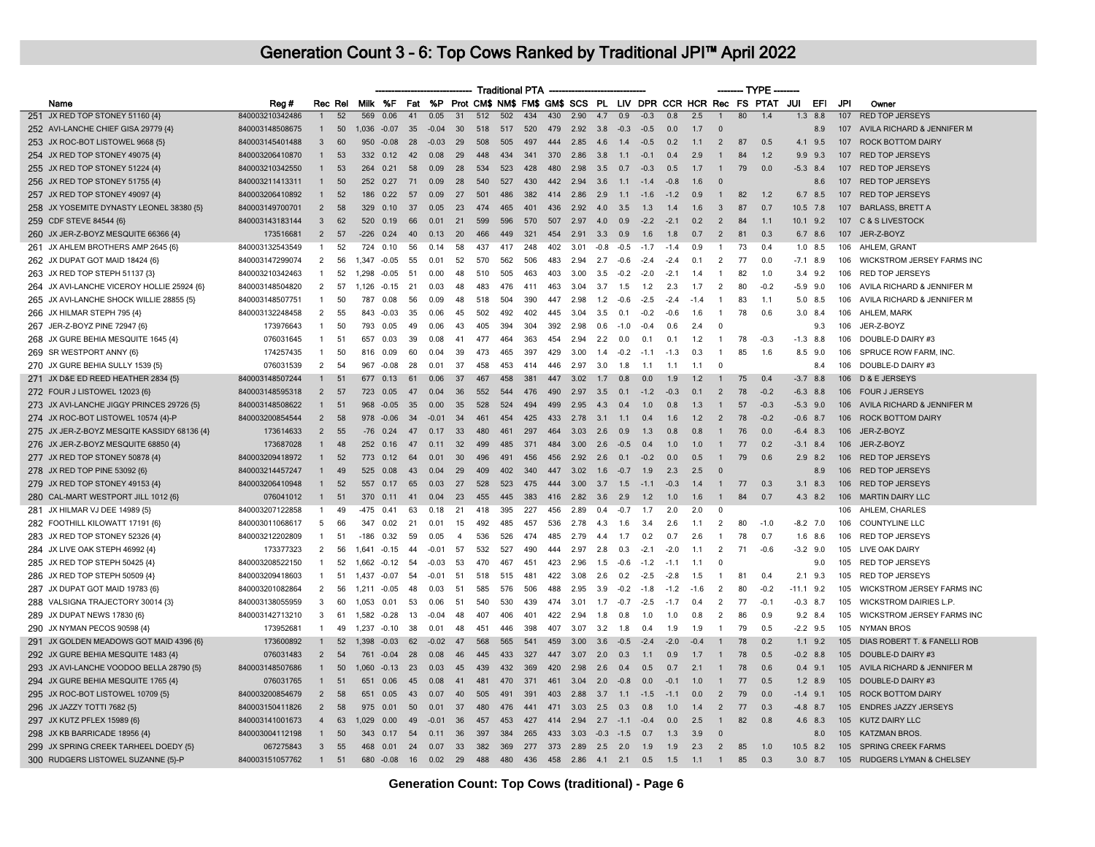|                                             |                 |                |         |         |              |     |           |                |     | <b>Traditional PTA</b> |     |          |                  |           |        |        |        |        |                | – TYPE |                                                                    |             |             |     |                                   |
|---------------------------------------------|-----------------|----------------|---------|---------|--------------|-----|-----------|----------------|-----|------------------------|-----|----------|------------------|-----------|--------|--------|--------|--------|----------------|--------|--------------------------------------------------------------------|-------------|-------------|-----|-----------------------------------|
| Name                                        | Reg#            |                | Rec Rel |         | Milk %F      | Fat |           |                |     |                        |     |          |                  |           |        |        |        |        |                |        | %P Prot CM\$ NM\$ FM\$ GM\$ SCS PL LIV DPR CCR HCR Rec FS PTAT JUI |             | EFI         | JPI | Owner                             |
| 251 JX RED TOP STONEY 51160 {4}             | 840003210342486 | $\mathbf{1}$   | 52      | 569     | 0.06         | 41  | 0.05      | 31             | 512 | 502                    | 434 | 430      | 2.90             | 4.7       | 0.9    | $-0.3$ | 0.8    | 2.5    | $\overline{1}$ | 80     | 1.4                                                                | 1.3         | 8.8         | 107 | <b>RED TOP JERSEYS</b>            |
| 252 AVI-LANCHE CHIEF GISA 29779 {4}         | 840003148508675 | $\mathbf{1}$   | 50      | 1,036   | $-0.07$      | 35  | $-0.04$   | 30             | 518 | 517                    | 520 | 479      | 2.92             | 3.8       | $-0.3$ | $-0.5$ | 0.0    | 1.7    | $\Omega$       |        |                                                                    |             | 8.9         | 107 | AVILA RICHARD & JENNIFER M        |
| 253 JX ROC-BOT LISTOWEL 9668 {5}            | 840003145401488 | 3              | 60      | 950     | $-0.08$      | 28  | $-0.03$   | 29             | 508 | 505                    | 497 | 444      | 2.85             | 4.6       | 1.4    | $-0.5$ | 0.2    | 1.1    | $\overline{2}$ | 87     | 0.5                                                                | 4.1         | 9.5         |     | 107 ROCK BOTTOM DAIRY             |
| 254 JX RED TOP STONEY 49075 {4}             | 840003206410870 | $\mathbf{1}$   | 53      | 332     | 0.12         | 42  | 0.08      | 29             | 448 | 434                    | 341 | 370      | 2.86             | 3.8       | 1.1    | $-0.1$ | 0.4    | 2.9    | $\mathbf{1}$   | 84     | 1.2                                                                | 9.9         | 9.3         |     | 107 RED TOP JERSEYS               |
| 255 JX RED TOP STONEY 51224 {4}             | 840003210342550 | $\mathbf{1}$   | 53      | 264     | 0.21         | 58  | 0.09      | 28             | 534 | 523                    | 428 | 480      | 2.98             | 3.5       | 0.7    | $-0.3$ | 0.5    | 1.7    | $\overline{1}$ | 79     | 0.0                                                                |             | $-5.3$ 8.4  |     | 107 RED TOP JERSEYS               |
| 256 JX RED TOP STONEY 51755 {4}             | 840003211413311 | $\mathbf{1}$   | 50      | 252     | 0.27         | 71  | 0.09      | 28             | 540 | 527                    | 430 | 442      | 2.94             | 3.6       | 1.1    | $-1.4$ | $-0.8$ | 1.6    | $\Omega$       |        |                                                                    |             | 8.6         |     | 107 RED TOP JERSEYS               |
| 257 JX RED TOP STONEY 49097 {4}             | 840003206410892 | $\mathbf{1}$   | 52      | 186     | 0.22         | 57  | 0.09      | 27             | 501 | 486                    | 382 | 414      | 2.86             | 2.9       | 1.1    | $-1.6$ | $-1.2$ | 0.9    | $\mathbf{1}$   | 82     | 1.2                                                                |             | 6.7 8.5     |     | 107 RED TOP JERSEYS               |
| 258 JX YOSEMITE DYNASTY LEONEL 38380 {5}    | 840003149700701 | $\overline{2}$ | 58      |         | 329 0.10     | 37  | 0.05      | 23             | 474 | 465                    | 401 | 436      | 2.92             | 4.0       | 3.5    | 1.3    | 1.4    | 1.6    | $\mathbf{3}$   | 87     | 0.7                                                                | $10.5$ 7.8  |             |     | 107 BARLASS, BRETT A              |
| 259 CDF STEVE 84544 {6}                     | 840003143183144 | 3              | 62      | 520     | 0.19         | 66  | 0.01      | 21             | 599 | 596                    | 570 | 507      | 2.97             | 4.0       | 0.9    | $-2.2$ | $-2.1$ | 0.2    | 2              | 84     | 1.1                                                                |             | $10.1$ 9.2  |     | 107 C & S LIVESTOCK               |
| 260 JX JER-Z-BOYZ MESQUITE 66366 {4}        | 173516681       | $\overline{2}$ | 57      | $-226$  | 0.24         | 40  | 0.13      | 20             | 466 | 449                    | 321 | 454      | 2.91             | 3.3       | 0.9    | 1.6    | 1.8    | 0.7    | $\overline{2}$ | 81     | 0.3                                                                |             | 6.7 8.6     |     | 107 JER-Z-BOYZ                    |
| 261 JX AHLEM BROTHERS AMP 2645 {6}          | 840003132543549 | $\mathbf{1}$   | 52      | 724     | 0.10         | 56  | 0.14      | 58             | 437 | 417                    | 248 | 402      | 3.01             | $-0.8$    | $-0.5$ | $-1.7$ | $-1.4$ | 0.9    | -1             | 73     | 0.4                                                                |             | $1.0$ 8.5   | 106 | AHLEM, GRANT                      |
| 262 JX DUPAT GOT MAID 18424 {6}             | 840003147299074 | $\overline{2}$ | 56      | 1 347   | $-0.05$      | 55  | 0.01      | 52             | 570 | 562                    | 506 | 483      | 2.94             | 2.7       | $-0.6$ | $-2.4$ | $-2.4$ | 0.1    | $\overline{2}$ | 77     | 0.0                                                                |             | $-7.1$ 8.9  | 106 | WICKSTROM JERSEY FARMS INC        |
| 263 JX RED TOP STEPH 51137 {3}              | 840003210342463 | $\overline{1}$ | 52      | 1 2 9 8 | $-0.05$      | 51  | 0.00      | 48             | 510 | 505                    | 463 | 403      | 3.00             | 3.5       | $-0.2$ | $-2.0$ | $-2.1$ | 1.4    | $\mathbf{1}$   | 82     | 1.0                                                                |             | $3.4$ 9.2   | 106 | RED TOP JERSEYS                   |
| 264 JX AVI-LANCHE VICEROY HOLLIE 25924 {6}  | 840003148504820 | 2              | 57      | 1.126   | $-0.15$      | 21  | 0.03      |                | 483 | 476                    | 411 | 463      | 3.04             | 3.7       | 1.5    | 1.2    | 2.3    | 1.7    | 2              | 80     | $-0.2$                                                             | $-5.9$      | 9.0         | 106 | AVILA RICHARD & JENNIFER M        |
| 265 JX AVI-LANCHE SHOCK WILLIE 28855 {5}    | 840003148507751 | $\mathbf{1}$   | 50      | 787     | 0.08         | 56  | 0.09      | 48             | 518 | 504                    | 390 | 447      | 2.98             | 1.2       | $-0.6$ | $-2.5$ | $-2.4$ | $-1.4$ | $\mathbf{1}$   | 83     | 1.1                                                                |             | 5.0 8.5     | 106 | AVILA RICHARD & JENNIFER M        |
| 266 JX HILMAR STEPH 795 {4}                 | 840003132248458 | $\overline{2}$ | 55      | 843     | -0.03        | 35  | 0.06      | 45             | 502 | 492                    | 402 | 445      | 3.04             | 3.5       | 0.1    | $-0.2$ | $-0.6$ | 1.6    | $\mathbf{1}$   | 78     | 0.6                                                                | 3.0         | 8.4         | 106 | AHLEM, MARK                       |
| 267 JER-Z-BOYZ PINE 72947 {6}               | 173976643       | $\mathbf{1}$   | 50      | 793     | 0.05         | 49  | 0.06      | 43             | 405 | 394                    | 304 | 392      | 2.98             | 0.6       | $-1.0$ | $-0.4$ | 0.6    | 2.4    | $^{\circ}$     |        |                                                                    |             | 9.3         | 106 | JER-Z-BOYZ                        |
| 268 JX GURE BEHIA MESQUITE 1645 {4}         | 076031645       | $\mathbf{1}$   | 51      | 657     | 0.03         | 39  | 0.08      | $\mathbf{4}$   | 477 | 464                    | 363 | 454      | 2.94             | 2.2       | 0.0    | 0.1    | 0.1    | 1.2    | $\overline{1}$ | 78     | $-0.3$                                                             | $-1.3$      | 8.8         | 106 | DOUBLE-D DAIRY #3                 |
| 269 SR WESTPORT ANNY {6}                    | 174257435       | $\mathbf{1}$   | 50      | 816     | 0.09         | 60  | 0.04      | 39             | 473 | 465                    | 397 | 429      | 3.00             | 1.4       | $-0.2$ | $-1.1$ | $-1.3$ | 0.3    | $\overline{1}$ | 85     | 1.6                                                                |             | $8.5$ 9.0   | 106 | SPRUCE ROW FARM, INC.             |
| 270 JX GURE BEHIA SULLY 1539 {5}            | 076031539       | $\overline{2}$ | 54      | 967     | $-0.08$      | 28  | 0.01      | 37             | 458 | 453                    | 414 | 446      | 2.97             | 3.0       | 1.8    | 1.1    | 1.1    | 1.1    | 0              |        |                                                                    |             | 8.4         | 106 | DOUBLE-D DAIRY #3                 |
| 271 JX D&E ED REED HEATHER 2834 {5}         | 840003148507244 | $\mathbf{1}$   | 51      | 677     | 0.13         | 61  | 0.06      | 37             | 467 | 458                    | 381 | 447      | 3.02             | 1.7       | 0.8    | 0.0    | 1.9    | 1.2    | $\mathbf{1}$   | 75     | 0.4                                                                | $-3.7$      | 8.8         | 106 | D & E JERSEYS                     |
| 272 FOUR J LISTOWEL 12023 {6}               | 840003148595318 | $\overline{2}$ | 57      | 723     | 0.05         | 47  | 0.04      | 36             | 552 | 544                    | 476 | 490      | 2.97             | 3.5       | 0.1    | $-1.2$ | $-0.3$ | 0.1    | $\overline{2}$ | 78     | $-0.2$                                                             |             | $-6.3$ 8.8  |     | 106 FOUR J JERSEYS                |
| 273 JX AVI-LANCHE JIGGY PRINCES 29726 {5}   | 840003148508622 | $\mathbf{1}$   | 51      | 968     | $-0.05$      | 35  | 0.00      | 35             | 528 | 524                    | 494 | 499      | 2.95             | 4.3       | 0.4    | 1.0    | 0.8    | 1.3    | $\mathbf{1}$   | 57     | $-0.3$                                                             |             | $-5.3$ 9.0  |     | 106 AVILA RICHARD & JENNIFER M    |
| 274 JX ROC-BOT LISTOWEL 10574 {4}-P         | 840003200854544 | $\overline{2}$ | 58      |         | $978 - 0.06$ | 34  | $-0.01$   | 34             | 461 | 454                    | 425 | 433      | 2.78             | 3.1       | 1.1    | 0.4    | 1.6    | 1.2    | 2              | 78     | $-0.2$                                                             |             | $-0.6$ 8.7  |     | 106 ROCK BOTTOM DAIRY             |
| 275 JX JER-Z-BOYZ MESQITE KASSIDY 68136 {4} | 173614633       | $\overline{2}$ | 55      | $-76$   | 0.24         | 47  | 0.17      | 33             | 480 | 461                    | 297 | 464      | 3.03             | 2.6       | 0.9    | 1.3    | 0.8    | 0.8    | -1             | 76     | 0.0                                                                |             | $-6.4$ 8.3  | 106 | JER-Z-BOYZ                        |
| 276 JX JER-Z-BOYZ MESQUITE 68850 {4}        | 173687028       | $\mathbf{1}$   | 48      | 252     | 0.16         | 47  | 0.11      | 32             | 499 | 485                    | 371 | 484      | 3.00             | 2.6       | $-0.5$ | 0.4    | 1.0    | 1.0    | $\mathbf{1}$   | 77     | 0.2                                                                |             | $-3.1$ 8.4  | 106 | JER-Z-BOYZ                        |
| 277 JX RED TOP STONEY 50878 {4}             | 840003209418972 | $\mathbf{1}$   | 52      | 773     | 0.12         | 64  | 0.01      | 30             | 496 | 491                    | 456 | 456      | 2.92             | 2.6       | 0.1    | $-0.2$ | 0.0    | 0.5    | $\mathbf{1}$   | 79     | 0.6                                                                |             | $2.9$ 8.2   | 106 | <b>RED TOP JERSEYS</b>            |
| 278 JX RED TOP PINE 53092 {6}               | 840003214457247 | 1              | 49      | 525     | 0.08         | 43  | 0.04      | 29             | 409 | 402                    | 340 | 447      | 3.02             | 1.6       | $-0.7$ | 1.9    | 2.3    | 2.5    | $\Omega$       |        |                                                                    |             | 8.9         |     | 106 RED TOP JERSEYS               |
| 279 JX RED TOP STONEY 49153 {4}             | 840003206410948 | $\mathbf{1}$   | 52      | 557     | 0.17         | 65  | 0.03      | 27             | 528 | 523                    | 475 | 444      | 3.00             | 3.7       | 1.5    | $-1.1$ | $-0.3$ | 1.4    | $\overline{1}$ | 77     | 0.3                                                                |             | $3.1$ $8.3$ | 106 | <b>RED TOP JERSEYS</b>            |
| 280 CAL-MART WESTPORT JILL 1012 {6}         | 076041012       | $\mathbf{1}$   | 51      | 370     | 0.11         | 41  | 0.04      | 23             | 455 | 445                    | 383 | 416      | 2.82             | 3.6       | 2.9    | 1.2    | 1.0    | 1.6    | $\overline{1}$ | 84     | 0.7                                                                |             | 4.3 8.2     |     | 106 MARTIN DAIRY LLC              |
| 281 JX HILMAR VJ DEE 14989 {5}              | 840003207122858 | 1              | 49      | -475    | 0.41         | 63  | 0.18      | 21             | 418 | 395                    | 227 | 456      | 2.89             | 0.4       | $-0.7$ | 1.7    | 2.0    | 2.0    | $^{\circ}$     |        |                                                                    |             |             |     | 106 AHLEM, CHARLES                |
| 282 FOOTHILL KILOWATT 17191 {6}             | 840003011068617 | 5              | 66      | 347     | 0.02         | 21  | 0.01      | -15            | 492 | 485                    | 457 | 536      | 2.78             | 4.3       | 1.6    | 3.4    | 2.6    | 1.1    | $\overline{2}$ | 80     | $-1.0$                                                             |             | $-8.2$ 7.0  | 106 | <b>COUNTYLINE LLC</b>             |
| 283 JX RED TOP STONEY 52326 {4}             | 840003212202809 | $\mathbf{1}$   | 51      | $-186$  | 0.32         | 59  | 0.05      | $\overline{4}$ | 536 | 526                    | 474 | 485      | 2.79             | 4.4       | 1.7    | 0.2    | 0.7    | 2.6    | $\mathbf{1}$   | 78     | 0.7                                                                |             | $1.6$ 8.6   | 106 | <b>RED TOP JERSEYS</b>            |
| 284 JX LIVE OAK STEPH 46992 {4}             | 173377323       | 2              | 56      | 1.641   | $-0.15$      | 44  | $-0.01$   | 57             | 532 | 527                    | 490 | 444      | 2.97             | 2.8       | 0.3    | $-2.1$ | $-2.0$ | 1.1    | 2              | 71     | $-0.6$                                                             |             | $-3.2$ 9.0  | 105 | LIVE OAK DAIRY                    |
| 285 JX RED TOP STEPH 50425 {4}              | 840003208522150 | $\mathbf{1}$   | 52      | 1,662   | $-0.12$      | 54  | $-0.03$   | 53             | 470 | 467                    | 451 | 423      | 2.96             | 1.5       | $-0.6$ | $-1.2$ | $-1.1$ | 1.1    | 0              |        |                                                                    |             | 9.0         | 105 | <b>RED TOP JERSEYS</b>            |
| 286 JX RED TOP STEPH 50509 {4}              | 840003209418603 | $\mathbf{1}$   | 51      | 1.437   | $-0.07$      | 54  | $-0.01$   | 51             | 518 | 515                    | 481 | 422      | 3.08             | 2.6       | 0.2    | $-2.5$ | $-2.8$ | 1.5    | $\mathbf{1}$   | 81     | 0.4                                                                | 2.1         | 9.3         | 105 | <b>RED TOP JERSEYS</b>            |
| 287 JX DUPAT GOT MAID 19783 {6}             | 840003201082864 | 2              | 56      | 1.211   | $-0.05$      | 48  | 0.03      | 51             | 585 | 576                    | 506 | 488      | 2.95             | 3.9       | $-0.2$ | $-1.8$ | $-1.2$ | $-1.6$ | 2              | 80     | $-0.2$                                                             | $-11.1$ 9.2 |             | 105 | <b>WICKSTROM JERSEY FARMS INC</b> |
| 288 VALSIGNA TRAJECTORY 30014 {3}           | 840003138055959 | 3              | 60      | 1,053   | 0.01         | 53  | 0.06      | 51             | 540 | 530                    | 439 | 474      | 3.01             | 1.7       | $-0.7$ | $-2.5$ | $-1.7$ | 0.4    | $\overline{2}$ | 77     | $-0.1$                                                             |             | $-0.3$ 8.7  | 105 | <b>WICKSTROM DAIRIES L.P.</b>     |
| 289 JX DUPAT NEWS 17830 {6}                 | 840003142713210 | 3              | 61      | 1,582   | $-0.28$      | 13  | $-0.04$   | 48             | 407 | 406                    | 401 | 422      | 2.94             | 1.8       | 0.8    | 1.0    | 1.0    | 0.8    | 2              | 86     | 0.9                                                                |             | $9.2$ 8.4   | 105 | <b>WICKSTROM JERSEY FARMS INC</b> |
| 290 JX NYMAN PECOS 90598 {4}                | 173952681       | $\mathbf{1}$   | 49      | 1.237   | $-0.10$      | 38  | 0.01      | 48             | 451 | 446                    | 398 | 407      | 3.07             | 3.2       | 1.8    | 0.4    | 1.9    | 1.9    | $\mathbf{1}$   | 79     | 0.5                                                                |             | $-2.2$ 9.5  |     | 105 NYMAN BROS                    |
| 291 JX GOLDEN MEADOWS GOT MAID 4396 {6}     | 173600892       | $\mathbf{1}$   | 52      | 1.398   | $-0.03$      | 62  | $-0.02$   | 47             | 568 | 565                    | 541 | 459      | 3.00             | 3.6       | $-0.5$ | $-2.4$ | $-2.0$ | $-0.4$ | -1             | 78     | 02                                                                 |             | 11 92       |     | 105 DIAS ROBERT T. & FANELLI ROB  |
| 292 JX GURE BEHIA MESQUITE 1483 {4}         | 076031483       | $\overline{2}$ | 54      | 761     | $-0.04$      | 28  | 0.08      | 46             | 445 | 433                    | 327 | 447      | 3.07             | 2.0       | 0.3    | 1.1    | 0.9    | 1.7    |                | 78     | 0.5                                                                |             | $-0.2$ 8.8  |     | 105 DOUBLE-D DAIRY #3             |
| 293 JX AVI-LANCHE VOODOO BELLA 28790 {5}    | 840003148507686 | $\mathbf{1}$   | 50      | 1.060   | $-0.13$      | 23  | 0.03      |                | 439 | 432                    | 369 | 420      | 2.98             | 2.6       | 0.4    | 0.5    | 0.7    | 2.1    |                | 78     | 0.6                                                                | 0.4         | 9.1         | 105 | AVILA RICHARD & JENNIFER M        |
| 294 JX GURE BEHIA MESQUITE 1765 {4}         | 076031765       | $\mathbf{1}$   | 51      | 651     | 0.06         | 45  | 0.08      | 41             | 481 | 470                    | 371 | 461      | 3.04             | 2.0       | $-0.8$ | 0.0    | $-0.1$ | 1.0    | $\mathbf{1}$   | 77     | 0.5                                                                |             | $1.2$ 8.9   | 105 | DOUBLE-D DAIRY #3                 |
| 295 JX ROC-BOT LISTOWEL 10709 {5}           | 840003200854679 | $\overline{2}$ | 58      | 651     | 0.05         | 43  | 0.07      | 40             | 505 | 491                    | 391 | 403      | 2.88             | 3.7       | 1.1    | $-1.5$ | $-1.1$ | 0.0    | $\overline{2}$ | 79     | 0.0                                                                | $-1.4$      | 9.1         |     | 105 ROCK BOTTOM DAIRY             |
| 296 JX JAZZY TOTTI 7682 {5}                 | 840003150411826 | $\overline{2}$ | 58      | 975     | 0.01         | 50  | 0.01      | 37             | 480 | 476                    | 441 | 471      | 3.03             | 2.5       | 0.3    | 0.8    | 1.0    | 1.4    | 2              | 77     | 0.3                                                                |             | $-4.8$ 8.7  | 105 | <b>ENDRES JAZZY JERSEYS</b>       |
| 297 JX KUTZ PFLEX 15989 {6}                 | 840003141001673 | $\overline{4}$ | 63      | 1,029   | 0.00         | 49  | $-0.01$   | 36             | 457 | 453                    | 427 | 414      | 2.94             | 2.7       | $-1.1$ | $-0.4$ | 0.0    | 2.5    | $\mathbf{1}$   | 82     | 0.8                                                                |             | 4.6 8.3     |     | 105 KUTZ DAIRY LLC                |
| 298 JX KB BARRICADE 18956 {4}               | 840003004112198 | $\mathbf{1}$   | 50      | 343     | 0.17         | -54 | 0.11      | 36             | 397 | 384                    | 265 | 433      | 3.03             | $-0.3$    | $-1.5$ | 0.7    | 1.3    | 3.9    | $\Omega$       |        |                                                                    |             | 8.0         |     | 105 KATZMAN BROS.                 |
| 299 JX SPRING CREEK TARHEEL DOEDY {5}       | 067275843       | $\mathbf{3}$   | 55      | 468     | 0.01         | 24  | 0.07      | 33             | 382 | 369                    | 277 | 373 2.89 |                  | $2.5$ 2.0 |        | 1.9    | 1.9    | 2.3    | 2              | 85     | 1.0                                                                | $10.5$ 8.2  |             |     | 105 SPRING CREEK FARMS            |
| 300 RUDGERS LISTOWEL SUZANNE {5}-P          | 840003151057762 | $\mathbf{1}$   | 51      | 680     | $-0.08$      | 16  | $0.02$ 29 |                | 488 | 480                    | 436 |          | 458 2.86 4.1 2.1 |           |        | 0.5    | 1.5    | 1.1    | $\overline{1}$ | 85     | 0.3                                                                |             | $3.0$ 8.7   |     | 105 RUDGERS LYMAN & CHELSEY       |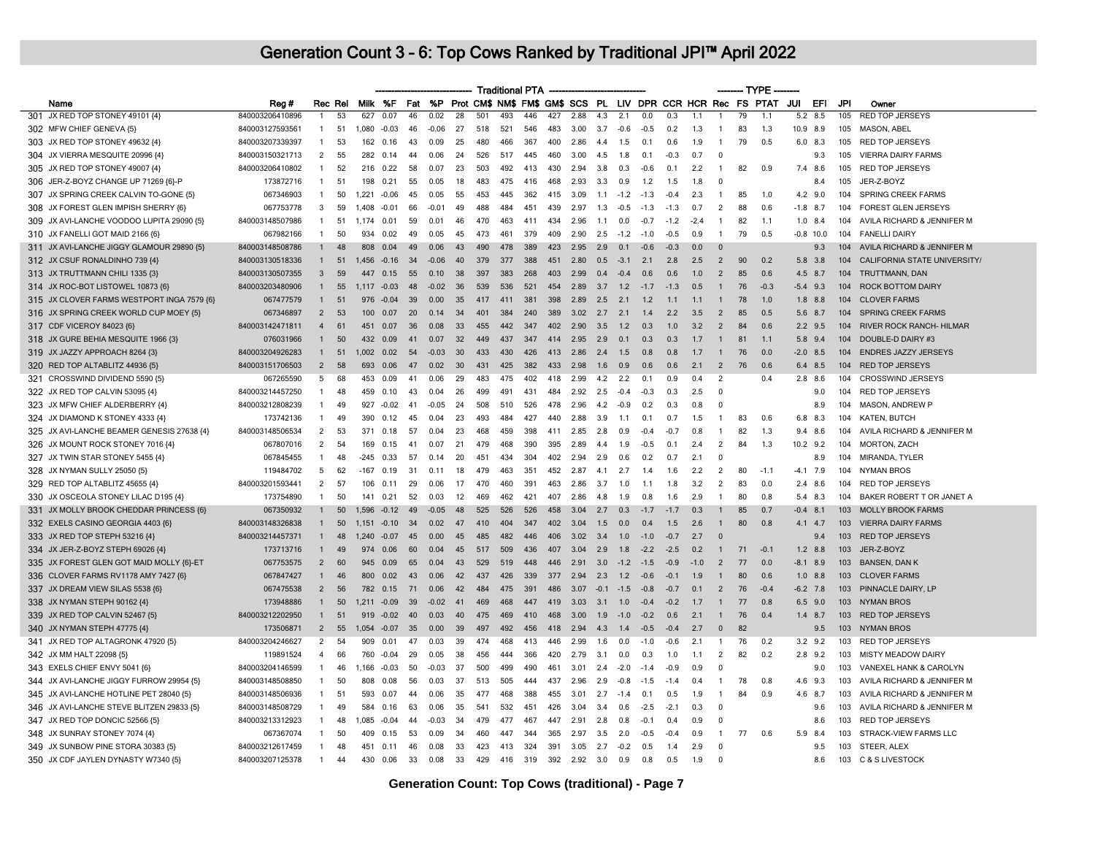|                                                                              |                                    |                |         |                |                |          |                 |          |                 |            | <b>Traditional PTA</b> |     |              |            |            |                  |        |        |                | ------- TYPE - |                                                             |             |     |                                                      |
|------------------------------------------------------------------------------|------------------------------------|----------------|---------|----------------|----------------|----------|-----------------|----------|-----------------|------------|------------------------|-----|--------------|------------|------------|------------------|--------|--------|----------------|----------------|-------------------------------------------------------------|-------------|-----|------------------------------------------------------|
| Name                                                                         | Reg#                               |                | Rec Rel |                | Milk %F        | Fat      | <b>%P</b>       |          |                 |            |                        |     |              |            |            |                  |        |        |                |                | Prot CM\$ NM\$ FM\$ GM\$ SCS PL LIV DPR CCR HCR Rec FS PTAT | JUI<br>EFI  | JPI | Owner                                                |
| 301 JX RED TOP STONEY 49101 {4}                                              | 840003206410896                    |                | 53      | 627            | 0.07           | 46       | 0.02            | 28       | 501             | 493        | 446                    | 427 | 2.88         | 4.3        | 2.1        | 0.0              | 0.3    | 1.1    |                | 79             | 1.1                                                         | 8.5<br>5.2  | 105 | <b>RED TOP JERSEYS</b>                               |
| 302 MFW CHIEF GENEVA {5}                                                     | 840003127593561                    | $\mathbf{1}$   | 51      | 1,080          | $-0.03$        | 46       | $-0.06$         | 27       | 518             | 521        | 546                    | 483 | 3.00         | 3.7        | $-0.6$     | $-0.5$           | 0.2    | 1.3    |                | 83             | 1.3                                                         | 10.9 8.9    | 105 | MASON, ABEL                                          |
| 303 JX RED TOP STONEY 49632 {4}                                              | 840003207339397                    | -1             | 53      | 162            | 0.16           | 43       | 0.09            | 25       | 480             | 466        | 367                    | 400 | 2.86         | 4.4        | 1.5        | 0.1              | 0.6    | 1.9    | -1             | 79             | 0.5                                                         | 6.0 8.3     | 105 | <b>RED TOP JERSEYS</b>                               |
| 304 JX VIERRA MESQUITE 20996 {4}                                             | 840003150321713                    | $\overline{2}$ | 55      | 282            | 0.14           | 44       | 0.06            | 24       | 526             | 517        | 445                    | 460 | 3.00         | 4.5        | 1.8        | 0.1              | $-0.3$ | 0.7    | $\overline{0}$ |                |                                                             | 9.3         | 105 | <b>VIERRA DAIRY FARMS</b>                            |
| 305 JX RED TOP STONEY 49007 {4}                                              | 840003206410802                    | $\mathbf{1}$   | 52      | 216            | 0.22           | 58       | 0.07            | 23       | 503             | 492        | 413                    | 430 | 2.94         | 3.8        | 0.3        | $-0.6$           | 0.1    | 2.2    | $\overline{1}$ | 82             | 0.9                                                         | 7.4 8.6     | 105 | <b>RED TOP JERSEYS</b>                               |
| 306 JER-Z-BOYZ CHANGE UP 71269 {6}-P                                         | 173872716                          | $\mathbf{1}$   | 51      | 198            | 0.21           | 55       | 0.05            | 18       | 483             | 475        | 416                    | 468 | 2.93         | 3.3        | 0.9        | 1.2              | 1.5    | 1.8    | $\Omega$       |                |                                                             | 8.4         | 105 | JER-Z-BOYZ                                           |
| 307 JX SPRING CREEK CALVIN TO-GONE {5}                                       | 067346903                          | -1             | 50      | 1.221          | $-0.06$        | 45       | 0.05            | 55       | 453             | 445        | 362                    | 415 | 3.09         | 1.1        | $-1.2$     | $-1.3$           | $-0.4$ | 2.3    | $\mathbf{1}$   | 85             | 1.0                                                         | $4.2$ 9.0   | 104 | <b>SPRING CREEK FARMS</b>                            |
| 308 JX FOREST GLEN IMPISH SHERRY {6}                                         | 067753778                          | 3              | 59      | 1.408 -0.01    |                | 66       | $-0.01$         | 49       | 488             | 484        | 451                    | 439 | 2.97         | 1.3        | $-0.5$     | $-1.3$           | $-1.3$ | 0.7    | $\overline{2}$ | 88             | 06                                                          | $-1.8$ 8.7  | 104 | <b>FOREST GLEN JERSEYS</b>                           |
| 309 JX AVI-LANCHE VOODOO LUPITA 29090 {5}                                    | 840003148507986                    | $\mathbf{1}$   | 51      | 1.174          | 0.01           | 59       | 0.01            | 46       | 470             | 463        | 411                    | 434 | 2.96         | 1.1        | 0.0        | $-0.7$           | $-1.2$ | $-2.4$ | -1             | 82             | 1.1                                                         | $1.0$ 8.4   | 104 | AVILA RICHARD & JENNIFER M                           |
| 310 JX FANELLI GOT MAID 2166 {6}                                             | 067982166                          | $\mathbf{1}$   | 50      | 934            | 0.02           | 49       | 0.05            | 45       | 473             | 461        | 379                    | 409 | 2.90         | 2.5        | $-1.2$     | $-1.0$           | $-0.5$ | 0.9    | $\overline{1}$ | 79             | 0.5                                                         | $-0.8$ 10.0 | 104 | <b>FANELLI DAIRY</b>                                 |
| 311 JX AVI-LANCHE JIGGY GLAMOUR 29890 {5}                                    | 840003148508786                    |                | 48      | 808            | 0.04           | 49       | 0.06            | 43       | 490             | 478        | 389                    | 423 | 2.95         | 2.9        | 0.1        | $-0.6$           | $-0.3$ | 0.0    | $\Omega$       |                |                                                             | 9.3         | 104 | AVILA RICHARD & JENNIFER M                           |
| 312 JX CSUF RONALDINHO 739 {4}                                               | 840003130518336                    | $\mathbf{1}$   | 51      |                | 1.456 -0.16    | 34       | $-0.06$         | 40       | 379             | 377        | 388                    | 451 | 2.80         | 0.5        | $-3.1$     | 2.1              | 2.8    | 2.5    | $\overline{2}$ | 90             | 0.2                                                         | 5.8 3.8     | 104 | CALIFORNIA STATE UNIVERSITY/                         |
| 313 JX TRUTTMANN CHILI 1335 {3}                                              | 840003130507355                    | $\overline{3}$ | 59      | 447            | 0.15           | 55       | 0.10            | 38       | 397             | 383        | 268                    | 403 | 2.99         | 0.4        | $-0.4$     | 0.6              | 0.6    | 1.0    | $\overline{2}$ | 85             | 0.6                                                         | 4.5 8.7     | 104 | TRUTTMANN, DAN                                       |
| 314 JX ROC-BOT LISTOWEL 10873 {6}                                            | 840003203480906                    | $\mathbf{1}$   | 55      | 1.117          | $-0.03$        | 48       | $-0.02$         | 36       | 539             | 536        | 521                    | 454 | 2.89         | 3.7        | 1.2        | $-1.7$           | $-1.3$ | 0.5    |                | 76             | $-0.3$                                                      | $-5.4$ 9.3  | 104 | <b>ROCK BOTTOM DAIRY</b>                             |
| 315 JX CLOVER FARMS WESTPORT INGA 7579 {6}                                   | 067477579                          | $\mathbf{1}$   | 51      | 976            | $-0.04$        | 39       | 0.00            | 35       | 417             | 411        | 381                    | 398 | 2.89         | 2.5        | 2.1        | 1.2              | 1.1    | 1.1    |                | 78             | 1.0                                                         | $1.8$ 8.8   | 104 | <b>CLOVER FARMS</b>                                  |
| 316 JX SPRING CREEK WORLD CUP MOEY {5}                                       | 067346897                          | $\overline{2}$ | 53      | 100            | 0.07           | 20       | 0.14            | 34       | 401             | 384        | 240                    | 389 | 3.02         | 2.7        | 2.1        | 1.4              | 2.2    | 3.5    | $\overline{2}$ | 85             | 0.5                                                         | 5.6 8.7     | 104 | <b>SPRING CREEK FARMS</b>                            |
| 317 CDF VICEROY 84023 {6}                                                    | 840003142471811                    | $\overline{4}$ | 61      | 451            | 0.07           | 36       | 0.08            | 33       | 455             | 442        | 347                    | 402 | 2.90         | 3.5        | 1.2        | 0.3              | 1.0    | 3.2    | $\overline{2}$ | 84             | 06                                                          | $2.2$ 9.5   | 104 | RIVER ROCK RANCH- HILMAR                             |
| 318 JX GURE BEHIA MESQUITE 1966 {3}                                          | 076031966                          | $\mathbf{1}$   | 50      | 432            | 0.09           | 41       | 0.07            | 32       | 449             | 437        | 347                    | 414 | 2.95         | 2.9        | 0.1        | 0.3              | 0.3    | 1.7    | $\mathbf{1}$   | 81             | 1.1                                                         | 5.8 9.4     | 104 | DOUBLE-D DAIRY #3                                    |
| 319 JX JAZZY APPROACH 8264 {3}                                               | 840003204926283                    | $\mathbf{1}$   | 51      | 1.002          | 0.02           | 54       | $-0.03$         | 30       | 433             | 430        | 426                    | 413 | 2.86         | 2.4        | 1.5        | 0.8              | 0.8    | 1.7    | $\mathbf{1}$   | 76             | 0.0                                                         | $-2.0$ 8.5  | 104 | <b>ENDRES JAZZY JERSEYS</b>                          |
| 320 RED TOP ALTABLITZ 44936 {5}                                              | 840003151706503                    | $\overline{2}$ | 58      | 693            | 0.06           | 47       | 0.02            | 30       | 431             | 425        | 382                    | 433 | 2.98         | 1.6        | 0.9        | 0.6              | 06     | 2.1    | $\overline{2}$ | 76             | 06                                                          | 6.4 8.5     | 104 | <b>RED TOP JERSEYS</b>                               |
| 321 CROSSWIND DIVIDEND 5590 {5}                                              | 067265590                          | 5              | 68      | 453            | 0.09           | 41       | 0.06            | 29       | 483             | 475        | 402                    | 418 | 2.99         | 4.2        | 2.2        | 0.1              | 0.9    | 0.4    | $\overline{2}$ |                | 0.4                                                         | $2.8$ $8.6$ | 104 | <b>CROSSWIND JERSEYS</b>                             |
| 322 JX RED TOP CALVIN 53095 {4}                                              | 840003214457250                    | $\mathbf{1}$   | 48      | 459            | 0.10           | 43       | 0.04            | 26       | 499             | 491        | 431                    | 484 | 2.92         | 2.5        | $-0.4$     | $-0.3$           | 0.3    | 2.5    | $\overline{0}$ |                |                                                             | 9.0         | 104 | <b>RED TOP JERSEYS</b>                               |
| 323 JX MFW CHIEF ALDERBERRY {4}                                              | 840003212808239                    | -1             | 49      | 927            | $-0.02$        | 41       | $-0.05$         | -24      | 508             | 510        | 526                    | 478 | 2.96         | 4.2        | $-0.9$     | 0.2              | 0.3    | 0.8    | $\Omega$       |                |                                                             | 8.9         | 104 | MASON, ANDREW P                                      |
| 324 JX DIAMOND K STONEY 4333 {4}                                             | 173742136                          | $\mathbf{1}$   | 49      | 390            | 0.12           | 45       | 0.04            | 23       | 493             | 484        | 427                    | 440 | 2.88         | 3.9        | 1.1        | 0.1              | 0.7    | 1.5    | $\mathbf{1}$   | 83             | 0.6                                                         | 6.8 8.3     | 104 | KATEN, BUTCH                                         |
| 325 JX AVI-LANCHE BEAMER GENESIS 27638 {4}                                   | 840003148506534                    | $\overline{2}$ | 53      | 371            | 0.18           | 57       | 0.04            | 23       | 468             | 459        | 398                    | 41' | 2.85         | 2.8        | 0.9        | $-0.4$           | $-0.7$ | 0.8    |                | 82             | 1.3                                                         | 9.4<br>8.6  | 104 | AVILA RICHARD & JENNIFER M                           |
| 326 JX MOUNT ROCK STONEY 7016 {4}                                            | 067807016                          | $\overline{2}$ | 54      | 169            | 0.15           | 41       | 0.07            | 21       | 479             | 468        | 390                    | 395 | 2.89         | 4.4        | 1.9        | $-0.5$           | 0.1    | 2.4    | 2              | 84             | 1.3                                                         | $10.2$ 9.2  | 104 | <b>MORTON, ZACH</b>                                  |
| 327 JX TWIN STAR STONEY 5455 {4}                                             | 067845455                          | $\overline{1}$ | 48      | -245           | 0.33           | 57       | 0.14            | 20       | 451             | 434        | 304                    | 402 | 2.94         | 2.9        | 0.6        | 0.2              | 0.7    | 2.1    | $\Omega$       |                |                                                             | 8.9         | 104 | MIRANDA, TYLER                                       |
| 328 JX NYMAN SULLY 25050 {5}                                                 | 119484702                          | 5              | 62      | $-167$         | 0.19           | 31       | 0.11            | 18       | 479             | 463        | 351                    | 452 | 2.87         | 4.1        | 2.7        | 1.4              | 1.6    | 2.2    | 2              | 80             | $-1.1$                                                      | $-4.1$ 7.9  | 104 | <b>NYMAN BROS</b>                                    |
| 329 RED TOP ALTABLITZ 45655 {4}                                              | 840003201593441                    | $\overline{2}$ | 57      | 106            | 0.11           | 29       | 0.06            | 17       | 470             | 460        | 391                    | 463 | 2.86         | 3.7        | 1.0        | 1.1              | 1.8    | 3.2    | 2              | 83             | 0.0                                                         | 2.4 8.6     | 104 | <b>RED TOP JERSEYS</b>                               |
| 330 JX OSCEOLA STONEY LILAC D195 {4}                                         | 173754890                          | $\mathbf{1}$   | 50      | 141            | 0.21           | 52       | 0.03            | 12       | 469             | 462        | 421                    | 407 | 2.86         | 4.8        | 1.9        | 0.8              | 1.6    | 2.9    | $\overline{1}$ | 80             | 0.8                                                         | 5.4 8.3     | 104 | BAKER ROBERT T OR JANET A                            |
| 331 JX MOLLY BROOK CHEDDAR PRINCESS {6}                                      | 067350932                          | -1             | 50      |                | $1.596 - 0.12$ | 49       | $-0.05$         | 48       | 525             | 526        | 526                    | 458 | 3.04         | 2.7        | 0.3        | $-17$            | $-17$  | 0.3    | $\mathbf{1}$   | 85             | 0.7                                                         | $-0.4$ 8.1  | 103 | <b>MOLLY BROOK FARMS</b>                             |
| 332 EXELS CASINO GEORGIA 4403 {6}                                            | 840003148326838                    | 1              | 50      | 1.151          | $-0.10$        | 34       | 0.02            | 47       | 410             | 404        | 347                    | 402 | 3.04         | 1.5        | 0.0        | 0.4              | 1.5    | 2.6    | $\mathbf{1}$   | 80             | 0.8                                                         | 4.1 4.7     | 103 | <b>VIERRA DAIRY FARMS</b>                            |
| 333 JX RED TOP STEPH 53216 {4}                                               | 840003214457371                    |                | 48      | 1.240          | $-0.07$        | 45       | 0.00            | 45       | 485             | 482        | 446                    | 406 | 3.02         | 3.4        | 1.0        | $-1.0$           | $-0.7$ | 2.7    | $\Omega$       |                |                                                             | 9.4         | 103 | <b>RED TOP JERSEYS</b>                               |
| 334 JX JER-Z-BOYZ STEPH 69026 {4}                                            | 173713716                          | 1              | 49      | 974            | 0.06           | 60       | 0.04            | 45       | 517             | 509        | 436                    | 407 | 3.04         | 2.9        | 1.8        | $-2.2$           | $-2.5$ | 0.2    | $\mathbf{1}$   | 71             | $-0.1$                                                      | $1.2$ 8.8   | 103 | JER-Z-BOYZ                                           |
| 335 JX FOREST GLEN GOT MAID MOLLY {6}-ET                                     | 067753575                          | $\overline{2}$ | 60      | 945            | 0.09           | 65       | 0.04            | 43       | 529             | 519        | 448                    | 446 | 2.91         | 3.0        | $-1.2$     | $-1.5$           | $-0.9$ | $-1.0$ | $\overline{2}$ | 77             | 0.0                                                         | $-8.1$ 8.9  | 103 | <b>BANSEN, DAN K</b>                                 |
| 336 CLOVER FARMS RV1178 AMY 7427 {6}                                         | 067847427                          | $\mathbf{1}$   | 46      | 800            | 0.02           | 43       | 0.06            | 42       | 437             | 426        | 339                    | 377 | 2.94         | 2.3        | 1.2        | $-0.6$           | $-0.1$ | 1.9    | $\mathbf{1}$   | 80             | 0.6                                                         | $1.0$ 8.8   | 103 | <b>CLOVER FARMS</b>                                  |
| 337 JX DREAM VIEW SILAS 5538 {6}                                             | 067475538                          | $\overline{2}$ | 56      | 782            | 0.15           | 71       | 0.06            | 42       | 484             | 475        | 391                    | 486 | 3.07         | $-0.1$     | $-1.5$     | $-0.8$           | $-0.7$ | 0.1    | $\overline{2}$ | 76             | $-0.4$                                                      | $-6.2$ 7.8  | 103 | PINNACLE DAIRY, LP                                   |
| 338 JX NYMAN STEPH 90162 {4}                                                 | 173948886                          | $\mathbf{1}$   | 50      |                | $1,211 -0.09$  | 39       | $-0.02$         | 41       | 469             | 468        | 447                    | 419 | 3.03         | 3.1        | 1.0        | $-0.4$           | $-0.2$ | 1.7    |                | 77             | 0.8                                                         | $6.5$ 9.0   | 103 | <b>NYMAN BROS</b>                                    |
| 339 JX RED TOP CALVIN 52467 {5}                                              | 840003212202950                    | 1              | 51      | 919            | $-0.02$        | 40       | 0.03            | 40       | 475             | 469        | 410                    | 468 | 3.00         | 1.9        | $-1.0$     | $-0.2$           | 0.6    | 2.1    |                | 76             | 0.4                                                         | $1.4$ 8.7   | 103 | <b>RED TOP JERSEYS</b>                               |
| 340 JX NYMAN STEPH 47775 {4}                                                 | 173506871                          | $\overline{2}$ | 55      | $1.054 - 0.07$ |                | 35       | 0.00            | 39       | 497             | 492        | 456                    | 418 | 2.94         | 4.3        | 1.4        | $-0.5$           | $-0.4$ | 2.7    | $\Omega$       | 82             |                                                             | 9.5         | 103 | <b>NYMAN BROS</b>                                    |
| 341 JX RED TOP ALTAGRONK 47920 {5}                                           | 840003204246627                    | $\overline{2}$ | 54      | 909            | 0.01           | 47       | 0.03            | 39       | 474             | 468        | 413                    | 446 | 2.99         | 1.6        | 0.0        | $-1.0$           | -0.6   | 2.1    |                | 76             | 0.2                                                         | $3.2$ $9.2$ | 103 | <b>RED TOP JERSEYS</b>                               |
| 342 JX MM HALT 22098 {5}                                                     | 119891524                          | $\overline{4}$ | 66      | 760            | $-0.04$        | 29       | 0.05            | 38       | 456             | 444        | 366                    | 420 | 2.79         | 3.1        | 0.0        | 0.3              | 1.0    | 1.1    | 2              | 82             | 0.2                                                         | $2.8$ 9.2   | 103 | MISTY MEADOW DAIRY                                   |
| 343 EXELS CHIEF ENVY 5041 {6}                                                | 840003204146599                    | -1             | 46      | 1,166          | $-0.03$        | 50       | $-0.03$         | 37       | 500             | 499        | 490                    | 461 | 3.01         | 2.4        | $-2.0$     | $-1.4$           | $-0.9$ | 0.9    | $\Omega$       |                |                                                             | 9.0         | 103 | VANEXEL HANK & CAROLYN                               |
| 344 JX AVI-LANCHE JIGGY FURROW 29954 {5}                                     | 840003148508850                    | $\overline{1}$ | 50      | 808            | 0.08           | 56       | 0.03            | 37       | 513             | 505        | 444                    | 437 | 2.96         | 2.9        | $-0.8$     | $-1.5$           | $-1.4$ | 0.4    | $\overline{1}$ | 78             | 0.8                                                         | 4.6 9.3     | 103 | AVILA RICHARD & JENNIFER M                           |
|                                                                              |                                    | $\mathbf{1}$   | 51      | 593            | 0.07           | 44       | 0.06            | 35       | 477             | 468        | 388                    | 455 | 3.01         | 2.7        | $-1.4$     | 0.1              | 0.5    | 1.9    | $\mathbf{1}$   | 84             | 0.9                                                         | 4.6 8.7     | 103 | AVILA RICHARD & JENNIFER M                           |
| 345 JX AVI-LANCHE HOTLINE PET 28040 {5}                                      | 840003148506936                    | $\mathbf{1}$   | 49      | 584            |                |          |                 |          | 54 <sup>°</sup> |            |                        | 426 |              |            |            |                  | $-2.1$ | 0.3    | $\Omega$       |                |                                                             |             | 103 |                                                      |
| 346 JX AVI-LANCHE STEVE BLITZEN 29833 {5}<br>347 JX RED TOP DONCIC 52566 {5} | 840003148508729<br>840003213312923 | 1              | 48      | 1.085 -0.04    | 0.16           | 63<br>44 | 0.06<br>$-0.03$ | 35<br>34 | 479             | 532<br>477 | 451<br>467             | 447 | 3.04<br>2.91 | 3.4<br>2.8 | 0.6<br>0.8 | $-2.5$<br>$-0.1$ | 0.4    | 0.9    | $\Omega$       |                |                                                             | 9.6<br>8.6  | 103 | AVILA RICHARD & JENNIFER M<br><b>RED TOP JERSEYS</b> |
|                                                                              | 067367074                          | 1              | 50      |                |                | 53       |                 | 34       |                 | 447        | 344                    | 365 |              |            |            | $-0.5$           | $-0.4$ |        | -1             | 77             |                                                             |             |     | STRACK-VIEW FARMS LLC                                |
| 348 JX SUNRAY STONEY 7074 {4}                                                |                                    |                |         | 409            | 0.15           |          | 0.09            |          | 460             |            |                        |     | 2.97         | 3.5        | 2.0        |                  |        | 0.9    |                |                | 0.6                                                         | 5.9 8.4     | 103 |                                                      |
| 349 JX SUNBOW PINE STORA 30383 {5}                                           | 840003212617459                    | $\mathbf{1}$   | 48      | 451            | 0.11           | 46       | 0.08            | 33       | 423             | 413        | 324                    | 391 | 3.05         | 2.7        | $-0.2$     | 0.5              | 1.4    | 2.9    | $\Omega$       |                |                                                             | 9.5         | 103 | STEER, ALEX                                          |
| 350 JX CDF JAYLEN DYNASTY W7340 {5}                                          | 840003207125378                    | $\overline{1}$ | 44      | 430            | 0.06           | 33       | 0.08            | 33       | 429             | 416        | 319                    | 392 | 2.92         | 3.0        | 0.9        | 0.8              | 0.5    | 1.9    | $\Omega$       |                |                                                             | 8.6         | 103 | C & S LIVESTOCK                                      |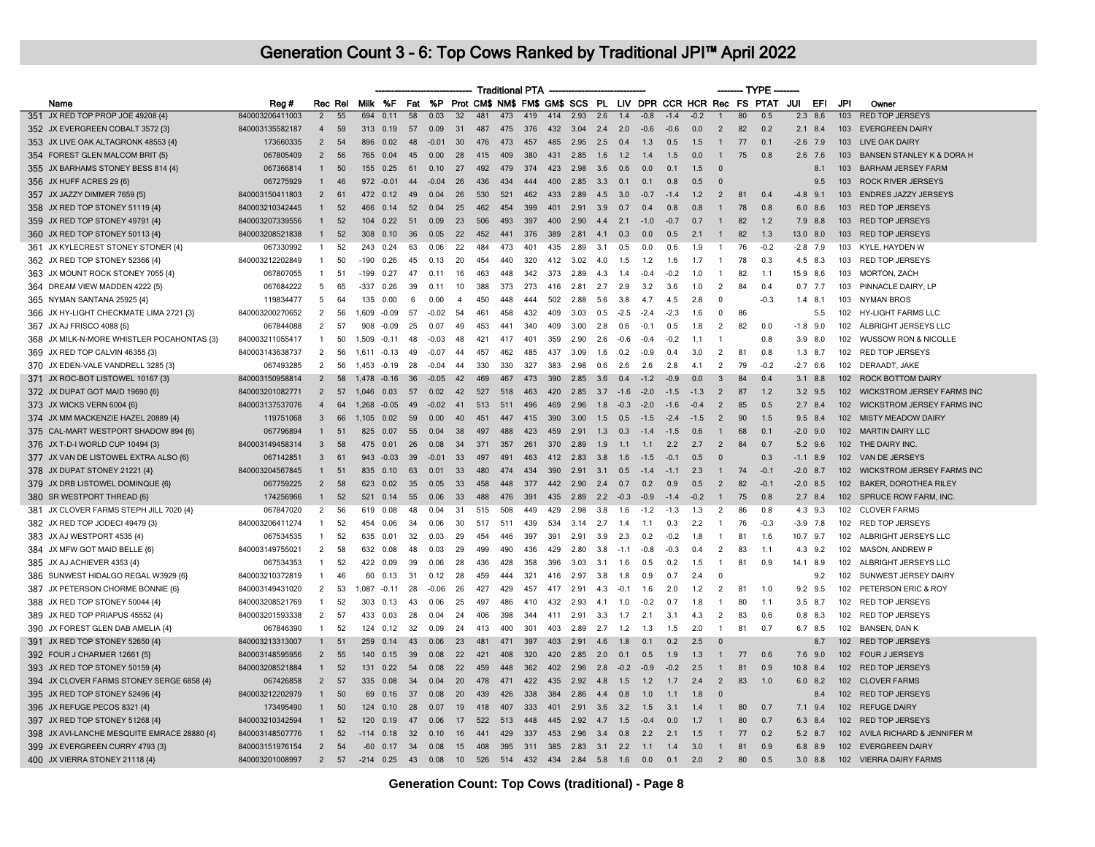|                                             |                 |                |          |        |                  |          |         |                |            | <b>Traditional PTA</b> |     |     |      |            |        |                                                             |            |            |                |    | -- TYPE -- |      |                |                  |                                          |
|---------------------------------------------|-----------------|----------------|----------|--------|------------------|----------|---------|----------------|------------|------------------------|-----|-----|------|------------|--------|-------------------------------------------------------------|------------|------------|----------------|----|------------|------|----------------|------------------|------------------------------------------|
| Name                                        | Reg#            |                | Rec Rel  |        | Milk %F          | Fat      | %P      |                |            |                        |     |     |      |            |        | Prot CM\$ NM\$ FM\$ GM\$ SCS PL LIV DPR CCR HCR Rec FS PTAT |            |            |                |    |            | JUI  | EFI            | JPI              | Owner                                    |
| 351 JX RED TOP PROP JOE 49208 {4}           | 840003206411003 | $\overline{2}$ | 55       | 694    | 0.11             | $-58$    | 0.03    | 32             | 481        | 473                    | 419 | 414 | 2.93 | 2.6        | 1.4    | $-0.8$                                                      | $-1.4$     | $-0.2$     |                | 80 | 0.5        |      | $2.3$ 8.6      |                  | 103 RED TOP JERSEYS                      |
| 352 JX EVERGREEN COBALT 3572 {3}            | 840003135582187 | $\overline{4}$ | 59       | 313    | 0.19             | 57       | 0.09    | 31             | 487        | 475                    | 376 | 432 | 3.04 | 2.4        | 2.0    | $-0.6$                                                      | $-0.6$     | 0.0        | $\overline{2}$ | 82 | 0.2        |      | $2.1$ 8.4      |                  | 103 EVERGREEN DAIRY                      |
| 353 JX LIVE OAK ALTAGRONK 48553 {4}         | 173660335       | $\overline{2}$ | 54       | 896    | 0.02             | 48       | $-0.01$ | 30             | 476        | 473                    | 457 | 485 | 2.95 | 2.5        | 0.4    | 1.3                                                         | 0.5        | 1.5        | $\mathbf{1}$   | 77 | 0.1        |      | $-2.6$ 7.9     | 103              | LIVE OAK DAIRY                           |
| 354 FOREST GLEN MALCOM BRIT {5}             | 067805409       | $\overline{2}$ | 56       | 765    | 0.04             | 45       | 0.00    | 28             | 415        | 409                    | 380 | 431 | 2.85 | 1.6        | 1.2    | 1.4                                                         | 1.5        | 0.0        | $\mathbf{1}$   | 75 | 0.8        |      | $2.6$ 7.6      | 103              | <b>BANSEN STANLEY K &amp; DORA H</b>     |
| 355 JX BARHAMS STONEY BESS 814 {4}          | 067366814       | $\mathbf{1}$   | 50       | 155    | 0.25             | 61       | 0.10    | 27             | 492        | 479                    | 374 | 423 | 2.98 | 3.6        | 0.6    | 0.0                                                         | 0.1        | 1.5        | $\Omega$       |    |            |      | 8.1            | 103              | <b>BARHAM JERSEY FARM</b>                |
| 356 JX HUFF ACRES 29 {6}                    | 067275929       | $\mathbf{1}$   | 46       |        | 972 -0.01        | 44       | $-0.04$ | 26             | 436        | 434                    | 444 | 400 | 2.85 | 3.3        | 0.1    | 0.1                                                         | 0.8        | 0.5        | $\Omega$       |    |            |      | 9.5            |                  | 103 ROCK RIVER JERSEYS                   |
| 357 JX JAZZY DIMMER 7659 {5}                | 840003150411803 | $\overline{2}$ | 61       |        | 472 0.12         | 49       | 0.04    | 26             | 530        | 521                    | 462 | 433 | 2.89 | 4.5        | 3.0    | $-0.7$                                                      | $-1.4$     | 1.2        | $\overline{2}$ | 81 | 0.4        |      | $-4.8$ 9.1     |                  | 103 ENDRES JAZZY JERSEYS                 |
| 358 JX RED TOP STONEY 51119 {4}             | 840003210342445 | $\mathbf{1}$   | 52       | 466    | 0.14             | 52       | 0.04    | 25             | 462        | 454                    | 399 | 401 | 2.91 | 3.9        | 0.7    | 0.4                                                         | 0.8        | 0.8        | $\overline{1}$ | 78 | 0.8        |      | $6.0\quad 8.6$ |                  | 103 RED TOP JERSEYS                      |
| 359 JX RED TOP STONEY 49791 {4}             | 840003207339556 | $\mathbf{1}$   | 52       | 104    | 0.22             | 51       | 0.09    | 23             | 506        | 493                    | 397 | 400 | 2.90 | 4.4        | 2.1    | $-1.0$                                                      | $-0.7$     | 0.7        | $\mathbf{1}$   | 82 | 1.2        |      | 7.9 8.8        |                  | 103 RED TOP JERSEYS                      |
| 360 JX RED TOP STONEY 50113 {4}             | 840003208521838 | 1              | 52       |        | 308 0.10         | 36       | 0.05    | 22             | 452        | 441                    | 376 | 389 | 2.81 | 4.1        | 0.3    | 0.0                                                         | 0.5        | 2.1        | $\mathbf{1}$   | 82 | 1.3        |      | 13.0 8.0       |                  | 103 RED TOP JERSEYS                      |
| 361 JX KYLECREST STONEY STONER {4}          | 067330992       | -1             | 52       | 243    | 0.24             | 63       | 0.06    | 22             | 484        | 473                    | 401 | 435 | 2.89 | 3.1        | 0.5    | 0.0                                                         | 0.6        | 1.9        | -1             | 76 | $-0.2$     |      | $-2.8$ 7.9     | 103              | KYLE, HAYDEN W                           |
| 362 JX RED TOP STONEY 52366 {4}             | 840003212202849 | $\mathbf{1}$   | 50       | $-190$ | 0.26             | 45       | 0.13    | 20             | 454        | 440                    | 320 | 412 | 3.02 | 4.0        | 1.5    | 1.2                                                         | 1.6        | 1.7        | -1             | 78 | 0.3        |      | 4.5 8.3        |                  | 103 RED TOP JERSEYS                      |
| 363 JX MOUNT ROCK STONEY 7055 {4}           | 067807055       | $\mathbf{1}$   | 51       | $-199$ | 0.27             | 47       | 0.11    | 16             | 463        | 448                    | 342 | 373 | 2.89 | 4.3        | 1.4    | $-0.4$                                                      | $-0.2$     | 1.0        | $\mathbf{1}$   | 82 | 1.1        |      | 15.9 8.6       |                  | 103 MORTON, ZACH                         |
| 364 DREAM VIEW MADDEN 4222 {5}              | 067684222       | 5              | 65       | $-337$ | 0.26             | 39       | 0.11    | 10             | 388        | 373                    | 273 | 416 | 2.81 | 2.7        | 2.9    | 3.2                                                         | 3.6        | 1.0        | $\overline{2}$ | 84 | 0.4        |      | $0.7$ 7.7      |                  | 103 PINNACLE DAIRY, LP                   |
| 365 NYMAN SANTANA 25925 {4}                 | 119834477       | 5              | 64       | 135    | 0.00             | 6        | 0.00    | $\overline{4}$ | 450        | 448                    | 444 | 502 | 2.88 | 5.6        | 3.8    | 4.7                                                         | 4.5        | 2.8        | 0              |    | $-0.3$     |      | $1.4$ 8.1      |                  | 103 NYMAN BROS                           |
| 366 JX HY-LIGHT CHECKMATE LIMA 2721 {3}     | 840003200270652 | $\overline{2}$ | 56       | 1.609  | $-0.09$          | -57      | $-0.02$ | -54            | 461        | 458                    | 432 | 409 | 3.03 | 0.5        | $-2.5$ | $-2.4$                                                      | $-2.3$     | 1.6        | $\Omega$       | 86 |            |      | 5.5            |                  | 102 HY-LIGHT FARMS LLC                   |
| 367 JX AJ FRISCO 4088 {6}                   | 067844088       | $\overline{2}$ | 57       | 908    | $-0.09$          | 25       | 0.07    | 49             | 453        | 441                    | 340 | 409 | 3.00 | 2.8        | 0 G    | $-0.1$                                                      | 0.5        | 1.8        | $\overline{2}$ | 82 | 0.0        |      | $-1.8$ 9.0     |                  | 102 ALBRIGHT JERSEYS LLC                 |
| 368 JX MILK-N-MORE WHISTLER POCAHONTAS {3}  | 840003211055417 | $\mathbf{1}$   | 50       | 1.509  | $-0.11$          | 48       | $-0.03$ | 48             | 421        | 417                    | 401 | 359 | 2.90 | 2.6        | $-0.6$ | $-0.4$                                                      | $-0.2$     | 1.1        | $\overline{1}$ |    | 0.8        | 3.9  | 8.0            | 102              | <b>WUSSOW RON &amp; NICOLLE</b>          |
| 369 JX RED TOP CALVIN 46355 {3}             | 840003143638737 | $\overline{2}$ | 56       | 1.611  | $-0.13$          | 49       | $-0.07$ | 44             | 457        | 462                    | 485 | 437 | 3.09 | 1.6        | 0.2    | $-0.9$                                                      | 0.4        | 3.0        | $\overline{2}$ | 81 | 0.8        |      | $1.3$ 8.7      |                  | 102 RED TOP JERSEYS                      |
| 370 JX EDEN-VALE VANDRELL 3285 {3}          | 067493285       | $\overline{2}$ | 56       | 1.453  | $-0.19$          | 28       | $-0.04$ | -44            | 330        | 330                    | 327 | 383 | 2.98 | 0.6        | 2.6    | 2.6                                                         | 2.8        | -4.1       | $\overline{2}$ | 79 | $-0.2$     |      | $-2.7$ 6.6     |                  | 102 DERAADT, JAKE                        |
| 371 JX ROC-BOT LISTOWEL 10167 {3}           | 840003150958814 | $\overline{2}$ | 58       | 1.478  | $-0.16$          | 36       | $-0.05$ | 42             | 469        | 467                    | 473 | 390 | 2.85 | 3.6        | 0.4    | $-1.2$                                                      | $-0.9$     | 0.0        | 3              | 84 | 0.4        |      | $3.1$ $8.8$    |                  | 102 ROCK BOTTOM DAIRY                    |
| 372 JX DUPAT GOT MAID 19690 {6}             | 840003201082771 | $\overline{2}$ | 57       | 1.046  | 0.03             | 57       | 0.02    | 42             | 527        | 518                    | 463 | 420 | 2.85 | 3.7        | $-1.6$ | $-2.0$                                                      | $-1.5$     | $-1.3$     | $\overline{2}$ | 87 | 1.2        |      | $3.2$ 9.5      |                  | 102 WICKSTROM JERSEY FARMS INC           |
| 373 JX WICKS VERN 6004 {6}                  | 840003137537076 | $\overline{4}$ | 64       | 1,268  | $-0.05$          | 49       | $-0.02$ | -41            | 513        | 511                    | 496 | 469 | 2.96 | 1.8        | $-0.3$ | $-2.0$                                                      | $-1.6$     | $-0.4$     | $\overline{2}$ | 85 | 0.5        |      | $2.7$ 8.4      |                  | 102 WICKSTROM JERSEY FARMS INC           |
| 374 JX MM MACKENZIE HAZEL 20889 {4}         | 119751068       | 3              | 66       | 1,105  | 0.02             | 59       | 0.00    | 40             | 451        | 447                    | 415 | 390 | 3.00 | 1.5        | 0.5    | $-1.5$                                                      | $-2.4$     | $-1.5$     | $\overline{2}$ | 90 | 1.5        |      | $9.5$ 8.4      |                  | 102 MISTY MEADOW DAIRY                   |
| 375 CAL-MART WESTPORT SHADOW 894 {6}        | 067796894       | $\mathbf{1}$   | 51       | 825    | 0.07             | 55       | 0.04    | 38             | 497        | 488                    | 423 | 459 | 2.91 | 1.3        | 0.3    | $-1.4$                                                      | $-1.5$     | 0.6        | $\overline{1}$ | 68 | 0.1        |      | $-2.0$ 9.0     |                  | 102 MARTIN DAIRY LLC                     |
| 376 JX T-D-I WORLD CUP 10494 {3}            | 840003149458314 | 3              | 58       | 475    | 0.01             | 26       | 0.08    | 34             | 371        | 357                    | 261 | 370 | 2.89 | 1.9        | 1.1    | 1.1                                                         | 2.2        | 2.7        | $\overline{2}$ | 84 | 0.7        |      | $5.2$ 9.6      |                  | 102 THE DAIRY INC.                       |
| 377 JX VAN DE LISTOWEL EXTRA ALSO {6}       | 067142851       | 3              | 61       | 943    | $-0.03$          | 39       | $-0.01$ | 33             | 497        | 491                    | 463 | 412 | 2.83 | 3.8        | 1.6    | $-1.5$                                                      | $-0.1$     | 0.5        | $\Omega$       |    | 0.3        |      | $-1.1$ 8.9     |                  | 102 VAN DE JERSEYS                       |
| 378 JX DUPAT STONEY 21221 {4}               | 840003204567845 | $\mathbf{1}$   | 51       | 835    | 0.10             | 63       | 0.01    | 33             | 480        | 474                    | 434 | 390 | 2.91 | 3.1        | 0.5    | $-14$                                                       | $-1.1$     | 2.3        | $\mathbf{1}$   | 74 | $-0.1$     |      | $-2.0$ 8.7     |                  | 102 WICKSTROM JERSEY FARMS INC           |
| 379 JX DRB LISTOWEL DOMINQUE {6}            | 067759225       | $\overline{2}$ | 58       | 623    | 0.02             | 35       | 0.05    | 33             | 458        | 448                    | 377 | 442 | 2.90 | 2.4        | 0.7    | 0.2                                                         | 0.9        | 0.5        | $\overline{2}$ | 82 | $-0.1$     |      | $-2.0$ 8.5     |                  | 102 BAKER, DOROTHEA RILEY                |
| 380 SR WESTPORT THREAD {6}                  | 174256966       | $\mathbf{1}$   | 52       | 521    | 0.14             | 55       | 0.06    | 33             | 488        | 476                    | 391 | 435 | 2.89 | 2.2        | $-0.3$ | $-0.9$                                                      | $-1.4$     | $-0.2$     | $\mathbf{1}$   | 75 | 0.8        |      | $2.7$ 8.4      |                  | 102 SPRUCE ROW FARM, INC.                |
| 381 JX CLOVER FARMS STEPH JILL 7020 {4}     | 067847020       | $\overline{2}$ | 56       | 619    | 0.08             | 48       | 0.04    | 31             | 515        | 508                    | 449 | 429 | 2.98 | 3.8        | 1.6    | $-1.2$                                                      | $-1.3$     | 1.3        | 2              | 86 | 0.8        |      | 4.3 9.3        |                  | 102 CLOVER FARMS                         |
| 382 JX RED TOP JODECI 49479 {3}             | 840003206411274 | $\mathbf{1}$   | 52       | 454    | 0.06             | -34      | 0.06    | 30             | 517        | 511                    | 439 | 534 | 3.14 | 2.7        | 1.4    | 1.1                                                         | 0.3        | 2.2        | -1             | 76 | $-0.3$     |      | $-3.9$ 7.8     |                  | 102 RED TOP JERSEYS                      |
| 383 JX AJ WESTPORT 4535 {4}                 | 067534535       | $\mathbf{1}$   | 52       | 635    | 0.01             | 32       | 0.03    | 29             | 454        | 446                    | 397 | 391 | 2.91 | 3.9        | 2.3    | 0.2                                                         | $-0.2$     | 1.8        | $\mathbf{1}$   | 81 | 1.6        |      | 10.7 9.7       |                  | 102 ALBRIGHT JERSEYS LLC                 |
| 384 JX MFW GOT MAID BELLE {6}               | 840003149755021 | 2              | 58       | 632    | 0.08             | 48       | 0.03    | 29             | 499        | 490                    | 436 | 429 | 2.80 | 3.8        | $-1.1$ | $-0.8$                                                      | $-0.3$     | 0.4        | $\overline{2}$ | 83 | 1.1        | 4.3  | 9.2            | 102              | MASON, ANDREW P                          |
| 385 JX AJ ACHIEVER 4353 {4}                 | 067534353       | $\mathbf{1}$   | 52       | 422    | 0.09             | 39       | 0.06    | 28             | 436        | 428                    | 358 | 396 | 3.03 | 3.1        | 1.6    | 0.5                                                         | 0.2        | 1.5        | $\overline{1}$ | 81 | 0.9        |      | 14.1 8.9       | 102              | ALBRIGHT JERSEYS LLC                     |
| 386 SUNWEST HIDALGO REGAL W3929 {6}         | 840003210372819 | $\mathbf{1}$   | 46       | 60     | 0.13             | 31       | 0.12    | 28             | 459        | 444                    | 321 | 416 | 2.97 | 3.8        | 1.8    | 0.9                                                         | 0.7        | 2.4        | $\mathbf 0$    |    |            |      | 9.2            | 102              | SUNWEST JERSEY DAIRY                     |
| 387 JX PETERSON CHORME BONNIE {6}           | 840003149431020 | $\overline{2}$ | 53       | 1.087  | $-0.11$          | 28       | $-0.06$ | 26             | 427        | 429                    | 457 | 417 | 2.91 | 4.3        | $-0.1$ | 1.6                                                         | 2.0        | 1.2        | $\overline{2}$ | 81 | 1.0        |      | 9.2 9.5        |                  | 102 PETERSON ERIC & ROY                  |
| 388 JX RED TOP STONEY 50044 {4}             | 840003208521769 | $\mathbf{1}$   | 52       | 303    | 0.13             | 43       | 0.06    | 25             | 497        | 486                    | 410 | 432 | 2.93 | 4.1        | 1.0    | $-0.2$                                                      | 0.7        | 1.8        | $\mathbf{1}$   | 80 | 1.1        |      | $3.5$ 8.7      |                  | 102 RED TOP JERSEYS                      |
| 389 JX RED TOP PRIAPUS 45552 {4}            | 840003201593338 | $\overline{2}$ | 57       | 433    | 0.03             | 28       | 0.04    | 24             | 406        | 398                    | 344 | 411 | 2.91 | 3.3        | 1.7    | 2.1                                                         | 3.1        | 4.3        | 2              | 83 | 0.6        |      | $0.8$ 8.3      |                  | 102 RED TOP JERSEYS                      |
|                                             | 067846390       | $\mathbf{1}$   |          |        |                  |          | 0.09    | 24             |            | 400                    | 301 | 403 | 2.89 |            | 1.2    |                                                             |            |            | $\overline{1}$ | 81 | 0.7        |      |                |                  |                                          |
| 390 JX FOREST GLEN DAB AMELIA {4}           | 840003213313007 | $\mathbf{1}$   | 52<br>51 | 259    | 124 0.12<br>0.14 | 32<br>43 | 0.06    | 23             | 413<br>481 | 471                    | 397 | 403 | 2.91 | 2.7<br>4.6 | 1.8    | 1.3<br>0.1                                                  | 1.5<br>0.2 | 2.0<br>2.5 | $\Omega$       |    |            |      | 6.7 8.5<br>8.7 |                  | 102 BANSEN, DAN K<br>102 RED TOP JERSEYS |
| 391 JX RED TOP STONEY 52650 {4}             |                 |                |          |        |                  |          |         |                |            |                        |     |     |      |            |        |                                                             |            |            |                |    |            |      |                |                  |                                          |
| 392 FOUR J CHARMER 12661 {5}                | 840003148595956 | $\overline{2}$ | 55       | 140    | 0.15             | 39       | 0.08    | 22             | 421        | 408                    | 320 | 420 | 2.85 | 2.0        | 0.1    | 0.5                                                         | 1.9        | 1.3        | $\mathbf{1}$   | 77 | 0.6        |      | $7.6$ 9.0      |                  | 102 FOUR J JERSEYS                       |
| 393 JX RED TOP STONEY 50159 {4}             | 840003208521884 | $\mathbf{1}$   | 52       | 131    | 0.22             | 54       | 0.08    | 22             | 459        | 448                    | 362 | 402 | 2.96 | 2.8        | $-0.2$ | $-0.9$                                                      | $-0.2$     | 2.5        |                | 81 | 0.9        | 10.8 | 8.4            | 102 <sub>2</sub> | <b>RED TOP JERSEYS</b>                   |
| 394 JX CLOVER FARMS STONEY SERGE 6858 {4}   | 067426858       | $\overline{2}$ | 57       | 335    | 0.08             | 34       | 0.04    | 20             | 478        | 471                    | 422 | 435 | 2.92 | 4.8        | 1.5    | 1.2                                                         | 1.7        | 2.4        | $\overline{2}$ | 83 | 1.0        |      | $6.0$ 8.2      |                  | 102 CLOVER FARMS                         |
| 395 JX RED TOP STONEY 52496 {4}             | 840003212202979 | $\mathbf{1}$   | 50       | 69     | 0.16             | 37       | 0.08    | 20             | 439        | 426                    | 338 | 384 | 2.86 | 4.4        | 0.8    | 1.0                                                         | 1.1        | 1.8        | $\Omega$       |    |            |      | 8.4            |                  | 102 RED TOP JERSEYS                      |
| 396 JX REFUGE PECOS 8321 {4}                | 173495490       | $\mathbf{1}$   | 50       | 124    | 0.10             | 28       | 0.07    | 19             | 418        | 407                    | 333 | 401 | 2.91 | 3.6        | 3.2    | 1.5                                                         | 3.1        | 1.4        | $\mathbf{1}$   | 80 | 0.7        | 7.1  | 9.4            |                  | 102 REFUGE DAIRY                         |
| 397 JX RED TOP STONEY 51268 {4}             | 840003210342594 | $\mathbf{1}$   | 52       | 120    | 0.19             | 47       | 0.06    | 17             | 522        | 513                    | 448 | 445 | 2.92 | 4.7        | 1.5    | $-0.4$                                                      | 0.0        | 1.7        |                | 80 | 0.7        |      | 6.3 8.4        |                  | 102 RED TOP JERSEYS                      |
| 398 JX AVI-LANCHE MESQUITE EMRACE 28880 {4} | 840003148507776 | $\mathbf{1}$   | 52       | $-114$ | በ 18             | 32       | 0.10    | 16             | 441        | 429                    | 337 | 453 | 2.96 | 34         | 0.8    | 22                                                          | 21         | 1.5        | -1             | 77 | 02         |      | $5.2$ 8.7      |                  | 102 AVILA RICHARD & JENNIFER M           |
| 399 JX EVERGREEN CURRY 4793 {3}             | 840003151976154 | $\overline{2}$ | 54       | $-60$  | 0.17             | 34       | 0.08    | 15             | 408        | 395                    | 311 | 385 | 2.83 | $3.1$ 2.2  |        | 1.1                                                         | 1.4        | 3.0        | $\mathbf{1}$   | 81 | 0.9        |      | 6.8 8.9        |                  | 102 EVERGREEN DAIRY                      |
| 400 JX VIERRA STONEY 21118 {4}              | 840003201008997 | $\overline{2}$ | 57       | $-214$ | 0.25             | 43       | 0.08    | 10             | 526        | 514                    | 432 | 434 | 2.84 | 5.8        | 1.6    | 0.0                                                         | 0.1        | 2.0        | 2              | 80 | 0.5        |      | $3.0$ $8.8$    |                  | 102 VIERRA DAIRY FARMS                   |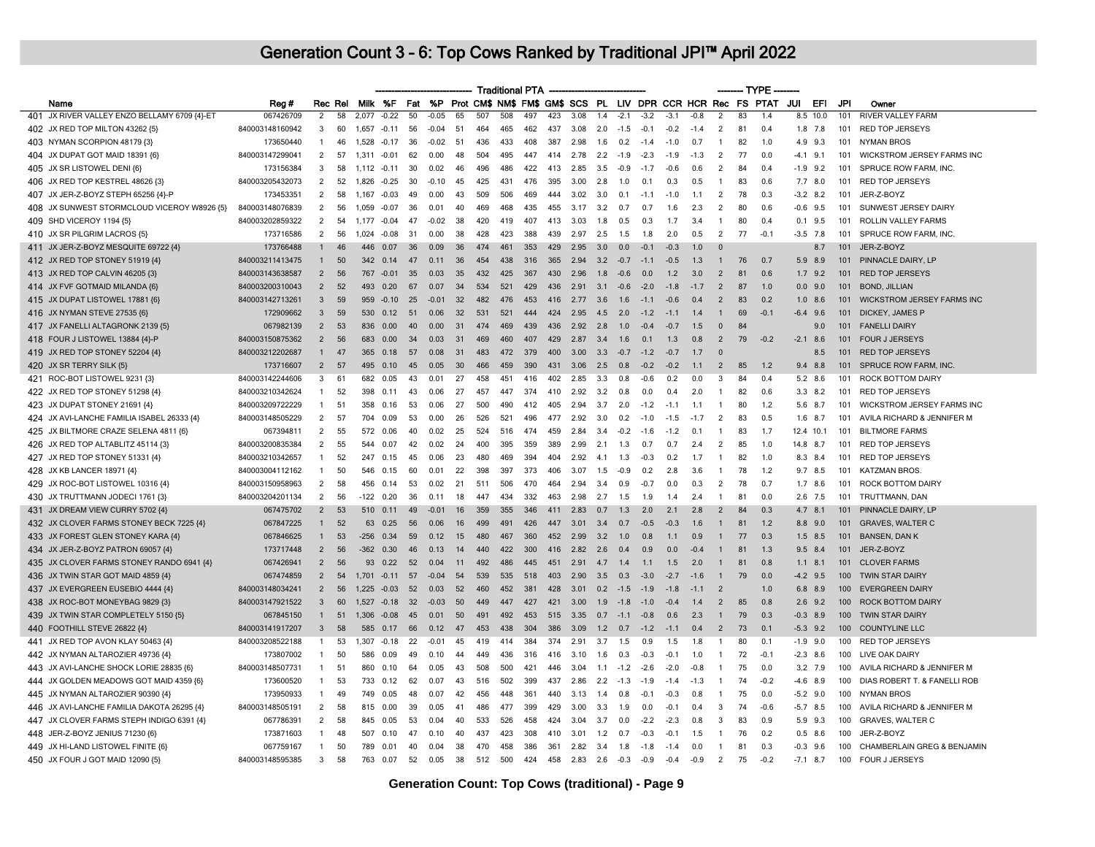|                                                                        |                              |                   |          |                |                |          |              |              |            |            | <b>Traditional PTA</b> |            |              |            |               |                  |                  |               |                | ------- TYPE - |                                                             |                          |             |                  |                                               |
|------------------------------------------------------------------------|------------------------------|-------------------|----------|----------------|----------------|----------|--------------|--------------|------------|------------|------------------------|------------|--------------|------------|---------------|------------------|------------------|---------------|----------------|----------------|-------------------------------------------------------------|--------------------------|-------------|------------------|-----------------------------------------------|
| Name                                                                   | Reg #                        | Rec Rel           |          |                | Milk %F        |          | Fat %P       |              |            |            |                        |            |              |            |               |                  |                  |               |                |                | Prot CM\$ NM\$ FM\$ GM\$ SCS PL LIV DPR CCR HCR Rec FS PTAT | JUI                      | EFI         | JPI              | Owner                                         |
| 401 JX RIVER VALLEY ENZO BELLAMY 6709 {4}-ET                           | 067426709                    | $\overline{2}$    | 58       | 2,077          | $-0.22$        | 50       | $-0.05$      | 65           | 507        | 508        | 497                    | 423        | 3.08         | 1.4        | $-2.1$        | $-3.2$           | $-3.1$           | $-0.8$        | $\overline{2}$ | 83             | 1.4                                                         |                          | $8.5$ 10.0  | 101              | <b>RIVER VALLEY FARM</b>                      |
| 402 JX RED TOP MILTON 43262 {5}                                        | 840003148160942              | 3                 | 60       | 1,657          | $-0.11$        | 56       | $-0.04$      | 51           | 464        | 465        | 462                    | 437        | 3.08         | 2.0        | $-1.5$        | $-0.1$           | $-0.2$           | $-1.4$        | $\overline{2}$ | 81             | 0.4                                                         |                          | $1.8$ 7.8   | 101              | <b>RED TOP JERSEYS</b>                        |
| 403 NYMAN SCORPION 48179 {3}                                           | 173650440                    | -1                | 46       |                | 1,528 -0.17    | 36       | $-0.02$      | -51          | 436        | 433        | 408                    | 387        | 2.98         | 1.6        | 0.2           | $-1.4$           | $-1.0$           | 0.7           | -1             | 82             | 1.0                                                         |                          | 4.9 9.3     | 101              | NYMAN BROS                                    |
| 404 JX DUPAT GOT MAID 18391 {6}                                        | 840003147299041              | $\overline{2}$    | 57       | 1.311          | $-0.01$        | 62       | 0.00         | 48           | 504        | 495        | 447                    | 414        | 2.78         | 2.2        | $-1.9$        | $-2.3$           | $-1.9$           | $-1.3$        | 2              | 77             | 0.0                                                         | $-4.1$ 9.1               |             | 101              | <b>WICKSTROM JERSEY FARMS INC</b>             |
| 405 JX SR LISTOWEL DENI {6}                                            | 173156384                    | 3                 | 58       | $1.112 - 0.11$ |                | 30       | 0.02         | 46           | 496        | 486        | 422                    | 413        | 2.85         | 3.5        | $-0.9$        | $-1.7$           | $-0.6$           | 0.6           | $\overline{2}$ | 84             | 0.4                                                         | $-1.9$ 9.2               |             | 101              | SPRUCE ROW FARM, INC.                         |
| 406 JX RED TOP KESTREL 48626 {3}                                       | 840003205432073              | 2                 | 52       | 1,826          | $-0.25$        | 30       | $-0.10$      | 45           | 425        | 431        | 476                    | 395        | 3.00         | 2.8        | 1.0           | 0.1              | 0.3              | 0.5           | $\overline{1}$ | 83             | 0.6                                                         |                          | $7.7$ 8.0   | 101              | <b>RED TOP JERSEYS</b>                        |
| 407 JX JER-Z-BOYZ STEPH 65256 {4}-P                                    | 173453351                    | 2                 | 58       | 1.167          | $-0.03$        | 49       | 0.00         | 43           | 509        | 506        | 469                    | 444        | 3.02         | 3.0        | 0.1           | $-1.1$           | $-1.0$           | 1.1           | 2              | 78             | 0.3                                                         | $-3.2$ 8.2               |             | 101              | JER-Z-BOYZ                                    |
| 408 JX SUNWEST STORMCLOUD VICEROY W8926 {5}                            | 840003148076839              | 2                 | 56       |                | 1,059 -0.07    | 36       | 0.01         | 40           | 469        | 468        | 435                    | 455        | 3.17         | 3.2        | 0.7           | 0 7              | 16               | 2.3           | $\overline{2}$ | 80             | 0.6                                                         | $-0.6$ 9.5               |             | 101              | SUNWEST JERSEY DAIRY                          |
| 409 SHD VICEROY 1194 {5}                                               | 840003202859322              | $\overline{2}$    | 54       | 1.177          | $-0.04$        | 47       | $-0.02$      | 38           | 420        | 419        | 407                    | 413        | 3.03         | 1.8        | 0.5           | 0.3              | 1.7              | 3.4           | $\overline{1}$ | 80             | 0.4                                                         | 0.1                      | 9.5         | 101              | ROLLIN VALLEY FARMS                           |
| 410 JX SR PILGRIM LACROS {5}                                           | 173716586                    | $\overline{2}$    | 56       | 1,024          | $-0.08$        | 31       | 0.00         | 38           | 428        | 423        | 388                    | 439        | 2.97         | 2.5        | 1.5           | 1.8              | 2.0              | 0.5           | $\overline{2}$ | 77             | $-0.1$                                                      | $-3.5$ 7.8               |             | 101              | SPRUCE ROW FARM, INC                          |
| 411 JX JER-Z-BOYZ MESQUITE 69722 {4}                                   | 173766488                    | $\mathbf{1}$      | 46       | 446            | 0.07           | 36       | 0.09         | 36           | 474        | 461        | 353                    | 429        | 2.95         | 3.0        | 0.0           | -0.1             | $-0.3$           | 1.0           | $\bullet$      |                |                                                             |                          | 8.7         | 101              | JER-Z-BOYZ                                    |
| 412 JX RED TOP STONEY 51919 {4}                                        | 840003211413475              | $\overline{1}$    | 50       | 342            | 0.14           | 47       | 0.11         | 36           | 454        | 438        | 316                    | 365        | 2.94         | 3.2        | $-0.7$        | $-1.1$           | $-0.5$           | 1.3           | $\overline{1}$ | 76             | 0.7                                                         |                          | 5.9 8.9     | 101              | PINNACLE DAIRY, LP                            |
| 413 JX RED TOP CALVIN 46205 {3}                                        | 840003143638587              | $\overline{2}$    | 56       | 767            | $-0.01$        | 35       | 0.03         | 35           | 432        | 425        | 367                    | 430        | 2.96         | 1.8        | $-0.6$        | 0.0              | 1.2              | 3.0           | $\overline{2}$ | 81             | 0.6                                                         |                          | $1.7$ 9.2   | 101              | <b>RED TOP JERSEYS</b>                        |
| 414 JX FVF GOTMAID MILANDA {6}                                         | 840003200310043              | $\overline{2}$    | 52       | 493            | 0.20           | 67       | 0.07         | 34           | 534        | 521        | 429                    | 436        | 2.91         | 3.1        | $-0.6$        | $-2.0$           | $-1.8$           | $-1.7$        | $\overline{2}$ | 87             | 1.0                                                         |                          | $0.0$ 9.0   | 101              | <b>BOND, JILLIAN</b>                          |
| 415 JX DUPAT LISTOWEL 17881 {6}                                        | 840003142713261              | $\mathbf{3}$      | 59       | 959            | $-0.10$        | 25       | $-0.01$      | 32           | 482        | 476        | 453                    | 416        | 2.77         | 3.6        | 1.6           | $-11$            | $-0.6$           | 0.4           | $\overline{2}$ | 83             | 0.2                                                         |                          | $1.0$ 8.6   | 101              | <b>WICKSTROM JERSEY FARMS INC</b>             |
| 416 JX NYMAN STEVE 27535 {6}                                           | 172909662                    | $\mathbf{3}$      | 59       | 530            | 0.12           | 51       | 0.06         | 32           | 531        | 521        | 444                    | 424        | 2.95         | 4.5        | 2.0           | $-1.2$           | $-1.1$           | 1.4           | $\mathbf{1}$   | 69             | $-0.1$                                                      | $-6.4$                   | 9.6         | 101              | <b>DICKEY, JAMES P</b>                        |
| 417 JX FANELLI ALTAGRONK 2139 (5)                                      | 067982139                    | $\overline{2}$    | 53       | 836            | 0.00           | 40       | 0.00         | 31           | 474        | 469        | 439                    | 436        | 2.92         | 2.8        | 1.0           | $-0.4$           | $-0.7$           | 1.5           | $\Omega$       | 84             |                                                             |                          | 9.0         |                  | 101 FANELLI DAIRY                             |
| 418 FOUR J LISTOWEL 13884 {4}-P                                        | 840003150875362              | $\overline{2}$    | 56       | 683            | 0.00           | 34       | 0.03         | 31           | 469        | 460        | 407                    | 429        | 2.87         | 3.4        | 1.6           | 0.1              | 1.3              | 0.8           | $\overline{2}$ | 79             | $-0.2$                                                      | $-2.1$ 8.6               |             | 101              | <b>FOUR J JERSEYS</b>                         |
| 419 JX RED TOP STONEY 52204 {4}                                        | 840003212202687              | $\overline{1}$    | 47       |                | 365 0.18       | 57       | 0.08         | 31           | 483        | 472        | 379                    | 400        | 3.00         | 3.3        | $-0.7$        | $-1.2$           | $-0.7$           | 1.7           | $\Omega$       |                |                                                             |                          | 8.5         | 101              | <b>RED TOP JERSEYS</b>                        |
| 420 JX SR TERRY SILK {5}                                               | 173716607                    | $\overline{2}$    | 57       | 495            | 0.10           | 45       | 0.05         | 30           | 466        | 459        | 390                    | 431        | 3.06         | 2.5        | 0.8           | $-0.2$           | $-0.2$           | 1.1           | $\overline{2}$ | 85             | 1.2                                                         |                          | 9.4 8.8     | 101              | SPRUCE ROW FARM, INC.                         |
| 421 ROC-BOT LISTOWEL 9231 {3}                                          | 840003142244606              | 3                 | 61       | 682            | 0.05           | 43       | 0.01         | 27           | 458        | 451        | 416                    | 402        | 2.85         | 3.3        | 0.8           | $-0.6$           | 0.2              | 0.0           | 3              | 84             | 0.4                                                         |                          | 5.2 8.6     | 101              | <b>ROCK BOTTOM DAIRY</b>                      |
| 422 JX RED TOP STONEY 51298 {4}                                        | 840003210342624              | -1                | 52       | 398            | 0.11           | 43       | 0.06         | 27           | 457        | 447        | 374                    | 410        | 2.92         | 3.2        | 0.8           | 0.0              | 0.4              | 2.0           | -1             | 82             | 0.6                                                         |                          | $3.3$ $8.2$ | 101              | RED TOP JERSEYS                               |
| 423 JX DUPAT STONEY 21691 {4}                                          | 840003209722229              | $\overline{1}$    | 51       | 358            | 0.16           | 53       | 0.06         | 27           | 500        | 490        | 412                    | 405        | 2.94         | 3.7        | 2.0           | $-1.2$           | $-1.1$           | 1.1           | -1             | 80             | 1.2                                                         | 5.6                      | 8.7         | 101              | <b>WICKSTROM JERSEY FARMS INC</b>             |
| 424 JX AVI-LANCHE FAMILIA ISABEL 26333 {4}                             | 840003148505229              | $\overline{2}$    | 57       | 704            | 0.09           | 53       | 0.00         | 26           | 526        | 521        | 496                    | 477        | 2.92         | 3.0        | 0.2           | $-1.0$           | $-1.5$           | $-1.7$        | $\overline{2}$ | 83             | 0.5                                                         | $1.6$ 8.7                |             | 101              | AVILA RICHARD & JENNIFER M                    |
| 425 JX BILTMORE CRAZE SELENA 4811 {6}                                  | 067394811                    | $\overline{2}$    | 55       | 572            | 0.06           | 40       | 0.02         | 25           | 524        | 516        | 474                    | 459        | 2.84         | 3.4        | $-0.2$        | $-1.6$           | $-1.2$           | 0.1           | $\overline{1}$ | 83             | 1.7                                                         | 12.4 10.1                |             | 101              | <b>BILTMORE FARMS</b>                         |
| 426 JX RED TOP ALTABLITZ 45114 {3}                                     | 840003200835384              | 2                 | 55       | 544            | 0.07           | 42       | 0.02         | 24           | 400        | 395        | 359                    | 389        | 2.99         | 2.1        | 1.3           | 0.7              | 0.7              | 2.4           | $\overline{2}$ | 85             | 1.0                                                         | 14.8 8.7                 |             | 101              | <b>RED TOP JERSEYS</b>                        |
| 427 JX RED TOP STONEY 51331 {4}                                        | 840003210342657              | $\overline{1}$    | 52       | 247            | 0.15           | 45       | 0.06         | 23           | 480        | 469        | 394                    | 404        | 2.92         | 41         | 1.3           | $-0.3$           | 0.2              | 1.7           | -1             | 82             | 1.0                                                         | 8.3 8.4                  |             | 101              | <b>RED TOP JERSEYS</b>                        |
| 428 JX KB LANCER 18971 {4}                                             | 840003004112162              | $\overline{1}$    | 50       | 546            | 0.15           | 60       | 0.01         | 22           | 398        | 397        | 373                    | 406        | 3.07         | 1.5        | $-0.9$        | 0.2              | 2.8              | 3.6           | $\overline{1}$ | 78             | 1.2                                                         |                          | $9.7$ 8.5   | 101              | <b>KATZMAN BROS</b>                           |
| 429 JX ROC-BOT LISTOWEL 10316 {4}                                      | 840003150958963              | $\overline{2}$    | 58       | 456            | 0.14           | 53       | 0.02         | 21           | 511        | 506        | 470                    | 464        | 2.94         | 3.4        | 0.9           | $-0.7$           | 0.0              | 0.3           | $\overline{2}$ | 78             | 0.7                                                         |                          | $1.7$ 8.6   | 101              | ROCK BOTTOM DAIRY                             |
| 430 JX TRUTTMANN JODECI 1761 {3}                                       | 840003204201134              | $\overline{2}$    | 56       | -122           | 0.20           | 36       | 0.11         | 18           | 447        | 434        | 332                    | 463        | 2.98         | 2.7        | 1.5           | 1.9              | 1.4              | 2.4           | $\mathbf{1}$   | 81             | 0.0                                                         |                          | $2.6$ 7.5   | 101              | TRUTTMANN, DAN                                |
| 431 JX DREAM VIEW CURRY 5702 {4}                                       | 067475702                    | $\overline{2}$    | 53       |                | 510 0.11       | 49       | $-0.01$      | 16           | 359        | 355        | 346                    | 411        | 2.83         | 0.7        | 1.3           | 2.0              | 2.1              | 2.8           | 2              | 84             | 0.3                                                         |                          | 4.7 8.1     | 101              | PINNACLE DAIRY, LP                            |
| 432 JX CLOVER FARMS STONEY BECK 7225 {4}                               | 067847225                    | $\mathbf{1}$      | 52       | 63             | 0.25           | 56       | 0.06         | 16           | 499        | 491        | 426                    | 447        | 3.01         | 3.4        | 0.7           | $-0.5$           | $-0.3$           | 1.6           | $\mathbf{1}$   | 81             | 1.2                                                         | 8.8                      | 9.0         | 101              | <b>GRAVES, WALTER C</b>                       |
| 433 JX FOREST GLEN STONEY KARA {4}                                     | 067846625                    | $\mathbf{1}$      | 53       | -256           | 0.34           | 59       | 0.12         | 15           | 480        | 467        | 360                    | 452        | 2.99         | 3.2        | 1.0           | 0.8              | 1.1              | 0.9           | -1             | 77             | 0.3                                                         |                          | $1.5$ 8.5   | 101              | <b>BANSEN, DAN K</b>                          |
| 434 JX JER-Z-BOYZ PATRON 69057 {4}                                     | 173717448                    | $\overline{2}$    | 56       | $-362$         | 0.30           | 46       | 0.13         | 14           | 440        | 422        | 300                    | 416        | 2.82         | 2.6        | 0.4           | 0.9              | 0.0              | $-0.4$        | -1             | 81             | 1.3                                                         | 9.5 8.4                  |             | 101              | JER-Z-BOYZ                                    |
| 435 JX CLOVER FARMS STONEY RANDO 6941 {4}                              | 067426941                    | $\overline{2}$    | 56       |                | 93 0.22        | 52       | 0.04         | 11           | 492        | 486        | 445                    | 451        | 2.91         | 4.7        | 1.4           | 11               | 1.5              | 2.0           | $\mathbf{1}$   | 81             | 0.8                                                         | $1.1$ 8.1                |             | 101              | <b>CLOVER FARMS</b>                           |
| 436 JX TWIN STAR GOT MAID 4859 {4}                                     | 067474859                    | $\overline{2}$    | 54       | 1.701          | $-0.11$        | 57       | $-0.04$      | 54           | 539        | 535        | 518                    | 403        | 2.90         | 3.5        | 0.3           | $-3.0$           | $-2.7$           | $-1.6$        | $\overline{1}$ | 79             | 0.0                                                         | $-4.2$ 9.5               |             | 100              | <b>TWIN STAR DAIRY</b>                        |
| 437 JX EVERGREEN EUSEBIO 4444 {4}                                      | 840003148034241              | $\overline{2}$    | 56       |                | $1.225 - 0.03$ | 52       | 0.03         | 52           | 460        | 452        | 381                    | 428        | 3.01         | 0.2        | $-1.5$        | $-1.9$           | $-1.8$           | $-1.1$        | $\overline{2}$ |                | 1.0                                                         | 6.8                      | 8.9         | 100 <sub>1</sub> | <b>EVERGREEN DAIRY</b>                        |
| 438 JX ROC-BOT MONEYBAG 9829 {3}                                       | 840003147921522              | $\mathbf{3}$      | 60       |                | 1,527 -0.18    | 32       | $-0.03$      | $50^{\circ}$ | 449        | 447        | 427                    | 421        | 3.00         | 1.9        | $-1.8$        | $-1.0$           | $-0.4$           | 1.4           | $\overline{2}$ | 85             | 0.8                                                         |                          | $2.6$ 9.2   | $100 -$          | <b>ROCK BOTTOM DAIRY</b>                      |
| 439 JX TWIN STAR COMPLETELY 5150 {5}                                   | 067845150                    | $\overline{1}$    | 51       | 1.306          | $-0.08$        | 45       | 0.01         | $50^{\circ}$ | 491        | 492        | 453                    | 515        | 3.35         | 0.7        | $-1.1$        | $-0.8$           | 0.6              | 2.3           | $\overline{1}$ | 79             | 0.3                                                         | $-0.3$                   | 8.9         | 100              | <b>TWIN STAR DAIRY</b>                        |
| 440 FOOTHILL STEVE 26822 {4}                                           | 840003141917207              | $\mathbf{3}$      | 58       |                | 585 0.17       | 66       | 0.12         | 47           | 453        | 438        | 304                    | 386        | 3.09         | 1.2        | 0.7           | $-1.2$           | $-1.1$           | 0.4           | 2              | 73             | 0.1                                                         | $-5.3$ 9.2               |             | 100              | <b>COUNTYLINE LLC</b>                         |
| 441 JX RED TOP AVON KLAY 50463 {4}                                     | 840003208522188              | -1                | 53       | 1,307          | $-0.18$        | 22       | $-0.01$      | 45           | 419        | 414        | 384                    | 374        | 2.91         | 3.7        | 1.5           | 0.9              | 1.5              | 1.8           | -1             | 80             | 0.1                                                         | $-1.9$ 9.0               |             | 100              | <b>RED TOP JERSEYS</b>                        |
| 442 JX NYMAN ALTAROZIER 49736 {4}                                      | 173807002                    | $\overline{1}$    | 50       | 586            | 0.09           | 49       | 0.10         | 44           | 449        | 436        | 316                    | 416        | 3.10         | 1.6        | 0.3           | $-0.3$           | $-0.1$           | 1.0           | $\overline{1}$ | 72             | $-0.1$                                                      | $-2.3$ 8.6               |             | 100              | LIVE OAK DAIRY                                |
| 443 JX AVI-LANCHE SHOCK LORIE 28835 {6}                                | 840003148507731              | $\overline{1}$    | 51       | 860            | 0,10           | 64       | 0.05         | 43           | 508        | 500        | 421                    | 446        | 3.04         | 11         | $-1.2$        | $-26$            | $-2.0$           | $-0.8$        | -1             | 75             | 0.0                                                         |                          | 3.2 7.9     | 100              | AVILA RICHARD & JENNIFER M                    |
| 444 JX GOLDEN MEADOWS GOT MAID 4359 {6}                                | 173600520                    | $\overline{1}$    | 53       | 733            | 0.12           | 62       | 0.07         | 43           | 516        | 502        | 399                    | 437        | 2.86         | 2.2        | $-1.3$        | $-1.9$           | $-1.4$           | $-1.3$        | $\overline{1}$ | 74             | $-0.2$                                                      | $-4.6$ 8.9               |             | 100              | DIAS ROBERT T. & FANELLI ROB                  |
| 445 JX NYMAN ALTAROZIER 90390 {4}                                      | 173950933                    | $\overline{1}$    | 49       | 749            | 0.05           | 48       | 0.07         | 42           | 456        | 448        | 361                    | 440        | 3.13         | 1.4        | 0.8           | $-0.1$           | $-0.3$           | 0.8           | $\overline{1}$ | 75             | 0.0                                                         | $-5.2$ 9.0               |             |                  | 100 NYMAN BROS                                |
| 446 JX AVI-LANCHE FAMILIA DAKOTA 26295 {4}                             | 840003148505191              | $\overline{2}$    | 58       | 815            | 0.00           | 39       | 0.05         | 41           | 486        | 477        | 399                    | 429        | 3.00         | 3.3        | 1.9           | 0.0              | $-0.1$           | 0.4           | 3              | 74             | $-0.6$                                                      | $-5.7$ 8.5               |             | 100              | AVILA RICHARD & JENNIFER M                    |
| 447 JX CLOVER FARMS STEPH INDIGO 6391 {4}                              | 067786391                    | $\overline{2}$    | 58       |                | 845 0.05       | 53       | 0.04         | 40           | 533        | 526        | 458                    | 424        | 3.04         | 3.7        | 0.0           | $-2.2$           | $-2.3$           | 0.8           | 3              | 83             | 0.9                                                         |                          | 5.9 9.3     |                  | 100 GRAVES, WALTER C                          |
| 448 JER-Z-BOYZ JENIUS 71230 {6}                                        | 173871603                    | $\overline{1}$    | 48       | 507            | 0.10           | 47       | 0.10         | 40           | 437        | 423        | 308                    | 410        | 3.01         | 1.2        | 0.7           | $-0.3$           | $-0.1$           | 1.5           |                | 76             | 0.2                                                         | 0.5                      | 8.6         | 100              | JER-Z-BOYZ                                    |
|                                                                        |                              |                   |          |                |                |          |              |              |            |            |                        |            |              |            |               |                  |                  |               | -1             |                |                                                             |                          |             |                  |                                               |
| 449 JX HI-LAND LISTOWEL FINITE {6}<br>450 JX FOUR J GOT MAID 12090 {5} | 067759167<br>840003148595385 | $\mathbf{1}$<br>3 | 50<br>58 | 789<br>763     | 0.01<br>0.07   | 40<br>52 | 0.04<br>0.05 | 38<br>38     | 470<br>512 | 458<br>500 | 386<br>424             | 361<br>458 | 2.82<br>2.83 | 3.4<br>2.6 | 1.8<br>$-0.3$ | $-1.8$<br>$-0.9$ | $-1.4$<br>$-0.4$ | 0.0<br>$-0.9$ | 2              | 81<br>75       | 0.3<br>$-0.2$                                               | $-0.3$ 9.6<br>$-7.1$ 8.7 |             | 100<br>100       | CHAMBERLAIN GREG & BENJAMIN<br>FOUR J JERSEYS |
|                                                                        |                              |                   |          |                |                |          |              |              |            |            |                        |            |              |            |               |                  |                  |               |                |                |                                                             |                          |             |                  |                                               |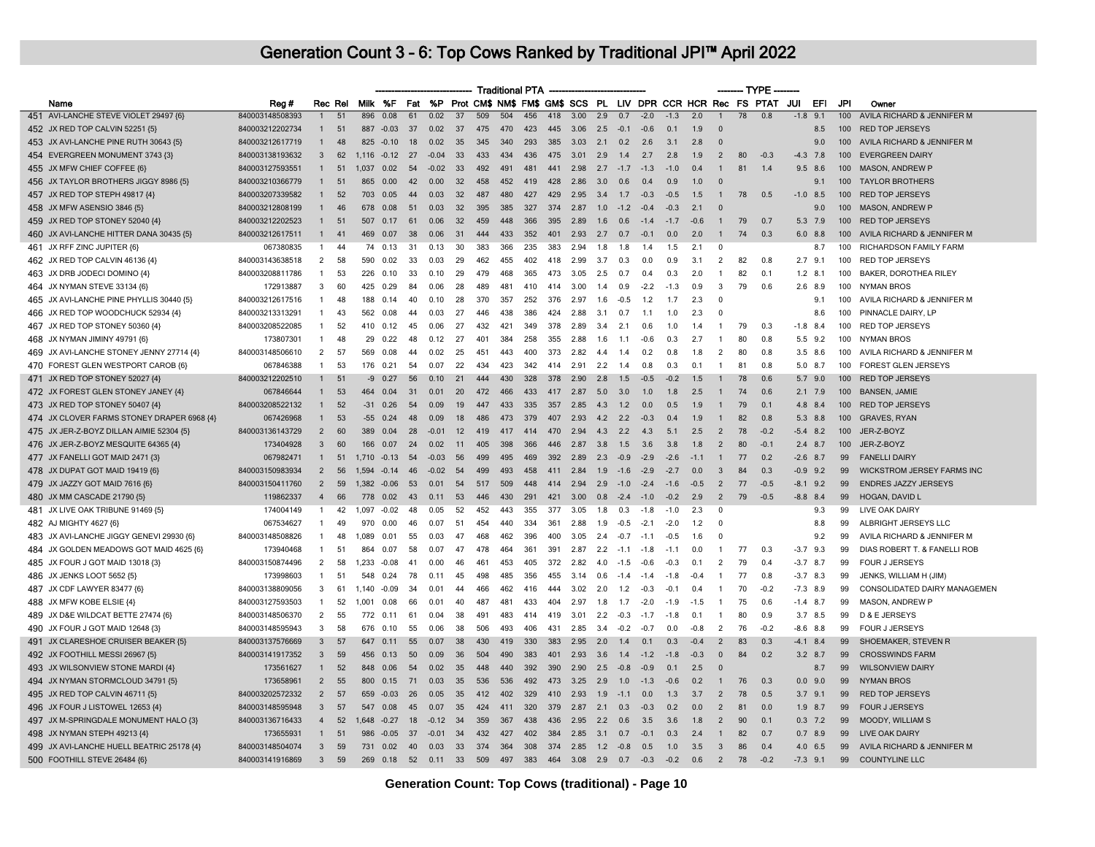|                                                                  |                 |                |         |         |           |     |         |     |     |     | <b>Traditional PTA</b> |     |      |     |        |            |                                                                    |        |                |                 | -- TYPE |        |             |                  |                                   |
|------------------------------------------------------------------|-----------------|----------------|---------|---------|-----------|-----|---------|-----|-----|-----|------------------------|-----|------|-----|--------|------------|--------------------------------------------------------------------|--------|----------------|-----------------|---------|--------|-------------|------------------|-----------------------------------|
| Name                                                             | Reg#            |                | Rec Rel |         | Milk %F   | Fat |         |     |     |     |                        |     |      |     |        |            | %P Prot CM\$ NM\$ FM\$ GM\$ SCS PL LIV DPR CCR HCR Rec FS PTAT JUI |        |                |                 |         |        | EFI         | JPI              | Owner                             |
| 451 AVI-LANCHE STEVE VIOLET 29497 {6}                            | 840003148508393 |                | 51      | 896     | 0.08      | 61  | 0.02    | 37  | 509 | 504 | 456                    | 418 | 3.00 | 2.9 | 0.7    | $-2.0$     | $-1.3$                                                             | 2.0    | $\mathbf{1}$   | $\overline{78}$ | 0.8     | $-1.8$ | 9.1         | 100              | AVILA RICHARD & JENNIFER M        |
| 452 JX RED TOP CALVIN 52251 {5}                                  | 840003212202734 |                | 51      | 887     | $-0.03$   | 37  | 0.02    | 37  | 475 | 470 | 423                    | 445 | 3.06 | 2.5 | $-0.1$ | $-0.6$     | 0.1                                                                | 1.9    | $\Omega$       |                 |         |        | 8.5         | 100              | <b>RED TOP JERSEYS</b>            |
| 453 JX AVI-LANCHE PINE RUTH 30643 {5}                            | 840003212617719 | $\mathbf{1}$   | 48      |         | 825 -0.10 | 18  | 0.02    | 35  | 345 | 340 | 293                    | 385 | 3.03 | 2.1 | 0.2    | 2.6        | 3.1                                                                | 2.8    | $\Omega$       |                 |         |        | 9.0         | 100              | AVILA RICHARD & JENNIFER M        |
| 454 EVERGREEN MONUMENT 3743 {3}                                  | 840003138193632 | 3              | 62      | 1.116   | $-0.12$   | 27  | $-0.04$ | 33  | 433 | 434 | 436                    | 475 | 3.01 | 2.9 | 1.4    | 2.7        | 2.8                                                                | 1.9    | $\overline{2}$ | 80              | $-0.3$  |        | $-4.3$ 7.8  | 100              | <b>EVERGREEN DAIRY</b>            |
| 455 JX MFW CHIEF COFFEE {6}                                      | 840003127593551 | $\mathbf{1}$   | 51      | 1.037   | 0.02      | 54  | $-0.02$ | 33  | 492 | 491 | 481                    | 441 | 2.98 | 2.7 | $-1.7$ | $-1.3$     | $-1.0$                                                             | 0.4    | $\mathbf{1}$   | 81              | 1.4     |        | $9.5$ 8.6   | 100 <sub>1</sub> | <b>MASON, ANDREW P</b>            |
| 456 JX TAYLOR BROTHERS JIGGY 8986 {5}                            | 840003210366779 | $\mathbf{1}$   | 51      | 865     | 0.00      | 42  | 0.00    | 32  | 458 | 452 | 419                    | 428 | 2.86 | 3.0 | 0.6    | 0.4        | 0.9                                                                | 1.0    | $\mathbf{0}$   |                 |         |        | 9.1         |                  | 100 TAYLOR BROTHERS               |
| 457 JX RED TOP STEPH 49817 {4}                                   | 840003207339582 |                | 52      | 703     | 0.05      | 44  | 0.03    | 32  | 487 | 480 | 427                    | 429 | 2.95 | 3.4 | 1.7    | $-0.3$     | $-0.5$                                                             | 1.5    | $\mathbf{1}$   | 78              | 0.5     |        | $-1.0$ 8.5  | $100 -$          | <b>RED TOP JERSEYS</b>            |
| 458 JX MFW ASENSIO 3846 {5}                                      | 840003212808199 | $\mathbf{1}$   | 46      |         | 678 0.08  | 51  | 0.03    | 32  | 395 | 385 | 327                    | 374 | 2.87 | 1.0 | $-1.2$ | $-0.4$     | $-0.3$                                                             | 2.1    | $\Omega$       |                 |         |        | 90          | $100 -$          | <b>MASON, ANDREW P</b>            |
| 459 JX RED TOP STONEY 52040 {4}                                  | 840003212202523 | $\mathbf{1}$   | 51      | 507     | 0.17      | 61  | 0.06    | 32  | 459 | 448 | 366                    | 395 | 2.89 | 1.6 | 0.6    | $-1.4$     | $-1.7$                                                             | $-0.6$ | $\mathbf{1}$   | 79              | 0.7     |        | 5.3 7.9     | 100 <sub>1</sub> | <b>RED TOP JERSEYS</b>            |
| 460 JX AVI-LANCHE HITTER DANA 30435 {5}                          | 840003212617511 | $\mathbf{1}$   | 41      | 469     | 0.07      | 38  | 0.06    | 31  | 444 | 433 | 352                    | 401 | 2.93 | 2.7 | 0.7    | $-0.1$     | 0.0                                                                | 2.0    | $\mathbf{1}$   | 74              | 0.3     |        | $6.0$ $8.8$ | 100              | AVILA RICHARD & JENNIFER M        |
| 461 JX RFF ZINC JUPITER {6}                                      | 067380835       | -1             | 44      | 74      | 0.13      | 31  | 0.13    | 30  | 383 | 366 | 235                    | 383 | 2.94 | 1.8 | 1.8    | 1.4        | 1.5                                                                | 2.1    | $\Omega$       |                 |         |        | 8.7         | 100              | RICHARDSON FAMILY FARM            |
| 462 JX RED TOP CALVIN 46136 {4}                                  | 840003143638518 | 2              | 58      | 590     | 0.02      | 33  | 0.03    | -29 | 462 | 455 | 402                    | 418 | 2.99 | 3.7 | 0.3    | 0.0        | 0.9                                                                | 3.1    | 2              | 82              | 0.8     |        | $2.7$ 9.1   | 100              | <b>RED TOP JERSEYS</b>            |
| 463 JX DRB JODECI DOMINO {4}                                     | 840003208811786 | $\mathbf{1}$   | 53      | 226     | 0.10      | 33  | 0.10    | -29 | 479 | 468 | 365                    | 473 | 3.05 | 2.5 | 0.7    | 0.4        | 0.3                                                                | 2.0    |                | 82              | 0.1     |        | $1.2$ 8.1   | 100              | BAKER, DOROTHEA RILEY             |
| 464 JX NYMAN STEVE 33134 {6}                                     | 172913887       | 3              | 60      | 425     | 0.29      | 84  | 0.06    | 28  | 489 | 481 | 410                    | 414 | 3.00 | 1.4 | 0.9    | $-2.2$     | $-1.3$                                                             | 0.9    | 3              | 79              | 0.6     | 2.6    | 8.9         | 100              | <b>NYMAN BROS</b>                 |
| 465 JX AVI-LANCHE PINE PHYLLIS 30440 {5}                         | 840003212617516 | -1             | 48      | 188     | 0.14      | 40  | 0.10    | 28  | 370 | 357 | 252                    | 376 | 2.97 | 1.6 | $-0.5$ | 1.2        | 1.7                                                                | 2.3    | $\mathbf 0$    |                 |         |        | 9.1         | 100              | AVILA RICHARD & JENNIFER M        |
| 466 JX RED TOP WOODCHUCK 52934 {4}                               | 840003213313291 | $\mathbf{1}$   | 43      | 562     | 0.08      | 44  | 0.03    | 27  | 446 | 438 | 386                    | 424 | 2.88 | 3.1 | 0.7    | 1.1        | 1.0                                                                | 2.3    | $\Omega$       |                 |         |        | 8.6         | 100              | PINNACLE DAIRY, LP                |
| 467 JX RED TOP STONEY 50360 {4}                                  | 840003208522085 | $\mathbf{1}$   | 52      |         | 410 0.12  | 45  | 0.06    | 27  | 432 | 421 | 349                    | 378 | 2.89 | 3.4 | 2.1    | 0.6        | 1.0                                                                | 1.4    | $\mathbf{1}$   | 79              | 0.3     |        | $-1.8$ 8.4  | 100              | RED TOP JERSEYS                   |
| 468 JX NYMAN JIMINY 49791 {6}                                    | 173807301       | $\overline{1}$ | 48      | 29      | 0.22      | 48  | 0.12    | 27  | 401 | 384 | 258                    | 355 | 2.88 | 1.6 | 1.1    | $-0.6$     | 0.3                                                                | 2.7    | -1             | 80              | 0.8     | 5.5    | 9.2         | 100              | NYMAN BROS                        |
| 469 JX AVI-LANCHE STONEY JENNY 27714 {4}                         | 840003148506610 | $\overline{2}$ | 57      | 569     | 0.08      | 44  | 0.02    | 25  | 451 | 443 | 400                    | 373 | 2.82 | 4.4 | 1.4    | 0.2        | 0.8                                                                | 1.8    | 2              | 80              | 0.8     |        | $3.5$ $8.6$ | 100              | AVILA RICHARD & JENNIFER M        |
| 470 FOREST GLEN WESTPORT CAROB {6}                               | 067846388       | $\mathbf{1}$   | 53      | 176     | 0.21      | 54  | 0.07    | 22  | 434 | 423 | 342                    | 414 | 2.91 | 2.2 | 14     | 0.8        | 0.3                                                                | 0.1    | -1             | 81              | 0.8     | 5.0    | 87          | 100              | <b>FOREST GLEN JERSEYS</b>        |
| 471 JX RED TOP STONEY 52027 {4}                                  | 840003212202510 |                | 51      | -9      | 0.27      | 56  | 0.10    | 21  | 444 | 430 | 328                    | 378 | 2.90 | 2.8 | 1.5    | $-0.5$     | $-0.2$                                                             | 1.5    |                | 78              | 0.6     | 5.7    | 9.0         | 100              | <b>RED TOP JERSEYS</b>            |
| 472 JX FOREST GLEN STONEY JANEY {4}                              | 067846644       | $\overline{1}$ | 53      | 464     | 0.04      | 31  | 0.01    | 20  | 472 | 466 | 433                    | 417 | 2.87 | 5.0 | 3.0    | 1.0        | 1.8                                                                | 2.5    |                | 74              | 0.6     |        | $2.1$ 7.9   |                  | 100 BANSEN, JAMIE                 |
| 473 JX RED TOP STONEY 50407 {4}                                  | 840003208522132 | $\mathbf{1}$   | 52      | $-31$   | 0.26      | .54 | 0.09    | -19 | 447 | 433 | 335                    | 357 | 2.85 | 4.3 | 1.2    | 0.0        | 0.5                                                                | 1.9    |                | 79              | 0.1     | 4.8    | 8.4         | $100 -$          | <b>RED TOP JERSEYS</b>            |
| 474 JX CLOVER FARMS STONEY DRAPER 6968 {4}                       | 067426968       | $\mathbf{1}$   | 53      | $-55$   | 0.24      | 48  | 0.09    | 18  | 486 | 473 | 379                    | 407 | 2.93 | 4.2 | 2.2    | $-0.3$     | 0.4                                                                | 1.9    | $\mathbf{1}$   | 82              | 0.8     | 5.3    | 8.8         | 100              | <b>GRAVES, RYAN</b>               |
| 475 JX JER-Z-BOYZ DILLAN AIMIE 52304 {5}                         | 840003136143729 | $\overline{2}$ | 60      | 389     | 0.04      | 28  | $-0.01$ | 12  | 419 | 417 | 414                    | 470 | 2.94 | 4.3 | 2.2    | 4.3        | 5.1                                                                | 2.5    | $\overline{2}$ | 78              | $-0.2$  | $-5.4$ | 8.2         | 100              | JER-Z-BOYZ                        |
| 476 JX JER-Z-BOYZ MESQUITE 64365 {4}                             | 173404928       | 3              | 60      | 166     | 0.07      | 24  | 0.02    | 11  | 405 | 398 | 366                    | 446 | 2.87 | 3.8 | 1.5    | 3.6        | 3.8                                                                | 1.8    | $\overline{2}$ | 80              | $-0.1$  |        | $2.4$ 8.7   | 100              | JER-Z-BOYZ                        |
| 477 JX FANELLI GOT MAID 2471 {3}                                 | 067982471       | $\mathbf{1}$   | 51      | 1 7 1 0 | $-0.13$   | 54  | $-0.03$ | 56  | 499 | 495 | 469                    | 392 | 2.89 | 2.3 | $-0.9$ | $-2.9$     | $-2.6$                                                             | $-1.1$ | $\mathbf{1}$   | 77              | 0.2     | $-2.6$ | 8.7         | 99               | <b>FANELLI DAIRY</b>              |
| 478 JX DUPAT GOT MAID 19419 {6}                                  | 840003150983934 | 2              | 56      | 1.594   | $-0.14$   | 46  | $-0.02$ | 54  | 499 | 493 | 458                    | 411 | 2.84 | 1.9 | $-1.6$ | $-2.9$     | $-2.7$                                                             | 0.0    | 3              | 84              | 0.3     |        | $-0.9$ 9.2  | 99               | <b>WICKSTROM JERSEY FARMS INC</b> |
| 479 JX JAZZY GOT MAID 7616 {6}                                   | 840003150411760 | $\overline{2}$ | 59      | 1,382   | $-0.06$   | 53  | 0.01    | 54  | 517 | 509 | 448                    | 414 | 2.94 | 2.9 | $-1.0$ | $-2.4$     | $-1.6$                                                             | $-0.5$ | $\overline{2}$ | 77              | $-0.5$  |        | $-8.1$ 9.2  | 99               | <b>ENDRES JAZZY JERSEYS</b>       |
|                                                                  | 119862337       | $\overline{4}$ | 66      | 778     | 0.02      | 43  | 0.11    | 53  | 446 | 430 | 291                    | 421 | 3.00 | 0.8 | $-2.4$ | $-1.0$     | $-0.2$                                                             | 2.9    | $\overline{2}$ | 79              | $-0.5$  |        | $-8.8$ 8.4  | 99               | <b>HOGAN, DAVID L</b>             |
| 480 JX MM CASCADE 21790 {5}<br>481 JX LIVE OAK TRIBUNE 91469 {5} | 174004149       | -1             | 42      | 1.097   | $-0.02$   | 48  | 0.05    | 52  | 452 | 443 | 355                    | 377 | 3.05 | 1.8 | 0.3    | $-1.8$     | $-1.0$                                                             | 2.3    | $\mathbf 0$    |                 |         |        | 9.3         | 99               | LIVE OAK DAIRY                    |
|                                                                  |                 | $\mathbf{1}$   | 49      | 970     | 0.00      | 46  | 0.07    | -51 | 454 | 440 | 334                    | 361 | 2.88 | 1.9 | $-0.5$ | $-2.1$     | $-2.0$                                                             | 1.2    | $\Omega$       |                 |         |        | 8.8         | 99               |                                   |
| 482 AJ MIGHTY 4627 {6}                                           | 067534627       |                |         |         |           |     |         |     |     |     |                        |     |      |     |        |            |                                                                    |        | $\Omega$       |                 |         |        |             |                  | ALBRIGHT JERSEYS LLC              |
| 483 JX AVI-LANCHE JIGGY GENEVI 29930 {6}                         | 840003148508826 | $\overline{1}$ | 48      | 1,089   | 0.01      | 55  | 0.03    | 47  | 468 | 462 | 396                    | 400 | 3.05 | 2.4 | $-0.7$ | $-1.1$     | $-0.5$                                                             | 1.6    |                |                 |         |        | 9.2         | 99               | AVILA RICHARD & JENNIFER M        |
| 484 JX GOLDEN MEADOWS GOT MAID 4625 {6}                          | 173940468       | -1             | 51      | 864     | 0.07      | 58  | 0.07    | 47  | 478 | 464 | 361                    | 391 | 2.87 | 2.2 | $-1.1$ | $-1.8$     | $-1.1$                                                             | 0.0    | $\mathbf{1}$   | 77              | 0.3     |        | $-3.7$ 9.3  | 99               | DIAS ROBERT T. & FANELLI ROB      |
| 485 JX FOUR J GOT MAID 13018 {3}                                 | 840003150874496 | 2              | 58      | 1.233   | $-0.08$   | 41  | 0.00    | 46  | 461 | 453 | 405                    | 372 | 2.82 | 4.0 | $-1.5$ | $-0.6$     | $-0.3$                                                             | 0.1    | 2              | 79              | 0.4     |        | $-3.7$ 8.7  | 99               | <b>FOUR J JERSEYS</b>             |
| 486 JX JENKS LOOT 5652 {5}                                       | 173998603       | $\mathbf{1}$   | 51      | 548     | 0.24      | 78  | 0.11    | 45  | 498 | 485 | 356                    | 455 | 3.14 | 0.6 | $-1.4$ | $-1.4$     | $-1.8$                                                             | $-0.4$ | $\mathbf{1}$   | 77              | 0.8     |        | $-3.7$ 8.3  | 99               | JENKS, WILLIAM H (JIM)            |
| 487 JX CDF LAWYER 83477 {6}                                      | 840003138809056 | 3              | 61      | 1,140   | $-0.09$   | 34  | 0.01    | -44 | 466 | 462 | 416                    | 444 | 3.02 | 2.0 | 1.2    | $-0.3$     | $-0.1$                                                             | 0.4    | -1             | 70              | $-0.2$  |        | $-7.3$ 8.9  | 99               | CONSOLIDATED DAIRY MANAGEMEN      |
| 488 JX MFW KOBE ELSIE {4}                                        | 840003127593503 | $\mathbf{1}$   | 52      | 1,001   | 0.08      | 66  | 0.01    | 40  | 487 | 481 | 433                    | 404 | 2.97 | 1.8 | 1.7    | $-2.0$     | $-1.9$                                                             | $-1.5$ | $\mathbf{1}$   | 75              | 0.6     |        | $-1.4$ 8.7  | 99               | <b>MASON, ANDREW P</b>            |
| 489 JX D&E WILDCAT BETTE 27474 {6}                               | 840003148506370 | 2              | 55      | 772     | 0.11      | 61  | 0.04    | 38  | 491 | 483 | 414                    | 419 | 3.01 | 2.2 | $-0.3$ | $-1.7$     | $-1.8$                                                             | 0.1    | $\overline{1}$ | 80              | 0.9     |        | $3.7$ $8.5$ | 99               | D & E JERSEYS                     |
| 490 JX FOUR J GOT MAID 12648 {3}                                 | 840003148595943 | 3              | 58      | 676     | 0.10      | 55  | 0.06    | 38  | 506 | 493 | 406                    | 431 | 2.85 | 3.4 | $-0.2$ | $-0.7$     | 0.0                                                                | $-0.8$ | 2              | 76              | $-0.2$  |        | $-8.6$ 8.8  | 99               | <b>FOUR J JERSEYS</b>             |
| 491 JX CLARESHOE CRUISER BEAKER {5}                              | 840003137576669 | 3              | 57      | 647     | 0.11      | 55  | 0.07    | 38  | 430 | 419 | 330                    | 383 | 2.95 | 2.0 | 1.4    | 0.1        | 0.3                                                                | $-0.4$ | $\overline{2}$ | 83              | 0.3     | $-4.1$ | 8.4         | 99               | SHOEMAKER, STEVEN R               |
| 492 JX FOOTHILL MESSI 26967 {5}                                  | 840003141917352 | $\mathbf{3}$   | 59      | 456     | 0.13      | 50  | 0.09    | 36  | 504 | 490 | 383                    | 401 | 2.93 | 3.6 | 1.4    | $-1.2$     | $-1.8$                                                             | $-0.3$ | $\mathbf{0}$   | 84              | 0.2     |        | $3.2$ 8.7   | 99               | <b>CROSSWINDS FARM</b>            |
| 493 JX WILSONVIEW STONE MARDI {4}                                | 173561627       | $\mathbf{1}$   | 52      | 848     | 0.06      | 54  | 0.02    | 35  | 448 | 440 | 392                    | 390 | 2.90 | 2.5 | $-0.8$ | $-0.9$     | 0.1                                                                | 2.5    | $\Omega$       |                 |         |        | 8.7         | 99               | <b>WILSONVIEW DAIRY</b>           |
| 494 JX NYMAN STORMCLOUD 34791 {5}                                | 173658961       | 2              | 55      | 800     | 0.15      | 71  | 0.03    | 35  | 536 | 536 | 492                    | 473 | 3.25 | 2.9 | 1.0    | $-1.3$     | $-0.6$                                                             | 0.2    | $\mathbf{1}$   | 76              | 0.3     |        | $0.0$ 9.0   | 99               | <b>NYMAN BROS</b>                 |
| 495 JX RED TOP CALVIN 46711 {5}                                  | 840003202572332 | 2              | 57      | 659     | $-0.03$   | 26  | 0.05    | 35  | 412 | 402 | 329                    | 410 | 2.93 | 1.9 | $-1.1$ | 0.0        | 1.3                                                                | 3.7    | $\overline{2}$ | 78              | 0.5     |        | $3.7$ 9.1   | 99               | <b>RED TOP JERSEYS</b>            |
| 496 JX FOUR J LISTOWEL 12653 {4}                                 | 840003148595948 | 3              | 57      | 547     | 0.08      | 45  | 0.07    | 35  | 424 | 411 | 320                    | 379 | 2.87 | 2.1 | 0.3    | $-0.3$     | 0.2                                                                | 0.0    | $\overline{2}$ | 81              | 0.0     | 1.9    | 8.7         | 99               | <b>FOUR J JERSEYS</b>             |
| 497 JX M-SPRINGDALE MONUMENT HALO {3}                            | 840003136716433 | $\overline{4}$ | 52      | 1.648   | $-0.27$   | 18  | $-0.12$ | -34 | 359 | 367 | 438                    | 436 | 2.95 | 2.2 | 0.6    | 3.5        | 3.6                                                                | 1.8    | $\overline{2}$ | 90              | 0.1     |        | $0.3$ 7.2   | 99               | <b>MOODY, WILLIAM S</b>           |
| 498 JX NYMAN STEPH 49213 {4}                                     | 173655931       | $\mathbf{1}$   | 51      | 986     | $-0.05$   | 37  | $-0.01$ | 34  | 432 | 427 | 402                    | 384 | 2.85 | 3.1 | 0.7    | $-0.1$     | 0.3                                                                | 2.4    |                | 82              | 0.7     |        | $0.7$ 8.9   | 99               | <b>LIVE OAK DAIRY</b>             |
| 499 JX AVI-LANCHE HUELL BEATRIC 25178 {4}                        | 840003148504074 | $\mathbf{3}$   | 59      | 731     | 0.02      | 40  | 0.03    | 33  | 374 | 364 | 308                    | 374 | 2.85 | 1.2 | $-0.8$ | 0.5        | 1.0                                                                | 3.5    | 3              | 86              | 0.4     | 4.0    | 6.5         | 99               | AVILA RICHARD & JENNIFER M        |
| 500 FOOTHILL STEVE 26484 {6}                                     | 840003141916869 | $\mathbf{3}$   | 59      | 269     | 0.18      | 52  | 0.11    | 33  | 509 | 497 | 383                    | 464 | 3.08 | 2.9 |        | $0.7 -0.3$ | $-0.2$                                                             | 0.6    | $\overline{2}$ | 78              | $-0.2$  |        | $-7.3$ 9.1  | 99               | <b>COUNTYLINE LLC</b>             |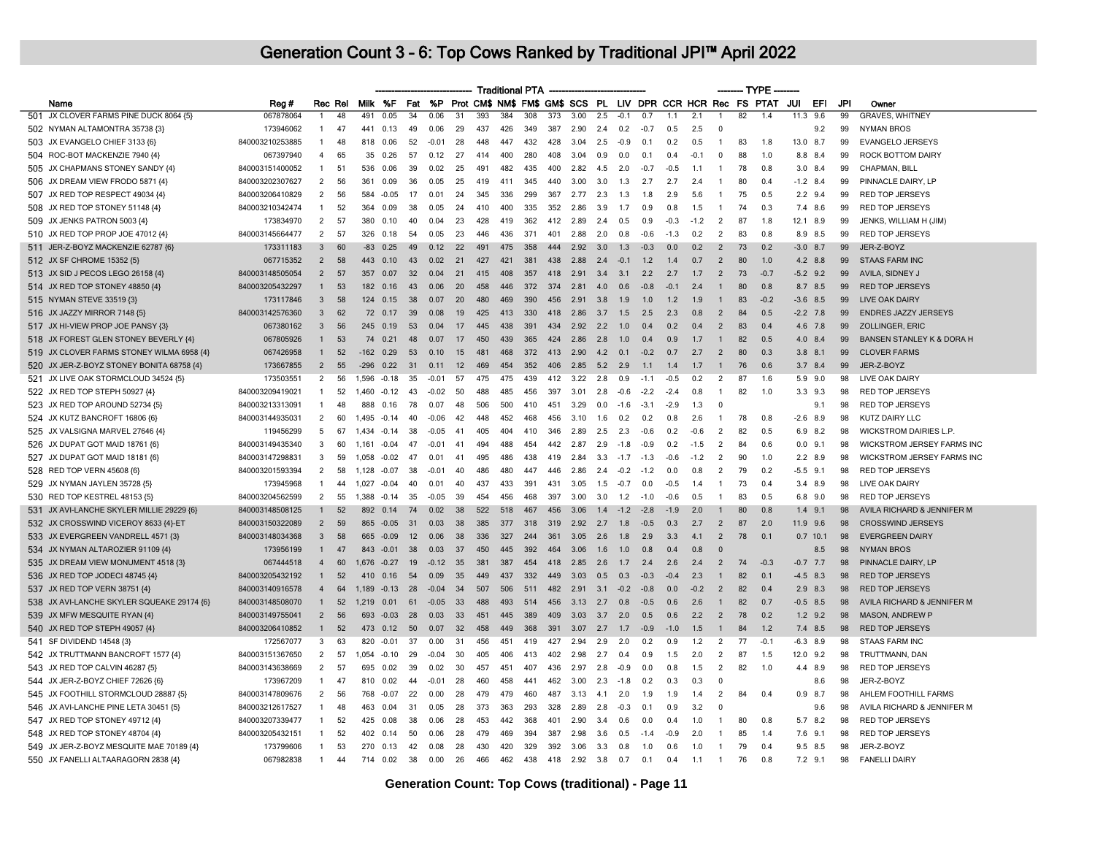|                                                                          |                                    |                |          |             |              |           |              |          |            | <b>Traditional PTA</b> |            |            |      |            |               |        |        |            |                          |    | $-$ TYPE $\cdot$                                            |             |     |     |                                                      |
|--------------------------------------------------------------------------|------------------------------------|----------------|----------|-------------|--------------|-----------|--------------|----------|------------|------------------------|------------|------------|------|------------|---------------|--------|--------|------------|--------------------------|----|-------------------------------------------------------------|-------------|-----|-----|------------------------------------------------------|
| Name                                                                     | Reg #                              |                | Rec Rel  |             | Milk %F      | Fat       | <b>%P</b>    |          |            |                        |            |            |      |            |               |        |        |            |                          |    | Prot CM\$ NM\$ FM\$ GM\$ SCS PL LIV DPR CCR HCR Rec FS PTAT | JUI         | EFI | JPI | Owner                                                |
| 501 JX CLOVER FARMS PINE DUCK 8064 {5}                                   | 067878064                          | 1              | 48       | 491         | 0.05         | 34        | 0.06         | 31       | 393        | 384                    | 308        | 373        | 3.00 | 2.5        | $-0.1$        | 0.7    | 1.1    | 2.1        | $\overline{1}$           | 82 | 1.4                                                         | 11.3        | 9.6 | 99  | <b>GRAVES, WHITNEY</b>                               |
| 502 NYMAN ALTAMONTRA 35738 {3]                                           | 173946062                          | 1              | 47       | 441         | 0.13         | 49        | 0.06         | 29       | 437        | 426                    | 349        | 387        | 2.90 | 2.4        | 0.2           | $-0.7$ | 0.5    | 2.5        | $\Omega$                 |    |                                                             |             | 9.2 | 99  | <b>NYMAN BROS</b>                                    |
| 503 JX EVANGELO CHIEF 3133 {6}                                           | 840003210253885                    | -1             | 48       | 818         | 0.06         | 52        | $-0.01$      | 28       | 448        | 447                    | 432        | 428        | 3.04 | 2.5        | $-0.9$        | 0.1    | 0.2    | 0.5        | $\overline{1}$           | 83 | 1.8                                                         | 13.0 8.7    |     | 99  | <b>EVANGELO JERSEYS</b>                              |
| 504 ROC-BOT MACKENZIE 7940 {4}                                           | 067397940                          | $\overline{4}$ | 65       | 35          | 0.26         | 57        | 0.12         | 27       | 414        | 400                    | 280        | 408        | 3.04 | 0.9        | 0.0           | 0.1    | 0.4    | $-0.1$     | $\mathbf 0$              | 88 | 1.0                                                         | 8.8 8.4     |     | 99  | <b>ROCK BOTTOM DAIRY</b>                             |
| 505 JX CHAPMANS STONEY SANDY {4}                                         | 840003151400052                    | 1              | 51       | 536         | 0.06         | 39        | 0.02         | 25       | 491        | 482                    | 435        | 400        | 2.82 | 4.5        | 2.0           | $-0.7$ | $-0.5$ | 1.1        | $\mathbf{1}$             | 78 | 0.8                                                         | $3.0$ 8.4   |     | 99  | CHAPMAN, BILL                                        |
| 506 JX DREAM VIEW FRODO 5871 {4}                                         | 840003202307627                    | 2              | 56       | 361         | 0.09         | 36        | 0.05         | 25       | 419        | 411                    | 345        | 440        | 3.00 | 3.0        | 1.3           | 2.7    | 2.7    | 2.4        | $\overline{1}$           | 80 | 0.4                                                         | $-1.2$ 8.4  |     | 99  | PINNACLE DAIRY, LP                                   |
| 507 JX RED TOP RESPECT 49034 {4}                                         | 840003206410829                    | $\overline{2}$ | 56       | 584         | $-0.05$      | 17        | 0.01         | 24       | 345        | 336                    | 299        | 367        | 2.77 | 2.3        | 1.3           | 1.8    | 2.9    | 5.6        | $\overline{1}$           | 75 | 0.5                                                         | $2.2$ 9.4   |     | 99  | <b>RED TOP JERSEYS</b>                               |
| 508 JX RED TOP STONEY 51148 {4}                                          | 840003210342474                    | $\mathbf{1}$   | 52       | 364         | 0.09         | 38        | 0.05         | 24       | 410        | 400                    | 335        | 352        | 2.86 | 3.9        | 1.7           | 0.9    | 0.8    | 1.5        | $\overline{1}$           | 74 | 0.3                                                         | 7.4 8.6     |     | 99  | <b>RED TOP JERSEYS</b>                               |
| 509 JX JENKS PATRON 5003 {4}                                             | 173834970                          | $\overline{2}$ | 57       | 380         | 0.10         | 40        | 0.04         | 23       | 428        | 419                    | 362        | 412        | 2.89 | 2.4        | 0.5           | 0.9    | $-0.3$ | $-1.2$     | 2                        | 87 | 1.8                                                         | 12.1 8.9    |     | 99  | JENKS, WILLIAM H (JIM)                               |
| 510 JX RED TOP PROP JOE 47012 {4}                                        | 840003145664477                    | $\overline{2}$ | 57       | 326         | 0.18         | 54        | 0.05         | 23       | 446        | 436                    | 371        | 401        | 2.88 | 2.0        | 0.8           | $-0.6$ | $-1.3$ | 0.2        | 2                        | 83 | 0.8                                                         | 8.9 8.5     |     | 99  | <b>RED TOP JERSEYS</b>                               |
| 511 JER-Z-BOYZ MACKENZIE 62787 {6}                                       | 173311183                          | $\overline{3}$ | 60       | $-83$       | 0.25         | 49        | 0.12         | 22       | 491        | 475                    | 358        | 444        | 2.92 | 3.0        | 1.3           | $-0.3$ | 0.0    | 0.2        | 2                        | 73 | 0.2                                                         | $-3.0$ 8.7  |     | 99  | JER-Z-BOYZ                                           |
| 512 JX SF CHROME 15352 {5}                                               | 067715352                          | $\overline{2}$ | 58       | 443         | 0.10         | 43        | 0.02         | 21       | 427        | 421                    | 381        | 438        | 2.88 | 2.4        | $-0.1$        | 1.2    | 1.4    | 0.7        | 2                        | 80 | 1.0                                                         | 4.2 8.8     |     | 99  | <b>STAAS FARM INC</b>                                |
| 513 JX SID J PECOS LEGO 26158 {4}                                        | 840003148505054                    | $\overline{2}$ | 57       | 357         | 0.07         | 32        | 0.04         | 21       | 415        | 408                    | 357        | 418        | 2.91 | 3.4        | 3.1           | 2.2    | 2.7    | 1.7        | 2                        | 73 | $-0.7$                                                      | $-5.2$ 9.2  |     | 99  | AVILA, SIDNEY J                                      |
| 514 JX RED TOP STONEY 48850 {4}                                          | 840003205432297                    | $\mathbf{1}$   | 53       | 182         | 0.16         | 43        | 0.06         | 20       | 458        | 446                    | 372        | 374        | 2.81 | 4.0        | 0.6           | $-0.8$ | $-01$  | 2.4        | $\mathbf{1}$             | 80 | 0.8                                                         | 8.7 8.5     |     | 99  | <b>RED TOP JERSEYS</b>                               |
| 515 NYMAN STEVE 33519 {3}                                                | 173117846                          | $\overline{3}$ | 58       | 124         | 0.15         | 38        | 0.07         | 20       | 480        | 469                    | 390        | 456        | 2.91 | 3.8        | 1.9           | 1.0    | 1.2    | 1.9        | $\mathbf{1}$             | 83 | $-0.2$                                                      | $-3.6$ 8.5  |     | 99  | <b>LIVE OAK DAIRY</b>                                |
| 516 JX JAZZY MIRROR 7148 {5}                                             | 840003142576360                    | 3              | 62       | 72          | 0.17         | 39        | 0.08         | 19       | 425        | 413                    | 330        | 418        | 2.86 | 3.7        | 1.5           | 2.5    | 2.3    | 0.8        | 2                        | 84 | 0.5                                                         | $-2.2$ 7.8  |     | 99  | <b>ENDRES JAZZY JERSEYS</b>                          |
| 517 JX HI-VIEW PROP JOE PANSY {3}                                        | 067380162                          | $\mathbf{3}$   | 56       | 245         | 0.19         | 53        | 0.04         | 17       | 445        | 438                    | 391        | 434        | 2.92 | 2.2        | 1.0           | 04     | 02     | 0.4        | $\overline{2}$           | 83 | 0.4                                                         | 4.6 7.8     |     | 99  | ZOLLINGER, ERIC                                      |
| 518 JX FOREST GLEN STONEY BEVERLY {4}                                    | 067805926                          | $\mathbf{1}$   | 53       | 74          | 0.21         | 48        | 0.07         | 17       | 450        | 439                    | 365        | 424        | 2.86 | 2.8        | 1.0           | 0.4    | 0.9    | 1.7        | $\overline{1}$           | 82 | 0.5                                                         | 4.0 8.4     |     | 99  | BANSEN STANLEY K & DORA H                            |
| 519 JX CLOVER FARMS STONEY WILMA 6958 {4}                                | 067426958                          | $\mathbf{1}$   | 52       | $-162$      | 0.29         | 53        | 0.10         | 15       | 481        | 468                    | 372        | 413        | 2.90 | 4.2        | 0.1           | $-0.2$ | 0.7    | 2.7        | 2                        | 80 | 0.3                                                         | $3.8$ $8.1$ |     | 99  | <b>CLOVER FARMS</b>                                  |
| 520 JX JER-Z-BOYZ STONEY BONITA 68758 {4}                                | 173667855                          | $\overline{2}$ | 55       | $-296$      | 0.22         | 31        | 0.11         | 12       | 469        | 454                    | 352        | 406        | 2.85 | 5.2        | 2.9           | 11     | 14     | 1.7        | $\overline{1}$           | 76 | 06                                                          | $3.7$ 8.4   |     | 99  | JER-Z-BOYZ                                           |
| 521 JX LIVE OAK STORMCLOUD 34524 {5}                                     | 173503551                          | $\overline{2}$ | 56       | 1.596       | $-0.18$      | 35        | $-0.01$      | 57       | 475        | 475                    | 439        | 412        | 3.22 | 2.8        | 0.9           | $-1.1$ | $-0.5$ | 0.2        | 2                        | 87 | 1.6                                                         | 5.9 9.0     |     | 98  | LIVE OAK DAIRY                                       |
| 522 JX RED TOP STEPH 50927 {4}                                           | 840003209419021                    | $\mathbf{1}$   | 52       | 1,460 -0.12 |              | 43        | $-0.02$      | 50       | 488        | 485                    | 456        | 397        | 3.01 | 2.8        | $-0.6$        | $-2.2$ | $-2.4$ | 0.8        | $\overline{1}$           | 82 | 1.0                                                         | $3.3$ $9.3$ |     | 98  | <b>RED TOP JERSEYS</b>                               |
| 523 JX RED TOP AROUND 52734 {5}                                          | 840003213313091                    | $\mathbf{1}$   | 48       | 888         | 0.16         | 78        | 0.07         | 48       | 506        | 500                    | 410        | 451        | 3.29 | 0.0        | $-1.6$        | $-3.1$ | $-2.9$ | -1.3       | - 0                      |    |                                                             |             | 9.1 | 98  | <b>RED TOP JERSEYS</b>                               |
| 524 JX KUTZ BANCROFT 16806 {6}                                           | 840003144935031                    | 2              | 60       | 1.495 -0.14 |              | 40        | $-0.06$      | 42       | 448        | 452                    | 468        | 456        | 3.10 | 1.6        | 0.2           | 0.2    | 0.8    | 2.6        | $\mathbf{1}$             | 78 | 0.8                                                         | $-2.6$ 8.9  |     | 98  | KUTZ DAIRY LLC                                       |
| 525 JX VALSIGNA MARVEL 27646 {4}                                         | 119456299                          | 5              | 67       | 434         | $-0.14$      | 38        | $-0.05$      | 41       | 405        | 404                    | 410        | 346        | 2.89 | 2.5        | 2.3           | $-0.6$ | 0.2    | $-0.6$     | $\overline{\phantom{0}}$ | 82 | 0.5                                                         | 6.9 8.2     |     | 98  | <b>WICKSTROM DAIRIES L.P.</b>                        |
| 526 JX DUPAT GOT MAID 18761 {6}                                          | 840003149435340                    | 3              | 60       | 1,161       | $-0.04$      | 47        | $-0.01$      | 41       | 494        | 488                    | 454        | 442        | 2.87 | 2.9        | $-1.8$        | $-0.9$ | 0.2    | $-1.5$     | $\overline{2}$           | 84 | 0.6                                                         | $0.0$ 9.1   |     | 98  | WICKSTROM JERSEY FARMS INC                           |
| 527 JX DUPAT GOT MAID 18181 {6}                                          | 840003147298831                    | 3              | 59       | 1.058       | $-0.02$      | 47        | 0.01         | 41       | 495        | 486                    | 438        | 419        | 2.84 | 3.3        | $-1.7$        | $-1.3$ | $-0.6$ | $-1.2$     | $\overline{2}$           | 90 | 1.0                                                         | $2.2$ 8.9   |     | 98  | WICKSTROM JERSEY FARMS INC                           |
| 528 RED TOP VERN 45608 {6}                                               | 840003201593394                    | $\overline{2}$ | 58       | 1.128       | $-0.07$      | 38        | $-0.01$      | 40       | 486        | 480                    | 447        | 446        | 2.86 | 2.4        | $-0.2$        | $-1.2$ | 0.0    | 0.8        | 2                        | 79 | 0.2                                                         | $-5.5$ 9.1  |     | 98  | <b>RED TOP JERSEYS</b>                               |
| 529 JX NYMAN JAYLEN 35728 {5}                                            | 173945968                          | $\overline{1}$ | 44       | 1.027       | $-0.04$      | 40        | 0.01         | 40       | 437        | 433                    | 391        | 431        | 3.05 | 1.5        | $-0.7$        | 0.0    | $-0.5$ | 1.4        | $\overline{1}$           | 73 | 0.4                                                         | $3.4$ 8.9   |     | 98  | LIVE OAK DAIRY                                       |
| 530 RED TOP KESTREL 48153 {5}                                            | 840003204562599                    | $\overline{2}$ | 55       | 1.388       | $-0.14$      | 35        | $-0.05$      | 39       | 454        | 456                    | 468        | 397        | 3.00 | 3.0        | 1.2           | $-1.0$ | $-0.6$ | 0.5        | $\overline{1}$           | 83 | 0.5                                                         | 6.8 9.0     |     | 98  | <b>RED TOP JERSEYS</b>                               |
| 531 JX AVI-LANCHE SKYLER MILLIE 29229 {6}                                | 840003148508125                    | 1              | 52       | 892         | 0.14         | 74        | 0.02         | 38       | 522        | 518                    | 467        | 456        | 3.06 | 1.4        | $-1.2$        | $-2.8$ | $-19$  | 2.0        | $\overline{1}$           | 80 | 0.8                                                         | $1.4$ 9.1   |     | 98  | AVILA RICHARD & JENNIFER M                           |
| 532 JX CROSSWIND VICEROY 8633 {4}-ET                                     | 840003150322089                    | $\overline{2}$ | 59       | 865         | $-0.05$      | 31        | 0.03         | 38       | 385        | 377                    | 318        | 319        | 2.92 | 2.7        | 1.8           | $-0.5$ | 0.3    | 2.7        | 2                        | 87 | 2.0                                                         | 11.9 9.6    |     | 98  | <b>CROSSWIND JERSEYS</b>                             |
| 533 JX EVERGREEN VANDRELL 4571 {3}                                       | 840003148034368                    | $\mathbf{3}$   | 58       | 665         | $-0.09$      | 12        | 0.06         | 38       | 336        | 327                    | 244        | 361        | 3.05 | 2.6        | 1.8           | 2.9    | 3.3    | 4.1        | 2                        | 78 | 0.1                                                         | $0.7$ 10.1  |     | 98  | <b>EVERGREEN DAIRY</b>                               |
| 534 JX NYMAN ALTAROZIER 91109 {4}                                        | 173956199                          | $\mathbf{1}$   | 47       | 843         | $-0.01$      | 38        | 0.03         | 37       | 450        | 445                    | 392        | 464        | 3.06 | 1.6        | 1.0           | 0.8    | 0.4    | 0.8        | $\Omega$                 |    |                                                             |             | 8.5 | 98  | <b>NYMAN BROS</b>                                    |
| 535 JX DREAM VIEW MONUMENT 4518 {3}                                      | 067444518                          | $\overline{4}$ | 60       | 1,676 -0.27 |              | 19        | $-0.12$      | 35       | 381        | 387                    | 454        | 418        | 2.85 | 2.6        | 1.7           | 2.4    | 2.6    | 2.4        | $\overline{2}$           | 74 | $-0.3$                                                      | $-0.7$ 7.7  |     | 98  | PINNACLE DAIRY, LP                                   |
| 536 JX RED TOP JODECI 48745 {4}                                          | 840003205432192                    | $\mathbf{1}$   | 52       | 410         | 0.16         | 54        | 0.09         | 35       | 449        | 437                    | 332        | 449        | 3.03 | 0.5        | 0.3           | $-0.3$ | $-0.4$ | 2.3        | $\overline{1}$           | 82 | 0.1                                                         | $-4.5$ 8.3  |     | 98  | <b>RED TOP JERSEYS</b>                               |
| 537 JX RED TOP VERN 38751 {4}                                            | 840003140916578                    | $\overline{4}$ | 64       | 1.189       | $-0.13$      | 28        | $-0.04$      | 34       | 507        | 506                    | 511        | 482        | 2.91 | 3.1        | $-0.2$        | $-0.8$ | 0.0    | $-0.2$     | $\overline{2}$           | 82 | 0.4                                                         | $2.9$ 8.3   |     | 98  | <b>RED TOP JERSEYS</b>                               |
| 538 JX AVI-LANCHE SKYLER SQUEAKE 29174 {6}                               | 840003148508070                    | $\mathbf{1}$   | 52       | 1,219       | 0.01         | 61        | $-0.05$      | 33       | 488        | 493                    | 514        | 456        | 3.13 | 2.7        | 0.8           | $-0.5$ | 0.6    | 2.6        | $\overline{1}$           | 82 | 0.7                                                         | $-0.5$ 8.5  |     | 98  | AVILA RICHARD & JENNIFER M                           |
| 539 JX MFW MESQUITE RYAN {4}                                             | 840003149755041                    | $\overline{2}$ | 56       | 693         | $-0.03$      | 28        | 0.03         | 33       | 451        | 445                    | 389        | 409        | 3.03 | 3.7        | 2.0           | 0.5    | 0.6    | 2.2        | $\mathcal{P}$            | 78 | 02                                                          | $1.2$ 9.2   |     | 98  | MASON, ANDREW P                                      |
| 540 JX RED TOP STEPH 49057 {4}                                           | 840003206410852                    | $\mathbf{1}$   | 52       | 473         | 0.12         | 50        | 0.07         | 32       | 458        | 449                    | 368        | 391        | 3.07 | 2.7        | 1.7           | $-0.9$ | $-1.0$ | 1.5        | $\mathbf{1}$             | 84 | 1.2                                                         | 7.4 8.5     |     | 98  | <b>RED TOP JERSEYS</b>                               |
| 541 SF DIVIDEND 14548 {3}                                                | 172567077                          | 3              | 63       | 820         | $-0.01$      | 37        | 0.00         | 31       | 456        | 451                    | 419        | 427        | 2.94 | 2.9        | 2.0           | 0.2    | 0.9    | 1.2        | $\overline{2}$           | 77 | $-0.1$                                                      | $-6.3$ 8.9  |     | 98  | <b>STAAS FARM INC</b>                                |
| 542 JX TRUTTMANN BANCROFT 1577 {4}                                       | 840003151367650                    | $\overline{2}$ | 57       | 1.054       | $-0.10$      | 29        | $-0.04$      | 30       | 405        | 406                    | 413        | 402        | 2.98 | 2.7        | 0.4           | 0.9    | 1.5    | 2.0        | 2                        | 87 | 1.5                                                         | 12.0 9.2    |     | 98  | TRUTTMANN, DAN                                       |
| 543 JX RED TOP CALVIN 46287 {5}                                          | 840003143638669                    | $\overline{2}$ | 57       | 695         | 0.02         | 39        | 0.02         | 30       | 457        | 451                    | 407        | 436        | 2.97 | 2.8        | $-0.9$        | 0.0    | 0.8    | 1.5        | $\overline{2}$           | 82 | 1.0                                                         | 4.4 8.9     |     | 98  | <b>RED TOP JERSEYS</b>                               |
| 544 JX JER-Z-BOYZ CHIEF 72626 {6}                                        | 173967209                          | $\overline{1}$ | 47       | 810         | 0.02         | 44        | $-0.01$      | 28       | 460        | 458                    | 441        | 462        | 3.00 | 2.3        | $-1.8$        | 0.2    | 0.3    | 0.3        | $\Omega$                 |    |                                                             |             | 8.6 | 98  | JER-Z-BOYZ                                           |
|                                                                          |                                    | 2              | 56       | 768         | $-0.07$      | 22        | 0.00         | 28       | 479        | 479                    | 460        | 487        | 3.13 | 4.1        | 2.0           | 1.9    | 1.9    | 1.4        | 2                        | 84 | 0.4                                                         | $0.9$ 8.7   |     | 98  | AHLEM FOOTHILL FARMS                                 |
| 545 JX FOOTHILL STORMCLOUD 28887 {5}                                     | 840003147809676                    | 1              |          |             |              |           |              |          |            |                        |            |            | 2.89 |            |               | 0.1    | 0.9    |            | $\Omega$                 |    |                                                             |             |     | 98  |                                                      |
| 546 JX AVI-LANCHE PINE LETA 30451 {5}<br>547 JX RED TOP STONEY 49712 {4} | 840003212617527<br>840003207339477 | $\mathbf{1}$   | 48<br>52 | 463<br>425  | 0.04<br>0.08 | -31<br>38 | 0.05<br>0.06 | 28<br>28 | 373<br>453 | 363<br>442             | 293<br>368 | 328<br>401 | 2.90 | 2.8<br>3.4 | $-0.3$<br>0.6 | 0.0    | 0.4    | 3.2<br>1.0 | $\mathbf{1}$             | 80 | 0.8                                                         | 5.7 8.2     | 9.6 | 98  | AVILA RICHARD & JENNIFER M<br><b>RED TOP JERSEYS</b> |
|                                                                          | 840003205432151                    | $\mathbf{1}$   | 52       |             |              | 50        |              |          |            |                        |            | 387        |      |            |               |        | $-0.9$ |            |                          |    | 14                                                          |             |     | 98  | <b>RED TOP JERSEYS</b>                               |
| 548 JX RED TOP STONEY 48704 {4}                                          |                                    |                |          | 402         | 0.14         |           | 0.06         | 28       | 479        | 469                    | 394        |            | 2.98 | 3.6        | 0.5           | $-1.4$ |        | 2.0        |                          | 85 |                                                             | $7.6$ 9.1   |     |     |                                                      |
| 549 JX JER-Z-BOYZ MESQUITE MAE 70189 {4}                                 | 173799606                          | 1              | 53       | 270         | 0.13         | 42        | 0.08         | 28       | 430        | 420                    | 329        | 392        | 3.06 | 3.3        | 0.8           | 1.0    | 0.6    | 1.0        |                          | 79 | 0.4                                                         | 9.5 8.5     |     | 98  | JER-Z-BOYZ                                           |
| 550 JX FANELLI ALTAARAGORN 2838 {4}                                      | 067982838                          | $\overline{1}$ | 44       | 714         | 0.02         | 38        | 0.00         | 26       | 466        | 462                    | 438        | 418        | 2.92 | 3.8        | 0.7           | 0.1    | 0.4    | 1.1        | $\overline{1}$           | 76 | 0.8                                                         | 7.2 9.1     |     | 98  | <b>FANELLI DAIRY</b>                                 |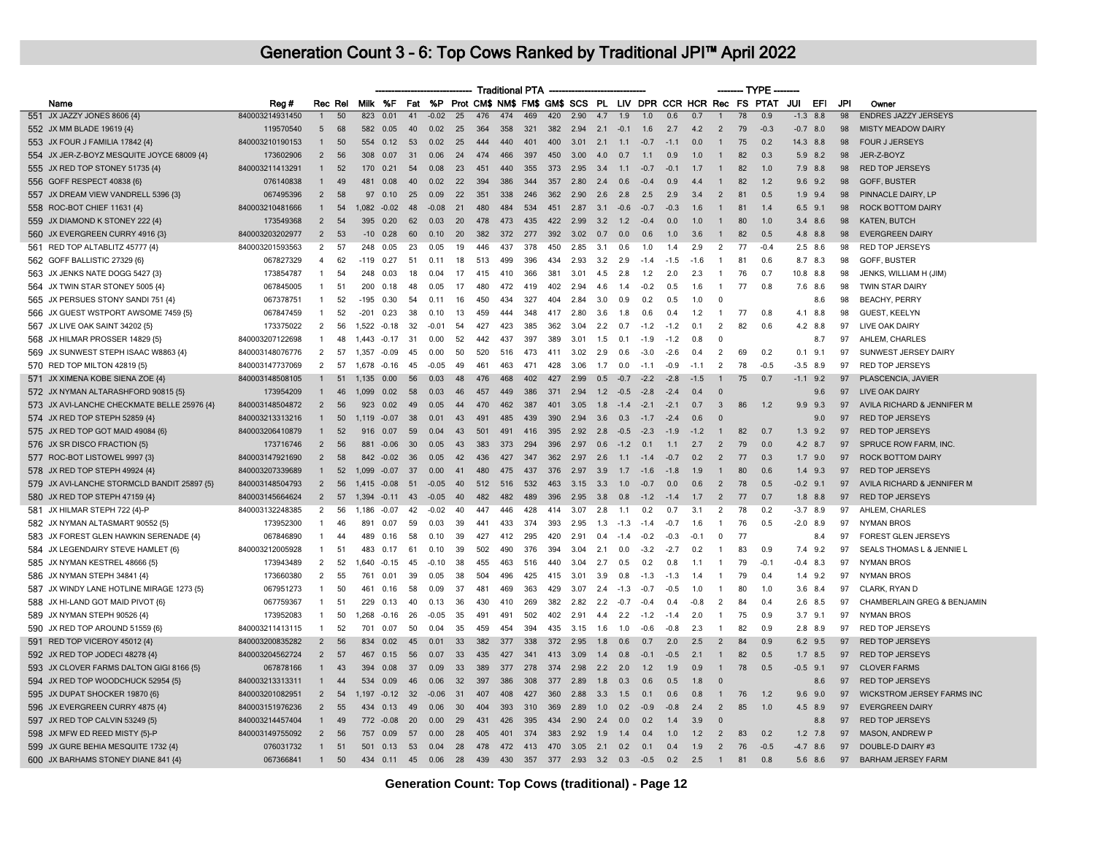|                                                                 |                 |                |         |        |                |     |           |     |     | <b>Traditional PTA</b> |     |     |      |     |                |        |                                                             |        |                | — TYPE          |        |     |             |     |                             |
|-----------------------------------------------------------------|-----------------|----------------|---------|--------|----------------|-----|-----------|-----|-----|------------------------|-----|-----|------|-----|----------------|--------|-------------------------------------------------------------|--------|----------------|-----------------|--------|-----|-------------|-----|-----------------------------|
| Name                                                            | Reg#            |                | Rec Rel |        | Milk %F        | Fat | <b>%P</b> |     |     |                        |     |     |      |     |                |        | Prot CM\$ NM\$ FM\$ GM\$ SCS PL LIV DPR CCR HCR Rec FS PTAT |        |                |                 |        | JUI | EFI         | JPI | Owner                       |
| 551 JX JAZZY JONES 8606 {4}                                     | 840003214931450 | $\mathbf{1}$   | 50      | 823    | 0.01           | 41  | $-0.02$   | 25  | 476 | 474                    | 469 | 420 | 2.90 | 4.7 | 1.9            | 1.0    | 0.6                                                         | 0.7    |                | $\overline{78}$ | 0.9    |     | $-1.3$ 8.8  | 98  | <b>ENDRES JAZZY JERSEYS</b> |
| 552 JX MM BLADE 19619 {4}                                       | 119570540       | 5              | 68      | 582    | 0.05           | 40  | 0.02      | 25  | 364 | 358                    | 321 | 382 | 2.94 | 2.1 | $-0.1$         | 1.6    | 2.7                                                         | 4.2    | $\overline{2}$ | 79              | $-0.3$ |     | $-0.7$ 8.0  | 98  | <b>MISTY MEADOW DAIRY</b>   |
| 553 JX FOUR J FAMILIA 17842 {4}                                 | 840003210190153 | 1              | 50      | 554    | 0.12           | 53  | 0.02      | 25  | 444 | 440                    | 401 | 400 | 3.01 | 2.1 | 1.1            | $-0.7$ | $-1.1$                                                      | 0.0    | $\mathbf{1}$   | 75              | 0.2    |     | 14.3 8.8    | 98  | <b>FOUR J JERSEYS</b>       |
| 554 JX JER-Z-BOYZ MESQUITE JOYCE 68009 {4}                      | 173602906       | $\overline{2}$ | 56      | 308    | 0.07           | 31  | 0.06      | 24  | 474 | 466                    | 397 | 450 | 3.00 | 4.0 | 0.7            | 1.1    | 0.9                                                         | 1.0    | $\mathbf{1}$   | 82              | 0.3    |     | $5.9$ $8.2$ | 98  | JER-Z-BOYZ                  |
| 555 JX RED TOP STONEY 51735 {4}                                 | 840003211413291 | $\mathbf{1}$   | 52      | 170    | 0.21           | 54  | 0.08      | 23  | 451 | 440                    | 355 | 373 | 2.95 | 3.4 | 1.1            | $-0.7$ | $-0.1$                                                      | 1.7    |                | 82              | 1.0    |     | 7.9 8.8     | 98  | <b>RED TOP JERSEYS</b>      |
| 556 GOFF RESPECT 40838 {6}                                      | 076140838       | 1              | 49      | 481    | 0.08           | 40  | 0.02      | 22  | 394 | 386                    | 344 | 357 | 2.80 | 2.4 | 0.6            | $-0.4$ | 0.9                                                         | 4.4    |                | 82              | 1.2    |     | $9.6$ $9.2$ | 98  | GOFF, BUSTER                |
| 557 JX DREAM VIEW VANDRELL 5396 {3}                             | 067495396       | $\overline{2}$ | 58      | 97     | 0.10           | 25  | 0.09      | 22  | 351 | 338                    | 246 | 362 | 2.90 | 2.6 | 2.8            | 2.5    | 2.9                                                         | 3.4    | $\overline{2}$ | 81              | 0.5    |     | $1.9$ $9.4$ | 98  | PINNACLE DAIRY, LP          |
| 558 ROC-BOT CHIEF 11631 {4}                                     | 840003210481666 | 1              | 54      |        | $1.082 - 0.02$ | 48  | $-0.08$   | 21  | 480 | 484                    | 534 | 451 | 2.87 | 3.1 | $-0.6$         | $-0.7$ | $-0.3$                                                      | 1.6    | $\overline{1}$ | 81              | 1.4    |     | $6.5$ $9.1$ | 98  | <b>ROCK BOTTOM DAIRY</b>    |
| 559 JX DIAMOND K STONEY 222 {4}                                 | 173549368       | $\overline{2}$ | 54      | 395    | 0.20           | 62  | 0.03      | 20  | 478 | 473                    | 435 | 422 | 2.99 | 3.2 | 1.2            | $-0.4$ | 0.0                                                         | 1.0    |                | 80              | 1.0    |     | $3.4$ $8.6$ | 98  | <b>KATEN, BUTCH</b>         |
| 560 JX EVERGREEN CURRY 4916 {3}                                 | 840003203202977 | $\overline{2}$ | 53      | $-10$  | 0.28           | 60  | 0.10      | 20  | 382 | 372                    | 277 | 392 | 3.02 | 0.7 | 0.0            | 0.6    | 1.0                                                         | 3.6    | $\mathbf{1}$   | 82              | 0.5    |     | 4.8 8.8     | 98  | <b>EVERGREEN DAIRY</b>      |
| 561 RED TOP ALTABLITZ 45777 {4}                                 | 840003201593563 | $\overline{2}$ | 57      | 248    | 0.05           | 23  | 0.05      | 19  | 446 | 437                    | 378 | 450 | 2.85 | 3.1 | 0.6            | 1.0    | 1.4                                                         | 2.9    | $\overline{2}$ | 77              | $-0.4$ |     | $2.5$ 8.6   | 98  | RED TOP JERSEYS             |
| 562 GOFF BALLISTIC 27329 {6}                                    | 067827329       | 4              | 62      | $-119$ | 0.27           | 51  | 0.11      | 18  | 513 | 499                    | 396 | 434 | 2.93 | 3.2 | 2.9            | $-1.4$ | $-1.5$                                                      | $-1.6$ | $\overline{1}$ | 81              | 0.6    |     | 8.7 8.3     | 98  | GOFF, BUSTER                |
| 563 JX JENKS NATE DOGG 5427 {3}                                 | 173854787       | $\mathbf{1}$   | 54      | 248    | 0.03           | 18  | 0.04      | 17  | 415 | 410                    | 366 | 381 | 3.01 | 4.5 | 2.8            | 1.2    | 2.0                                                         | 2.3    | $\mathbf{1}$   | 76              | 0.7    |     | 10.8 8.8    | 98  | JENKS, WILLIAM H (JIM)      |
| 564 JX TWIN STAR STONEY 5005 {4}                                | 067845005       | $\mathbf{1}$   | 51      | 200    | 0.18           | 48  | 0.05      | 17  | 480 | 472                    | 419 | 402 | 2.94 | 4.6 | 1.4            | $-0.2$ | 0.5                                                         | 1.6    | $\overline{1}$ | 77              | 0.8    |     | 7.6 8.6     | 98  | TWIN STAR DAIRY             |
| 565 JX PERSUES STONY SANDI 751 {4}                              | 067378751       | -1             | 52      | -195   | 0.30           | 54  | 0.11      | 16  | 450 | 434                    | 327 | 404 | 2.84 | 3.0 | 0.9            | 0.2    | 0.5                                                         | 1.0    | $\Omega$       |                 |        |     | 8.6         | 98  | <b>BEACHY, PERRY</b>        |
| 566 JX GUEST WSTPORT AWSOME 7459 {5}                            | 067847459       | $\mathbf{1}$   | 52      | $-201$ | 0.23           | 38  | 0.10      | 13  | 459 | 444                    | 348 | 417 | 2.80 | 3.6 | 1.8            | 0.6    | 0.4                                                         | 1.2    | $\overline{1}$ | 77              | 0.8    |     | $4.1$ 8.8   | 98  | <b>GUEST, KEELYN</b>        |
| 567 JX LIVE OAK SAINT 34202 {5}                                 | 173375022       | 2              | 56      |        | 1,522 -0.18    | 32  | $-0.01$   | 54  | 427 | 423                    | 385 | 362 | 3.04 | 2.2 | 0.7            | $-1.2$ | $-1.2$                                                      | 0.1    | $\overline{2}$ | 82              | 0.6    |     | 4.2 8.8     | 97  | LIVE OAK DAIRY              |
| 568 JX HILMAR PROSSER 14829 {5}                                 | 840003207122698 | $\mathbf{1}$   | 48      | 1,443  | $-0.17$        | 31  | 0.00      | 52  | 442 | 437                    | 397 | 389 | 3.01 | 1.5 | 0.1            | $-1.9$ | $-1.2$                                                      | 0.8    | 0              |                 |        |     | 8.7         | 97  | AHLEM, CHARLES              |
| 569 JX SUNWEST STEPH ISAAC W8863 {4}                            | 840003148076776 | $\overline{2}$ | 57      | 1.357  | $-0.09$        | 45  | 0.00      | 50  | 520 | 516                    | 473 | 411 | 3.02 | 2.9 | 0.6            | $-3.0$ | $-2.6$                                                      | 0.4    | $\overline{2}$ | 69              | 0.2    |     | $0.1$ 9.1   | 97  | SUNWEST JERSEY DAIRY        |
| 570 RED TOP MILTON 42819 {5}                                    | 840003147737069 | $\overline{2}$ | 57      | 1.678  | $-0.16$        | 45  | $-0.05$   | 49  | 461 | 463                    | 471 | 428 | 3.06 | 1.7 | 0 Q            | $-11$  | $-0.9$                                                      | $-1.1$ | $\overline{2}$ | 78              | $-0.5$ |     | $-3.5$ 8.9  | 97  | <b>RED TOP JERSEYS</b>      |
| 571 JX XIMENA KOBE SIENA ZOE {4}                                | 840003148508105 |                | 51      | 1,135  | 0.00           | 56  | 0.03      | 48  | 476 | 468                    | 402 | 427 | 2.99 | 0.5 | $-0.7$         | $-2.2$ | $-2.8$                                                      | $-1.5$ |                | 75              | 0.7    |     | $-1.1$ 9.2  | 97  | PLASCENCIA, JAVIER          |
| 572 JX NYMAN ALTARASHFORD 90815 {5}                             | 173954209       | $\mathbf{1}$   | 46      | 1,099  | 0.02           | 58  | 0.03      | 46  | 457 | 449                    | 386 | 371 | 2.94 | 1.2 | $-0.5$         | $-2.8$ | $-2.4$                                                      | 0.4    | $\Omega$       |                 |        |     | 9.6         | 97  | LIVE OAK DAIRY              |
| 573 JX AVI-LANCHE CHECKMATE BELLE 25976 {4}                     | 840003148504872 | $\overline{2}$ | 56      | 923    | 0.02           | 49  | 0.05      | 44  | 470 | 462                    | 387 | 401 | 3.05 | 1.8 | $-1.4$         | $-2.1$ | $-2.1$                                                      | 0.7    | $\mathbf{3}$   | 86              | 1.2    |     | $9.9$ $9.3$ | 97  | AVILA RICHARD & JENNIFER M  |
| 574 JX RED TOP STEPH 52859 {4}                                  | 840003213313216 | $\mathbf{1}$   | 50      |        | 1.119 -0.07    | 38  | 0.01      | 43  | 491 | 485                    | 439 | 390 | 2.94 | 3.6 | 0.3            | $-1.7$ | $-2.4$                                                      | 0.6    | $\Omega$       |                 |        |     | 9.0         | 97  | <b>RED TOP JERSEYS</b>      |
| 575 JX RED TOP GOT MAID 49084 {6}                               | 840003206410879 |                | 52      | 916    | 0.07           | 59  | 0.04      | 43  | 501 | 491                    | 416 | 395 | 2.92 | 2.8 | $-0.5$         | $-2.3$ | $-1.9$                                                      | $-1.2$ |                | 82              | 0.7    | 1.3 | 9.2         | 97  | <b>RED TOP JERSEYS</b>      |
| 576 JX SR DISCO FRACTION {5}                                    | 173716746       | $\overline{2}$ | 56      | 881    | $-0.06$        | 30  | 0.05      | 43  | 383 | 373                    | 294 | 396 | 2.97 | 0.6 | $-1.2$         | 0.1    | 1.1                                                         | 2.7    | $\overline{2}$ | 79              | 0.0    |     | 4.2 8.7     | 97  | SPRUCE ROW FARM, INC.       |
| 577 ROC-BOT LISTOWEL 9997 {3}                                   | 840003147921690 | $\overline{2}$ | 58      | 842    | $-0.02$        | 36  | 0.05      | 42  | 436 | 427                    | 347 | 362 | 2.97 | 2.6 | 1.1            | $-1.4$ | $-0.7$                                                      | 0.2    | $\overline{2}$ | 77              | 0.3    |     | $1.7$ 9.0   | 97  | <b>ROCK BOTTOM DAIRY</b>    |
| 578 JX RED TOP STEPH 49924 {4}                                  | 840003207339689 | $\mathbf{1}$   | 52      | 1.099  | $-0.07$        | 37  | 0.00      | 41  | 480 | 475                    | 437 | 376 | 2.97 | 3.9 | 1.7            | $-1.6$ | $-1.8$                                                      | 1.9    | $\overline{1}$ | 80              | 0.6    |     | $1.4$ 9.3   | 97  | <b>RED TOP JERSEYS</b>      |
| 579 JX AVI-LANCHE STORMCLD BANDIT 25897 {5}                     | 840003148504793 | $\overline{2}$ | 56      | 1,415  | $-0.08$        | 51  | $-0.05$   | 40  | 512 | 516                    | 532 | 463 | 3.15 | 3.3 | 1.0            | $-0.7$ | 0.0                                                         | 0.6    | $\overline{2}$ | 78              | 0.5    |     | $-0.2$ 9.1  | 97  | AVILA RICHARD & JENNIFER M  |
|                                                                 | 840003145664624 | $\overline{2}$ | 57      | 1.394  | $-0.11$        | 43  | $-0.05$   | 40  | 482 | 482                    | 489 | 396 | 2.95 | 3.8 | 0.8            | $-1.2$ | $-1.4$                                                      | 1.7    | $\overline{2}$ | 77              | 0.7    |     | $1.8$ 8.8   | 97  | <b>RED TOP JERSEYS</b>      |
| 580 JX RED TOP STEPH 47159 {4}<br>581 JX HILMAR STEPH 722 {4}-P | 840003132248385 | 2              | 56      |        | 1,186 -0.07    | 42  | $-0.02$   | 40  | 447 | 446                    | 428 | 414 | 3.07 | 2.8 | 1.1            | 0.2    | 0.7                                                         | 3.1    | 2              | 78              | 0.2    |     | $-3.7$ 8.9  | 97  | AHLEM, CHARLES              |
| 582 JX NYMAN ALTASMART 90552 {5}                                | 173952300       | $\mathbf{1}$   | 46      | 891    | 0.07           | 59  | 0.03      | -39 | 441 | 433                    | 374 | 393 | 2.95 | 1.3 | $-1.3$         | $-1.4$ | $-0.7$                                                      | 1.6    | $\mathbf{1}$   | 76              | 0.5    |     | $-2.0$ 8.9  | 97  | <b>NYMAN BROS</b>           |
|                                                                 | 067846890       | $\mathbf{1}$   | 44      | 489    | 0.16           | 58  | 0.10      | 39  | 427 | 412                    | 295 | 420 | 2.91 | 0.4 | $-1.4$         | $-0.2$ | $-0.3$                                                      | $-0.1$ | $\Omega$       | 77              |        |     | 8.4         | 97  | <b>FOREST GLEN JERSEYS</b>  |
| 583 JX FOREST GLEN HAWKIN SERENADE {4}                          |                 |                |         |        |                |     |           |     |     |                        |     |     |      |     |                |        |                                                             |        |                |                 |        |     |             |     |                             |
| 584 JX LEGENDAIRY STEVE HAMLET {6}                              | 840003212005928 | 1              | -51     | 483    | 0.17           | 61  | 0.10      | -39 | 502 | 490                    | 376 | 394 | 3.04 | 2.1 | 0.0            | $-3.2$ | $-2.7$                                                      | 0.2    | -1             | 83              | 0.9    |     | 7.4 9.2     | 97  | SEALS THOMAS L & JENNIE L   |
| 585 JX NYMAN KESTREL 48666 {5}                                  | 173943489       | $\overline{2}$ | 52      | 1.640  | $-0.15$        | 45  | $-0.10$   | 38  | 455 | 463                    | 516 | 440 | 3.04 | 2.7 | 0.5            | 0.2    | 0.8                                                         | 1.1    | -1             | 79              | $-0.1$ |     | $-0.4$ 8.3  | 97  | <b>NYMAN BROS</b>           |
| 586 JX NYMAN STEPH 34841 {4}                                    | 173660380       | $\overline{2}$ | 55      | 761    | 0.01           | 39  | 0.05      | 38  | 504 | 496                    | 425 | 415 | 3.01 | 3.9 | 0.8            | $-1.3$ | $-1.3$                                                      | 1.4    | $\mathbf{1}$   | 79              | 0.4    |     | $1.4$ 9.2   | 97  | <b>NYMAN BROS</b>           |
| 587 JX WINDY LANE HOTLINE MIRAGE 1273 {5}                       | 067951273       | $\mathbf{1}$   | 50      | 461    | 0.16           | 58  | 0.09      | 37  | 481 | 469                    | 363 | 429 | 3.07 | 2.4 | $-1.3$         | $-0.7$ | $-0.5$                                                      | 1.0    | -1             | 80              | 1.0    |     | 3.6 8.4     | 97  | CLARK, RYAN D               |
| 588 JX HI-LAND GOT MAID PIVOT {6}                               | 067759367       | $\mathbf{1}$   | 51      | 229    | 0.13           | 40  | 0.13      | -36 | 430 | 410                    | 269 | 382 | 2.82 | 2.2 | $-0.7$         | $-0.4$ | 0.4                                                         | $-0.8$ | 2              | 84              | 0.4    |     | $2.6$ 8.5   | 97  | CHAMBERLAIN GREG & BENJAMIN |
| 589 JX NYMAN STEPH 90526 {4}                                    | 173952083       | $\mathbf{1}$   | 50      | 1.268  | $-0.16$        | 26  | $-0.05$   | 35  | 491 | 491                    | 502 | 402 | 2.91 | 4.4 | 22             | $-1.2$ | $-1.4$                                                      | 2.0    | $\overline{1}$ | 75              | 0.9    |     | $3.7$ 9.1   | 97  | <b>NYMAN BROS</b>           |
| 590 JX RED TOP AROUND 51559 {6}                                 | 840003211413115 | $\mathbf{1}$   | 52      | 701    | 0.07           | 50  | 0.04      | 35  | 459 | 454                    | 394 | 435 | 3.15 | 1.6 | 1.0            | $-0.6$ | $-0.8$                                                      | 2.3    | $\overline{1}$ | 82              | 0.9    |     | $2.8$ $8.9$ | 97  | <b>RED TOP JERSEYS</b>      |
| 591 RED TOP VICEROY 45012 {4}                                   | 840003200835282 | $\overline{2}$ | 56      | 834    | 0.02           | 45  | 0.01      | 33  | 382 | 377                    | 338 | 372 | 2.95 | 1.8 | 0.6            | 0.7    | 2.0                                                         | 2.5    | $\overline{2}$ | 84              | 0.9    |     | 6.2 9.5     | 97  | <b>RED TOP JERSEYS</b>      |
| 592 JX RED TOP JODECI 48278 {4}                                 | 840003204562724 | $\overline{2}$ | 57      | 467    | 0.15           | 56  | 0.07      | 33  | 435 | 427                    | 341 | 413 | 3.09 | 1.4 | 0.8            | $-0.1$ | $-0.5$                                                      | 2.1    | $\overline{1}$ | 82              | 0.5    |     | $1.7$ 8.5   | 97  | <b>RED TOP JERSEYS</b>      |
| 593 JX CLOVER FARMS DALTON GIGI 8166 {5}                        | 067878166       | $\mathbf{1}$   | 43      | 394    | 0.08           | 37  | 0.09      | 33  | 389 | 377                    | 278 | 374 | 2.98 | 2.2 | 2.0            | 1.2    | 1.9                                                         | 0.9    | $\mathbf{1}$   | 78              | 0.5    |     | $-0.5$ 9.1  | 97  | <b>CLOVER FARMS</b>         |
| 594 JX RED TOP WOODCHUCK 52954 {5}                              | 840003213313311 | 1              | 44      | 534    | 0.09           | 46  | 0.06      | 32  | 397 | 386                    | 308 | 377 | 2.89 | 1.8 | 0.3            | 0.6    | 0.5                                                         | 1.8    | $\Omega$       |                 |        |     | 8.6         | 97  | <b>RED TOP JERSEYS</b>      |
| 595 JX DUPAT SHOCKER 19870 {6}                                  | 840003201082951 | $\overline{2}$ | 54      |        | $1.197 - 0.12$ | 32  | $-0.06$   | 31  | 407 | 408                    | 427 | 360 | 2.88 | 3.3 | 1.5            | 0.1    | 0.6                                                         | 0.8    | $\mathbf{1}$   | 76              | 1.2    |     | $9.6$ 9.0   | 97  | WICKSTROM JERSEY FARMS INC  |
| 596 JX EVERGREEN CURRY 4875 {4}                                 | 840003151976236 | $\overline{2}$ | 55      | 434    | 0.13           | 49  | 0.06      | 30  | 404 | 393                    | 310 | 369 | 2.89 | 1.0 | 0.2            | $-0.9$ | $-0.8$                                                      | 2.4    | $\overline{2}$ | 85              | 1.0    |     | 4.5 8.9     | 97  | <b>EVERGREEN DAIRY</b>      |
| 597 JX RED TOP CALVIN 53249 {5}                                 | 840003214457404 | 1              | 49      |        | 772 -0.08      | 20  | 0.00      | 29  | 431 | 426                    | 395 | 434 | 2.90 | 2.4 | 0 <sub>0</sub> | 0.2    | 1.4                                                         | 3.9    | $\Omega$       |                 |        |     | 8.8         | 97  | <b>RED TOP JERSEYS</b>      |
| 598 JX MFW ED REED MISTY {5}-P                                  | 840003149755092 | $\overline{2}$ | 56      | 757    | 0.09           | 57  | 0.00      | 28  | 405 | 401                    | 374 | 383 | 2.92 | 1.9 | 1.4            | 0.4    | 1.0                                                         | 1.2    | $\overline{2}$ | 83              | 0.2    |     | $1.2$ 7.8   | 97  | MASON, ANDREW P             |
| 599 JX GURE BEHIA MESQUITE 1732 {4}                             | 076031732       | $\mathbf{1}$   | 51      | 501    | 0.13           | 53  | 0.04      | 28  | 478 | 472                    | 413 | 470 | 3.05 | 2.1 | 0.2            | 0.1    | 0.4                                                         | 1.9    | $\overline{2}$ | 76              | $-0.5$ |     | $-4.7$ 8.6  | 97  | DOUBLE-D DAIRY #3           |
| 600 JX BARHAMS STONEY DIANE 841 {4}                             | 067366841       | $\mathbf{1}$   | 50      | 434    | 0.11           | 45  | 0.06      | 28  | 439 | 430                    | 357 | 377 | 2.93 | 3.2 | 0.3            | $-0.5$ | 0.2                                                         | 2.5    | $\overline{1}$ | 81              | 0.8    |     | 5.6 8.6     | 97  | <b>BARHAM JERSEY FARM</b>   |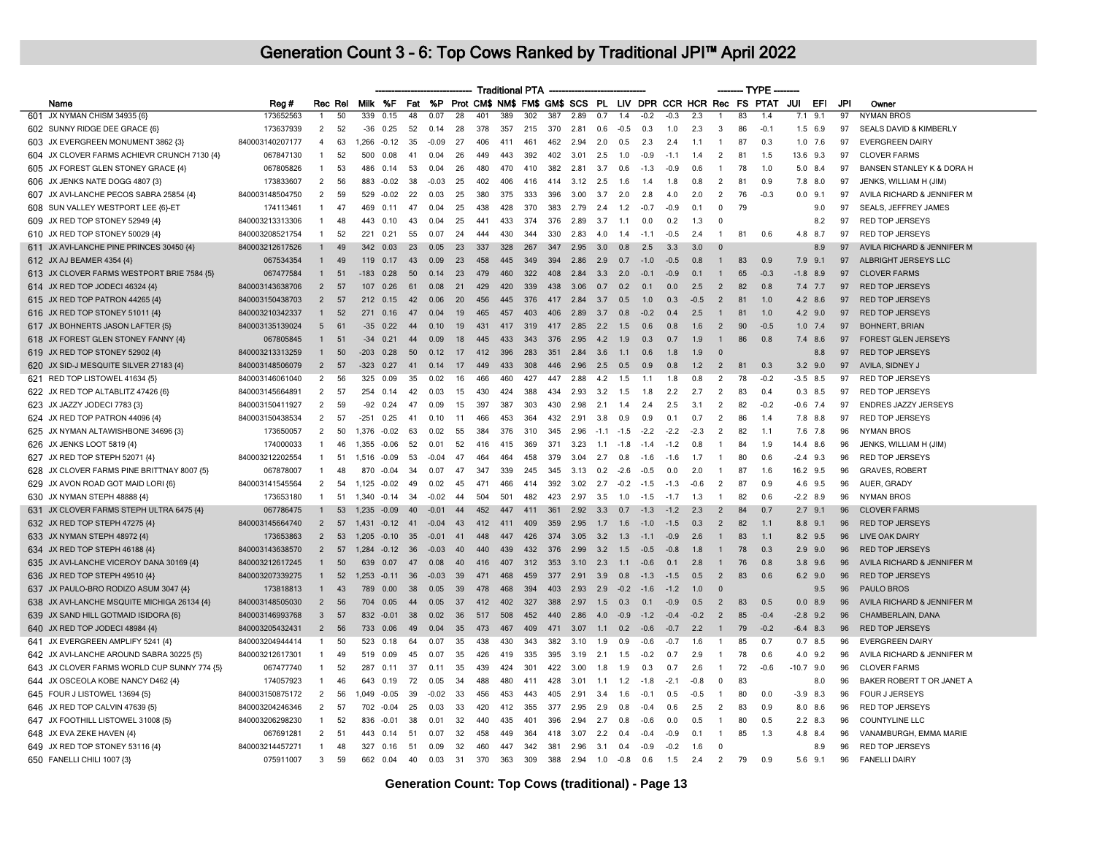|                                             |                              |                          |          |              |                    |          |                 |          |            |            | <b>Traditional PTA</b> |            |              |            |               |                  |               |            |                              | ------- TYPE |                                                             |                    |     |          |                                                 |
|---------------------------------------------|------------------------------|--------------------------|----------|--------------|--------------------|----------|-----------------|----------|------------|------------|------------------------|------------|--------------|------------|---------------|------------------|---------------|------------|------------------------------|--------------|-------------------------------------------------------------|--------------------|-----|----------|-------------------------------------------------|
| Name                                        | Reg #                        |                          | Rec Rel  |              | Milk %F            | Fat      | <b>%P</b>       |          |            |            |                        |            |              |            |               |                  |               |            |                              |              | Prot CM\$ NM\$ FM\$ GM\$ SCS PL LIV DPR CCR HCR Rec FS PTAT | JUI                | EFI | JPI      | Owner                                           |
| 601 JX NYMAN CHISM 34935 {6}                | 173652563                    | 1                        | 50       | 339          | 0.15               | 48       | 0.07            | 28       | 401        | 389        | 302                    | 387        | 2.89         | 0.7        | 1.4           | $-0.2$           | $-0.3$        | 2.3        | $\mathbf{1}$                 | 83           | 1.4                                                         | 7.1                | 9.1 | 97       | <b>NYMAN BROS</b>                               |
| 602 SUNNY RIDGE DEE GRACE {6}               | 173637939                    | $\overline{2}$           | 52       | -36          | 0.25               | 52       | 0.14            | 28       | 378        | 357        | 215                    | 370        | 2.81         | 0.6        | $-0.5$        | 0.3              | 1.0           | 2.3        | 3                            | 86           | $-0.1$                                                      | $1.5$ 6.9          |     | 97       | SEALS DAVID & KIMBERLY                          |
| 603 JX EVERGREEN MONUMENT 3862 {3]          | 840003140207177              | $\overline{4}$           | 63       | 1,266        | $-0.12$            | 35       | $-0.09$         | 27       | 406        | 411        | 461                    | 462        | 2.94         | 2.0        | 0.5           | 2.3              | 2.4           | 1.1        | -1                           | 87           | 0.3                                                         | $1.0$ 7.6          |     | 97       | <b>EVERGREEN DAIRY</b>                          |
| 604 JX CLOVER FARMS ACHIEVR CRUNCH 7130 {4} | 067847130                    | $\overline{1}$           | 52       | 500          | 0.08               | 41       | 0.04            | 26       | 449        | 443        | 392                    | 402        | 3.01         | 2.5        | 1.0           | $-0.9$           | $-1.1$        | 1.4        | 2                            | 81           | 1.5                                                         | 13.6 9.3           |     | 97       | <b>CLOVER FARMS</b>                             |
| 605 JX FOREST GLEN STONEY GRACE {4}         | 067805826                    | 1                        | 53       | 486          | 0.14               | 53       | 0.04            | 26       | 480        | 470        | 410                    | 382        | 2.81         | 3.7        | 0.6           | $-1.3$           | $-0.9$        | 0.6        | $\mathbf{1}$                 | 78           | 1.0                                                         | $5.0$ 8.4          |     | 97       | BANSEN STANLEY K & DORA H                       |
| 606 JX JENKS NATE DOGG 4807 {3}             | 173833607                    | $\overline{2}$           | 56       |              | 883 -0.02          | 38       | $-0.03$         | 25       | 402        | 406        | 416                    | 414        | 3.12         | 2.5        | 1.6           | 1.4              | 1.8           | 0.8        | 2                            | 81           | 0.9                                                         | $7.8$ $8.0$        |     | 97       | JENKS, WILLIAM H (JIM)                          |
| 607 JX AVI-LANCHE PECOS SABRA 25854 {4}     | 840003148504750              | 2                        | 59       | 529          | $-0.02$            | 22       | 0.03            | 25       | 380        | 375        | 333                    | 396        | 3.00         | 3.7        | 2.0           | 2.8              | 4.0           | 2.0        | 2                            | 76           | $-0.3$                                                      | $0.0$ 9.1          |     | 97       | AVILA RICHARD & JENNIFER M                      |
| 608 SUN VALLEY WESTPORT LEE {6}-ET          | 174113461                    | $\mathbf{1}$             | 47       | 469          | 0.11               | 47       | 0.04            | 25       | 438        | 428        | 370                    | 383        | 2.79         | 2.4        | 1.2           | $-07$            | $-0.9$        | 0.1        | $\Omega$                     | 79           |                                                             |                    | 9.0 | 97       | SEALS, JEFFREY JAMES                            |
| 609 JX RED TOP STONEY 52949 {4}             | 840003213313306              | 1                        | 48       | 443          | 0.10               | 43       | 0.04            | 25       | 441        | 433        | 374                    | 376        | 2.89         | 3.7        | 1.1           | 0.0              | 0.2           | 1.3        | $\Omega$                     |              |                                                             |                    | 8.2 | 97       | <b>RED TOP JERSEYS</b>                          |
| 610 JX RED TOP STONEY 50029 {4}             | 840003208521754              | $\overline{1}$           | 52       | 221          | 0.21               | 55       | 0.07            | 24       | 444        | 430        | 344                    | 330        | 2.83         | 4.0        | 1.4           | $-1.1$           | $-0.5$        | 2.4        | $\mathbf{1}$                 | 81           | 0.6                                                         | 4.8                | 8.7 | 97       | <b>RED TOP JERSEYS</b>                          |
| 611 JX AVI-LANCHE PINE PRINCES 30450 {4}    | 840003212617526              |                          | 49       | 342          | 0.03               | 23       | 0.05            | 23       | 337        | 328        | 267                    | 347        | 2.95         | 3.0        | 0.8           | 2.5              | 3.3           | 3.0        | $\Omega$                     |              |                                                             |                    | 8.9 | 97       | AVILA RICHARD & JENNIFER M                      |
| 612 JX AJ BEAMER 4354 {4}                   | 067534354                    | $\mathbf{1}$             | 49       | 119          | 0.17               | 43       | 0.09            | 23       | 458        | 445        | 349                    | 394        | 2.86         | 2.9        | 0.7           | $-1.0$           | $-0.5$        | 0.8        | $\mathbf{1}$                 | 83           | 0.9                                                         | $7.9$ $9.1$        |     | 97       | ALBRIGHT JERSEYS LLC                            |
| 613 JX CLOVER FARMS WESTPORT BRIE 7584 {5}  | 067477584                    | $\mathbf{1}$             | 51       | $-183$       | 0.28               | 50       | 0.14            | 23       | 479        | 460        | 322                    | 408        | 2.84         | 3.3        | 2.0           | $-0.1$           | $-0.9$        | 0.1        | $\mathbf{1}$                 | 65           | $-0.3$                                                      | $-1.8$ 8.9         |     | 97       | <b>CLOVER FARMS</b>                             |
| 614 JX RED TOP JODECI 46324 {4}             | 840003143638706              | $\overline{2}$           | 57       | 107          | 0.26               | 61       | 0.08            | 21       | 429        | 420        | 339                    | 438        | 3.06         | 0.7        | 0.2           | 0.1              | 0.0           | 2.5        | $\overline{2}$               | 82           | 0.8                                                         | $7.4$ 7.7          |     | 97       | <b>RED TOP JERSEYS</b>                          |
| 615 JX RED TOP PATRON 44265 {4}             | 840003150438703              | $\overline{2}$           | 57       | 212          | 0.15               | 42       | 0.06            | 20       | 456        | 445        | 376                    | 417        | 2.84         | 3.7        | 0.5           | 1.0              | 0.3           | $-0.5$     | $\overline{2}$               | 81           | 1.0                                                         | 4.2 8.6            |     | 97       | <b>RED TOP JERSEYS</b>                          |
| 616 JX RED TOP STONEY 51011 {4}             | 840003210342337              | $\mathbf{1}$             | 52       | 271          | 0.16               | 47       | 0.04            | 19       | 465        | 457        | 403                    | 406        | 2.89         | 3.7        | 0.8           | $-0.2$           | 0.4           | 2.5        | $\mathbf{1}$                 | 81           | 1.0                                                         | $4.2$ 9.0          |     | 97       | <b>RED TOP JERSEYS</b>                          |
| 617 JX BOHNERTS JASON LAFTER {5}            | 840003135139024              | $5\overline{5}$          | 61       | $-35$        | 0.22               | 44       | 0.10            | 19       | 431        | 417        | 319                    | 417        | 2.85         | 2.2        | 1.5           | 06               | 0.8           | 1.6        | $\overline{2}$               | 90           | $-0.5$                                                      | $1.0$ 7.4          |     | 97       | <b>BOHNERT, BRIAN</b>                           |
| 618 JX FOREST GLEN STONEY FANNY {4}         | 067805845                    | $\mathbf{1}$             | 51       | $-34$        | 0.21               | 44       | 0.09            | 18       | 445        | 433        | 343                    | 376        | 2.95         | 4.2        | 1.9           | 0.3              | 0.7           | 1.9        | $\overline{1}$               | 86           | 0.8                                                         | 7.4 8.6            |     | 97       | <b>FOREST GLEN JERSEYS</b>                      |
| 619 JX RED TOP STONEY 52902 {4}             | 840003213313259              | $\mathbf{1}$             | 50       | $-203$       | 0.28               | 50       | 0.12            | 17       | 412        | 396        | 283                    | 351        | 2.84         | 3.6        | 1.1           | 0.6              | 1.8           | 1.9        | $\Omega$                     |              |                                                             |                    | 8.8 | 97       | <b>RED TOP JERSEYS</b>                          |
| 620 JX SID-J MESQUITE SILVER 27183 {4}      | 840003148506079              | $\overline{2}$           | 57       | $-323$       | 0.27               | 41       | 0,14            | 17       | 449        | 433        | 308                    | 446        | 2.96         | 2.5        | 0.5           | 0.9              | 0.8           | 1.2        | $\overline{2}$               | 81           | 0.3                                                         | $3.2$ 9.0          |     | 97       | AVILA, SIDNEY J                                 |
| 621 RED TOP LISTOWEL 41634 {5}              | 840003146061040              | 2                        | 56       | 325          | 0.09               | 35       | 0.02            | 16       | 466        | 460        | 427                    | 447        | 2.88         | 4.2        | 1.5           | 1.1              | 1.8           | 0.8        | $\overline{2}$               | 78           | $-0.2$                                                      | $-3.5$ 8.5         |     | 97       | <b>RED TOP JERSEYS</b>                          |
| 622 JX RED TOP ALTABLITZ 47426 {6}          | 840003145664891              | 2                        | 57       | 254          | 0.14               | 42       | 0.03            | 15       | 430        | 424        | 388                    | 434        | 2.93         | 3.2        | 1.5           | 1.8              | 2.2           | 2.7        | 2                            | 83           | 0.4                                                         | $0.3$ 8.5          |     | 97       | <b>RED TOP JERSEYS</b>                          |
| 623 JX JAZZY JODECI 7783 {3}                | 840003150411927              | $\overline{2}$           | 59       | -92          | 0.24               | 47       | 0.09            | 15       | 397        | 387        | 303                    | 430        | 2.98         | 2.1        | 1.4           | 2.4              | 2.5           | 3.1        | 2                            | 82           | $-0.2$                                                      | $-0.6$ 7.4         |     | 97       | <b>ENDRES JAZZY JERSEYS</b>                     |
| 624 JX RED TOP PATRON 44096 {4}             | 840003150438534              | 2                        | 57       | $-251$       | 0.25               | 41       | 0.10            | 11       | 466        | 453        | 364                    | 432        | 2.91         | 3.8        | 0.9           | 0.9              | 0.1           | 0.7        | 2                            | 86           | 1.4                                                         | 7.8 8.8            |     | 97       | <b>RED TOP JERSEYS</b>                          |
| 625 JX NYMAN ALTAWISHBONE 34696 {3}         | 173650057                    | $\overline{\phantom{0}}$ | 50       | .376         | $-0.02$            | 63       | 0.02            | 55       | 384        | 376        | 310                    | 345        | 2.96         | $-1.1$     | $-1.5$        | $-2.2$           | $-2.2$        | $-2.3$     | 2                            | 82           | 1.1                                                         | 7.6                | 7.8 | 96       | <b>NYMAN BROS</b>                               |
|                                             |                              | $\overline{1}$           |          |              |                    | 52       |                 |          |            |            |                        |            |              |            |               |                  |               |            | $\mathbf{1}$                 |              |                                                             |                    |     |          |                                                 |
| 626 JX JENKS LOOT 5819 {4}                  | 174000033<br>840003212202554 | $\overline{1}$           | 46<br>51 | 1,355        | $-0.06$            |          | 0.01<br>$-0.04$ | 52<br>47 | 416<br>464 | 415        | 369                    | 371<br>379 | 3.23<br>3.04 | 1.1        | $-1.8$        | $-1.4$           | $-1.2$        | 0.8<br>1.7 |                              | 84           | 1.9<br>0.6                                                  | 14.4               | 8.6 | 96       | JENKS, WILLIAM H (JIM)                          |
| 627 JX RED TOP STEPH 52071 {4}              | 067878007                    | $\mathbf{1}$             | 48       | 1.516<br>870 | $-0.09$<br>$-0.04$ | 53<br>34 | 0.07            | 47       | 347        | 464<br>339 | 458<br>245             | 345        | 3.13         | 2.7<br>0.2 | 0.8<br>$-2.6$ | $-1.6$<br>$-0.5$ | $-1.6$<br>0.0 | 2.0        | $\mathbf{1}$<br>$\mathbf{1}$ | 80<br>87     | 1.6                                                         | $-2.4$<br>16.2 9.5 | 9.3 | 96<br>96 | <b>RED TOP JERSEYS</b><br><b>GRAVES, ROBERT</b> |
| 628 JX CLOVER FARMS PINE BRITTNAY 8007 {5}  |                              |                          |          |              |                    |          |                 |          |            |            |                        |            |              |            |               |                  |               |            |                              |              |                                                             |                    |     |          |                                                 |
| 629 JX AVON ROAD GOT MAID LORI {6}          | 840003141545564              | 2                        | 54       | 1,125 -0.02  |                    | 49       | 0.02            | 45       | 471        | 466        | 414                    | 392        | 3.02         | 2.7        | $-0.2$        | $-1.5$           | $-1.3$        | $-0.6$     | 2                            | 87           | 0.9                                                         | 4.6 9.5            |     | 96       | AUER, GRADY                                     |
| 630 JX NYMAN STEPH 48888 {4}                | 173653180                    | $\overline{1}$           | 51       | 1,340 -0.14  |                    | 34       | $-0.02$         | 44       | 504        | 501        | 482                    | 423        | 2.97         | 3.5        | 1.0           | $-1.5$           | $-1.7$        | 1.3        | $\overline{1}$               | 82           | 0.6                                                         | $-2.2$ 8.9         |     | 96       | <b>NYMAN BROS</b>                               |
| 631 JX CLOVER FARMS STEPH ULTRA 6475 {4}    | 067786475                    |                          | 53       |              | 1.235 -0.09        | 40       | $-0.01$         | 44       | 452        | 447        | 411                    | 361        | 2.92         | 3.3        | 0.7           | $-1.3$           | $-1.2$        | 2.3        | 2                            | 84           | 0.7                                                         | $2.7$ 9.1          |     | 96       | <b>CLOVER FARMS</b>                             |
| 632 JX RED TOP STEPH 47275 {4}              | 840003145664740              | 2                        | 57       | 1431         | $-0.12$            | 41       | $-0.04$         | 43       | 412        | 411        | 409                    | 359        | 2.95         | 1.7        | 1.6           | $-1.0$           | $-1.5$        | 0.3        | 2                            | 82           | 1.1                                                         | 8.8                | 9.1 | 96       | <b>RED TOP JERSEYS</b>                          |
| 633 JX NYMAN STEPH 48972 {4}                | 173653863                    | $\overline{2}$           | 53       |              | $1.205 - 0.10$     | 35       | $-0.01$         | 41       | 448        | 447        | 426                    | 374        | 3.05         | 3.2        | 1.3           | $-1.1$           | $-0.9$        | 2.6        |                              | 83           | 1.1                                                         | 8.2 9.5            |     | 96       | <b>LIVE OAK DAIRY</b>                           |
| 634 JX RED TOP STEPH 46188 {4}              | 840003143638570              | $\overline{2}$           | 57       | 1.284        | $-0.12$            | 36       | $-0.03$         | 40       | 440        | 439        | 432                    | 376        | 2.99         | 3.2        | 1.5           | $-0.5$           | $-0.8$        | 1.8        | $\mathbf{1}$                 | 78           | 0.3                                                         | $2.9$ 9.0          |     | 96       | <b>RED TOP JERSEYS</b>                          |
| 635 JX AVI-LANCHE VICEROY DANA 30169 {4}    | 840003212617245              | $\mathbf{1}$             | 50       | 639          | 0.07               | 47       | 0.08            | 40       | 416        | 407        | 312                    | 353        | 3.10         | 2.3        | 1.1           | $-0.6$           | 0.1           | 2.8        | $\mathbf{1}$                 | 76           | 0.8                                                         | $3.8$ 9.6          |     | 96       | AVILA RICHARD & JENNIFER M                      |
| 636 JX RED TOP STEPH 49510 {4}              | 840003207339275              | $\mathbf{1}$             | 52       | 1.253        | $-0.11$            | 36       | $-0.03$         | 39       | 471        | 468        | 459                    | 377        | 2.91         | 3.9        | 0.8           | $-1.3$           | $-1.5$        | 0.5        | $\overline{2}$               | 83           | 0.6                                                         | $6.2$ 9.0          |     | 96       | <b>RED TOP JERSEYS</b>                          |
| 637 JX PAULO-BRO RODIZO ASUM 3047 {4}       | 173818813                    | 1                        | 43       | 789          | 0.00               | 38       | 0.05            | 39       | 478        | 468        | 394                    | 403        | 2.93         | 2.9        | $-0.2$        | $-1.6$           | $-1.2$        | 1.0        | $\mathbf{0}$                 |              |                                                             |                    | 9.5 | 96       | PAULO BROS                                      |
| 638 JX AVI-LANCHE MSQUITE MICHIGA 26134 {4} | 840003148505030              | $\overline{2}$           | 56       | 704          | 0.05               | 44       | 0.05            | 37       | 412        | 402        | 327                    | 388        | 2.97         | 1.5        | 0.3           | 0.1              | $-0.9$        | 0.5        | $\overline{2}$               | 83           | 0.5                                                         | $0.0$ 8.9          |     | 96       | AVILA RICHARD & JENNIFER M                      |
| 639 JX SAND HILL GOTMAID ISIDORA {6}        | 840003146993768              | 3                        | 57       | 832          | $-0.01$            | 38       | 0.02            | 36       | 517        | 508        | 452                    | 440        | 2.86         | 4.0        | $-0.9$        | $-1.2$           | $-0.4$        | $-0.2$     | 2                            | 85           | $-0.4$                                                      | $-2.8$ 9.2         |     | 96       | CHAMBERLAIN, DANA                               |
| 640 JX RED TOP JODECI 48984 {4}             | 840003205432431              | 2                        | 56       | 733          | 0.06               | 49       | 0.04            | 35       | 473        | 467        | 409                    | 471        | 3.07         | 1.1        | 0.2           | $-0.6$           | $-0.7$        | 2.2        | $\mathbf{1}$                 | 79           | $-0.2$                                                      | $-6.4$ 8.3         |     | 96       | <b>RED TOP JERSEYS</b>                          |
| 641 JX EVERGREEN AMPLIFY 5241 {4}           | 840003204944414              | 1                        | 50       | 523          | 0.18               | 64       | 0.07            | 35       | 438        | 430        | 343                    | 382        | 3.10         | 1.9        | 0.9           | $-0.6$           | $-0.7$        | 1.6        | $\mathbf{1}$                 | 85           | 0.7                                                         | 0.7                | 8.5 | 96       | <b>EVERGREEN DAIRY</b>                          |
| 642 JX AVI-LANCHE AROUND SABRA 30225 {5}    | 840003212617301              | $\mathbf{1}$             | 49       | 519          | 0.09               | 45       | 0.07            | 35       | 426        | 419        | 335                    | 395        | 3.19         | 2.1        | 1.5           | $-0.2$           | 0.7           | 2.9        | $\mathbf{1}$                 | 78           | 0.6                                                         | 4.0 9.2            |     | 96       | AVILA RICHARD & JENNIFER M                      |
| 643 JX CLOVER FARMS WORLD CUP SUNNY 774 {5} | 067477740                    | $\overline{1}$           | 52       | 287          | 0.11               | 37       | 0.11            | 35       | 439        | 424        | 301                    | 422        | 3.00         | 1.8        | -1.9          | 0.3              | 0.7           | 2.6        | $\mathbf{1}$                 | 72           | $-0.6$                                                      | $-10.7$ 9.0        |     | 96       | <b>CLOVER FARMS</b>                             |
| 644 JX OSCEOLA KOBE NANCY D462 {4}          | 174057923                    | $\overline{1}$           | 46       | 643          | 0.19               | 72       | 0.05            | 34       | 488        | 480        | 411                    | 428        | 3.01         | 1.1        | 1.2           | $-1.8$           | $-2.1$        | $-0.8$     | $\mathbf 0$                  | 83           |                                                             |                    | 8.0 | 96       | BAKER ROBERT T OR JANET A                       |
| 645 FOUR J LISTOWEL 13694 {5}               | 840003150875172              | 2                        | 56       | 1.049        | $-0.05$            | 39       | $-0.02$         | 33       | 456        | 453        | 443                    | 405        | 2.91         | 3.4        | 1.6           | $-0.1$           | 0.5           | $-0.5$     | $\overline{1}$               | 80           | 0.0                                                         | $-3.9$ 8.3         |     | 96       | FOUR J JERSEYS                                  |
| 646 JX RED TOP CALVIN 47639 {5]             | 840003204246346              | 2                        | 57       | 702          | $-0.04$            | 25       | 0.03            | 33       | 420        | 412        | 355                    | 377        | 2.95         | 2.9        | 0.8           | $-0.4$           | 0.6           | 2.5        | $\overline{2}$               | 83           | 0.9                                                         | 8.0 8.6            |     | 96       | <b>RED TOP JERSEYS</b>                          |
| 647 JX FOOTHILL LISTOWEL 31008 {5}          | 840003206298230              | $\mathbf{1}$             | 52       | 836          | $-0.01$            | 38       | 0.01            | 32       | 440        | 435        | 401                    | 396        | 2.94         | 2.7        | 0.8           | $-0.6$           | 0.0           | 0.5        | $\mathbf{1}$                 | 80           | 0.5                                                         | $2.2$ 8.3          |     | 96       | <b>COUNTYLINE LLC</b>                           |
| 648 JX EVA ZEKE HAVEN {4}                   | 067691281                    | $\overline{2}$           | 51       | 443          | 0 14               | 51       | 0.07            | 32       | 458        | 449        | 364                    | 418        | 3.07         | 2.2        | 0.4           | -04              | $-0.9$        | 0.1        | $\mathbf{1}$                 | 85           | 1.3                                                         | 4.8                | 8.4 | 96       | VANAMBURGH, EMMA MARIE                          |
| 649 JX RED TOP STONEY 53116 {4}             | 840003214457271              | $\mathbf{1}$             | 48       | 327          | 0.16               | 51       | 0.09            | 32       | 460        | 447        | 342                    | 381        | 2.96         | 3.1        | 0.4           | $-0.9$           | $-0.2$        | 1.6        | $\Omega$                     |              |                                                             |                    | 8.9 | 96       | <b>RED TOP JERSEYS</b>                          |
| 650 FANELLI CHILI 1007 {3}                  | 075911007                    | 3                        | 59       | 662          | 0.04               | 40       | 0.03            | 31       | 370        | 363        | 309                    | 388        | 2.94         | 1.0        | $-0.8$        | 0.6              | 1.5           | 2.4        | $\overline{2}$               | 79           | 0.9                                                         | $5.6$ 9.1          |     | 96       | <b>FANELLI DAIRY</b>                            |
|                                             |                              |                          |          |              |                    |          |                 |          |            |            |                        |            |              |            |               |                  |               |            |                              |              |                                                             |                    |     |          |                                                 |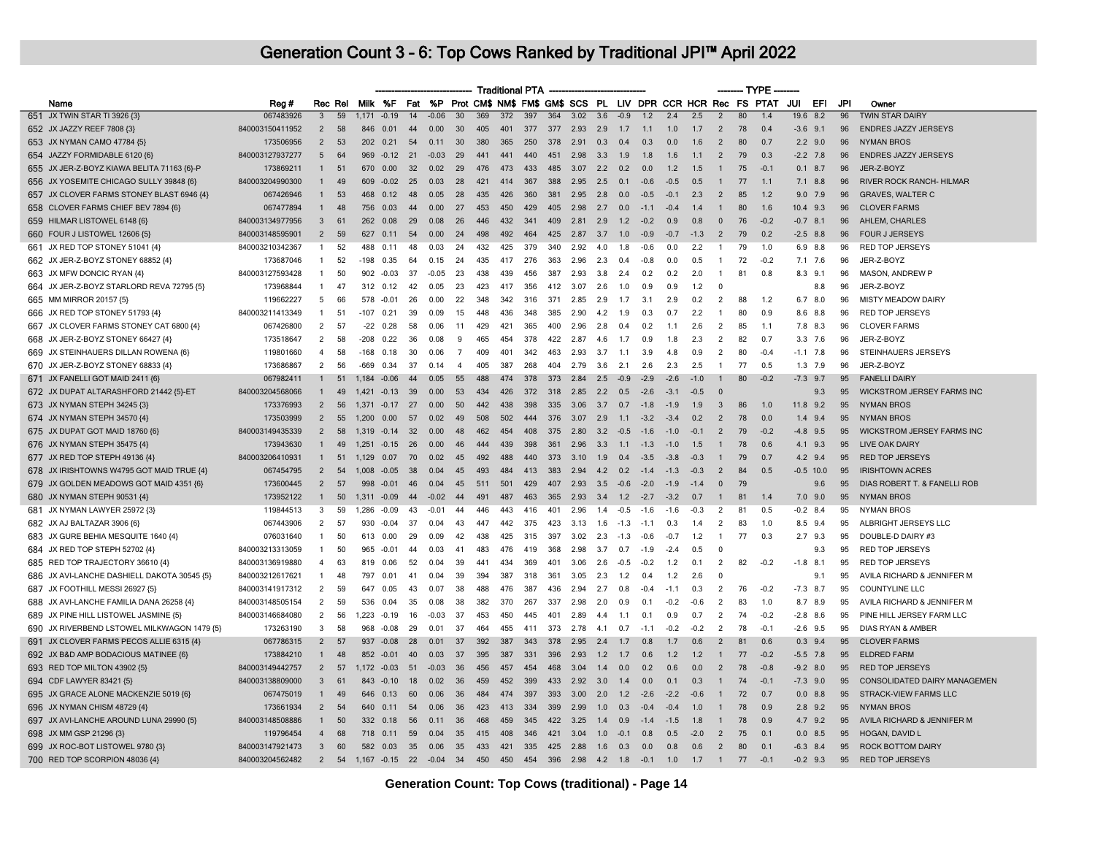|                                             |                 |                |         |        |                |     |         |                |     |     | <b>Traditional PTA</b> |     |      |     |        |                                                                    |        |        |                | - TYPE |        |                |             |     |                                   |
|---------------------------------------------|-----------------|----------------|---------|--------|----------------|-----|---------|----------------|-----|-----|------------------------|-----|------|-----|--------|--------------------------------------------------------------------|--------|--------|----------------|--------|--------|----------------|-------------|-----|-----------------------------------|
| Name                                        | Reg #           |                | Rec Rel |        | Milk %F        |     |         |                |     |     |                        |     |      |     |        | Fat %P Prot CM\$ NM\$ FM\$ GM\$ SCS PL LIV DPR CCR HCR Rec FS PTAT |        |        |                |        |        | JUI            | EFI         | JPI | Owner                             |
| 651 JX TWIN STAR TI 3926 {3}                | 067483926       | $\overline{3}$ | 59      |        | $1.171 - 0.19$ | 14  | $-0.06$ | 30             | 369 | 372 | 397                    | 364 | 3.02 | 3.6 | $-0.9$ | 1.2                                                                | 2.4    | 2.5    | $\overline{2}$ | 80     | 1.4    |                | $19.6$ 8.2  | 96  | <b>TWIN STAR DAIRY</b>            |
| 652 JX JAZZY REEF 7808 {3}                  | 840003150411952 | $\overline{2}$ | 58      | 846    | 0.01           | 44  | 0.00    | 30             | 405 | 401 | 377                    | 377 | 2.93 | 2.9 | 1.7    | 1.1                                                                | 1.0    | 1.7    | $\overline{2}$ | 78     | 0.4    |                | $-3.6$ 9.1  | 96  | <b>ENDRES JAZZY JERSEYS</b>       |
| 653 JX NYMAN CAMO 47784 {5}                 | 173506956       | $\overline{2}$ | 53      | 202    | 0.21           | 54  | 0.11    | 30             | 380 | 365 | 250                    | 378 | 2.91 | 0.3 | 0.4    | 0.3                                                                | 0.0    | 1.6    | $\overline{2}$ | 80     | 0.7    |                | $2.2$ 9.0   | 96  | <b>NYMAN BROS</b>                 |
| 654 JAZZY FORMIDABLE 6120 {6}               | 840003127937277 | 5              | 64      | 969    | $-0.12$        | 21  | $-0.03$ | 29             | 441 | 441 | 440                    | 451 | 2.98 | 3.3 | 1.9    | 1.8                                                                | 1.6    | 1.1    | $\overline{2}$ | 79     | 0.3    |                | $-2.2$ 7.8  | 96  | <b>ENDRES JAZZY JERSEYS</b>       |
| 655 JX JER-Z-BOYZ KIAWA BELITA 71163 {6}-P  | 173869211       | $\mathbf{1}$   | 51      | 670    | 0.00           | 32  | 0.02    | 29             | 476 | 473 | 433                    | 485 | 3.07 | 2.2 | 0.2    | 0.0                                                                | 1.2    | 1.5    | $\mathbf{1}$   | 75     | $-0.1$ | 0.1            | 8.7         | 96  | JER-Z-BOYZ                        |
| 656 JX YOSEMITE CHICAGO SULLY 39848 {6}     | 840003204990300 | $\mathbf{1}$   | 49      | 609    | $-0.02$        | 25  | 0.03    | -28            | 421 | 414 | 367                    | 388 | 2.95 | 2.5 | 0.1    | $-0.6$                                                             | $-0.5$ | 0.5    |                | 77     | 1.1    |                | $7.1$ 8.8   | 96  | <b>RIVER ROCK RANCH- HILMAR</b>   |
| 657 JX CLOVER FARMS STONEY BLAST 6946 {4}   | 067426946       | $\mathbf{1}$   | 53      | 468    | 0.12           | 48  | 0.05    | -28            | 435 | 426 | 360                    | 381 | 2.95 | 2.8 | 0.0    | $-0.5$                                                             | $-0.1$ | 2.3    | 2              | 85     | 1.2    | 9.0            | 7.9         | 96  | <b>GRAVES, WALTER C</b>           |
| 658 CLOVER FARMS CHIEF BEV 7894 {6}         | 067477894       | $\mathbf{1}$   | 48      | 756    | 0.03           | 44  | 0.00    | -27            | 453 | 450 | 429                    | 405 | 2.98 | 2.7 | 0.0    | $-1.1$                                                             | $-0.4$ | 1.4    |                | 80     | 1.6    |                | 10.4 9.3    | 96  | <b>CLOVER FARMS</b>               |
| 659 HILMAR LISTOWEL 6148 {6}                | 840003134977956 | 3              | 61      | 262    | 0.08           | -29 | 0.08    | -26            | 446 | 432 | 341                    | 409 | 2.81 | 2.9 | 1.2    | $-0.2$                                                             | 0.9    | 0.8    | $\Omega$       | 76     | $-0.2$ |                | $-0.7$ 8.1  | 96  | AHLEM, CHARLES                    |
| 660 FOUR J LISTOWEL 12606 {5}               | 840003148595901 | $\overline{2}$ | 59      | 627    | 0.11           | 54  | 0.00    | 24             | 498 | 492 | 464                    | 425 | 2.87 | 3.7 | 1.0    | $-0.9$                                                             | $-0.7$ | $-1.3$ | $\overline{2}$ | 79     | 0.2    |                | $-2.5$ 8.8  | 96  | <b>FOUR J JERSEYS</b>             |
| 661 JX RED TOP STONEY 51041 {4}             | 840003210342367 | $\mathbf{1}$   | 52      | 488    | 0.11           | 48  | 0.03    | 24             | 432 | 425 | 379                    | 340 | 2.92 | 4.0 | 1.8    | $-0.6$                                                             | 0.0    | 2.2    |                | 79     | 1.0    | 6.9            | 8.8         | 96  | RED TOP JERSEYS                   |
| 662 JX JER-Z-BOYZ STONEY 68852 {4}          | 173687046       | 1              | 52      | -198   | 0.35           | 64  | 0.15    | 24             | 435 | 417 | 276                    | 363 | 2.96 | 2.3 | 0.4    | $-0.8$                                                             | 0.0    | 0.5    | -1             | 72     | $-0.2$ |                | 7.1 7.6     | 96  | JER-Z-BOYZ                        |
| 663 JX MFW DONCIC RYAN {4}                  | 840003127593428 | $\mathbf{1}$   | 50      | 902    | $-0.03$        | 37  | $-0.05$ | 23             | 438 | 439 | 456                    | 387 | 2.93 | 3.8 | 2.4    | 0.2                                                                | 0.2    | 2.0    | $\mathbf{1}$   | 81     | 0.8    |                | $8.3$ $9.1$ | 96  | <b>MASON, ANDREW P</b>            |
| 664 JX JER-Z-BOYZ STARLORD REVA 72795 {5}   | 173968844       | $\mathbf{1}$   | 47      |        | 312 0.12       | 42  | 0.05    | 23             | 423 | 417 | 356                    | 412 | 3.07 | 2.6 | 1.0    | 0.9                                                                | 0.9    | 1.2    | $\mathbf 0$    |        |        |                | 8.8         | 96  | JER-Z-BOYZ                        |
| 665 MM MIRROR 20157 {5}                     | 119662227       | 5              | 66      | 578    | $-0.01$        | -26 | 0.00    | 22             | 348 | 342 | 316                    | 371 | 2.85 | 2.9 | 1.7    | 3.1                                                                | 2.9    | 0.2    | 2              | 88     | 1.2    | 6.7            | 8.0         | 96  | <b>MISTY MEADOW DAIRY</b>         |
| 666 JX RED TOP STONEY 51793 {4}             | 840003211413349 | $\mathbf{1}$   | 51      | -107   | 0.21           | 39  | 0.09    | 15             | 448 | 436 | 348                    | 385 | 2.90 | 4.2 | 1.9    | 0.3                                                                | 0.7    | 2.2    | -1             | 80     | 0.9    | 8.6            | 8.8         | 96  | <b>RED TOP JERSEYS</b>            |
| 667 JX CLOVER FARMS STONEY CAT 6800 {4}     | 067426800       | $\overline{2}$ | 57      | $-22$  | 0.28           | 58  | 0.06    | -11            | 429 | 421 | 365                    | 400 | 2.96 | 2.8 | 0.4    | 0.2                                                                | 11     | 2.6    | $\overline{2}$ | 85     | 1.1    |                | 7.8 8.3     | 96  | <b>CLOVER FARMS</b>               |
| 668 JX JER-Z-BOYZ STONEY 66427 {4}          | 173518647       | $\overline{2}$ | 58      | $-208$ | 0.22           | 36  | 0.08    | 9              | 465 | 454 | 378                    | 422 | 2.87 | 4.6 | 1.7    | 0.9                                                                | 1.8    | 2.3    | 2              | 82     | 0.7    | 3.3            | 7.6         | 96  | JER-Z-BOYZ                        |
| 669 JX STEINHAUERS DILLAN ROWENA {6}        | 119801660       | $\overline{4}$ | 58      | $-168$ | 0.18           | 30  | 0.06    | $\overline{7}$ | 409 | 401 | 342                    | 463 | 2.93 | 3.7 | 1.1    | 3.9                                                                | 4.8    | 0.9    | 2              | 80     | $-0.4$ |                | $-1.1$ 7.8  | 96  | STEINHAUERS JERSEYS               |
| 670 JX JER-Z-BOYZ STONEY 68833 {4}          | 173686867       | 2              | 56      | -669   | 0.34           | 37  | 0.14    | $\overline{4}$ | 405 | 387 | 268                    | 404 | 2.79 | 3.6 | 2.1    | 2.6                                                                | 2.3    | 2.5    | $\mathbf{1}$   | 77     | 0.5    |                | $1.3$ 7.9   | 96  | JER-Z-BOYZ                        |
| 671 JX FANELLI GOT MAID 2411 {6}            | 067982411       | $\mathbf{1}$   | 51      | 1.184  | $-0.06$        | 44  | 0.05    | 55             | 488 | 474 | 378                    | 373 | 2.84 | 2.5 | $-0.9$ | $-2.9$                                                             | $-2.6$ | $-1.0$ | $\mathbf{1}$   | 80     | $-0.2$ | $-7.3$         | 9.7         | 95  | <b>FANELLI DAIRY</b>              |
| 672 JX DUPAT ALTARASHFORD 21442 {5}-ET      | 840003204568066 |                | 49      | 1.421  | $-0.13$        | 39  | 0.00    | 53             | 434 | 426 | 372                    | 318 | 2.85 | 2.2 | 0.5    | $-2.6$                                                             | $-3.1$ | $-0.5$ | $\Omega$       |        |        |                | 9.3         | 95  | <b>WICKSTROM JERSEY FARMS INC</b> |
| 673 JX NYMAN STEPH 34245 {3}                | 173376993       | $\overline{2}$ | 56      | 1,371  | $-0.17$        | 27  | 0.00    | 50             | 442 | 438 | 398                    | 335 | 3.06 | 3.7 | 0.7    | $-1.8$                                                             | $-1.9$ | 1.9    | 3              | 86     | 1.0    |                | 11.8 9.2    | 95  | <b>NYMAN BROS</b>                 |
| 674 JX NYMAN STEPH 34570 {4}                | 173503999       | $\overline{2}$ | 55      | 1.200  | 0.00           | 57  | 0.02    | 49             | 508 | 502 | 444                    | 376 | 3.07 | 2.9 | 1.1    | $-3.2$                                                             | $-3.4$ | 0.2    | $\overline{2}$ | 78     | 0.0    |                | $1.4$ 9.4   | 95  | <b>NYMAN BROS</b>                 |
| 675 JX DUPAT GOT MAID 18760 {6}             | 840003149435339 | $\overline{2}$ | 58      | 1.319  | $-0.14$        | 32  | 0.00    | 48             | 462 | 454 | 408                    | 375 | 2.80 | 3.2 | $-0.5$ | $-1.6$                                                             | $-1.0$ | $-0.1$ | 2              | 79     | $-0.2$ | $-4.8$         | 9.5         | 95  | <b>WICKSTROM JERSEY FARMS INC</b> |
| 676 JX NYMAN STEPH 35475 {4}                | 173943630       | $\mathbf{1}$   | 49      | 1.251  | $-0.15$        | 26  | 0.00    | 46             | 444 | 439 | 398                    | 361 | 2.96 | 3.3 | 1.1    | $-1.3$                                                             | $-1.0$ | 1.5    |                | 78     | 0.6    |                | 4.1 9.3     | 95  | <b>LIVE OAK DAIRY</b>             |
| 677 JX RED TOP STEPH 49136 {4}              | 840003206410931 | $\mathbf{1}$   | 51      | 1,129  | 0.07           | 70  | 0.02    | 45             | 492 | 488 | 440                    | 373 | 3.10 | 1.9 | 0.4    | $-3.5$                                                             | $-3.8$ | $-0.3$ |                | 79     | 0.7    |                | $4.2$ 9.4   | 95  | <b>RED TOP JERSEYS</b>            |
| 678 JX IRISHTOWNS W4795 GOT MAID TRUE {4}   | 067454795       | $\overline{2}$ | 54      | 1,008  | $-0.05$        | 38  | 0.04    | 45             | 493 | 484 | 413                    | 383 | 2.94 | 4.2 | 0.2    | $-14$                                                              | $-1.3$ | $-0.3$ | $\overline{2}$ | 84     | 0.5    |                | $-0.5$ 10.0 | 95  | <b>IRISHTOWN ACRES</b>            |
| 679 JX GOLDEN MEADOWS GOT MAID 4351 {6}     | 173600445       | 2              | 57      | 998    | $-0.01$        | 46  | 0.04    | 45             | 511 | 501 | 429                    | 407 | 2.93 | 3.5 | $-0.6$ | $-2.0$                                                             | $-1.9$ | $-1.4$ | $\Omega$       | 79     |        |                | 9.6         | 95  | DIAS ROBERT T. & FANELLI ROB      |
| 680 JX NYMAN STEPH 90531 {4}                | 173952122       | $\mathbf{1}$   | 50      | 1.311  | $-0.09$        | 44  | $-0.02$ | 44             | 491 | 487 | 463                    | 365 | 2.93 | 3.4 | 1.2    | $-2.7$                                                             | $-3.2$ | 0.7    |                | 81     | 1.4    |                | $7.0$ 9.0   | 95  | <b>NYMAN BROS</b>                 |
| 681 JX NYMAN LAWYER 25972 {3}               | 119844513       | 3              | 59      | 1,286  | $-0.09$        | 43  | $-0.01$ | 44             | 446 | 443 | 416                    | 401 | 2.96 | 1.4 | $-0.5$ | $-1.6$                                                             | $-1.6$ | $-0.3$ | 2              | 81     | 0.5    |                | $-0.2$ 8.4  | 95  | <b>NYMAN BROS</b>                 |
| 682 JX AJ BALTAZAR 3906 {6}                 | 067443906       | 2              | 57      | 930    | $-0.04$        | 37  | 0.04    | 43             | 447 | 442 | 375                    | 423 | 3.13 | 1.6 | $-1.3$ | $-1.1$                                                             | 0.3    | 1.4    | $\overline{2}$ | 83     | 1.0    |                | 8.5 9.4     | 95  | ALBRIGHT JERSEYS LLC              |
| 683 JX GURE BEHIA MESQUITE 1640 {4}         | 076031640       | $\mathbf{1}$   | 50      | 613    | 0.00           | 29  | 0.09    | 42             | 438 | 425 | 315                    | 397 | 3.02 | 2.3 | $-1.3$ | $-0.6$                                                             | $-0.7$ | 1.2    | $\mathbf{1}$   | 77     | 0.3    |                | $2.7$ 9.3   | 95  | DOUBLE-D DAIRY #3                 |
| 684 JX RED TOP STEPH 52702 {4}              | 840003213313059 | $\mathbf{1}$   | 50      | 965    | -0.01          | 44  | 0.03    | 41             | 483 | 476 | 419                    | 368 | 2.98 | 3.7 | 0.7    | $-1.9$                                                             | $-2.4$ | 0.5    | 0              |        |        |                | 9.3         | 95  | <b>RED TOP JERSEYS</b>            |
| 685 RED TOP TRAJECTORY 36610 {4}            | 840003136919880 | 4              | 63      | 819    | 0.06           | 52  | 0.04    | 39             | 441 | 434 | 369                    | 401 | 3.06 | 2.6 | $-0.5$ | $-0.2$                                                             | 1.2    | 0.1    | $\overline{2}$ | 82     | $-0.2$ | $-1.8$         | 8.1         | 95  | <b>RED TOP JERSEYS</b>            |
| 686 JX AVI-LANCHE DASHIELL DAKOTA 30545 {5} | 840003212617621 | $\mathbf{1}$   | 48      | 797    | 0 01           | 41  | 0.04    | 39             | 394 | 387 | 318                    | 361 | 3.05 | 2.3 | 1.2    | 0.4                                                                | 1.2    | 2.6    | $\mathbf 0$    |        |        |                | 9.1         | 95  | AVILA RICHARD & JENNIFER M        |
| 687 JX FOOTHILL MESSI 26927 {5}             | 840003141917312 | $\overline{2}$ | 59      | 647    | 0.05           | 43  | 0.07    | 38             | 488 | 476 | 387                    | 436 | 2.94 | 2.7 | 0.8    | $-0.4$                                                             | $-1.1$ | 0.3    | $\overline{2}$ | 76     | $-0.2$ |                | $-7.3$ 8.7  | 95  | <b>COUNTYLINE LLC</b>             |
| 688 JX AVI-LANCHE FAMILIA DANA 26258 {4}    | 840003148505154 | 2              | 59      | 536    | 0.04           | 35  | 0.08    | 38             | 382 | 370 | 267                    | 337 | 2.98 | 2.0 | 0.9    | 0.1                                                                | $-0.2$ | $-0.6$ | $\overline{2}$ | 83     | 1.0    |                | 8.7 8.9     | 95  | AVILA RICHARD & JENNIFER M        |
| 689 JX PINE HILL LISTOWEL JASMINE {5}       | 840003146684080 | $\overline{2}$ | 56      | 1.223  | $-0.19$        | 16  | $-0.03$ | -37            | 453 | 450 | 445                    | 401 | 2.89 | 4.4 | 1.1    | 0.1                                                                | 0.9    | 0.7    | $\overline{2}$ | 74     | $-0.2$ |                | $-2.8$ 8.6  | 95  | PINE HILL JERSEY FARM LLC         |
| 690 JX RIVERBEND LSTOWEL MILKWAGON 1479 {5} | 173263190       | 3              | 58      | 968    | $-0.08$        | 29  | 0.01    | -37            | 464 | 455 | 411                    | 373 | 2.78 | 4.1 | 0.7    | $-1.1$                                                             | $-0.2$ | $-0.2$ | $\overline{2}$ | 78     | $-0.1$ |                | $-2.6$ 9.5  | 95  | DIAS RYAN & AMBER                 |
| 691 JX CLOVER FARMS PECOS ALLIE 6315 {4}    | 067786315       | $\overline{2}$ | 57      | 937    | $-0.08$        | 28  | 0.01    | -37            | 392 | 387 | 343                    | 378 | 2.95 | 2.4 | 1.7    | 0.8                                                                | 1.7    | 0.6    | $\overline{2}$ | 81     | 0.6    | 0.3            | 9.4         | 95  | <b>CLOVER FARMS</b>               |
| 692 JX B&D AMP BODACIOUS MATINEE {6}        | 173884210       | $\mathbf{1}$   | 48      | 852    | $-0.01$        | 40  | 0.03    | 37             | 395 | 387 | 331                    | 396 | 2.93 | 1.2 | 1.7    | 0.6                                                                | 1.2    | 1.2    |                | 77     | $-0.2$ |                | $-5.5$ 7.8  | 95  | <b>ELDRED FARM</b>                |
| 693 RED TOP MILTON 43902 {5}                | 840003149442757 | $\overline{2}$ | 57      | 1.172  | $-0.03$        | 51  | $-0.03$ | 36             | 456 | 457 | 454                    | 468 | 3.04 | 1.4 | 0.0    | 0.2                                                                | 0.6    | 0.0    | $\overline{2}$ | 78     | $-0.8$ |                | $-9.2$ 8.0  | 95  | <b>RED TOP JERSEYS</b>            |
| 694 CDF LAWYER 83421 {5}                    | 840003138809000 | 3              | 61      | 843    | $-0.10$        | 18  | 0.02    | 36             | 459 | 452 | 399                    | 433 | 2.92 | 3.0 | 1.4    | 0.0                                                                | 0.1    | 0.3    | $\mathbf{1}$   | 74     | $-0.1$ |                | $-7.3$ 9.0  | 95  | CONSOLIDATED DAIRY MANAGEMEN      |
| 695 JX GRACE ALONE MACKENZIE 5019 {6}       | 067475019       | $\mathbf{1}$   | 49      | 646    | 0.13           | 60  | 0.06    | 36             | 484 | 474 | 397                    | 393 | 3.00 | 2.0 | 1.2    | $-2.6$                                                             | $-2.2$ | $-0.6$ |                | 72     | 0.7    | 0.0            | 8.8         | 95  | <b>STRACK-VIEW FARMS LLC</b>      |
| 696 JX NYMAN CHISM 48729 {4}                | 173661934       | $\overline{2}$ | 54      | 640    | 0.11           | 54  | 0.06    | -36            | 423 | 413 | 334                    | 399 | 2.99 | 1.0 | 0.3    | $-0.4$                                                             | $-0.4$ | 1.0    |                | 78     | 0.9    |                | $2.8$ 9.2   | 95  | <b>NYMAN BROS</b>                 |
| 697 JX AVI-LANCHE AROUND LUNA 29990 {5}     | 840003148508886 | $\mathbf{1}$   | 50      | 332    | 0.18           | 56  | 0.11    | -36            | 468 | 459 | 345                    | 422 | 3.25 | 1.4 | 0.9    | $-1.4$                                                             | $-1.5$ | 1.8    |                | 78     | 0.9    |                | 4.7 9.2     | 95  | AVILA RICHARD & JENNIFER M        |
| 698 JX MM GSP 21296 {3}                     | 119796454       | $\overline{4}$ | 68      | 718    | 0.11           | 59  | 0.04    | -35            | 415 | 408 | 346                    | 421 | 3.04 | 10  | $-0.1$ | 0.8                                                                | 0.5    | $-20$  | $\mathcal{P}$  | 75     | . በ 1  | 0 <sub>0</sub> | 85          | 95  | <b>HOGAN, DAVID L</b>             |
| 699 JX ROC-BOT LISTOWEL 9780 {3}            | 840003147921473 | 3              | 60      |        | 582 0.03       | 35  | 0.06    | -35            | 433 | 421 | 335                    | 425 | 2.88 | 1.6 | 0.3    | 0.0                                                                | 0.8    | 0.6    | $\overline{2}$ | 80     | 0.1    |                | $-6.3$ 8.4  | 95  | <b>ROCK BOTTOM DAIRY</b>          |
| 700 RED TOP SCORPION 48036 {4}              | 840003204562482 | $\overline{2}$ | 54      | 1.167  | $-0.15$        | 22  | $-0.04$ | 34             | 450 | 450 | 454                    | 396 | 2.98 | 4.2 | 1.8    | $-0.1$                                                             | 1.0    | 1.7    | $\mathbf{1}$   | 77     | $-0.1$ |                | $-0.2$ 9.3  | 95  | <b>RED TOP JERSEYS</b>            |
|                                             |                 |                |         |        |                |     |         |                |     |     |                        |     |      |     |        |                                                                    |        |        |                |        |        |                |             |     |                                   |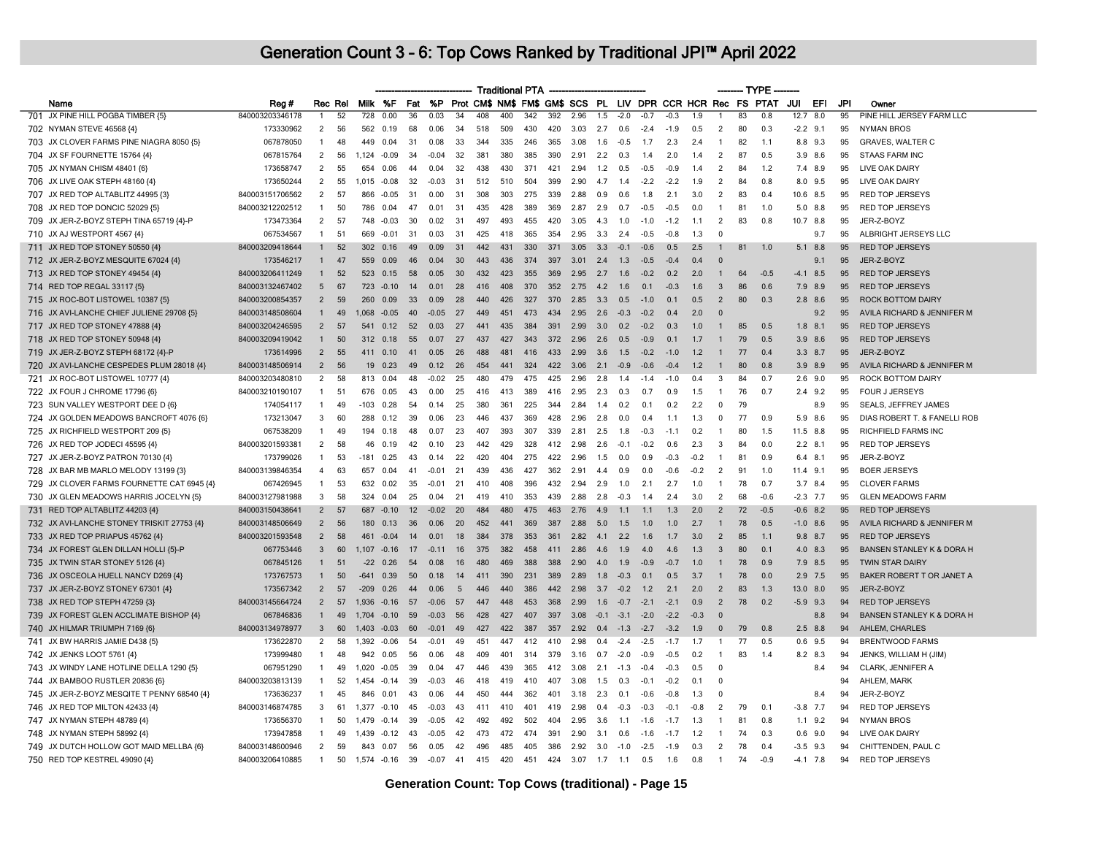|                                             |                 |                |         |        |             |    |         |     |     |     | <b>Traditional PTA</b> |     |      |        |        |                |        |        |                | ------ TYPE |                                                                    |               |     |                                      |
|---------------------------------------------|-----------------|----------------|---------|--------|-------------|----|---------|-----|-----|-----|------------------------|-----|------|--------|--------|----------------|--------|--------|----------------|-------------|--------------------------------------------------------------------|---------------|-----|--------------------------------------|
| Name                                        | Reg#            |                | Rec Rel |        | Milk %F     |    |         |     |     |     |                        |     |      |        |        |                |        |        |                |             | Fat %P Prot CM\$ NM\$ FM\$ GM\$ SCS PL LIV DPR CCR HCR Rec FS PTAT | JUI<br>EFI    | JPI | Owner                                |
| 701 JX PINE HILL POGBA TIMBER {5}           | 840003203346178 |                | 52      | 728    | 0.00        | 36 | 0.03    | 34  | 408 | 400 | 342                    | 392 | 2.96 | 1.5    | $-2.0$ | $-0.7$         | $-0.3$ | 1.9    |                | 83          | 0.8                                                                | 12.7<br>8.0   | 95  | PINE HILL JERSEY FARM LLC            |
| 702 NYMAN STEVE 46568 {4}                   | 173330962       | 2              | 56      | 562    | 0.19        | 68 | 0.06    | 34  | 518 | 509 | 430                    | 420 | 3.03 | 2.7    | 0.6    | $-2.4$         | $-1.9$ | 0.5    | 2              | 80          | 0.3                                                                | $-2.2$ 9.1    | 95  | <b>NYMAN BROS</b>                    |
| 703 JX CLOVER FARMS PINE NIAGRA 8050 {5}    | 067878050       | $\mathbf{1}$   | 48      | 449    | 0.04        | 31 | 0.08    | 33  | 344 | 335 | 246                    | 365 | 3.08 | 1.6    | $-0.5$ | 1.7            | 2.3    | 2.4    | $\mathbf{1}$   | 82          | 1.1                                                                | 8.8 9.3       | 95  | GRAVES, WALTER C                     |
| 704 JX SF FOURNETTE 15764 {4}               | 067815764       | 2              | 56      | 1.124  | $-0.09$     | 34 | $-0.04$ | 32  | 381 | 380 | 385                    | 390 | 2.91 | 2.2    | 0.3    | 14             | 2.0    | 1.4    | 2              | 87          | 0.5                                                                | $3.9$ $8.6$   | 95  | <b>STAAS FARM INC</b>                |
| 705 JX NYMAN CHISM 48401 {6}                | 173658747       | $\overline{2}$ | 55      | 654    | 0.06        | 44 | 0.04    | 32  | 438 | 430 | 371                    | 421 | 2.94 | 1.2    | 0.5    | $-0.5$         | $-0.9$ | 1.4    | $\mathcal{P}$  | 84          | 1.2                                                                | 7.4 8.9       | 95  | LIVE OAK DAIRY                       |
| 706 JX LIVE OAK STEPH 48160 {4}             | 173650244       | 2              | 55      | 1,015  | $-0.08$     | 32 | $-0.03$ | -31 | 512 | 510 | 504                    | 399 | 2.90 | 4.7    | 1.4    | $-2.2$         | $-2.2$ | 1.9    | 2              | 84          | 0.8                                                                | 8.0 9.5       | 95  | LIVE OAK DAIRY                       |
| 707 JX RED TOP ALTABLITZ 44995 {3}          | 840003151706562 | 2              | 57      | 866    | $-0.05$     | 31 | 0.00    | 31  | 308 | 303 | 275                    | 339 | 2.88 | 0.9    | 0.6    | 1.8            | 2.1    | 3.0    | 2              | 83          | 0.4                                                                | 10.6 8.5      | 95  | <b>RED TOP JERSEYS</b>               |
| 708 JX RED TOP DONCIC 52029 {5}             | 840003212202512 | $\mathbf{1}$   | 50      | 786    | 0.04        | 47 | 0.01    | 31  | 435 | 428 | 389                    | 369 | 2.87 | 2.9    | 0.7    | $-0.5$         | $-0.5$ | n n    | $\mathbf{1}$   | 81          | 1 O                                                                | $5.0$ $8.8$   | 95  | <b>RED TOP JERSEYS</b>               |
| 709 JX JER-Z-BOYZ STEPH TINA 65719 {4}-P    | 173473364       | 2              | 57      | 748    | $-0.03$     | 30 | 0.02    | 31  | 497 | 493 | 455                    | 420 | 3.05 | 4.3    | 1.0    | $-1.0$         | $-1.2$ | 1.1    | $\overline{2}$ | 83          | 0.8                                                                | 10.7<br>8.8   | 95  | JER-Z-BOYZ                           |
| 710 JX AJ WESTPORT 4567 {4}                 | 067534567       | $\mathbf{1}$   | 51      | 669    | $-0.01$     | 31 | 0.03    | 31  | 425 | 418 | 365                    | 354 | 2.95 | 3.3    | 2.4    | $-0.5$         | $-0.8$ | 1.3    | $\Omega$       |             |                                                                    | 9.7           | 95  | ALBRIGHT JERSEYS LLC                 |
| 711 JX RED TOP STONEY 50550 {4}             | 840003209418644 | $\mathbf{1}$   | 52      | 302    | 0.16        | 49 | 0.09    | 31  | 442 | 431 | 330                    | 371 | 3.05 | 3.3    | $-0.1$ | $-0.6$         | 0.5    | 2.5    | $\mathbf{1}$   | 81          | 1.0                                                                | 5.1<br>8.8    | 95  | <b>RED TOP JERSEYS</b>               |
| 712 JX JER-Z-BOYZ MESQUITE 67024 {4}        | 173546217       | $\mathbf{1}$   | 47      | 559    | 0.09        | 46 | 0.04    | 30  | 443 | 436 | 374                    | 397 | 3.01 | 2.4    | 1.3    | $-0.5$         | $-0.4$ | 0.4    | $\Omega$       |             |                                                                    | 9.1           | 95  | JER-Z-BOYZ                           |
| 713 JX RED TOP STONEY 49454 {4}             | 840003206411249 | $\mathbf{1}$   | 52      | 523    | 0.15        | 58 | 0.05    | 30  | 432 | 423 | 355                    | 369 | 2.95 | 2.7    | 1.6    | $-0.2$         | 0.2    | 2.0    | $\overline{1}$ | 64          | $-0.5$                                                             | $-4.1$ 8.5    | 95  | <b>RED TOP JERSEYS</b>               |
| 714 RED TOP REGAL 33117 (5)                 | 840003132467402 | 5              | 67      | 723    | $-0.10$     | 14 | 0.01    | 28  | 416 | 408 | 370                    | 352 | 2.75 | 4.2    | 1.6    | 0.1            | $-0.3$ | 1.6    | 3              | 86          | 0.6                                                                | 7.9 8.9       | 95  | <b>RED TOP JERSEYS</b>               |
| 715 JX ROC-BOT LISTOWEL 10387 {5}           | 840003200854357 | $\overline{2}$ | 59      | 260    | 0.09        | 33 | 0.09    | 28  | 440 | 426 | 327                    | 370 | 2.85 | 3.3    | 0.5    | $-1.0$         | 0.1    | 0.5    | $\overline{2}$ | 80          | 0.3                                                                | $2.8$ $8.6$   | 95  | <b>ROCK BOTTOM DAIRY</b>             |
| 716 JX AVI-LANCHE CHIEF JULIENE 29708 {5}   | 840003148508604 | $\mathbf{1}$   | 49      | 1.068  | $-0.05$     | 40 | $-0.05$ | 27  | 449 | 451 | 473                    | 434 | 2.95 | 2.6    | $-0.3$ | $-0.2$         | 0.4    | 2.0    | $\Omega$       |             |                                                                    | 9.2           | 95  | AVILA RICHARD & JENNIFER M           |
| 717 JX RED TOP STONEY 47888 {4}             | 840003204246595 | $\overline{2}$ | 57      | 541    | 0.12        | 52 | 0.03    | 27  | 441 | 435 | 384                    | 391 | 2.99 | 3.0    | 0.2    | $-0.2$         | 0.3    | 1.0    | $\mathbf{1}$   | 85          | 0.5                                                                | $1.8$ $8.1$   | 95  | <b>RED TOP JERSEYS</b>               |
| 718 JX RED TOP STONEY 50948 {4}             | 840003209419042 | $\mathbf{1}$   | 50      | 312    | 0.18        | 55 | 0.07    | 27  | 437 | 427 | 343                    | 372 | 2.96 | 2.6    | 0.5    | $-0.9$         | 0.1    | 1.7    |                | 79          | 0.5                                                                | 3.9<br>8.6    | 95  | <b>RED TOP JERSEYS</b>               |
| 719 JX JER-Z-BOYZ STEPH 68172 {4}-P         | 173614996       | $\overline{2}$ | 55      | 411    | 0.10        | 41 | 0.05    | 26  | 488 | 481 | 416                    | 433 | 2.99 | 3.6    | 1.5    | $-0.2$         | $-1.0$ | 1.2    | $\mathbf{1}$   | 77          | 0.4                                                                | $3.3$ 8.7     | 95  | JER-Z-BOYZ                           |
| 720 JX AVI-LANCHE CESPEDES PLUM 28018 {4}   | 840003148506914 | $\overline{2}$ | 56      | 19     | 0.23        | 49 | 0.12    | 26  | 454 | 441 | 324                    | 422 | 3.06 | 2.1    | $-0.9$ | $-0.6$         | $-0.4$ | 1.2    | $\mathbf{1}$   | 80          | 0.8                                                                | 3.9 8.9       | 95  | AVILA RICHARD & JENNIFER M           |
| 721 JX ROC-BOT LISTOWEL 10777 {4}           | 840003203480810 | 2              | 58      | 813    | 0.04        | 48 | $-0.02$ | 25  | 480 | 479 | 475                    | 425 | 2.96 | 2.8    | 1.4    | $-1.4$         | $-1.0$ | 0.4    | 3              | 84          | 0.7                                                                | $2.6$ 9.0     | 95  | <b>ROCK BOTTOM DAIRY</b>             |
| 722 JX FOUR J CHROME 17796 {6}              | 840003210190107 | $\mathbf{1}$   | 51      | 676    | 0.05        | 43 | 0.00    | 25  | 416 | 413 | 389                    | 416 | 2.95 | 2.3    | 0.3    | 0.7            | 0.9    | 1.5    | $\overline{1}$ | 76          | 0.7                                                                | $2.4$ 9.2     | 95  | FOUR J JERSEYS                       |
| 723 SUN VALLEY WESTPORT DEE D {6}           | 174054117       | $\overline{1}$ | 49      | $-103$ | 0.28        | 54 | 0.14    | 25  | 380 | 361 | 225                    | 344 | 2.84 | 1.4    | 0.2    | 0.1            | 0.2    | 2.2    | $\Omega$       | 79          |                                                                    | 8.9           | 95  | SEALS, JEFFREY JAMES                 |
| 724 JX GOLDEN MEADOWS BANCROFT 4076 {6}     | 173213047       | 3              | 60      | 288    | 0.12        | 39 | 0.06    | 23  | 446 | 437 | 369                    | 428 | 2.96 | 2.8    | 0.0    | 0 <sup>4</sup> | 1.1    | 1.3    | $^{\circ}$     | 77          | 0.9                                                                | 5.9 8.6       | 95  | DIAS ROBERT T. & FANELLI ROB         |
| 725 JX RICHFIELD WESTPORT 209 {5}           | 067538209       | $\mathbf{1}$   | 49      | 194    | 0.18        | 48 | 0.07    | 23  | 407 | 393 | 307                    | 339 | 2.81 | 2.5    | 1.8    | $-0.3$         | $-11$  | 0.2    | $\mathbf{1}$   | 80          | 1.5                                                                | 11.5<br>8.8   | 95  | <b>RICHFIELD FARMS INC</b>           |
| 726 JX RED TOP JODECI 45595 {4}             | 840003201593381 | 2              | 58      | 46     | 0.19        | 42 | 0.10    | 23  | 442 | 429 | 328                    | 412 | 2.98 | 2.6    | $-0.1$ | $-0.2$         | 0.6    | 2.3    | 3              | 84          | 0.0                                                                | $2.2$ 8.1     | 95  | <b>RED TOP JERSEYS</b>               |
| 727 JX JER-Z-BOYZ PATRON 70130 {4}          | 173799026       | $\mathbf{1}$   | 53      | $-181$ | 0.25        | 43 | 0.14    | 22  | 420 | 404 | 275                    | 422 | 2.96 | 1.5    | 0.0    | 0.9            | $-0.3$ | $-0.2$ | $\overline{1}$ | 81          | 0.9                                                                | 6.4<br>8.1    | 95  | JER-Z-BOYZ                           |
| 728 JX BAR MB MARLO MELODY 13199 {3}        | 840003139846354 | $\overline{4}$ | 63      | 657    | 0.04        | 41 | $-0.01$ | 21  | 439 | 436 | 427                    | 362 | 2.91 | 4.4    | 0.9    | 0.0            | $-0.6$ | $-0.2$ | 2              | 91          | 1.0                                                                | 11.4 9.1      | 95  | <b>BOER JERSEYS</b>                  |
| 729 JX CLOVER FARMS FOURNETTE CAT 6945 {4}  | 067426945       | $\mathbf{1}$   | 53      | 632    | 0.02        | 35 | $-0.01$ | 21  | 410 | 408 | 396                    | 432 | 294  | 2.9    | 1.0    | 2.1            | 2.7    | 1 O    | $\mathbf{1}$   | 78          | 0.7                                                                | 3.7 8.4       | 95  | <b>CLOVER FARMS</b>                  |
| 730 JX GLEN MEADOWS HARRIS JOCELYN {5}      | 840003127981988 | 3              | 58      | 324    | 0.04        | 25 | 0.04    | 21  | 419 | 410 | 353                    | 439 | 2.88 | 2.8    | $-0.3$ | 1.4            | 2.4    | 3.0    | 2              | 68          | $-0.6$                                                             | $-2.3$ 7.7    | 95  | <b>GLEN MEADOWS FARM</b>             |
| 731 RED TOP ALTABLITZ 44203 {4}             | 840003150438641 | $\overline{2}$ | 57      | 687    | $-0.10$     | 12 | $-0.02$ | 20  | 484 | 480 | 475                    | 463 | 2.76 | 4.9    | 1.1    | 1.1            | 1.3    | 2.0    | $\overline{2}$ | 72          | $-0.5$                                                             | $-0.6$ 8.2    | 95  | <b>RED TOP JERSEYS</b>               |
| 732 JX AVI-LANCHE STONEY TRISKIT 27753 {4}  | 840003148506649 | $\overline{2}$ | 56      | 180    | 0.13        | 36 | 0.06    | 20  | 452 | 441 | 369                    | 387 | 2.88 | 5.0    | 1.5    | 1.0            | 1.0    | 2.7    | $\mathbf{1}$   | 78          | 0.5                                                                | $-1.0$ 8.6    | 95  | AVILA RICHARD & JENNIFER M           |
| 733 JX RED TOP PRIAPUS 45762 {4}            | 840003201593548 | $\overline{2}$ | 58      | 461    | $-0.04$     | 14 | 0.01    | 18  | 384 | 378 | 353                    | 361 | 2.82 | 4.1    | 2.2    | 1.6            | 1.7    | 3.0    | $\overline{2}$ | 85          | 1.1                                                                | $9.8$ 8.7     | 95  | <b>RED TOP JERSEYS</b>               |
| 734 JX FOREST GLEN DILLAN HOLLI {5}-P       | 067753446       | 3              | 60      | 1.107  | $-0.16$     | 17 | $-0.11$ | 16  | 375 | 382 | 458                    | 411 | 2.86 | 4.6    | 1.9    | 4.0            | 4.6    | 1.3    | 3              | 80          | 0.1                                                                | 4.0<br>8.3    | 95  | <b>BANSEN STANLEY K &amp; DORA H</b> |
| 735 JX TWIN STAR STONEY 5126 {4}            | 067845126       | $\mathbf{1}$   | 51      | $-22$  | 0.26        | 54 | 0.08    | 16  | 480 | 469 | 388                    | 388 | 2.90 | 4.0    | 1.9    | $-0.9$         | $-0.7$ | 1.0    |                | 78          | 0.9                                                                | 7.9 8.5       | 95  | <b>TWIN STAR DAIRY</b>               |
| 736 JX OSCEOLA HUELL NANCY D269 {4}         | 173767573       | $\mathbf{1}$   | 50      | -641   | 0.39        | 50 | 0.18    | 14  | 411 | 390 | 231                    | 389 | 2.89 | 1.8    | $-0.3$ | 0 <sub>1</sub> | 0.5    | 3.7    |                | 78          | 0.0                                                                | $2.9$ 7.5     | 95  | BAKER ROBERT T OR JANET A            |
| 737 JX JER-Z-BOYZ STONEY 67301 {4}          | 173567342       | $\overline{2}$ | 57      | $-209$ | 0.26        | 44 | 0.06    | -5  | 446 | 440 | 386                    | 442 | 2.98 | 3.7    | $-0.2$ | 1.2            | 2.1    | 2.0    | $\overline{2}$ | 83          | 1.3                                                                | 13.0 8.0      | 95  | JER-Z-BOYZ                           |
| 738 JX RED TOP STEPH 47259 {3}              | 840003145664724 | $\overline{2}$ | 57      |        | 1.936 -0.16 | 57 | $-0.06$ | 57  | 447 | 448 | 453                    | 368 | 2.99 | 1.6    | $-0.7$ | $-2.1$         | $-2.1$ | 0.9    | $\overline{2}$ | 78          | 0.2                                                                | $-5.9$ 9.3    | 94  | <b>RED TOP JERSEYS</b>               |
| 739 JX FOREST GLEN ACCLIMATE BISHOP {4}     | 067846836       | $\mathbf{1}$   | 49      | 1.704  | $-0.10$     | 59 | $-0.03$ | 56  | 428 | 427 | 407                    | 397 | 3.08 | $-0.1$ | $-3.1$ | $-2.0$         | $-2.2$ | $-0.3$ | $\Omega$       |             |                                                                    | 8.8           | 94  | <b>BANSEN STANLEY K &amp; DORA H</b> |
| 740 JX HILMAR TRIUMPH 7169 {6}              | 840003134978977 | 3              | 60      | 1,403  | $-0.03$     | 60 | $-0.01$ | 49  | 427 | 422 | 387                    | 357 | 2.92 | 0.4    | $-1.3$ | $-2.7$         | $-3.2$ | 1.9    | $\mathbf{0}$   | 79          | 0.8                                                                | $2.5$ 8.8     | 94  | AHLEM, CHARLES                       |
| 741 JX BW HARRIS JAMIE D438 {5}             | 173622870       | 2              | 58      | 1,392  | $-0.06$     | 54 | $-0.01$ | 49  | 451 | 447 | 412                    | 410 | 2.98 | 0.4    | $-2.4$ | $-2.5$         | $-1.7$ | 1.7    | -1.            | 77          | 0.5                                                                | $0.6$ 9.5     | 94  | <b>BRENTWOOD FARMS</b>               |
| 742 JX JENKS LOOT 5761 {4}                  | 173999480       | $\mathbf{1}$   | 48      |        | 942 0.05    | 56 | 0.06    | 48  | 409 | 401 | 314                    | 379 | 3.16 | 0.7    | $-2.0$ | $-0.9$         | $-0.5$ | 0.2    | $\mathbf{1}$   | 83          | 1.4                                                                | 8.2 8.3       | 94  | JENKS, WILLIAM H (JIM)               |
| 743 JX WINDY LANE HOTLINE DELLA 1290 {5}    | 067951290       | $\mathbf{1}$   | 49      | ,020   | $-0.05$     | 39 | 0.04    | 47  | 446 | 439 | 365                    | 412 | 3.08 | 2.1    | $-1.3$ | $-0.4$         | $-0.3$ | 0.5    | $\Omega$       |             |                                                                    | 8.4           | 94  | CLARK, JENNIFER A                    |
| 744 JX BAMBOO RUSTLER 20836 {6}             | 840003203813139 | $\mathbf{1}$   | 52      | 1,454  | $-0.14$     | 39 | $-0.03$ | 46  | 418 | 419 | 410                    | 407 | 3.08 | 1.5    | 0.3    | $-0.1$         | $-0.2$ | 0.1    | $\mathbf 0$    |             |                                                                    |               | 94  | AHLEM, MARK                          |
| 745 JX JER-Z-BOYZ MESQITE T PENNY 68540 {4} | 173636237       | $\mathbf{1}$   | 45      | 846    | 0.01        | 43 | 0.06    | 44  | 450 | 444 | 362                    | 401 | 3.18 | 2.3    | 0.1    | $-0.6$         | $-0.8$ | 1.3    | $\Omega$       |             |                                                                    | 8.4           | 94  | JER-Z-BOYZ                           |
| 746 JX RED TOP MILTON 42433 {4}             | 840003146874785 | 3              | 61      | 1.377  | $-0.10$     | 45 | $-0.03$ | 43  | 411 | 410 | 401                    | 419 | 2.98 | 0.4    | $-0.3$ | $-0.3$         | $-0.1$ | $-0.8$ | $\overline{2}$ | 79          | 0.1                                                                | 7.7<br>$-3.8$ | 94  | RED TOP JERSEYS                      |
| 747 JX NYMAN STEPH 48789 {4}                | 173656370       | $\mathbf{1}$   | 50      | 1,479  | $-0.14$     | 39 | $-0.05$ | 42  | 492 | 492 | 502                    | 404 | 2.95 | 3.6    | 1.1    | $-1.6$         | $-1.7$ | 1.3    | $\overline{1}$ | 81          | 0.8                                                                | 1.1<br>9.2    | 94  | <b>NYMAN BROS</b>                    |
| 748 JX NYMAN STEPH 58992 {4}                | 173947858       | $\mathbf{1}$   | 49      | 1.439  | $-0.12$     | 43 | $-0.05$ | 42  | 473 | 472 | 474                    | 391 | 2.90 | 3.1    | 0.6    | $-1.6$         | $-1.7$ | 1.2    | $\overline{1}$ | 74          | 0.3                                                                | $0.6$ 9.0     | 94  | LIVE OAK DAIRY                       |
| 749 JX DUTCH HOLLOW GOT MAID MELLBA {6}     | 840003148600946 | 2              | 59      |        | 843 0.07    | 56 | 0.05    | 42  | 496 | 485 | 405                    | 386 | 2.92 | 3.0    | $-1.0$ | $-2.5$         | $-1.9$ | 0.3    | 2              | 78          | 0.4                                                                | $-3.5$ 9.3    | 94  | CHITTENDEN, PAUL C                   |
| 750 RED TOP KESTREL 49090 {4}               | 840003206410885 | $\mathbf{1}$   | 50      |        | 1.574 -0.16 | 39 | $-0.07$ | 41  | 415 | 420 | 451                    | 424 | 3.07 | 1.7    | 1.1    | 0.5            | 16     | 0.8    | $\overline{1}$ | 74          | $-0.9$                                                             | $-41$ 78      | 94  | <b>RED TOP JERSEYS</b>               |
|                                             |                 |                |         |        |             |    |         |     |     |     |                        |     |      |        |        |                |        |        |                |             |                                                                    |               |     |                                      |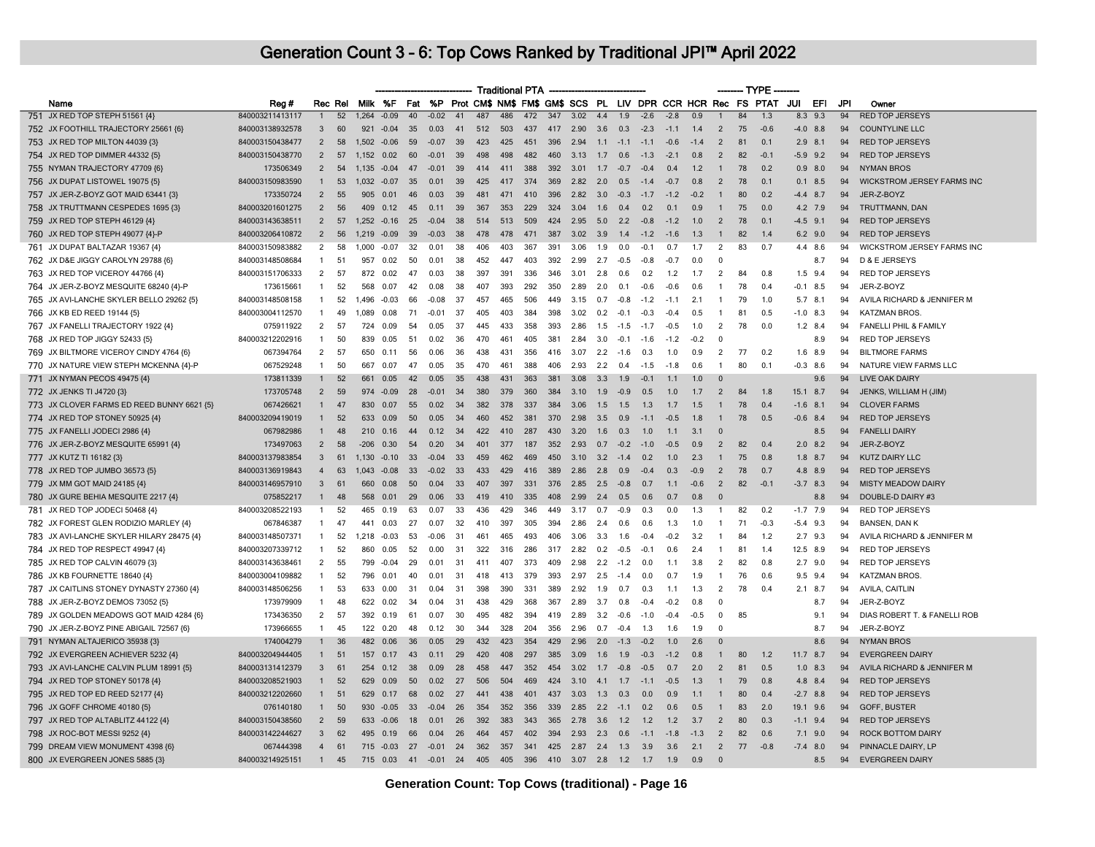|                                            |                 |                |         |                |               |     |         |      |     |     | <b>Traditional PTA</b> |     |      |             |        |        |                                                                |        |                         | $-$ TYPE $\cdot$ |                |     |            |     |                                   |
|--------------------------------------------|-----------------|----------------|---------|----------------|---------------|-----|---------|------|-----|-----|------------------------|-----|------|-------------|--------|--------|----------------------------------------------------------------|--------|-------------------------|------------------|----------------|-----|------------|-----|-----------------------------------|
| Name                                       | Reg#            |                | Rec Rel |                | Milk %F       | Fat |         |      |     |     |                        |     |      |             |        |        | %P Prot CM\$ NM\$ FM\$ GM\$ SCS PL LIV DPR CCR HCR Rec FS PTAT |        |                         |                  |                | JUI | EFI        | JPI | Owner                             |
| 751 JX RED TOP STEPH 51561 {4}             | 840003211413117 | $\overline{1}$ | 52      | $1,264 -0.09$  |               | 40  | $-0.02$ | 41   | 487 | 486 | 472                    | 347 | 3.02 | 4.4         | 1.9    | $-2.6$ | $-2.8$                                                         | 0.9    |                         | 84               | 1.3            |     | $8.3$ 9.3  | 94  | <b>RED TOP JERSEYS</b>            |
| 752 JX FOOTHILL TRAJECTORY 25661 {6}       | 840003138932578 | 3              | 60      | 921            | $-0.04$       | 35  | 0.03    | 41   | 512 | 503 | 437                    | 417 | 2.90 | 3.6         | 0.3    | $-2.3$ | $-1.1$                                                         | 1.4    | $\overline{2}$          | 75               | $-0.6$         |     | $-4.0$ 8.8 | 94  | <b>COUNTYLINE LLC</b>             |
| 753 JX RED TOP MILTON 44039 {3}            | 840003150438477 | $\overline{2}$ | 58      | $1,502 -0.06$  |               | 59  | $-0.07$ | 39   | 423 | 425 | 451                    | 396 | 2.94 | $1.1 - 1.1$ |        | $-1.1$ | $-0.6$                                                         | $-1.4$ | $\overline{2}$          | 81               | 0.1            |     | $2.9$ 8.1  | 94  | <b>RED TOP JERSEYS</b>            |
| 754 JX RED TOP DIMMER 44332 {5}            | 840003150438770 | $\overline{2}$ | 57      | 1,152 0.02     |               | 60  | $-0.01$ | 39   | 498 | 498 | 482                    | 460 | 3.13 | 1.7         | 0.6    | $-1.3$ | $-2.1$                                                         | 0.8    | $\overline{2}$          | 82               | $-0.1$         |     | $-5.9$ 9.2 | 94  | <b>RED TOP JERSEYS</b>            |
| 755 NYMAN TRAJECTORY 47709 {6}             | 173506349       | $\overline{2}$ | 54      | 1,135 -0.04    |               | 47  | $-0.01$ | 39   | 414 | 411 | 388                    | 392 | 3.01 | 1.7         | $-0.7$ | $-0.4$ | 0.4                                                            | 1.2    |                         | 78               | 0.2            |     | $0.9$ 8.0  | 94  | <b>NYMAN BROS</b>                 |
| 756 JX DUPAT LISTOWEL 19075 {5}            | 840003150983590 | $\mathbf{1}$   | 53      | 1,032 -0.07    |               | 35  | 0.01    | 39   | 425 | 417 | 374                    | 369 | 2.82 | 2.0         | 0.5    | $-1.4$ | $-0.7$                                                         | 0.8    | $\overline{2}$          | 78               | 0.1            |     | $0.1$ 8.5  | 94  | <b>WICKSTROM JERSEY FARMS INC</b> |
| 757 JX JER-Z-BOYZ GOT MAID 63441 {3}       | 173350724       | 2              | 55      | 905            | 0.01          | 46  | 0.03    | 39   | 481 | 471 | 410                    | 396 | 2.82 | 3.0         | $-0.3$ | $-1.7$ | $-1.2$                                                         | $-0.2$ |                         | 80               | 0.2            |     | $-4.4$ 8.7 | 94  | JER-Z-BOYZ                        |
| 758 JX TRUTTMANN CESPEDES 1695 {3}         | 840003201601275 | $\overline{2}$ | 56      |                | 409 0.12      | 45  | 0.11    | 39   | 367 | 353 | 229                    | 324 | 3.04 | 1.6         | 04     | 0.2    | 0.1                                                            | 0.9    | $\overline{1}$          | 75               | 0 <sub>0</sub> |     | 4.2 7.9    | 94  | TRUTTMANN, DAN                    |
| 759 JX RED TOP STEPH 46129 {4}             | 840003143638511 | $\overline{2}$ | 57      |                | $1,252 -0.16$ | 25  | $-0.04$ | 38   | 514 | 513 | 509                    | 424 | 2.95 | 5.0         | 2.2    | $-0.8$ | $-1.2$                                                         | 1.0    | $\overline{2}$          | 78               | 0.1            |     | $-4.5$ 9.1 | 94  | <b>RED TOP JERSEYS</b>            |
| 760 JX RED TOP STEPH 49077 {4}-P           | 840003206410872 | $\overline{2}$ | 56      | 1,219 -0.09    |               | 39  | $-0.03$ | 38   | 478 | 478 | 471                    | 387 | 3.02 | 3.9         | 1.4    | $-1.2$ | $-1.6$                                                         | 1.3    | $\overline{1}$          | 82               | 1.4            |     | $6.2$ 9.0  | 94  | <b>RED TOP JERSEYS</b>            |
| 761 JX DUPAT BALTAZAR 19367 {4}            | 840003150983882 | $\overline{2}$ | 58      | 1.000          | $-0.07$       | 32  | 0.01    | 38   | 406 | 403 | 367                    | 391 | 3.06 | 1.9         | 0.0    | $-0.1$ | 0.7                                                            | 1.7    | 2                       | 83               | 0.7            |     | 4.4 8.6    | 94  | WICKSTROM JERSEY FARMS INC        |
| 762 JX D&E JIGGY CAROLYN 29788 {6}         | 840003148508684 | $\mathbf{1}$   | 51      | 957            | 0.02          | 50  | 0.01    | 38   | 452 | 447 | 403                    | 392 | 2.99 | 2.7         | $-0.5$ | $-0.8$ | $-0.7$                                                         | 0.0    | $\Omega$                |                  |                |     | 8.7        | 94  | D & E JERSEYS                     |
| 763 JX RED TOP VICEROY 44766 {4}           | 840003151706333 | $\overline{2}$ | 57      | 872            | 0.02          | 47  | 0.03    | 38   | 397 | 391 | 336                    | 346 | 3.01 | 2.8         | 0.6    | 0.2    | 1.2                                                            | 1.7    | $\overline{2}$          | 84               | 0.8            |     | $1.5$ 9.4  | 94  | <b>RED TOP JERSEYS</b>            |
| 764 JX JER-Z-BOYZ MESQUITE 68240 {4}-P     | 173615661       | $\mathbf{1}$   | 52      | 568            | 0.07          | 42  | 0.08    | 38   | 407 | 393 | 292                    | 350 | 2.89 | 2.0         | 0.1    | $-0.6$ | $-0.6$                                                         | 0.6    | $\overline{1}$          | 78               | 0.4            |     | $-0.1$ 8.5 | 94  | JER-Z-BOYZ                        |
| 765 JX AVI-LANCHE SKYLER BELLO 29262 {5}   | 840003148508158 | $\mathbf{1}$   | 52      | 1,496 -0.03    |               | 66  | $-0.08$ | 37   | 457 | 465 | 506                    | 449 | 3.15 | 0.7         | $-0.8$ | $-1.2$ | $-1.1$                                                         | 2.1    | -1                      | 79               | 1.0            |     | $5.7$ 8.1  | 94  | AVILA RICHARD & JENNIFER M        |
| 766 JX KB ED REED 19144 {5}                | 840003004112570 | $\mathbf{1}$   | 49      | 1.089          | 0.08          | 71  | $-0.01$ | -37  | 405 | 403 | 384                    | 398 | 3.02 | 0.2         | $-0.1$ | $-0.3$ | $-0.4$                                                         | 0.5    | -1                      | 81               | 0.5            |     | $-1.0$ 8.3 | 94  | <b>KATZMAN BROS.</b>              |
| 767 JX FANELLI TRAJECTORY 1922 {4}         | 075911922       | $\overline{2}$ | 57      | 724            | 0.09          | 54  | 0.05    | 37   | 445 | 433 | 358                    | 393 | 2.86 | 1.5         | $-1.5$ | $-1.7$ | $-0.5$                                                         | 1.0    | $\overline{2}$          | 78               | 0.0            |     | $1.2$ 8.4  | 94  | FANELLI PHIL & FAMILY             |
| 768 JX RED TOP JIGGY 52433 {5}             | 840003212202916 | $\mathbf{1}$   | 50      | 839            | 0.05          | 51  | 0.02    | 36   | 470 | 461 | 405                    | 381 | 2.84 | 3.0         | $-0.1$ | $-1.6$ | $-1.2$                                                         | $-0.2$ | $\Omega$                |                  |                |     | 8.9        | 94  | <b>RED TOP JERSEYS</b>            |
| 769 JX BILTMORE VICEROY CINDY 4764 {6}     | 067394764       | $\overline{2}$ | 57      | 650            | 0.11          | 56  | 0.06    | 36   | 438 | 431 | 356                    | 416 | 3.07 | 2.2         | $-1.6$ | 0.3    | 1.0                                                            | 0.9    | 2                       | 77               | 0.2            |     | $1.6$ 8.9  | 94  | <b>BILTMORE FARMS</b>             |
| 770 JX NATURE VIEW STEPH MCKENNA {4}-P     | 067529248       | $\mathbf{1}$   | 50      | 667            | 0.07          | 47  | 005     | 35   | 470 | 461 | 388                    | 406 | 2.93 | 2.2         | 0.4    | $-1.5$ | $-1.8$                                                         | 0.6    | $\overline{\mathbf{1}}$ | 80               | 0.1            |     | $-0.3$ 8.6 | 94  | NATURE VIEW FARMS LLC             |
| 771 JX NYMAN PECOS 49475 {4}               | 173811339       |                | 52      | 661            | 0.05          | 42  | 0.05    | 35   | 438 | 431 | 363                    | 381 | 3.08 | 3.3         | 1.9    | $-0.1$ | 1.1                                                            | 1.0    | $\Omega$                |                  |                |     | 9.6        | 94  | <b>LIVE OAK DAIRY</b>             |
| 772 JX JENKS TI J4720 {3}                  | 173705748       | $\overline{2}$ | 59      |                | 974 -0.09     | 28  | $-0.01$ | 34   | 380 | 379 | 360                    | 384 | 3.10 | 1.9         | $-0.9$ | 0.5    | 1.0                                                            | 1.7    | $\overline{2}$          | 84               | 1.8            |     | 15.1 8.7   | 94  | JENKS, WILLIAM H (JIM)            |
| 773 JX CLOVER FARMS ED REED BUNNY 6621 {5} | 067426621       | $\mathbf{1}$   | 47      | 830            | 0.07          | 55  | 0.02    | 34   | 382 | 378 | 337                    | 384 | 3.06 | 1.5         | 1.5    | 1.3    | 1.7                                                            | 1.5    |                         | 78               | 0.4            |     | $-1.6$ 8.1 | 94  | <b>CLOVER FARMS</b>               |
| 774 JX RED TOP STONEY 50925 {4}            | 840003209419019 | $\mathbf{1}$   | 52      | 633            | 0.09          | 50  | 0.05    | 34   | 460 | 452 | 381                    | 370 | 2.98 | 3.5         | 0.9    | $-1.1$ | $-0.5$                                                         | 1.8    | $\overline{1}$          | 78               | 0.5            |     | $-0.6$ 8.4 | 94  | <b>RED TOP JERSEYS</b>            |
| 775 JX FANELLI JODECI 2986 {4}             | 067982986       | $\mathbf{1}$   | 48      | 210            | 0.16          | 44  | 0.12    | 34   | 422 | 410 | 287                    | 430 | 3.20 | 1.6         | 0.3    | 1.0    | 1.1                                                            | 3.1    | $\Omega$                |                  |                |     | 8.5        | 94  | <b>FANELLI DAIRY</b>              |
| 776 JX JER-Z-BOYZ MESQUITE 65991 {4}       | 173497063       | $\overline{2}$ | 58      | $-206$         | 0.30          | 54  | 0.20    | 34   | 401 | 377 | 187                    | 352 | 2.93 | 0.7         | $-0.2$ | $-1.0$ | $-0.5$                                                         | 0.9    | $\overline{2}$          | 82               | 0.4            |     | $2.0$ 8.2  | 94  | JER-Z-BOYZ                        |
| 777 JX KUTZ TI 16182 {3}                   | 840003137983854 | $\mathbf{3}$   | 61      | 1.130          | $-0.10$       | 33  | $-0.04$ | 33   | 459 | 462 | 469                    | 450 | 3.10 | 3.2         | $-1.4$ | 0.2    | 1.0                                                            | 2.3    |                         | 75               | 0.8            |     | $1.8$ 8.7  | 94  | <b>KUTZ DAIRY LLC</b>             |
| 778 JX RED TOP JUMBO 36573 {5}             | 840003136919843 | $\overline{4}$ | 63      | $1.043 - 0.08$ |               | 33  | $-0.02$ | 33   | 433 | 429 | 416                    | 389 | 2.86 | 2.8         | 0.9    | $-0.4$ | 0.3                                                            | $-0.9$ | 2                       | 78               | 0.7            |     | 4.8 8.9    | 94  | <b>RED TOP JERSEYS</b>            |
| 779 JX MM GOT MAID 24185 {4}               | 840003146957910 | $\mathbf{3}$   | 61      | 660            | 0.08          | 50  | 0.04    | 33   | 407 | 397 | 331                    | 376 | 2.85 | 2.5         | $-0.8$ | 0.7    | 1.1                                                            | $-0.6$ | $\overline{2}$          | 82               | $-0.1$         |     | $-3.7$ 8.3 | 94  | <b>MISTY MEADOW DAIRY</b>         |
| 780 JX GURE BEHIA MESQUITE 2217 {4}        | 075852217       | $\mathbf{1}$   | 48      | 568            | 0.01          | 29  | 0.06    | 33   | 419 | 410 | 335                    | 408 | 2.99 | 2.4         | 0.5    | 0.6    | 0.7                                                            | 0.8    | $\Omega$                |                  |                |     | 8.8        | 94  | DOUBLE-D DAIRY #3                 |
| 781 JX RED TOP JODECI 50468 {4}            | 840003208522193 | -1.            | 52      | 465            | 0.19          | 63  | 0.07    | 33   | 436 | 429 | 346                    | 449 | 3.17 | 0.7         | $-0.9$ | 0.3    | 0.0                                                            | 1.3    | -1                      | 82               | 0.2            |     | $-1.7$ 7.9 | 94  | RED TOP JERSEYS                   |
| 782 JX FOREST GLEN RODIZIO MARLEY {4}      | 067846387       | $\overline{1}$ | 47      | 441            | 0.03          | 27  | 0.07    | 32   | 410 | 397 | 305                    | 394 | 2.86 | 2.4         | 0.6    | 0.6    | 1.3                                                            | 1.0    | -1                      | 71               | $-0.3$         |     | $-5.4$ 9.3 | 94  | <b>BANSEN, DAN K</b>              |
| 783 JX AVI-LANCHE SKYLER HILARY 28475 {4}  | 840003148507371 | $\mathbf{1}$   | 52      | 1,218          | $-0.03$       | 53  | $-0.06$ | 31   | 461 | 465 | 493                    | 406 | 3.06 | 3.3         | 1.6    | $-0.4$ | $-0.2$                                                         | 3.2    |                         | 84               | 1.2            |     | $2.7$ 9.3  | 94  | AVILA RICHARD & JENNIFER M        |
| 784 JX RED TOP RESPECT 49947 {4}           | 840003207339712 | -1             | 52      | 860            | 0.05          | 52  | 0.00    | 31   | 322 | 316 | 286                    | 317 | 2.82 | 0.2         | $-0.5$ | $-0.1$ | 0.6                                                            | 2.4    | -1                      | 81               | 1.4            |     | 12.5 8.9   | 94  | RED TOP JERSEYS                   |
| 785 JX RED TOP CALVIN 46079 {3}            | 840003143638461 | $\overline{2}$ | 55      | 799            | $-0.04$       | 29  | 0.01    | 31   | 411 | 407 | 373                    | 409 | 2.98 | 2.2         | $-1.2$ | 0.0    | 1.1                                                            | 3.8    | $\overline{2}$          | 82               | 0.8            |     | $2.7$ 9.0  | 94  | <b>RED TOP JERSEYS</b>            |
| 786 JX KB FOURNETTE 18640 {4}              | 840003004109882 | $\mathbf{1}$   | 52      | 796            | 0.01          | 40  | 0.01    | 31   | 418 | 413 | 379                    | 393 | 2.97 | 2.5         | $-1.4$ | 0.0    | 0.7                                                            | 1.9    | $\overline{1}$          | 76               | 0.6            |     | 9.5 9.4    | 94  | <b>KATZMAN BROS</b>               |
| 787 JX CAITLINS STONEY DYNASTY 27360 {4}   | 840003148506256 | $\mathbf{1}$   | 53      | 633            | 0.00          | 31  | 0.04    | 31   | 398 | 390 | 331                    | 389 | 2.92 | 1.9         | 0.7    | 0.3    | 1.1                                                            | 1.3    | $\overline{2}$          | 78               | 0.4            |     | $2.1$ 8.7  | 94  | AVILA, CAITLIN                    |
| 788 JX JER-Z-BOYZ DEMOS 73052 {5}          | 173979909       | $\mathbf{1}$   | 48      | 622            | 0.02          | 34  | 0.04    | 31   | 438 | 429 | 368                    | 367 | 2.89 | 3.7         | 0.8    | $-0.4$ | $-0.2$                                                         | 0.8    | $\Omega$                |                  |                |     | 8.7        | 94  | JER-Z-BOYZ                        |
| 789 JX GOLDEN MEADOWS GOT MAID 4284 {6}    | 173436350       | 2              | 57      | 392            | 0.19          | 61  | 0.07    | 30   | 495 | 482 | 394                    | 419 | 2.89 | 3.2         | $-0.6$ | $-10$  | $-0.4$                                                         | $-0.5$ | $\mathbf{0}$            | 85               |                |     | 9.1        | 94  | DIAS ROBERT T. & FANELLI ROB      |
| 790 JX JER-Z-BOYZ PINE ABIGAIL 72567 {6}   | 173966655       | $\mathbf{1}$   | 45      |                | 122 0.20      | 48  | 0.12    | 30   | 344 | 328 | 204                    | 356 | 2.96 | 0.7         | $-0.4$ | 1.3    | 1.6                                                            | 1.9    | $\mathbf{0}$            |                  |                |     | 8.7        | 94  | JER-Z-BOYZ                        |
| 791 NYMAN ALTAJERICO 35938 {3}             | 174004279       |                | 36      | 482            | 0.06          | 36  | 0.05    | 29   | 432 | 423 | 354                    | 429 | 2.96 | 2.0         | $-1.3$ | $-0.2$ | 1.0                                                            | 2.6    |                         |                  |                |     | 8.6        | 94  | <b>NYMAN BROS</b>                 |
| 792 JX EVERGREEN ACHIEVER 5232 {4}         | 840003204944405 | $\mathbf{1}$   | 51      | 157            | 0.17          | 43  | 0.11    | 29   | 420 | 408 | 297                    | 385 | 3.09 | 1.6         | 1.9    | $-0.3$ | $-1.2$                                                         | 0.8    | $\overline{1}$          | 80               | $1.2$          |     | $11.7$ 8.7 | 94  | <b>EVERGREEN DAIRY</b>            |
| 793 JX AVI-LANCHE CALVIN PLUM 18991 {5}    | 840003131412379 | $\mathbf{3}$   | 61      | 254            | 0.12          | 38  | 0.09    | 28   | 458 | 447 | 352                    | 454 | 3.02 | 1.7         | $-0.8$ | $-0.5$ | 0.7                                                            | 2.0    | $\overline{2}$          | 81               | 0.5            |     | $1.0$ 8.3  | 94  | AVILA RICHARD & JENNIFER M        |
| 794 JX RED TOP STONEY 50178 {4}            | 840003208521903 | $\mathbf{1}$   | 52      | 629            | 0.09          | 50  | 0.02    | 27   | 506 | 504 | 469                    | 424 | 3.10 | 4.1         | 1.7    | $-1.1$ | $-0.5$                                                         | 1.3    | $\overline{1}$          | 79               | 0.8            |     | 4.8 8.4    | 94  | <b>RED TOP JERSEYS</b>            |
| 795 JX RED TOP ED REED 52177 {4}           | 840003212202660 | $\mathbf{1}$   | 51      | 629            | 0.17          | 68  | 0.02    | 27   | 441 | 438 | 401                    | 437 | 3.03 | 1.3         | 0.3    | 0.0    | 0.9                                                            | 1.1    |                         | 80               | 0.4            |     | $-2.7$ 8.8 | 94  | RED TOP JERSEYS                   |
| 796 JX GOFF CHROME 40180 {5}               | 076140180       | $\mathbf{1}$   | 50      | 930            | $-0.05$       | 33  | $-0.04$ | 26   | 354 | 352 | 356                    | 339 | 2.85 | 2.2         | $-1.1$ | 0.2    | 0.6                                                            | 0.5    |                         | 83               | 2.0            |     | 19.1 9.6   | 94  | GOFF, BUSTER                      |
| 797 JX RED TOP ALTABLITZ 44122 {4}         | 840003150438560 | 2              | 59      |                | 633 -0.06     | 18  | 0.01    | 26   | 392 | 383 | 343                    | 365 | 2.78 | 3.6         | 1.2    | 1.2    | 1.2                                                            | 3.7    | $\overline{2}$          | 80               | 0.3            |     | $-1.1$ 9.4 | 94  | <b>RED TOP JERSEYS</b>            |
| 798 JX ROC-BOT MESSI 9252 {4}              | 840003142244627 | 3              | 62      | 495            | 0.19          | -66 | 0.04    | 26   | 464 | 457 | 402                    | 394 | 2.93 | 2.3         | 0.6    | $-1.1$ | $-1.8$                                                         | $-1.3$ | $\overline{2}$          | 82               | 0.6            |     | $7.1$ 9.0  | 94  | <b>ROCK BOTTOM DAIRY</b>          |
| 799 DREAM VIEW MONUMENT 4398 {6}           | 067444398       | $\overline{4}$ | 61      |                | 715 -0.03 27  |     | $-0.01$ | - 24 | 362 | 357 | 341                    | 425 | 2.87 | 2.4         | 1.3    | 3.9    | 3.6                                                            | 2.1    | $\overline{2}$          | 77               | $-0.8$         |     | $-7.4$ 8.0 | 94  | PINNACLE DAIRY, LP                |
| 800 JX EVERGREEN JONES 5885 {3}            | 840003214925151 | $\mathbf{1}$   | 45      |                | 715 0.03      | 41  | $-0.01$ | 24   | 405 |     | 405 396 410 3.07       |     |      | $2.8$ 1.2   |        | 1.7    | 1.9                                                            | 0.9    | $\Omega$                |                  |                |     | 8.5        | 94  | <b>EVERGREEN DAIRY</b>            |
|                                            |                 |                |         |                |               |     |         |      |     |     |                        |     |      |             |        |        |                                                                |        |                         |                  |                |     |            |     |                                   |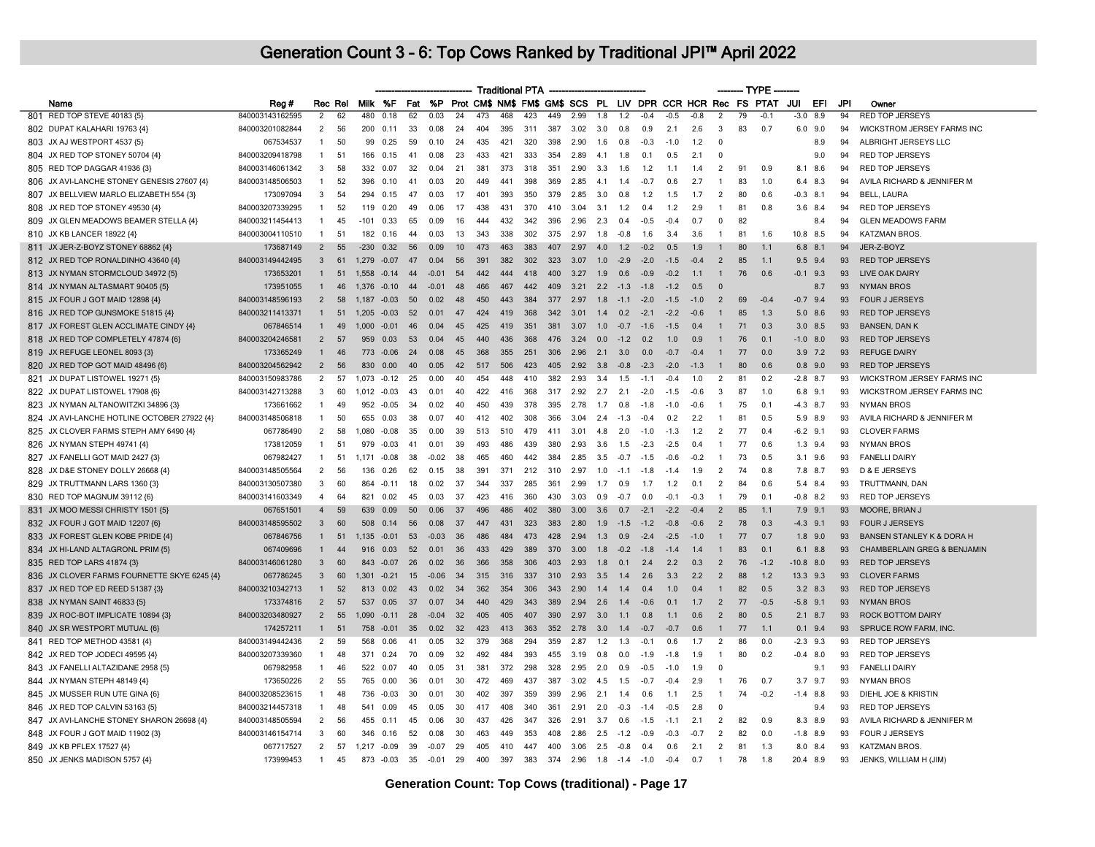|                                             |                 |                |         |                |          |    |         |     |     |     | <b>Traditional PTA</b> |     |      |     |        |        |        |        |                |    | -- TYPE -                                                   |             |     |     |                                        |
|---------------------------------------------|-----------------|----------------|---------|----------------|----------|----|---------|-----|-----|-----|------------------------|-----|------|-----|--------|--------|--------|--------|----------------|----|-------------------------------------------------------------|-------------|-----|-----|----------------------------------------|
| Name                                        | Reg#            |                | Rec Rel |                | Milk %F  |    | Fat %P  |     |     |     |                        |     |      |     |        |        |        |        |                |    | Prot CM\$ NM\$ FM\$ GM\$ SCS PL LIV DPR CCR HCR Rec FS PTAT | JUI         | EFI | JPI | Owner                                  |
| 801 RED TOP STEVE 40183 {5}                 | 840003143162595 | $\overline{2}$ | 62      | 480            | 0.18     | 62 | 0.03    | 24  | 473 | 468 | 423                    | 449 | 2.99 | 1.8 | 1.2    | $-0.4$ | $-0.5$ | $-0.8$ | $\overline{2}$ | 79 | $-0.1$                                                      | $-3.0$      | 8.9 | 94  | <b>RED TOP JERSEYS</b>                 |
| 802 DUPAT KALAHARI 19763 {4}                | 840003201082844 | 2              | 56      | 200            | 0.11     | 33 | 0.08    | 24  | 404 | 395 | 311                    | 387 | 3.02 | 3.0 | 0.8    | 0.9    | 2.1    | 2.6    | 3              | 83 | 0.7                                                         | $6.0$ $9.0$ |     | 94  | WICKSTROM JERSEY FARMS INC             |
| 803 JX AJ WESTPORT 4537 {5]                 | 067534537       | $\overline{1}$ | 50      | 99             | 0.25     | 59 | 0.10    | 24  | 435 | 421 | 320                    | 398 | 2.90 | 1.6 | 0.8    | $-0.3$ | $-1.0$ | 1.2    | 0              |    |                                                             |             | 8.9 | 94  | ALBRIGHT JERSEYS LLC                   |
| 804 JX RED TOP STONEY 50704 {4}             | 840003209418798 | $\overline{1}$ | 51      | 166            | 0.15     | 41 | 0.08    | 23  | 433 | 421 | 333                    | 354 | 2.89 | 4.1 | 1.8    | 0.1    | 0.5    | 2.1    | $\overline{0}$ |    |                                                             |             | 9.0 | 94  | <b>RED TOP JERSEYS</b>                 |
| 805 RED TOP DAGGAR 41936 {3}                | 840003146061342 | 3              | 58      |                | 332 0.07 | 32 | 0.04    | 21  | 381 | 373 | 318                    | 351 | 2.90 | 3.3 | 1.6    | 1.2    | 1.1    | 1.4    | 2              | 91 | 0.9                                                         | 8.1 8.6     |     | 94  | <b>RED TOP JERSEYS</b>                 |
| 806 JX AVI-LANCHE STONEY GENESIS 27607 {4}  | 840003148506503 | $\overline{1}$ | 52      | 396            | 0.10     | 41 | 0.03    | 20  | 449 | 441 | 398                    | 369 | 2.85 | 4.1 | 1.4    | $-0.7$ | 0.6    | 2.7    |                | 83 | 1.0                                                         | 6.4 8.3     |     | 94  | AVILA RICHARD & JENNIFER M             |
| 807 JX BELLVIEW MARLO ELIZABETH 554 {3}     | 173097094       | 3              | 54      | 294            | 0.15     | 47 | 0.03    | 17  | 401 | 393 | 350                    | 379 | 2.85 | 3.0 | 0.8    | 1.2    | 1.5    | 1.7    | 2              | 80 | 0.6                                                         | $-0.3$ 8.1  |     | 94  | <b>BELL, LAURA</b>                     |
| 808 JX RED TOP STONEY 49530 {4}             | 840003207339295 | $\overline{1}$ | 52      |                | 119 0.20 | 49 | 0.06    | 17  | 438 | 431 | 370                    | 410 | 3.04 | 3.1 | 1.2    | 0.4    | 1.2    | 2.9    | $\overline{1}$ | 81 | 0.8                                                         | 3.6 8.4     |     | 94  | <b>RED TOP JERSEYS</b>                 |
| 809 JX GLEN MEADOWS BEAMER STELLA {4}       | 840003211454413 | $\overline{1}$ | 45      | $-101$         | 0.33     | 65 | 0.09    | 16  | 444 | 432 | 342                    | 396 | 2.96 | 2.3 | 0.4    | $-0.5$ | $-0.4$ | 0.7    | $\mathbf{0}$   | 82 |                                                             |             | 8.4 | 94  | <b>GLEN MEADOWS FARM</b>               |
| 810 JX KB LANCER 18922 {4}                  | 840003004110510 | $\overline{1}$ | 51      |                | 182 0.16 | 44 | 0.03    | 13  | 343 | 338 | 302                    | 375 | 2.97 | 1.8 | $-0.8$ | 1.6    | 3.4    | 3.6    | $\overline{1}$ | 81 | 1.6                                                         | 10.8 8.5    |     | 94  | KATZMAN BROS.                          |
| 811 JX JER-Z-BOYZ STONEY 68862 {4}          | 173687149       | $\overline{2}$ | 55      | $-230$         | 0.32     | 56 | 0.09    | 10  | 473 | 463 | 383                    | 407 | 2.97 | 4.0 | 1.2    | $-0.2$ | 0.5    | 1.9    |                | 80 | 1.1                                                         | 6.8         | 8.1 | 94  | JER-Z-BOYZ                             |
| 812 JX RED TOP RONALDINHO 43640 {4}         | 840003149442495 | $\mathbf{3}$   | 61      | 1,279 -0.07    |          | 47 | 0.04    | 56  | 391 | 382 | 302                    | 323 | 3.07 | 1.0 | $-2.9$ | $-2.0$ | $-1.5$ | $-0.4$ | $\overline{2}$ | 85 | 1.1                                                         | $9.5$ $9.4$ |     | 93  | <b>RED TOP JERSEYS</b>                 |
| 813 JX NYMAN STORMCLOUD 34972 {5}           | 173653201       | $\overline{1}$ | 51      | 1.558          | $-0.14$  | 44 | $-0.01$ | 54  | 442 | 444 | 418                    | 400 | 3.27 | 1.9 | 0.6    | $-0.9$ | $-0.2$ | 1.1    | $\overline{1}$ | 76 | 0.6                                                         | $-0.1$ 9.3  |     | 93  | <b>LIVE OAK DAIRY</b>                  |
| 814 JX NYMAN ALTASMART 90405 {5}            | 173951055       | $\mathbf{1}$   | 46      | 1,376 -0.10    |          | 44 | $-0.01$ | 48  | 466 | 467 | 442                    | 409 | 3.21 | 2.2 | $-1.3$ | $-1.8$ | $-1.2$ | 0.5    | $\Omega$       |    |                                                             |             | 8.7 | 93  | <b>NYMAN BROS</b>                      |
| 815 JX FOUR J GOT MAID 12898 {4}            | 840003148596193 | $\overline{2}$ | 58      | 1,187          | $-0.03$  | 50 | 0.02    | 48  | 450 | 443 | 384                    | 377 | 2.97 | 1.8 | $-1.1$ | $-2.0$ | $-1.5$ | $-1.0$ | $\overline{2}$ | 69 | $-0.4$                                                      | $-0.7$ 9.4  |     | 93  | <b>FOUR J JERSEYS</b>                  |
| 816 JX RED TOP GUNSMOKE 51815 {4}           | 840003211413371 | $\mathbf{1}$   | 51      | 1.205          | $-0.03$  | 52 | 0.01    | 47  | 424 | 419 | 368                    | 342 | 3.01 | 1.4 | 0.2    | $-2.1$ | $-2.2$ | $-0.6$ | $\mathbf{1}$   | 85 | 1.3                                                         | 5.0         | 8.6 | 93  | <b>RED TOP JERSEYS</b>                 |
| 817 JX FOREST GLEN ACCLIMATE CINDY {4}      | 067846514       | $\mathbf{1}$   | 49      | $1000 - 001$   |          | 46 | 0.04    | 45  | 425 | 419 | 351                    | 381 | 3.07 | 1.0 | $-0.7$ | $-16$  | $-1.5$ | 04     | $\mathbf{1}$   | 71 | 0.3                                                         | $3.0$ $8.5$ |     | 93  | <b>BANSEN, DAN K</b>                   |
| 818 JX RED TOP COMPLETELY 47874 {6}         | 840003204246581 | $\overline{2}$ | 57      | 959            | 0.03     | 53 | 0.04    | 45  | 440 | 436 | 368                    | 476 | 3.24 | 0.0 | $-1.2$ | 0.2    | 1.0    | 0.9    |                | 76 | 0.1                                                         | $-1.0$      | 8.0 | 93  | <b>RED TOP JERSEYS</b>                 |
| 819 JX REFUGE LEONEL 8093 {3}               | 173365249       | $\overline{1}$ | 46      | 773            | $-0.06$  | 24 | 0.08    | 45  | 368 | 355 | 251                    | 306 | 2.96 | 2.1 | 3.0    | 0.0    | $-0.7$ | $-0.4$ | $\mathbf{1}$   | 77 | 0.0                                                         | $3.9$ 7.2   |     | 93  | <b>REFUGE DAIRY</b>                    |
| 820 JX RED TOP GOT MAID 48496 {6}           | 840003204562942 | $\overline{2}$ | 56      | 830            | 0.00     | 40 | 0.05    | 42  | 517 | 506 | 423                    | 405 | 2.92 | 3.8 | $-0.8$ | $-2.3$ | $-2.0$ | $-1.3$ | -1             | 80 | 0.6                                                         | 0.8         | 9.0 | 93  | <b>RED TOP JERSEYS</b>                 |
| 821 JX DUPAT LISTOWEL 19271 {5}             | 840003150983786 | 2              | 57      | 1.073          | $-0.12$  | 25 | 0.00    | 40  | 454 | 448 | 410                    | 382 | 2.93 | 3.4 | 1.5    | $-1.1$ | $-0.4$ | 1.0    | 2              | 81 | 0.2                                                         | $-2.8$ 8.7  |     | 93  | WICKSTROM JERSEY FARMS INC             |
| 822 JX DUPAT LISTOWEL 17908 {6}             | 840003142713288 | 3              | 60      | $1.012 -0.03$  |          | 43 | 0.01    | 40  | 422 | 416 | 368                    | 317 | 2.92 | 2.7 | 2.1    | $-2.0$ | $-1.5$ | $-0.6$ | 3              | 87 | 1.0                                                         | $6.8$ 9.1   |     | 93  | WICKSTROM JERSEY FARMS INC             |
| 823 JX NYMAN ALTANOWITZKI 34896 {3}         | 173661662       | $\overline{1}$ | 49      | 952            | $-0.05$  | 34 | 0.02    | 40  | 450 | 439 | 378                    | 395 | 2.78 | 1.7 | 0.8    | $-1.8$ | $-1.0$ | $-0.6$ | $\overline{1}$ | 75 | 0.1                                                         | $-4.3$ 8.7  |     | 93  | NYMAN BROS                             |
| 824 JX AVI-LANCHE HOTLINE OCTOBER 27922 {4} | 840003148506818 | $\overline{1}$ | 50      |                | 655 0.03 | 38 | 0.07    | 40. | 412 | 402 | 308                    | 366 | 3.04 | 2.4 | $-1.3$ | $-0.4$ | 0.2    | 2.2    | -1             | 81 | 0.5                                                         | 5.9 8.9     |     | 93  | AVILA RICHARD & JENNIFER M             |
| 825 JX CLOVER FARMS STEPH AMY 6490 {4}      | 067786490       | 2              | 58      | 1.080          | $-0.08$  | 35 | 0.00    | 39  | 513 | 510 | 479                    | 411 | 3.01 | 4.8 | 2.0    | $-1.0$ | $-1.3$ | 1.2    | $\overline{2}$ | 77 | 0.4                                                         | $-6.2$ 9.1  |     | 93  | <b>CLOVER FARMS</b>                    |
| 826 JX NYMAN STEPH 49741 {4}                | 173812059       | $\overline{1}$ | 51      | 979            | $-0.03$  | 41 | 0.01    | 39  | 493 | 486 | 439                    | 380 | 2.93 | 3.6 | 1.5    | $-2.3$ | $-2.5$ | 0.4    | $\overline{1}$ | 77 | 0.6                                                         | $1.3$ 9.4   |     | 93  | <b>NYMAN BROS</b>                      |
| 827 JX FANELLI GOT MAID 2427 {3}            | 067982427       | $\overline{1}$ | 51      | 1 1 7 1        | $-0.08$  | 38 | $-0.02$ | 38  | 465 | 460 | 442                    | 384 | 2.85 | 3.5 | $-0.7$ | $-1.5$ | $-0.6$ | $-0.2$ | -1             | 73 | 0.5                                                         | $3.1$ 9.6   |     | 93  | <b>FANELLI DAIRY</b>                   |
| 828 JX D&E STONEY DOLLY 26668 {4}           | 840003148505564 | $\overline{2}$ | 56      | 136            | 0.26     | 62 | 0.15    | 38  | 391 | 371 | 212                    | 310 | 2.97 | 1.0 | $-11$  | $-1.8$ | $-14$  | 1.9    | $\overline{2}$ | 74 | 0.8                                                         | 7.8 8.7     |     | 93  | D & E JERSEYS                          |
| 829 JX TRUTTMANN LARS 1360 {3}              | 840003130507380 | 3              | 60      | 864            | $-0.11$  | 18 | 0.02    | 37  | 344 | 337 | 285                    | 361 | 2.99 | 1.7 | 0.9    | 1.7    | 1.2    | 0.1    | 2              | 84 | 0.6                                                         | 5.4 8.4     |     | 93  | TRUTTMANN, DAN                         |
| 830 RED TOP MAGNUM 39112 {6}                | 840003141603349 | $\overline{4}$ | 64      | 821            | 0.02     | 45 | 0.03    | 37  | 423 | 416 | 360                    | 430 | 3.03 | 0.9 | $-0.7$ | 0.0    | $-0.1$ | $-0.3$ | $\overline{1}$ | 79 | 0.1                                                         | $-0.8$ 8.2  |     | 93  | <b>RED TOP JERSEYS</b>                 |
| 831 JX MOO MESSI CHRISTY 1501 {5}           | 067651501       | $\overline{4}$ | 59      | 639            | 0.09     | 50 | 0.06    | 37  | 496 | 486 | 402                    | 380 | 3.00 | 3.6 | 0.7    | $-2.1$ | $-2.2$ | $-0.4$ | $\overline{2}$ | 85 | 1.1                                                         | 7.9 9.1     |     | 93  | MOORE, BRIAN J                         |
| 832 JX FOUR J GOT MAID 12207 {6}            | 840003148595502 | $\mathbf{3}$   | 60      | 508            | 0.14     | 56 | 0.08    | 37  | 447 | 431 | 323                    | 383 | 2.80 | 1.9 | $-1.5$ | $-1.2$ | $-0.8$ | $-0.6$ | $\overline{2}$ | 78 | 0.3                                                         | $-4.3$ 9.1  |     | 93  | <b>FOUR J JERSEYS</b>                  |
| 833 JX FOREST GLEN KOBE PRIDE {4}           | 067846756       | $\mathbf{1}$   | 51      | $1.135 - 0.01$ |          | 53 | $-0.03$ | 36  | 486 | 484 | 473                    | 428 | 2.94 | 1.3 | 0.9    | $-2.4$ | $-2.5$ | $-1.0$ | $\mathbf{1}$   | 77 | 0.7                                                         | $1.8$ 9.0   |     | 93  | <b>BANSEN STANLEY K &amp; DORA H</b>   |
| 834 JX HI-LAND ALTAGRONL PRIM {5}           | 067409696       | $\mathbf{1}$   | 44      | 916            | 0.03     | 52 | 0.01    | 36  | 433 | 429 | 389                    | 370 | 3.00 | 1.8 | $-0.2$ | $-1.8$ | $-1.4$ | 1.4    |                | 83 | 0.1                                                         | 6.1         | 8.8 | 93  | <b>CHAMBERLAIN GREG &amp; BENJAMIN</b> |
| 835 RED TOP LARS 41874 {3}                  | 840003146061280 | 3              | 60      | 843            | $-0.07$  | 26 | 0.02    | 36  | 366 | 358 | 306                    | 403 | 2.93 | 1.8 | 0.1    | 2.4    | 2.2    | 0.3    | $\overline{2}$ | 76 | $-1.2$                                                      | $-10.8$ 8.0 |     | 93  | <b>RED TOP JERSEYS</b>                 |
| 836 JX CLOVER FARMS FOURNETTE SKYE 6245 {4} | 067786245       | $\mathbf{3}$   | 60      | 1.301          | $-0.21$  | 15 | $-0.06$ | 34  | 315 | 316 | 337                    | 310 | 2.93 | 3.5 | 1.4    | 2.6    | 3.3    | 2.2    | $\overline{2}$ | 88 | 1.2                                                         | 13.3 9.3    |     | 93  | <b>CLOVER FARMS</b>                    |
| 837 JX RED TOP ED REED 51387 {3}            | 840003210342713 | $\overline{1}$ | 52      | 813            | 0.02     | 43 | 0.02    | 34  | 362 | 354 | 306                    | 343 | 2.90 | 1.4 | 1.4    | 0.4    | 1.0    | 0.4    | $\overline{1}$ | 82 | 0.5                                                         | $3.2$ $8.3$ |     | 93  | <b>RED TOP JERSEYS</b>                 |
| 838 JX NYMAN SAINT 46833 {5}                | 173374816       | $\overline{2}$ | 57      | 537            | 0.05     | 37 | 0.07    | 34  | 440 | 429 | 343                    | 389 | 2.94 | 2.6 | 1.4    | $-0.6$ | 0.1    | 1.7    | $\overline{2}$ | 77 | $-0.5$                                                      | $-5.8$ 9.1  |     | 93  | <b>NYMAN BROS</b>                      |
| 839 JX ROC-BOT IMPLICATE 10894 {3}          | 840003203480927 | $\overline{2}$ | 55      | 1.090          | $-0.11$  | 28 | $-0.04$ | 32  | 405 | 405 | 407                    | 390 | 2.97 | 3.0 | 1.1    | 0.8    | 1.1    | 0.6    | $\overline{2}$ | 80 | 0.5                                                         | $2.1$ 8.7   |     | 93  | ROCK BOTTOM DAIRY                      |
| 840 JX SR WESTPORT MUTUAL {6}               | 174257211       | $\mathbf{1}$   | 51      | 758            | $-0.01$  | 35 | 0.02    | 32  | 423 | 413 | 363                    | 352 | 2.78 | 3.0 | 1.4    | $-0.7$ | $-0.7$ | 0.6    | $\mathbf{1}$   | 77 | 1.1                                                         | $0.1$ 9.4   |     | 93  | SPRUCE ROW FARM, INC.                  |
| 841 RED TOP METHOD 43581 {4}                | 840003149442436 | 2              | 59      | 568            | 0.06     | 41 | 0.05    | 32  | 379 | 368 | 294                    | 359 | 2.87 | 1.2 | 1.3    | $-0.1$ | 0.6    | 1.7    | 2              | 86 | 0.0                                                         | $-2.3$ 9.3  |     | 93  | <b>RED TOP JERSEYS</b>                 |
| 842 JX RED TOP JODECI 49595 {4}             | 840003207339360 | $\overline{1}$ | 48      | 371            | 0.24     | 70 | 0.09    | 32  | 492 | 484 | 393                    | 455 | 3.19 | 0.8 | 0.0    | $-1.9$ | $-1.8$ | 1.9    | $\overline{1}$ | 80 | 0.2                                                         | $-0.4$ 8.0  |     | 93  | RED TOP JERSEYS                        |
| 843 JX FANELLI ALTAZIDANE 2958 {5}          | 067982958       | $\overline{1}$ | 46      | 522            | 0.07     | 40 | 0.05    | 31  | 381 | 372 | 298                    | 328 | 2.95 | 2.0 | 0.9    | $-0.5$ | $-1.0$ | 1.9    | 0              |    |                                                             |             | 9.1 | 93  | <b>FANELLI DAIRY</b>                   |
| 844 JX NYMAN STEPH 48149 {4}                | 173650226       | $\overline{2}$ | 55      |                | 765 0.00 | 36 | 0.01    | 30  | 472 | 469 | 437                    | 387 | 3.02 | 4.5 | 1.5    | $-0.7$ | $-0.4$ | 2.9    | $\overline{1}$ | 76 | 0.7                                                         | $3.7$ 9.7   |     | 93  | <b>NYMAN BROS</b>                      |
| 845 JX MUSSER RUN UTE GINA {6}              | 840003208523615 | $\overline{1}$ | 48      | 736            | $-0.03$  | 30 | 0.01    | 30  | 402 | 397 | 359                    | 399 | 2.96 | 2.1 | 1.4    | 0.6    | 1.1    | 2.5    | $\overline{1}$ | 74 | $-0.2$                                                      | $-1.4$ 8.8  |     | 93  | DIEHL JOE & KRISTIN                    |
| 846 JX RED TOP CALVIN 53163 (5)             | 840003214457318 | $\overline{1}$ | 48      | 541            | 0.09     | 45 | 0.05    | 30  | 417 | 408 | 340                    | 361 | 2.91 | 2.0 | $-0.3$ | $-1.4$ | $-0.5$ | 2.8    | $\Omega$       |    |                                                             |             | 9.4 | 93  | <b>RED TOP JERSEYS</b>                 |
| 847 JX AVI-LANCHE STONEY SHARON 26698 {4}   | 840003148505594 | $\overline{2}$ | 56      | 455            | 0.11     | 45 | 0.06    | 30  | 437 | 426 | 347                    | 326 | 2.91 | 3.7 | 0.6    | $-1.5$ | $-1.1$ | 2.1    | 2              | 82 | 0.9                                                         | 8.3 8.9     |     | 93  | AVILA RICHARD & JENNIFER M             |
| 848 JX FOUR J GOT MAID 11902 {3}            | 840003146154714 | $\mathbf{B}$   | 60      | 346            | 0.16     | 52 | 0.08    | 30  | 463 | 449 | 353                    | 408 | 2.86 | 2.5 | $-1.2$ | $-0.9$ | $-0.3$ | $-07$  | $\overline{2}$ | 82 | 0.0                                                         | $-1.8$ 8.9  |     | 93  | FOUR J JERSEYS                         |
| 849 JX KB PFLEX 17527 {4}                   | 067717527       | 2              | 57      | $1.217 - 0.09$ |          | 39 | $-0.07$ | 29  | 405 | 410 | 447                    | 400 | 3.06 | 2.5 | $-0.8$ | 0.4    | 0.6    | 2.1    | 2              | 81 | 1.3                                                         | 8.0 8.4     |     | 93  | KATZMAN BROS.                          |
| 850 JX JENKS MADISON 5757 {4}               | 173999453       | $\overline{1}$ | 45      | 873            | $-0.03$  | 35 | $-0.01$ | 29  | 400 | 397 | 383                    | 374 | 2.96 | 1.8 | $-1.4$ | $-1.0$ | $-0.4$ | 0.7    | $\overline{1}$ | 78 | 1.8                                                         | 20.4 8.9    |     | 93  | JENKS, WILLIAM H (JIM)                 |
|                                             |                 |                |         |                |          |    |         |     |     |     |                        |     |      |     |        |        |        |        |                |    |                                                             |             |     |     |                                        |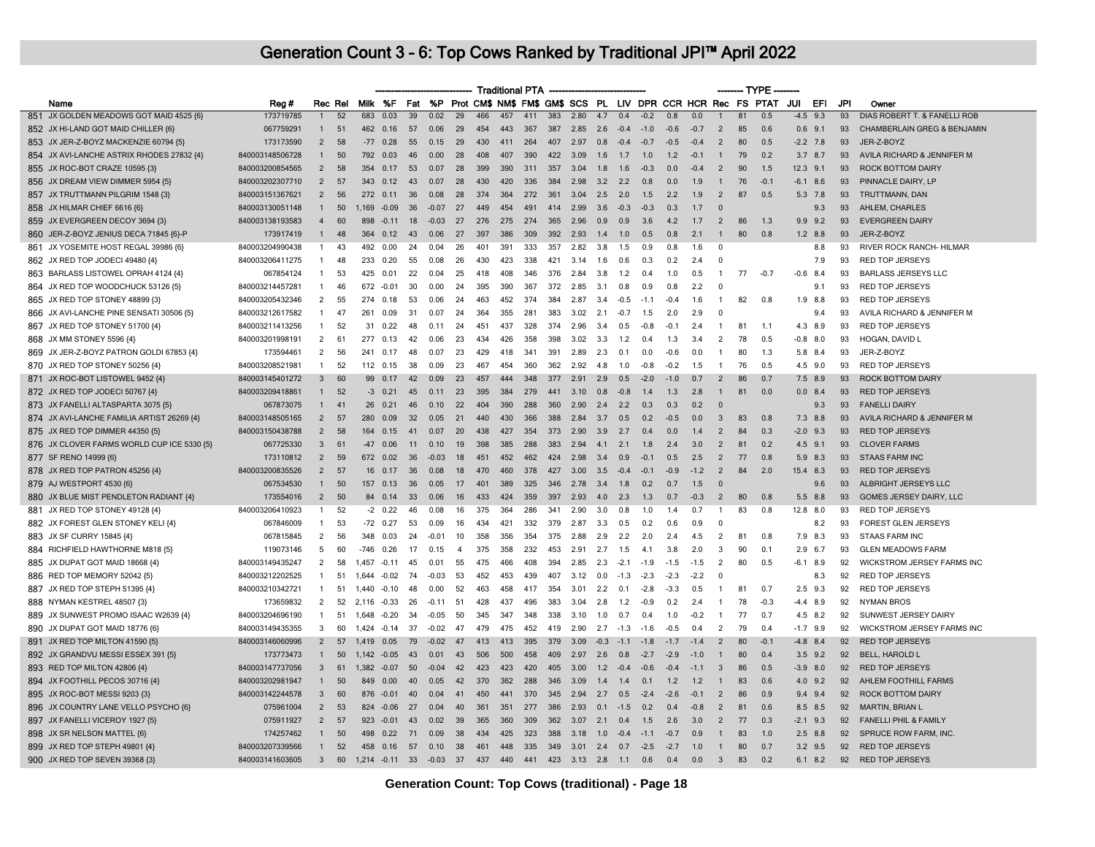|                                            |                 |                |    |                |                 |    |         |                |     | <b>Traditional PTA</b> |     |     |              |        |        |        |        |        |                | ------- TYPE - |                                                             |               |     |                                        |
|--------------------------------------------|-----------------|----------------|----|----------------|-----------------|----|---------|----------------|-----|------------------------|-----|-----|--------------|--------|--------|--------|--------|--------|----------------|----------------|-------------------------------------------------------------|---------------|-----|----------------------------------------|
| Name                                       | Reg #           | Rec Rel        |    | Milk %F        |                 |    | Fat %P  |                |     |                        |     |     |              |        |        |        |        |        |                |                | Prot CM\$ NM\$ FM\$ GM\$ SCS PL LIV DPR CCR HCR Rec FS PTAT | JUI<br>EFI    | JPI | Owner                                  |
| 851 JX GOLDEN MEADOWS GOT MAID 4525 {6}    | 173719785       | $\mathbf{1}$   | 52 | 683            | 0.03            | 39 | 0.02    | 29             | 466 | 457                    | 411 | 383 | 2.80         | 4.7    | 0.4    | $-0.2$ | 0.8    | 0.0    | $\overline{1}$ | 81             | 0.5                                                         | 9.3<br>$-4.5$ | 93  | DIAS ROBERT T. & FANELLI ROB           |
| 852 JX HI-LAND GOT MAID CHILLER {6}        | 067759291       | $\mathbf{1}$   | 51 | 462            | 0.16            | 57 | 0.06    | 29             | 454 | 443                    | 367 | 387 | 2.85         | 2.6    | $-0.4$ | $-1.0$ | $-0.6$ | $-0.7$ | $\overline{2}$ | 85             | 0.6                                                         | 0.6<br>9.1    | 93  | <b>CHAMBERLAIN GREG &amp; BENJAMIN</b> |
| 853 JX JER-Z-BOYZ MACKENZIE 60794 {5}      | 173173590       | $\overline{2}$ | 58 | $-77$          | 0.28            | 55 | 0.15    | 29             | 430 | 411                    | 264 | 407 | 2.97         | 0.8    | $-0.4$ | $-0.7$ | $-0.5$ | $-0.4$ | $\overline{2}$ | 80             | 0.5                                                         | $-2.2$ 7.8    | 93  | JER-Z-BOYZ                             |
| 854 JX AVI-LANCHE ASTRIX RHODES 27832 {4}  | 840003148506728 | $\mathbf{1}$   | 50 | 792            | 0.03            | 46 | 0.00    | 28             | 408 | 407                    | 390 | 422 | 3.09         | 1.6    | 1.7    | 1.0    | 1.2    | $-0.1$ | $\overline{1}$ | 79             | 0.2                                                         | $3.7$ 8.7     | 93  | AVILA RICHARD & JENNIFER M             |
| 855 JX ROC-BOT CRAZE 10595 {3}             | 840003200854565 | $\overline{2}$ | 58 | 354            | 0.17            | 53 | 0.07    | 28             | 399 | 390                    | 311 | 357 | 3.04         | 1.8    | 1.6    | $-0.3$ | 0.0    | $-0.4$ | $\overline{2}$ | 90             | 1.5                                                         | $12.3$ $9.1$  | 93  | <b>ROCK BOTTOM DAIRY</b>               |
| 856 JX DREAM VIEW DIMMER 5954 {5}          | 840003202307710 | 2              | 57 | 343            | 0.12            | 43 | 0.07    | 28             | 430 | 420                    | 336 | 384 | 2.98         | 3.2    | 2.2    | 0.8    | 0.0    | 1.9    | $\mathbf{1}$   | 76             | $-0.1$                                                      | $-6.1$ 8.6    | 93  | PINNACLE DAIRY, LP                     |
| 857 JX TRUTTMANN PILGRIM 1548 {3}          | 840003151367621 | $\overline{2}$ | 56 | 272            | 0.11            | 36 | 0.08    | 28             | 374 | 364                    | 272 | 361 | 3.04         | 2.5    | 2.0    | 1.5    | 2.2    | 1.9    | $\overline{2}$ | 87             | 0.5                                                         | $5.3$ 7.8     | 93  | TRUTTMANN, DAN                         |
| 858 JX HILMAR CHIEF 6616 {6}               | 840003130051148 | $\mathbf{1}$   | 50 | 1.169 -0.09    |                 | 36 | $-0.07$ | 27             | 449 | 454                    | 491 | 414 | 2.99         | 3.6    | $-0.3$ | $-0.3$ | 0.3    | 1.7    | $\Omega$       |                |                                                             | 9.3           | 93  | AHLEM, CHARLES                         |
| 859 JX EVERGREEN DECOY 3694 {3}            | 840003138193583 | $\overline{4}$ | 60 | 898            | $-0.11$         | 18 | $-0.03$ | 27             | 276 | 275                    | 274 | 365 | 2.96         | 0.9    | 0.9    | 3.6    | 4.2    | 1.7    | 2              | 86             | 1.3                                                         | 9.9<br>9.2    | 93  | <b>EVERGREEN DAIRY</b>                 |
| 860 JER-Z-BOYZ JENIUS DECA 71845 {6}-P     | 173917419       | $\mathbf{1}$   | 48 | 364            | 0.12            | 43 | 0.06    | 27             | 397 | 386                    | 309 | 392 | 2.93         | 1.4    | 1.0    | 0.5    | 0.8    | 2.1    | $\mathbf{1}$   | 80             | 0.8                                                         | $1.2$ 8.8     | 93  | JER-Z-BOYZ                             |
| 861 JX YOSEMITE HOST REGAL 39986 {6}       | 840003204990438 | $\mathbf{1}$   | 43 | 492            | 0.00            | 24 | 0.04    | 26             | 401 | 391                    | 333 | 357 | 2.82         | 3.8    | 1.5    | 0.9    | 0.8    | 1.6    | 0              |                |                                                             | 8.8           | 93  | RIVER ROCK RANCH- HILMAR               |
| 862 JX RED TOP JODECI 49480 {4}            | 840003206411275 | $\overline{1}$ | 48 | 233            | 0.20            | 55 | 0.08    | 26             | 430 | 423                    | 338 | 421 | 3.14         | 1.6    | 0.6    | 0.3    | 0.2    | 2.4    | - 0            |                |                                                             | 7.9           | 93  | <b>RED TOP JERSEYS</b>                 |
| 863 BARLASS LISTOWEL OPRAH 4124 {4}        | 067854124       | $\mathbf{1}$   | 53 | 425            | 0.01            | 22 | 0.04    | 25             | 418 | 408                    | 346 | 376 | 2.84         | 3.8    | 1.2    | 0.4    | 1.0    | 0.5    | $\overline{1}$ | 77             | $-0.7$                                                      | $-0.6$<br>8.4 | 93  | <b>BARLASS JERSEYS LLC</b>             |
| 864 JX RED TOP WOODCHUCK 53126 {5}         | 840003214457281 | $\overline{1}$ | 46 | 672            | $-0.01$         | 30 | 0.00    | 24             | 395 | 390                    | 367 | 372 | 2.85         | 3.1    | 0.8    | 0.9    | 0.8    | 2.2    | $\Omega$       |                |                                                             | 9.1           | 93  | <b>RED TOP JERSEYS</b>                 |
| 865 JX RED TOP STONEY 48899 {3}            | 840003205432346 | $\overline{2}$ | 55 | 274            | 0.18            | 53 | 0.06    | 24             | 463 | 452                    | 374 | 384 | 2.87         | 3.4    | $-0.5$ | $-1.1$ | $-0.4$ | 1.6    | $\overline{1}$ | 82             | 0.8                                                         | 8.8<br>1.9    | 93  | <b>RED TOP JERSEYS</b>                 |
| 866 JX AVI-LANCHE PINE SENSATI 30506 {5}   | 840003212617582 | $\overline{1}$ | 47 | 261            | 0.09            | 31 | 0.07    | 24             | 364 | 355                    | 281 | 383 | 3.02         | 2.1    | $-0.7$ | 1.5    | 2.0    | 2.9    | $\Omega$       |                |                                                             | 9.4           | 93  | AVILA RICHARD & JENNIFER M             |
| 867 JX RED TOP STONEY 51700 {4}            | 840003211413256 | $\overline{1}$ | 52 | 31             | 0.22            | 48 | 0.11    | 24             | 451 | 437                    | 328 | 374 | 2.96         | 3.4    | 0.5    | $-0.8$ | $-0.1$ | 2.4    | $\overline{1}$ | 81             | 1.1                                                         | 4.3<br>8.9    | 93  | <b>RED TOP JERSEYS</b>                 |
| 868 JX MM STONEY 5596 {4}                  | 840003201998191 | $\overline{2}$ | 61 | 277            | 0.13            | 42 | 0.06    | 23             | 434 | 426                    | 358 | 398 | 3.02         | 3.3    | 1.2    |        | 1.3    | 3.4    | $\overline{2}$ | 78             | 0.5                                                         | $-0.8$<br>8.0 | 93  | HOGAN, DAVID L                         |
| 869 JX JER-Z-BOYZ PATRON GOLDI 67853 {4}   | 173594461       | $\overline{2}$ | 56 | 241            | 0.17            | 48 | 0.07    | 23             | 429 | 418                    | 341 | 391 | 2.89         | 2.3    | 0.1    | n n    | $-0.6$ | 0.0    | $\mathbf{1}$   | 80             | 1.3                                                         | 5.8 8.4       | 93  | JER-Z-BOYZ                             |
| 870 JX RED TOP STONEY 50256 {4}            | 840003208521981 | $\overline{1}$ | 52 | 112 0.15       |                 | 38 | 0.09    | 23             | 467 | 454                    | 360 | 362 | 2.92         | 4.8    | 1.0    | $-0.8$ | $-0.2$ | 1.5    | -1             | 76             | 0.5                                                         | 4.5 9.0       | 93  | <b>RED TOP JERSEYS</b>                 |
| 871 JX ROC-BOT LISTOWEL 9452 {4}           | 840003145401272 | $\mathbf{3}$   | 60 |                | 99 0.17         | 42 | 0.09    | 23             | 457 | 444                    | 348 | 377 | 2.91         | 2.9    | 0.5    | $-2.0$ | $-1.0$ | 0.7    | $\overline{2}$ | 86             | 0.7                                                         | $7.5$ 8.9     | 93  | <b>ROCK BOTTOM DAIRY</b>               |
| 872 JX RED TOP JODECI 50767 {4}            | 840003209418861 | $\mathbf{1}$   | 52 | $-3$           | 0.21            | 45 | 0.11    | 23             | 395 | 384                    | 279 | 441 | 3.10         | 0.8    | $-0.8$ | 1.4    | 1.3    | 2.8    | $\overline{1}$ | 81             | 0.0                                                         | $0.0$ 8.4     | 93  | <b>RED TOP JERSEYS</b>                 |
| 873 JX FANELLI ALTASPARTA 3075 {5}         | 067873075       | $\mathbf{1}$   | 41 | 26             | 0.21            | 46 | 0.10    | 22             | 404 | 390                    | 288 | 360 | 2.90         | 2.4    | 2.2    | 0.3    | 0.3    | 0.2    | $\Omega$       |                |                                                             | 9.3           | 93  | <b>FANELLI DAIRY</b>                   |
| 874 JX AVI-LANCHE FAMILIA ARTIST 26269 {4} | 840003148505165 | $\overline{2}$ | 57 | 280            | 0.09            | 32 | 0.05    | 21             | 440 | 430                    | 366 | 388 | 2.84         | 3.7    | 0.5    | 02     | $-0.5$ | 0.0    | $\mathbf{3}$   | 83             | 0.8                                                         | $7.3$ 8.8     | 93  | AVILA RICHARD & JENNIFER M             |
| 875 JX RED TOP DIMMER 44350 {5}            | 840003150438788 | $\overline{2}$ | 58 | 164            | 0.15            | 41 | 0.07    | 20             | 438 | 427                    | 354 | 373 | 2.90         | 3.9    | 2.7    | 04     | 0.0    | 1.4    | $\overline{2}$ | 84             | 0.3                                                         | $-2.0$<br>9.3 | 93  | <b>RED TOP JERSEYS</b>                 |
| 876 JX CLOVER FARMS WORLD CUP ICE 5330 {5} | 067725330       | $\mathbf{3}$   | 61 | $-47$          | 0.06            | 11 | 0.10    | 19             | 398 | 385                    | 288 | 383 | 2.94         | 4.1    | 2.1    | 1.8    | 2.4    | 3.0    | $\overline{2}$ | 81             | 0.2                                                         | $4.5$ 9.1     | 93  | <b>CLOVER FARMS</b>                    |
| 877 SF RENO 14999 {6}                      | 173110812       | $\overline{2}$ | 59 | 672            | 0.02            | 36 | $-0.03$ | 18             | 451 | 452                    | 462 | 424 | 2.98         | 3.4    | 0.9    | $-0.1$ | 0.5    | 2.5    | $\overline{2}$ | 77             | 0.8                                                         | 5.9<br>8.3    | 93  | <b>STAAS FARM INC</b>                  |
| 878 JX RED TOP PATRON 45256 {4}            | 840003200835526 | $\overline{2}$ | 57 |                | $16 \quad 0.17$ | 36 | 0.08    | 18             | 470 | 460                    | 378 | 427 | 3.00         | 3.5    | $-0.4$ | $-01$  | $-0.9$ | $-1.2$ | 2              | 84             | 2.0                                                         | 15.4 8.3      | 93  | <b>RED TOP JERSEYS</b>                 |
| 879 AJ WESTPORT 4530 {6}                   | 067534530       | $\mathbf{1}$   | 50 | 157            | 0.13            | 36 | 0.05    | 17             | 401 | 389                    | 325 | 346 | 2.78         | 3.4    | 1.8    | 0.2    | 0.7    | 1.5    | $\Omega$       |                |                                                             | 9.6           | 93  | ALBRIGHT JERSEYS LLC                   |
| 880 JX BLUE MIST PENDLETON RADIANT {4}     | 173554016       | $\overline{2}$ | 50 |                | 84 0.14         | 33 | 0.06    | 16             | 433 | 424                    | 359 | 397 | 2.93         | 4.0    | 2.3    | 1.3    | 0.7    | $-0.3$ | $\overline{2}$ | 80             | 0.8                                                         | 5.5 8.8       | 93  | GOMES JERSEY DAIRY, LLC                |
| 881 JX RED TOP STONEY 49128 {4}            | 840003206410923 | $\mathbf{1}$   | 52 |                | $-2$ 0.22       | 46 | 0.08    | 16             | 375 | 364                    | 286 | 341 | 2.90         | 3.0    | 0.8    | 1.0    | 1.4    | 0.7    | $\mathbf{1}$   | 83             | 0.8                                                         | 12.8 8.0      | 93  | <b>RED TOP JERSEYS</b>                 |
| 882 JX FOREST GLEN STONEY KELI {4}         | 067846009       | -1             | 53 | $-72$          | 0.27            | 53 | 0.09    | 16             | 434 | 421                    | 332 | 379 | 2.87         | 3.3    | 0.5    | በ 2    | 0.6    | 0.9    | - 0            |                |                                                             | 8.2           | 93  | <b>FOREST GLEN JERSEYS</b>             |
| 883 JX SF CURRY 15845 {4}                  | 067815845       | $\overline{2}$ | 56 | 348 0.03       |                 | 24 | $-0.01$ | 10             | 358 | 356                    | 354 | 375 | 2.88         | 2.9    | 2.2    | 2.0    | 2.4    | 4.5    | $\overline{2}$ | 81             | 0.8                                                         | 7.9 8.3       | 93  | <b>STAAS FARM INC</b>                  |
| 884 RICHFIELD HAWTHORNE M818 {5}           | 119073146       | 5              | 60 | -746           | 0.26            | 17 | 0.15    | $\overline{4}$ | 375 | 358                    | 232 | 453 | 2.91         | 2.7    | 1.5    | 4.     | 3.8    | 2.0    | 3              | 90             | 0.1                                                         | 2.9<br>6.7    | 93  | <b>GLEN MEADOWS FARM</b>               |
| 885 JX DUPAT GOT MAID 18668 {4}            | 840003149435247 | 2              | 58 | 1,457          | $-0.11$         | 45 | 0.01    | 55             | 475 | 466                    | 408 | 394 | 2.85         | 2.3    | $-2.1$ | $-1.9$ | $-1.5$ | $-1.5$ | $\overline{2}$ | 80             | 0.5                                                         | -6.1<br>8.9   | 92  | WICKSTROM JERSEY FARMS INC             |
| 886 RED TOP MEMORY 52042 {5}               | 840003212202525 | $\overline{1}$ | 51 | 1.644          | $-0.02$         | 74 | $-0.03$ | 53             | 452 | 453                    | 439 | 407 | 3.12         | 0.0    | $-1.3$ | $-2.3$ | $-2.3$ | $-2.2$ | - 0            |                |                                                             | 8.3           | 92  | <b>RED TOP JERSEYS</b>                 |
| 887 JX RED TOP STEPH 51395 {4}             | 840003210342721 | $\overline{1}$ | 51 | $1.440 - 0.10$ |                 | 48 | 0.00    | 52             | 463 | 458                    | 417 | 354 | 3.01         | 2.2    | 0.1    | $-2.8$ | $-3.3$ | 0.5    | $\overline{1}$ | 81             | 0.7                                                         | $2.5$ 9.3     | 92  | <b>RED TOP JERSEYS</b>                 |
| 888 NYMAN KESTREL 48507 {3}                | 173659832       | $\overline{2}$ | 52 | 2,116 -0.33    |                 | 26 | $-0.11$ | 51             | 428 | 437                    | 496 | 383 | 3.04         | 2.8    | 1.2    | $-0.9$ | 0.2    | 2.4    | $\overline{1}$ | 78             | $-0.3$                                                      | -4.4<br>8.9   | 92  | <b>NYMAN BROS</b>                      |
| 889 JX SUNWEST PROMO ISAAC W2639 {4}       | 840003204696190 | $\overline{1}$ | 51 | 1,648          | $-0.20$         | 34 | $-0.05$ | 50             | 345 | 347                    | 348 | 338 | 3.10         | 1.0    | 0.7    | 0.4    | 1.0    | $-0.2$ | $\overline{1}$ | 77             | 0.7                                                         | 4.5<br>8.2    | 92  | SUNWEST JERSEY DAIRY                   |
| 890 JX DUPAT GOT MAID 18776 {6}            | 840003149435355 | 3              | 60 | 1.424          | $-0.14$         | 37 | $-0.02$ | 47             | 479 | 475                    | 452 | 419 | 2.90         | 2.7    | $-1.3$ | $-1.6$ | $-0.5$ | 0.4    | 2              | 79             | 0.4                                                         | $-1.7$ 9.9    | 92  | WICKSTROM JERSEY FARMS INC             |
| 891 JX RED TOP MILTON 41590 {5}            | 840003146060996 | $\mathcal{P}$  | 57 | 1419           | 0.05            | 79 | $-0.02$ | 47             | 413 | 413                    | 395 | 379 | 3.09         | $-0.3$ | $-11$  | $-18$  | $-17$  | $-14$  | $\overline{2}$ | 80             | $-0.1$                                                      | $-4.8$<br>8.4 | 92  | <b>RED TOP JERSEYS</b>                 |
| 892 JX GRANDVU MESSI ESSEX 391 {5}         | 173773473       | $\mathbf{1}$   | 50 | 1,142 -0.05    |                 | 43 | 0.01    | 43             | 506 | 500                    | 458 | 409 | 2.97         | 2.6    | 0.8    | $-2.7$ | $-2.9$ | $-1.0$ | $\mathbf{1}$   | 80             | 0.4                                                         | $3.5$ $9.2$   | 92  | <b>BELL, HAROLD L</b>                  |
| 893 RED TOP MILTON 42806 {4}               | 840003147737056 | $\mathbf{3}$   | 61 | 1.382          | $-0.07$         | 50 | $-0.04$ | 42             | 423 | 423                    | 420 | 405 | 3.00         | 1.2    | $-0.4$ | $-0.6$ | $-0.4$ | $-1.1$ | $\mathbf{3}$   | 86             | 0.5                                                         | $-3.9$<br>8.0 | 92  | <b>RED TOP JERSEYS</b>                 |
| 894 JX FOOTHILL PECOS 30716 {4}            | 840003202981947 | $\mathbf{1}$   | 50 | 849            | 0.00            | 40 | 0.05    | 42             | 370 | 362                    | 288 | 346 | 3.09         | 1.4    | 1.4    | 0.1    | $1.2$  | 1.2    | $\mathbf{1}$   | 83             | 0.6                                                         | $4.0$ 9.2     | 92  | AHLEM FOOTHILL FARMS                   |
| 895 JX ROC-BOT MESSI 9203 {3}              | 840003142244578 | $\mathbf{3}$   | 60 | 876            | $-0.01$         | 40 | 0.04    | 41             | 450 | 441                    | 370 | 345 | 2.94         | 2.7    | 0.5    | $-2.4$ | $-2.6$ | $-0.1$ | $\overline{2}$ | 86             | 0.9                                                         | $9.4$ 9.4     | 92  | <b>ROCK BOTTOM DAIRY</b>               |
| 896 JX COUNTRY LANE VELLO PSYCHO {6}       | 075961004       | $\overline{2}$ | 53 | 824            | $-0.06$         | 27 | 0.04    | 40             | 361 | 351                    | 277 | 386 | 2.93         | 0.1    | $-1.5$ | 0.2    | 0.4    | $-0.8$ | 2              | 81             | 0.6                                                         | 8.5 8.5       | 92  | <b>MARTIN, BRIAN L</b>                 |
| 897 JX FANELLI VICEROY 1927 {5}            | 075911927       | $\overline{2}$ | 57 | 923            | $-0.01$         | 43 | 0.02    | 39             | 365 | 360                    | 309 | 362 | 3.07         | 2.1    | 0.4    | 1.5    | 2.6    | 3.0    | $\overline{2}$ | 77             | 0.3                                                         | $-2.1$ 9.3    | 92  | FANELLI PHIL & FAMILY                  |
| 898 JX SR NELSON MATTEL {6}                | 174257462       | $\mathbf{1}$   | 50 | 498            | 0.22            | 71 | 0.09    | 38             | 434 | 425                    | 323 | 388 | 3.18         | 1.0    | $-0.4$ | $-1.1$ | $-0.7$ | 0.9    | $\mathbf{1}$   | 83             | 1.0                                                         | $2.5$ 8.8     | 92  | SPRUCE ROW FARM, INC.                  |
| 899 JX RED TOP STEPH 49801 {4}             | 840003207339566 | $\overline{1}$ | 52 | 458 0.16       |                 | 57 | 0.10    | 38             | 461 | 448                    | 335 | 349 | 3.01         | 2.4    | 0.7    | $-2.5$ | $-2.7$ | 1.0    | $\mathbf{1}$   | 80             | 0.7                                                         | $3.2$ 9.5     | 92  | <b>RED TOP JERSEYS</b>                 |
| 900 JX RED TOP SEVEN 39368 {3}             | 840003141603605 | $\overline{3}$ | 60 | $1.214 - 0.11$ |                 | 33 | $-0.03$ | 37             | 437 | 440                    | 441 |     | 423 3.13 2.8 |        | 1.1    | 0.6    | 0.4    | 0.0    | $\overline{3}$ | 83             | 0.2                                                         | 6.1<br>8.2    | 92  | <b>RED TOP JERSEYS</b>                 |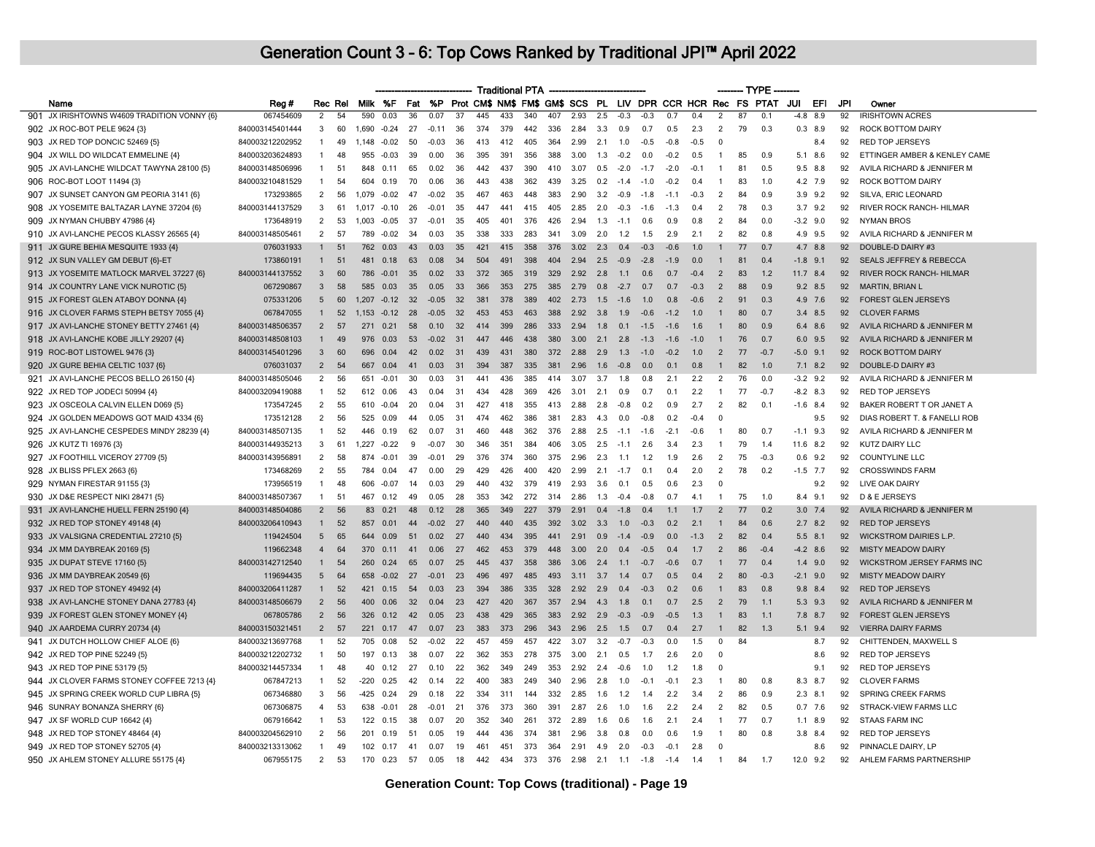|                                             |                 |                |         |        |                |     |           |     |                      | <b>Traditional PTA</b> |     |     |      |     |        |                |        |        |                | ------- TYPE |                                                             |             |           |     |                                    |
|---------------------------------------------|-----------------|----------------|---------|--------|----------------|-----|-----------|-----|----------------------|------------------------|-----|-----|------|-----|--------|----------------|--------|--------|----------------|--------------|-------------------------------------------------------------|-------------|-----------|-----|------------------------------------|
| Name                                        | Reg #           |                | Rec Rel |        | Milk %F        | Fat | <b>%P</b> |     |                      |                        |     |     |      |     |        |                |        |        |                |              | Prot CM\$ NM\$ FM\$ GM\$ SCS PL LIV DPR CCR HCR Rec FS PTAT | JUI         | EFI       | JPI | Owner                              |
| 901 JX IRISHTOWNS W4609 TRADITION VONNY {6} | 067454609       | $\overline{2}$ | 54      | 590    | 0.03           | 36  | 0.07      | 37  | 445                  | 433                    | 340 | 407 | 2.93 | 2.5 | $-0.3$ | $-0.3$         | 0.7    | 0.4    | $\overline{2}$ | 87           | 0.1                                                         | $-4.8$      | 8.9       | 92  | <b>IRISHTOWN ACRES</b>             |
| 902 JX ROC-BOT PELE 9624 {3}                | 840003145401444 | -3             | 60      | 1.690  | $-0.24$        | 27  | $-0.11$   | 36  | 374                  | 379                    | 442 | 336 | 2.84 | 3.3 | 0.9    | 0.7            | 0.5    | 2.3    | $\overline{2}$ | 79           | 0.3                                                         | $0.3$ 8.9   |           | 92  | ROCK BOTTOM DAIRY                  |
| 903 JX RED TOP DONCIC 52469 (5)             | 840003212202952 | $\mathbf{1}$   | 49      |        | 1,148 -0.02    | 50  | $-0.03$   | 36  | 413                  | 412                    | 405 | 364 | 2.99 | 2.1 | 1.0    | $-0.5$         | $-0.8$ | $-0.5$ | $\Omega$       |              |                                                             |             | 8.4       | 92  | <b>RED TOP JERSEYS</b>             |
| 904 JX WILL DO WILDCAT EMMELINE {4}         | 840003203624893 | $\overline{1}$ | 48      | 955    | $-0.03$        | 39  | 0.00      | 36  | 395                  | 391                    | 356 | 388 | 3.00 | 1.3 | $-0.2$ | 0.0            | $-0.2$ | 0.5    | $\overline{1}$ | 85           | 0.9                                                         | 5.1 8.6     |           | 92  | ETTINGER AMBER & KENLEY CAME       |
| 905 JX AVI-LANCHE WILDCAT TAWYNA 28100 {5}  | 840003148506996 | $\mathbf{1}$   | 51      | 848    | 0.11           | 65  | 0.02      | 36  | 442                  | 437                    | 390 | 410 | 3.07 | 0.5 | $-2.0$ | $-1.7$         | $-2.0$ | $-0.1$ | $\mathbf{1}$   | 81           | 0.5                                                         | $9.5$ 8.8   |           | 92  | AVILA RICHARD & JENNIFER M         |
| 906 ROC-BOT LOOT 11494 {3}                  | 840003210481529 | $\mathbf{1}$   | 54      | 604    | 0.19           | 70  | 0.06      | 36  | 443                  | 438                    | 362 | 439 | 3.25 | 0.2 | $-1.4$ | $-1.0$         | $-0.2$ | 0.4    | $\mathbf{1}$   | 83           | 1.0                                                         |             | 4.2 7.9   | 92  | ROCK BOTTOM DAIRY                  |
| 907 JX SUNSET CANYON GM PEORIA 3141 {6}     | 173293865       | $\overline{2}$ | 56      | 1.079  | $-0.02$        | 47  | $-0.02$   | 35  | 467                  | 463                    | 448 | 383 | 2.90 | 3.2 | $-0.9$ | $-1.8$         | $-11$  | $-0.3$ | 2              | 84           | 09                                                          | $3.9$ $9.2$ |           | 92  | SILVA, ERIC LEONARD                |
| 908 JX YOSEMITE BALTAZAR LAYNE 37204 {6}    | 840003144137529 | -3             | 61      |        | $1.017 - 0.10$ | 26  | $-0.01$   | 35  | 447                  | 441                    | 415 | 405 | 2.85 | 2.0 | $-0.3$ | $-1.6$         | $-1.3$ | 0.4    | 2              | 78           | 0.3                                                         |             | $3.7$ 9.2 | 92  | RIVER ROCK RANCH- HILMAR           |
| 909 JX NYMAN CHUBBY 47986 {4}               | 173648919       | $\overline{2}$ | 53      | 1.003  | $-0.05$        | 37  | $-0.01$   | 35  | 405                  | 401                    | 376 | 426 | 2.94 | 1.3 | $-1.1$ | 0.6            | 0.9    | 0.8    | 2              | 84           | 0 C                                                         | $-3.2$ 9.0  |           | 92  | <b>NYMAN BROS</b>                  |
| 910 JX AVI-LANCHE PECOS KLASSY 26565 {4}    | 840003148505461 | 2              | 57      | 789    | $-0.02$        | -34 | 0.03      | 35  | 338                  | 333                    | 283 | 341 | 3.09 | 2.0 | 1.2    | 1.5            | 2.9    | 2.1    | 2              | 82           | 0.8                                                         | 4.9 9.5     |           | 92  | AVILA RICHARD & JENNIFER M         |
| 911 JX GURE BEHIA MESQUITE 1933 {4}         | 076031933       | $\mathbf{1}$   | 51      | 762    | 0.03           | 43  | 0.03      | 35  | 421                  | 415                    | 358 | 376 | 3.02 | 2.3 | 0.4    | $-0.3$         | $-0.6$ | 1.0    |                | 77           | 0.7                                                         | 4.7 8.8     |           | 92  | DOUBLE-D DAIRY #3                  |
| 912 JX SUN VALLEY GM DEBUT {6}-ET           | 173860191       | $\mathbf{1}$   | 51      | 481    | 0.18           | 63  | 0.08      | 34  | 504                  | 491                    | 398 | 404 | 2.94 | 2.5 | $-0.9$ | $-2.8$         | $-1.9$ | 0.0    | $\mathbf{1}$   | 81           | 0.4                                                         | $-1.8$ 9.1  |           | 92  | <b>SEALS JEFFREY &amp; REBECCA</b> |
| 913 JX YOSEMITE MATLOCK MARVEL 37227 {6}    | 840003144137552 | $\overline{3}$ | 60      | 786    | $-0.01$        | 35  | 0.02      | 33  | 372                  | 365                    | 319 | 329 | 2.92 | 2.8 | 1.1    | 0.6            | 0.7    | $-0.4$ | $\overline{2}$ | 83           | 1.2                                                         | 11.7 8.4    |           | 92  | RIVER ROCK RANCH- HILMAR           |
| 914 JX COUNTRY LANE VICK NUROTIC {5}        | 067290867       | $\overline{3}$ | 58      | 585    | 0.03           | 35  | 0.05      | 33  | 366                  | 353                    | 275 | 385 | 2.79 | 0.8 | $-2.7$ | 0.7            | 0.7    | $-0.3$ | $\overline{2}$ | 88           | 0.9                                                         | $9.2$ 8.5   |           | 92  | <b>MARTIN, BRIAN L</b>             |
| 915 JX FOREST GLEN ATABOY DONNA {4}         | 075331206       | 5              | 60      |        | $1.207 -0.12$  | 32  | $-0.05$   | 32  | 381                  | 378                    | 389 | 402 | 2.73 | 1.5 | $-1.6$ | 1.0            | 0.8    | $-0.6$ | $\overline{2}$ | 91           | 0.3                                                         | 4.9 7.6     |           | 92  | <b>FOREST GLEN JERSEYS</b>         |
| 916 JX CLOVER FARMS STEPH BETSY 7055 {4}    | 067847055       | $\mathbf{1}$   | 52      | 1 153  | $-0.12$        | 28  | $-0.05$   | 32  | 453                  | 453                    | 463 | 388 | 2.92 | 3.8 | 1.9    | $-06$          | $-12$  | 1 Q    | -1             | 80           | 07                                                          | $3.4$ 8.5   |           | 92  | <b>CLOVER FARMS</b>                |
| 917 JX AVI-LANCHE STONEY BETTY 27461 {4}    | 840003148506357 | 2              | 57      | 271    | 0.21           | 58  | 0.10      | 32  | 414                  | 399                    | 286 | 333 | 2.94 | 1.8 | 0.1    | $-1.5$         | $-1.6$ | 1.6    | $\mathbf{1}$   | 80           | 0.9                                                         | 6.4 8.6     |           | 92  | AVILA RICHARD & JENNIFER M         |
| 918 JX AVI-LANCHE KOBE JILLY 29207 {4}      | 840003148508103 |                | 49      | 976    | 0.03           | 53  | $-0.02$   | 31  | 447                  | 446                    | 438 | 380 | 3.00 | 2.1 | 2.8    | $-1.3$         | $-1.6$ | $-1.0$ |                | 76           | 0.7                                                         | 6.0 9.5     |           | 92  | AVILA RICHARD & JENNIFER M         |
| 919 ROC-BOT LISTOWEL 9476 {3}               | 840003145401296 | $\mathbf{3}$   | 60      | 696    | 0.04           | 42  | 0.02      | 31  | 439                  | 431                    | 380 | 372 | 2.88 | 2.9 | 1.3    | $-1.0$         | $-0.2$ | 1.0    | 2              | 77           | $-0.7$                                                      | $-5.0$ 9.1  |           | 92  | <b>ROCK BOTTOM DAIRY</b>           |
| 920 JX GURE BEHIA CELTIC 1037 {6}           | 076031037       | $\overline{2}$ | 54      | 667    | 0.04           | 41  | 0.03      | -31 | 394                  | 387                    | 335 | 381 | 2.96 | 1.6 | $-0.8$ | 0.0            | 0.1    | 0.8    | $\mathbf{1}$   | 82           | 1.0                                                         | $7.1$ 8.2   |           | 92  | DOUBLE-D DAIRY #3                  |
| 921 JX AVI-LANCHE PECOS BELLO 26150 {4}     | 840003148505046 | 2              | 56      | 651    | $-0.01$        | 30  | 0.03      | 31  | 441                  | 436                    | 385 | 414 | 3.07 | 3.7 | 1.8    | 0.8            | 2.1    | 2.2    | 2              | 76           | 0.0                                                         | $-3.2$ 9.2  |           | 92  | AVILA RICHARD & JENNIFER M         |
| 922 JX RED TOP JODECI 50994 {4}             | 840003209419088 | $\mathbf{1}$   | 52      | 612    | 0.06           | 43  | 0.04      | 31  | 434                  | 428                    | 369 | 426 | 3.01 | 2.1 | 0.9    | 0.7            | 0.1    | 2.2    | $\overline{1}$ | 77           | $-0.7$                                                      | $-8.2$ 8.3  |           | 92  | <b>RED TOP JERSEYS</b>             |
| 923 JX OSCEOLA CALVIN ELLEN D069 {5}        | 173547245       | $\overline{2}$ | 55      | 610    | $-0.04$        | 20  | 0.04      | 31  | 427                  | 418                    | 355 | 413 | 2.88 | 2.8 | $-0.8$ | 0.2            | 0.9    | 2.7    | $\overline{2}$ | 82           | 0.1                                                         | $-1.6$ 8.4  |           | 92  | BAKER ROBERT T OR JANET A          |
| 924 JX GOLDEN MEADOWS GOT MAID 4334 {6}     | 173512128       | 2              | 56      | 525    | 0.09           | 44  | 0.05      | 31  | 474                  | 462                    | 386 | 381 | 2.83 | 4.3 | 0.0    | $-0.8$         | 0.2    | $-0.4$ | $\Omega$       |              |                                                             |             | 9.5       | 92  | DIAS ROBERT T. & FANELLI ROB       |
| 925 JX AVI-LANCHE CESPEDES MINDY 28239 {4}  | 840003148507135 | $\mathbf{1}$   | 52      | 446    | 0.19           | 62  | 0.07      | 31  | 460                  | 448                    | 362 | 376 | 2.88 | 2.5 | $-1.1$ | $-1.6$         | $-2.1$ | $-0.6$ | $\mathbf{1}$   | 80           | 0.7                                                         | $-1.1$      | 9.3       | 92  | AVILA RICHARD & JENNIFER M         |
| 926 JX KUTZ TI 16976 {3}                    | 840003144935213 | 3              | 61      | 1,227  | $-0.22$        | 9   | $-0.07$   | 30  | 346                  | 351                    | 384 | 406 | 3.05 | 2.5 | $-1.1$ | 2.6            | 3.4    | 2.3    |                | 79           | 1.4                                                         | 11.6 8.2    |           | 92  | <b>KUTZ DAIRY LLC</b>              |
| 927 JX FOOTHILL VICEROY 27709 {5}           | 840003143956891 | $\overline{2}$ | 58      | 874    | $-0.01$        | 39  | $-0.01$   | 29  | 376                  | 374                    | 360 | 375 | 2.96 | 2.3 | 1.1    | 1.2            | 1.9    | 2.6    | $\overline{2}$ | 75           | $-0.3$                                                      | $0.6$ 9.2   |           | 92  | <b>COUNTYLINE LLC</b>              |
| 928 JX BLISS PFLEX 2663 {6}                 | 173468269       | $\overline{2}$ | 55      | 784    | 0.04           | 47  | 0.00      | 29  | 429                  | 426                    | 400 | 420 | 2.99 | 2.1 | $-1.7$ | 0 <sub>1</sub> | 0.4    | 2.0    | $\overline{2}$ | 78           | 0.2                                                         | $-1.5$ 7.7  |           | 92  | <b>CROSSWINDS FARM</b>             |
| 929 NYMAN FIRESTAR 91155 {3}                | 173956519       | $\overline{1}$ | 48      | 606    | $-0.07$        | 14  | 0.03      | 29  | 440                  | 432                    | 379 | 419 | 2.93 | 3.6 | 0.1    | 0.5            | 0.6    | 2.3    | $^{\circ}$     |              |                                                             |             | 9.2       | 92  | LIVE OAK DAIRY                     |
| 930 JX D&E RESPECT NIKI 28471 {5}           | 840003148507367 | $\mathbf{1}$   | 51      | 467    | 0.12           | 49  | 0.05      | 28  | 353                  | 342                    | 272 | 314 | 2.86 | 1.3 | $-0.4$ | $-0.8$         | 0.7    | 4.1    | $\overline{1}$ | 75           | 1.0                                                         | 8.4 9.1     |           | 92  | D & E JERSEYS                      |
| 931 JX AVI-LANCHE HUELL FERN 25190 {4}      | 840003148504086 | $\overline{2}$ | 56      | 83     | 0.21           | 48  | 0.12      | 28  | 365                  | 349                    | 227 | 379 | 2.91 | 0.4 | $-1.8$ | 0.4            | 1.1    | 1.7    | $\overline{2}$ | 77           | 0.2                                                         | $3.0$ 7.4   |           | 92  | AVILA RICHARD & JENNIFER M         |
| 932 JX RED TOP STONEY 49148 {4}             | 840003206410943 | 1              | 52      | 857    | 0.01           | 44  | $-0.02$   | 27  | $\Delta\Delta\Omega$ | 440                    | 435 | 392 | 3.02 | 3.3 | 1.0    | $-0.3$         | 0.2    | 2.1    |                | 84           | 0.6                                                         | $2.7$ 8.2   |           | 92  | <b>RED TOP JERSEYS</b>             |
| 933 JX VALSIGNA CREDENTIAL 27210 {5}        | 119424504       | 5              | 65      | 644    | 0.09           | 51  | 0.02      | 27  | 440                  | 434                    | 395 | 441 | 2.91 | 0.9 | $-1.4$ | $-0.9$         | 0.0    | $-1.3$ | 2              | 82           | 0.4                                                         | $5.5$ 8.1   |           | 92  | <b>WICKSTROM DAIRIES L.P.</b>      |
| 934 JX MM DAYBREAK 20169 {5}                | 119662348       | $\overline{4}$ | 64      | 370    | 0.11           | 41  | 0.06      | 27  | 462                  | 453                    | 379 | 448 | 3.00 | 2.0 | 0.4    | $-0.5$         | 0.4    | 1.7    | $\overline{2}$ | 86           | $-0.4$                                                      | $-4.2$ 8.6  |           | 92  | <b>MISTY MEADOW DAIRY</b>          |
| 935 JX DUPAT STEVE 17160 {5}                | 840003142712540 | $\mathbf{1}$   | 54      | 260    | 0.24           | 65  | 0.07      | 25  | 445                  | 437                    | 358 | 386 | 3.06 | 2.4 | 1.1    | $-0.7$         | $-0.6$ | 0.7    | $\mathbf{1}$   | 77           | 0.4                                                         |             | $1.4$ 9.0 | 92  | WICKSTROM JERSEY FARMS INC         |
| 936 JX MM DAYBREAK 20549 {6}                | 119694435       | 5              | 64      | 658    | $-0.02$        | 27  | $-0.01$   | 23  | 496                  | 497                    | 485 | 493 | 3.11 | 3.7 | 1.4    | 0.7            | 0.5    | 0.4    | $\overline{2}$ | 80           | $-0.3$                                                      | $-2.1$ 9.0  |           | 92  | <b>MISTY MEADOW DAIRY</b>          |
| 937 JX RED TOP STONEY 49492 {4}             | 840003206411287 | $\mathbf{1}$   | 52      | 421    | 0.15           | 54  | 0.03      | 23  | 394                  | 386                    | 335 | 328 | 2.92 | 2.9 | 0.4    | $-0.3$         | 0.2    | 0.6    | $\overline{1}$ | 83           | 0.8                                                         | 9.8 8.4     |           | 92  | <b>RED TOP JERSEYS</b>             |
| 938 JX AVI-LANCHE STONEY DANA 27783 {4}     | 840003148506679 | $\overline{2}$ | 56      | 400    | 0.06           | 32  | 0.04      | 23  | 427                  | 420                    | 367 | 357 | 294  | 4.3 | 1.8    | 0.1            | 0.7    | 2.5    | $\overline{2}$ | 79           | 1.1                                                         | $5.3$ $9.3$ |           | 92  | AVILA RICHARD & JENNIFER M         |
| 939 JX FOREST GLEN STONEY MONEY {4}         | 067805786       | $\overline{2}$ | 56      | 326    | 0.12           | 42  | 0.05      | 23  | 438                  | 429                    | 365 | 383 | 2.92 | 2.9 | $-0.3$ | $-0.9$         | $-0.5$ | 1.3    | $\mathbf{1}$   | 83           | 1.1                                                         | 7.8 8.7     |           | 92  | <b>FOREST GLEN JERSEYS</b>         |
| 940 JX AARDEMA CURRY 20734 {4}              | 840003150321451 | $\overline{2}$ | 57      | 221    | 0.17           | 47  | 0.07      | 23  | 383                  | 373                    | 296 | 343 | 2.96 | 2.5 | 1.5    | 0.7            | 0.4    | 2.7    | $\mathbf{1}$   | 82           | 1.3                                                         | $5.1$ 9.4   |           | 92  | <b>VIERRA DAIRY FARMS</b>          |
| 941 JX DUTCH HOLLOW CHIEF ALOE {6}          | 840003213697768 | -1             | 52      | 705    | 0.08           | 52  | -0.02     | 22  | 457                  | 459                    | 457 | 422 | 3.07 | 3.2 | $-0.7$ | $-0.3$         | n n    | 15     | $\Omega$       | 84           |                                                             |             | 8.7       | 92  | CHITTENDEN, MAXWELL S              |
| 942 JX RED TOP PINE 52249 {5}               | 840003212202732 | $\mathbf{1}$   | 50      | 197    | 0.13           | 38  | 0.07      | 22  | 362                  | 353                    | 278 | 375 | 3.00 | 2.1 | 0.5    | 1.7            | 2.6    | 2.0    | $^{\circ}$     |              |                                                             |             | 8.6       | 92  | <b>RED TOP JERSEYS</b>             |
| 943 JX RED TOP PINE 53179 {5}               | 840003214457334 | $\mathbf{1}$   | 48      | 40     | 0.12           | 27  | 0.10      | 22  | 362                  | 349                    | 249 | 353 | 2.92 | 2.4 | $-0.6$ | 1.0            | 1.2    | 1.8    | $\Omega$       |              |                                                             |             | 9.1       | 92  | <b>RED TOP JERSEYS</b>             |
| 944 JX CLOVER FARMS STONEY COFFEE 7213 {4}  | 067847213       | $\overline{1}$ | 52      | $-220$ | 0.25           | 42  | 0.14      | 22  | 400                  | 383                    | 249 | 340 | 2.96 | 2.8 | 1.0    | $-0.1$         | $-0.1$ | 2.3    | -1             | 80           | 0.8                                                         | 8.3 8.7     |           | 92  | <b>CLOVER FARMS</b>                |
| 945 JX SPRING CREEK WORLD CUP LIBRA {5}     | 067346880       | 3              | 56      | -425   | 0.24           | 29  | 0.18      | 22  | 334                  | 311                    | 144 | 332 | 2.85 | 1.6 | 1.2    | 1.4            | 2.2    | 3.4    | $\overline{2}$ | 86           | 0.9                                                         | $2.3$ 8.1   |           | 92  | SPRING CREEK FARMS                 |
| 946 SUNRAY BONANZA SHERRY {6}               | 067306875       | $\overline{4}$ | 53      | 638    | $-0.01$        | 28  | $-0.01$   | 21  | 376                  | 373                    | 360 | 391 | 2.87 | 2.6 | 1.0    | 1.6            | 2.2    | 2.4    | $\overline{2}$ | 82           | 0.5                                                         | $0.7$ 7.6   |           | 92  | <b>STRACK-VIEW FARMS LLC</b>       |
| 947 JX SF WORLD CUP 16642 {4}               | 067916642       | $\mathbf{1}$   | 53      | 122    | 0.15           | 38  | 0.07      | 20  | 352                  | 340                    | 261 | 372 | 2.89 | 1.6 | 0.6    | 1.6            | 2.1    | 2.4    | $\mathbf{1}$   | 77           | 0.7                                                         |             | $1.1$ 8.9 | 92  | <b>STAAS FARM INC</b>              |
| 948 JX RED TOP STONEY 48464 {4}             | 840003204562910 | $\overline{2}$ | 56      | 201    | 0.19           | 51  | 0.05      | 19  | 444                  | 436                    | 374 | 381 | 2.96 | 3.8 | 0.8    | 0.0            | 0.6    | 1.9    | -1             | 80           | 0.8                                                         | $3.8$ $8.4$ |           | 92  | <b>RED TOP JERSEYS</b>             |
| 949 JX RED TOP STONEY 52705 {4}             | 840003213313062 | $\mathbf{1}$   | 49      |        | 102 0.17       | 41  | 0.07      | 19  | 461                  | 451                    | 373 | 364 | 2.91 | 4.9 | 2.0    | $-0.3$         | $-0.1$ | 2.8    | $\Omega$       |              |                                                             |             | 8.6       | 92  | PINNACLE DAIRY, LP                 |
| 950 JX AHLEM STONEY ALLURE 55175 {4}        | 067955175       | $\overline{2}$ | 53      | 170    | 0.23           | 57  | 0.05      | 18  | 442                  | 434                    | 373 | 376 | 2.98 | 2.1 | 1.1    | $-1.8$         | $-1.4$ | 1.4    | $\overline{1}$ | 84           | 1.7                                                         | 12.0        | 9.2       | 92  | AHLEM FARMS PARTNERSHIP            |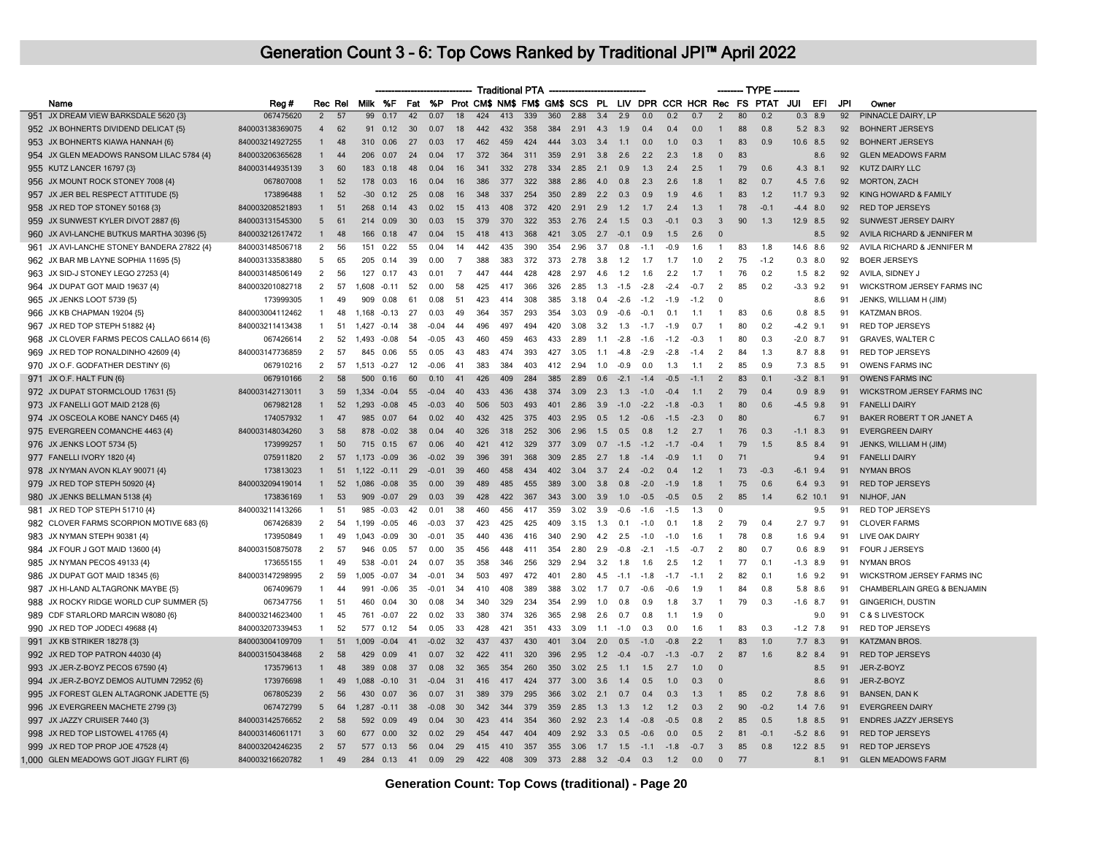| Prot CM\$ NM\$ FM\$ GM\$ SCS PL LIV DPR CCR HCR Rec FS PTAT JUI<br>Milk %F<br>Fat<br>%P<br>EFI<br>JPI<br>Name<br>Reg#<br>Rec Rel<br>Owner<br>424<br>339<br>3.4<br>0.7<br>80<br>92<br>951 JX DREAM VIEW BARKSDALE 5620 {3}<br>067475620<br>$\overline{2}$<br>57<br>99<br>0.17<br>42<br>0.07<br>18<br>413<br>360<br>2.88<br>2.9<br>0.0<br>0.2<br>$\overline{2}$<br>0.2<br>$0.3$ 8.9<br>PINNACLE DAIRY, LP<br>952 JX BOHNERTS DIVIDEND DELICAT {5}<br>840003138369075<br>62<br>30<br>442<br>432<br>358<br>384<br>2.91<br>0.4<br>0.4<br>88<br>5.2 8.3<br>92<br><b>BOHNERT JERSEYS</b><br>$\overline{4}$<br>91<br>0.12<br>0.07<br>18<br>4.3<br>1.9<br>0.0<br>0.8<br>83<br>953 JX BOHNERTS KIAWA HANNAH {6}<br>840003214927255<br>48<br>310<br>0.06<br>27<br>0.03<br>17<br>462<br>459<br>424<br>444<br>3.03<br>3.4<br>1.1<br>0.0<br>1.0<br>0.3<br>0.9<br>10.6 8.5<br>92<br><b>BOHNERT JERSEYS</b><br>$\mathbf{1}$<br>$\mathbf{1}$<br>954 JX GLEN MEADOWS RANSOM LILAC 5784 {4}<br>840003206365628<br>44<br>372<br>364<br>311<br>359<br>2.2<br>2.3<br>83<br>92<br><b>GLEN MEADOWS FARM</b><br>206<br>0.07<br>24<br>0.04<br>2.91<br>3.8<br>2.6<br>1.8<br>$\mathbf 0$<br>8.6<br>$\mathbf{1}$<br>-17<br>79<br>955 KUTZ LANCER 16797 {3}<br>840003144935139<br>3<br>60<br>183<br>0.18<br>48<br>0.04<br>341<br>332<br>278<br>334<br>2.85<br>2.1<br>0.9<br>1.3<br>2.4<br>2.5<br>0.6<br>$4.3$ $8.1$<br>92<br><b>KUTZ DAIRY LLC</b><br>16<br>$\mathbf{1}$<br>956 JX MOUNT ROCK STONEY 7008 {4}<br>067807008<br>52<br>386<br>377<br>322<br>388<br>2.3<br>82<br>92<br><b>MORTON, ZACH</b><br>$\mathbf{1}$<br>178<br>0.03<br>16<br>0.04<br>16<br>2.86<br>4.0<br>0.8<br>2.6<br>1.8<br>0.7<br>4.5 7.6<br>957 JX JER BEL RESPECT ATTITUDE {5}<br>52<br>254<br>350<br>83<br>92<br>KING HOWARD & FAMILY<br>173896488<br>$\overline{1}$<br>$-30$<br>0.12<br>25<br>0.08<br>16<br>348<br>337<br>2.89<br>2.2<br>0.3<br>0.9<br>1.9<br>4.6<br>1.2<br>$11.7$ 9.3<br>78<br>92<br>958 JX RED TOP STONEY 50168 {3}<br>840003208521893<br>51<br>268<br>0.02<br>413<br>408<br>372<br>420<br>2.91<br>2.9<br>1.2<br>2.4<br>$-0.1$<br><b>RED TOP JERSEYS</b><br>$\mathbf{1}$<br>0.14<br>43<br>15<br>1.7<br>1.3<br>$\mathbf{1}$<br>$-4.4$ 8.0<br>959 JX SUNWEST KYLER DIVOT 2887 {6}<br>840003131545300<br>5<br>61<br>30<br>379<br>370<br>322<br>353<br>2.76<br>1.5<br>0.3<br>$-0.1$<br>0.3<br>3<br>90<br>92<br>SUNWEST JERSEY DAIRY<br>0.09<br>0.03<br>2.4<br>1.3<br>12.9 8.5<br>214<br>15<br>960 JX AVI-LANCHE BUTKUS MARTHA 30396 {5}<br>840003212617472<br>48<br>166 0.18<br>418<br>413<br>368<br>421<br>3.05<br>2.7<br>$-0.1$<br>0.9<br>1.5<br>2.6<br>$\Omega$<br>92<br>AVILA RICHARD & JENNIFER M<br>$\mathbf{1}$<br>47<br>0.04<br>15<br>8.5<br>961 JX AVI-LANCHE STONEY BANDERA 27822 {4}<br>840003148506718<br>2<br>56<br>151<br>0.22<br>55<br>0.04<br>442<br>435<br>390<br>354<br>2.96<br>3.7<br>0.8<br>$-1.1$<br>$-0.9$<br>1.6<br>83<br>1.8<br>14.6 8.6<br>92<br>AVILA RICHARD & JENNIFER M<br>14<br>-1<br>962 JX BAR MB LAYNE SOPHIA 11695 {5}<br>840003133583880<br>65<br>39<br>388<br>383<br>372<br>373<br>2.78<br>1.7<br>2<br>75<br>$0.3$ 8.0<br>92<br><b>BOER JERSEYS</b><br>5<br>205<br>0.14<br>0.00<br>$\overline{7}$<br>3.8<br>1.2<br>1.7<br>1.0<br>$-1.2$<br>2<br>76<br>92<br>963 JX SID-J STONEY LEGO 27253 {4}<br>840003148506149<br>56<br>127<br>0.17<br>43<br>0.01<br>$\overline{7}$<br>447<br>444<br>428<br>428<br>2.97<br>4.6<br>1.2<br>1.6<br>2.2<br>1.7<br>$\mathbf{1}$<br>0.2<br>$1.5$ 8.2<br>AVILA, SIDNEY J<br>964 JX DUPAT GOT MAID 19637 {4}<br>840003201082718<br>2<br>57<br>52<br>425<br>417<br>366<br>326<br>2.85<br>1.3<br>$-1.5$<br>$-2.8$<br>$-2.4$<br>$-0.7$<br>2<br>85<br>$-3.3$ 9.2<br>WICKSTROM JERSEY FARMS INC<br>1.608<br>$-0.11$<br>0.00<br>.58<br>0.2<br>91<br>965 JX JENKS LOOT 5739 (5)<br>173999305<br>49<br>61<br>423<br>385<br>3.18<br>0.4<br>$-2.6$<br>$-1.9$<br>$-1.2$<br>$\mathbf 0$<br>91<br>JENKS, WILLIAM H (JIM)<br>$\mathbf{1}$<br>909<br>0.08<br>0.08<br>-51<br>414<br>308<br>$-1.2$<br>8.6<br>966 JX KB CHAPMAN 19204 {5}<br>840003004112462<br>48<br>27<br>364<br>293<br>83<br>91<br><b>KATZMAN BROS.</b><br>1,168<br>$-0.13$<br>0.03<br>357<br>354<br>3.03<br>0.9<br>$-0.6$<br>$-0.1$<br>0.1<br>0.6<br>$0.8$ 8.5<br>-1<br>-49<br>1.1<br>-1<br>967 JX RED TOP STEPH 51882 {4}<br>840003211413438<br>51<br>$1.427 -0.14$<br>38<br>$-0.04$<br>44<br>496<br>497<br>494<br>420<br>3.08<br>3.2<br>1.3<br>$-1.7$<br>$-1.9$<br>0.7<br>80<br>0.2<br>$-4.2$ 9.1<br>91<br><b>RED TOP JERSEYS</b><br>$\mathbf{1}$<br>$\mathbf{1}$<br>968 JX CLOVER FARMS PECOS CALLAO 6614 {6}<br>067426614<br>2<br>52<br>$-0.08$<br>54<br>$-0.05$<br>460<br>459<br>463<br>433<br>2.89<br>1.1<br>$-2.8$<br>$-1.2$<br>$-0.3$<br>80<br>0.3<br>$-2.0$<br>8.7<br>91<br><b>GRAVES, WALTER C</b><br>.493<br>43<br>$-1.6$<br>840003147736859<br>57<br>483<br>393<br>84<br>RED TOP JERSEYS<br>969 JX RED TOP RONALDINHO 42609 {4}<br>2<br>845<br>0.06<br>55<br>0.05<br>474<br>427<br>3.05<br>1.1<br>$-4.8$<br>$-2.9$<br>$-2.8$<br>$\overline{2}$<br>1.3<br>8.7 8.8<br>91<br>-43<br>$-1.4$<br><b>OWENS FARMS INC</b><br>970 JX O.F. GODFATHER DESTINY {6}<br>067910216<br>2<br>57<br>1.513<br>12<br>$-0.06$<br>383<br>384<br>403<br>412<br>2.94<br>0.0<br>1.3<br>2<br>85<br>0.9<br>91<br>$-0.27$<br>41<br>1.0<br>$-0.9$<br>7.3 8.5<br>1.1<br>83<br>971 JX O.F. HALT FUN {6}<br>067910166<br>2<br>58<br>500<br>0.16<br>60<br>0.10<br>426<br>409<br>284<br>385<br>2.89<br>0.6<br>$-2.1$<br>$-1.4$<br>$-0.5$<br>$-1.1$<br>2<br>0.1<br>$-3.2$ 8.1<br>91<br><b>OWENS FARMS INC</b><br>41<br>59<br>79<br>972 JX DUPAT STORMCLOUD 17631 {5}<br>840003142713011<br>3<br>1,334<br>$-0.04$<br>55<br>$-0.04$<br>433<br>436<br>438<br>374<br>3.09<br>2.3<br>1.3<br>$-1.0$<br>$-0.4$<br>1.1<br>$\overline{2}$<br>0.4<br>$0.9$ 8.9<br>91<br><b>WICKSTROM JERSEY FARMS INC</b><br>40<br>973 JX FANELLI GOT MAID 2128 {6}<br>52<br>506<br>503<br>2.86<br>80<br><b>FANELLI DAIRY</b><br>067982128<br>1.293<br>$-0.08$<br>45<br>$-0.03$<br>40<br>493<br>401<br>3.9<br>$-1.0$<br>$-2.2$<br>$-1.8$<br>$-0.3$<br>$\mathbf{1}$<br>0.6<br>$-4.5$ 9.8<br>91<br>174057932<br>47<br>2.95<br>1.2<br>80<br>91<br>BAKER ROBERT T OR JANET A<br>974 JX OSCEOLA KOBE NANCY D465 {4}<br>985 0.07<br>64<br>0.02<br>432<br>425<br>375<br>403<br>0.5<br>$-06$<br>$-1.5$<br>$-2.3$<br>$\Omega$<br>$\mathbf{1}$<br><b>40</b><br>6.7<br>975 EVERGREEN COMANCHE 4463 {4}<br>840003148034260<br>58<br>326<br>252<br>2.96<br>1.2<br>76<br><b>EVERGREEN DAIRY</b><br>3<br>878<br>$-0.02$<br>38<br>0.04<br>40<br>318<br>306<br>1.5<br>0.5<br>0.8<br>2.7<br>0.3<br>$-1.1$ 8.3<br>91<br>976 JX JENKS LOOT 5734 {5}<br>173999257<br>50<br>715 0.15<br>67<br>0.06<br>421<br>412<br>329<br>377<br>3.09<br>0.7<br>$-1.5$<br>$-1.2$<br>$-1.7$<br>$-0.4$<br>79<br>1.5<br>91<br>JENKS, WILLIAM H (JIM)<br>40<br>8.5<br>8.4<br>$\overline{2}$<br>57<br>71<br>91<br><b>FANELLI DAIRY</b><br>977 FANELLI IVORY 1820 {4}<br>075911820<br>1,173<br>36<br>$-0.02$<br>396<br>391<br>368<br>309<br>2.85<br>2.7<br>1.8<br>$-0.9$<br>$\mathbf{0}$<br>$-0.09$<br>39<br>$-14$<br>1.1<br>9.4<br>978 JX NYMAN AVON KLAY 90071 {4}<br>173813023<br>51<br>$1.122 - 0.11$<br>29<br>460<br>458<br>434<br>3.04<br>3.7<br>2.4<br>$-0.2$<br>0.4<br>1.2<br>73<br>$-0.3$<br>$-6.1$ 9.4<br>91<br><b>NYMAN BROS</b><br>$\mathbf{1}$<br>$-0.01$<br>39<br>402<br>$\mathbf{1}$<br>52<br>75<br>979 JX RED TOP STEPH 50920 {4}<br>840003209419014<br>$\mathbf{1}$<br>1.086<br>$-0.08$<br>35<br>0.00<br>39<br>489<br>485<br>455<br>389<br>3.00<br>3.8<br>0.8<br>$-2.0$<br>$-1.9$<br>1.8<br>0.6<br>6.4 9.3<br>91<br><b>RED TOP JERSEYS</b><br>$\mathbf{1}$<br>53<br>$\overline{2}$<br>85<br>980 JX JENKS BELLMAN 5138 {4}<br>173836169<br>$\mathbf{1}$<br>909<br>$-0.07$<br>29<br>0.03<br>39<br>428<br>422<br>367<br>343<br>3.00<br>3.9<br>1.0<br>$-0.5$<br>$-0.5$<br>0.5<br>1.4<br>$6.2$ 10.1<br>91<br>NIJHOF, JAN<br>840003211413266<br>51<br>985 -0.03<br>42<br>460<br>456<br>359<br>3.02<br>3.9<br><b>RED TOP JERSEYS</b><br>981 JX RED TOP STEPH 51710 {4}<br>0.01<br>38<br>417<br>$-0.6$<br>$-1.6$<br>1.3<br>$\Omega$<br>9.5<br>91<br>$-1.5$<br>-1<br>982 CLOVER FARMS SCORPION MOTIVE 683 {6}<br>067426839<br>54<br>423<br>79<br><b>CLOVER FARMS</b><br>2<br>1,199<br>$-0.05$<br>46<br>425<br>425<br>409<br>3 15<br>1.3<br>0.1<br>$-1.0$<br>0 <sub>1</sub><br>1.8<br>2<br>0.4<br>$2.7$ 9.7<br>91<br>$-0.03$<br>-37<br>173950849<br>49<br>30<br>440<br>436<br>340<br>2.90<br>4.2<br>2.5<br>78<br>0.8<br>91<br>LIVE OAK DAIRY<br>983 JX NYMAN STEPH 90381 {4}<br>$\mathbf{1}$<br>1,043<br>$-0.09$<br>$-0.01$<br>35<br>416<br>$-1.0$<br>$-1.0$<br>1.6<br>$\mathbf{1}$<br>$1.6$ 9.4<br>840003150875078<br>57<br>984 JX FOUR J GOT MAID 13600 {4}<br>2<br>57<br>0.00<br>456<br>448<br>2.80<br>2.9<br>80<br>91<br>FOUR J JERSEYS<br>946<br>0.05<br>35<br>411<br>354<br>$-0.8$<br>$-2.1$<br>$-1.5$<br>$-0.7$<br>$\overline{2}$<br>0.7<br>0.6<br>8.9<br>985 JX NYMAN PECOS 49133 {4}<br>173655155<br>358<br>256<br>329<br>77<br>49<br>538<br>$-0.01$<br>-24<br>0.07<br>35<br>346<br>2.94<br>3.2<br>1.8<br>2.5<br>1.2<br>0.1<br>$-1.3$ 8.9<br>91<br><b>NYMAN BROS</b><br>-1<br>1.6<br>-1<br>986 JX DUPAT GOT MAID 18345 {6}<br>840003147298995<br>2<br>59<br>34<br>503<br>497<br>472<br>401<br>2.80<br>$-1.1$<br>$-1.8$<br>2<br>82<br>0.1<br>1.6<br>9.2<br>91<br>WICKSTROM JERSEY FARMS INC<br>1.005<br>$-0.07$<br>$-0.01$<br>-34<br>4.5<br>$-1.7$<br>$-1.1$<br>987 JX HI-LAND ALTAGRONK MAYBE {5}<br>067409679<br>$\mathbf{1}$<br>44<br>35<br>410<br>408<br>389<br>388<br>3.02<br>1.7<br>0.7<br>$-0.6$<br>$-0.6$<br>1.9<br>84<br>0.8<br>5.8 8.6<br>91<br>CHAMBERLAIN GREG & BENJAMIN<br>991<br>$-0.06$<br>$-0.01$<br>-34<br>$\mathbf{1}$<br>79<br>988 JX ROCKY RIDGE WORLD CUP SUMMER {5}<br>067347756<br>$\mathbf{1}$<br>51<br>460<br>0.04<br>30<br>0.08<br>34<br>340<br>329<br>234<br>354<br>2.99<br>1.0<br>0.8<br>0.9<br>1.8<br>3.7<br>$\mathbf{1}$<br>0.3<br>$-1.6$ 8.7<br>91<br><b>GINGERICH, DUSTIN</b><br>989 CDF STARLORD MARCIN W8080 {6}<br>840003214623400<br>45<br>22<br>33<br>380<br>374<br>326<br>365<br>2.98<br>0.8<br>1.9<br>$\mathbf 0$<br>9.0<br>91<br><b>C &amp; S LIVESTOCK</b><br>$\mathbf{1}$<br>761<br>$-0.07$<br>0.02<br>2.6<br>0.7<br>1.1<br>990 JX RED TOP JODECI 49688 {4}<br>840003207339453<br>52<br>54<br>428<br>421<br>351<br>433<br>3.09<br>0.3<br>83<br>0.3<br>$-1.2$ 7.8<br>91<br><b>RED TOP JERSEYS</b><br>$\mathbf{1}$<br>577 0.12<br>0.05<br>33<br>11<br>$-1.0$<br>0.0<br>1.6<br>$\mathbf{1}$<br>991 JX KB STRIKER 18278 {3}<br>840003004109709<br>51<br>437<br>430<br>2.0<br>$-0.8$<br>2.2<br>83<br>1.0<br>7.7<br><b>KATZMAN BROS.</b><br>1.009<br>$-0.04$<br>41<br>$-0.02$<br>32<br>437<br>401<br>3.04<br>0.5<br>$-1.0$<br>8.3<br>91<br>87<br>992 JX RED TOP PATRON 44030 {4}<br>840003150438468<br>$\overline{2}$<br>58<br>0.07<br>422<br>320<br>2.95<br>$-0.7$<br>$\overline{2}$<br>1.6<br>91<br><b>RED TOP JERSEYS</b><br>429<br>0.09<br>41<br>32<br>411<br>396<br>1.2<br>$-0.4$<br>$-0.7$<br>$-1.3$<br>8.2 8.4<br>173579613<br>JER-Z-BOYZ<br>993 JX JER-Z-BOYZ PECOS 67590 {4}<br>48<br>389<br>0.08<br>37<br>0.08<br>365<br>354<br>260<br>350<br>3.02<br>2.5<br>2.7<br>1.0<br>$\mathbf{0}$<br>8.5<br>91<br>$\mathbf{1}$<br>-32<br>1.1<br>1.5<br>994 JX JER-Z-BOYZ DEMOS AUTUMN 72952 {6}<br>173976698<br>49<br>1.088<br>$-0.10$<br>31<br>31<br>416<br>417<br>424<br>377<br>3.00<br>3.6<br>0.5<br>0.3<br>91<br>JER-Z-BOYZ<br>$\mathbf{1}$<br>$-0.04$<br>1.4<br>1.0<br>$\Omega$<br>8.6<br>995 JX FOREST GLEN ALTAGRONK JADETTE {5}<br>067805239<br>2<br>56<br>430<br>36<br>0.07<br>389<br>379<br>295<br>366<br>3.02<br>2.1<br>0.4<br>0.3<br>1.3<br>85<br>0.2<br>7.8 8.6<br>91<br><b>BANSEN, DAN K</b><br>0.07<br>31<br>0.7<br>996 JX EVERGREEN MACHETE 2799 {3}<br>067472799<br>5<br>64<br>1,287<br>$-0.11$<br>38<br>$-0.08$<br>30<br>342<br>344<br>379<br>359<br>2.85<br>1.3<br>1.3<br>1.2<br>1.2<br>0.3<br>$\overline{2}$<br>90<br>$-0.2$<br>$1.4$ 7.6<br>91<br><b>EVERGREEN DAIRY</b><br>840003142576652<br>58<br>85<br>997 JX JAZZY CRUISER 7440 {3}<br>$\overline{2}$<br>592<br>423<br>354<br>360<br>2.92<br>$-0.5$<br>$\overline{2}$<br>0.5<br>91<br><b>ENDRES JAZZY JERSEYS</b><br>0.09<br>49<br>0.04<br>30<br>414<br>2.3<br>1.4<br>$-0.8$<br>0.8<br>$1.8$ 8.5<br>998 JX RED TOP LISTOWEL 41765 {4}<br>840003146061171<br>3<br>60<br>677<br>0.00<br>32<br>0.02<br>29<br>454<br>447<br>404<br>409<br>2.92<br>3.3<br>0.5<br>$-0.6$<br>0.0<br>0.5<br>$\overline{2}$<br>81<br>$-0.1$<br>$-5.2$ 8.6<br>91<br><b>RED TOP JERSEYS</b> |                                        |  |  |  |  |  | <b>Traditional PTA</b> |  |  |  |  | $-$ TYPE $\cdot$ |  |  |
|-------------------------------------------------------------------------------------------------------------------------------------------------------------------------------------------------------------------------------------------------------------------------------------------------------------------------------------------------------------------------------------------------------------------------------------------------------------------------------------------------------------------------------------------------------------------------------------------------------------------------------------------------------------------------------------------------------------------------------------------------------------------------------------------------------------------------------------------------------------------------------------------------------------------------------------------------------------------------------------------------------------------------------------------------------------------------------------------------------------------------------------------------------------------------------------------------------------------------------------------------------------------------------------------------------------------------------------------------------------------------------------------------------------------------------------------------------------------------------------------------------------------------------------------------------------------------------------------------------------------------------------------------------------------------------------------------------------------------------------------------------------------------------------------------------------------------------------------------------------------------------------------------------------------------------------------------------------------------------------------------------------------------------------------------------------------------------------------------------------------------------------------------------------------------------------------------------------------------------------------------------------------------------------------------------------------------------------------------------------------------------------------------------------------------------------------------------------------------------------------------------------------------------------------------------------------------------------------------------------------------------------------------------------------------------------------------------------------------------------------------------------------------------------------------------------------------------------------------------------------------------------------------------------------------------------------------------------------------------------------------------------------------------------------------------------------------------------------------------------------------------------------------------------------------------------------------------------------------------------------------------------------------------------------------------------------------------------------------------------------------------------------------------------------------------------------------------------------------------------------------------------------------------------------------------------------------------------------------------------------------------------------------------------------------------------------------------------------------------------------------------------------------------------------------------------------------------------------------------------------------------------------------------------------------------------------------------------------------------------------------------------------------------------------------------------------------------------------------------------------------------------------------------------------------------------------------------------------------------------------------------------------------------------------------------------------------------------------------------------------------------------------------------------------------------------------------------------------------------------------------------------------------------------------------------------------------------------------------------------------------------------------------------------------------------------------------------------------------------------------------------------------------------------------------------------------------------------------------------------------------------------------------------------------------------------------------------------------------------------------------------------------------------------------------------------------------------------------------------------------------------------------------------------------------------------------------------------------------------------------------------------------------------------------------------------------------------------------------------------------------------------------------------------------------------------------------------------------------------------------------------------------------------------------------------------------------------------------------------------------------------------------------------------------------------------------------------------------------------------------------------------------------------------------------------------------------------------------------------------------------------------------------------------------------------------------------------------------------------------------------------------------------------------------------------------------------------------------------------------------------------------------------------------------------------------------------------------------------------------------------------------------------------------------------------------------------------------------------------------------------------------------------------------------------------------------------------------------------------------------------------------------------------------------------------------------------------------------------------------------------------------------------------------------------------------------------------------------------------------------------------------------------------------------------------------------------------------------------------------------------------------------------------------------------------------------------------------------------------------------------------------------------------------------------------------------------------------------------------------------------------------------------------------------------------------------------------------------------------------------------------------------------------------------------------------------------------------------------------------------------------------------------------------------------------------------------------------------------------------------------------------------------------------------------------------------------------------------------------------------------------------------------------------------------------------------------------------------------------------------------------------------------------------------------------------------------------------------------------------------------------------------------------------------------------------------------------------------------------------------------------------------------------------------------------------------------------------------------------------------------------------------------------------------------------------------------------------------------------------------------------------------------------------------------------------------------------------------------------------------------------------------------------------------------------------------------------------------------------------------------------------------------------------------------------------------------------------------------------------------------------------------------------------------------------------------------------------------------------------------------------------------------------------------------------------------------------------------------------------------------------------------------------------------------------------------------------------------------------------------------------------------------------------------------------------------------------------------------------------------------------------------------------------------------------------------------------------------------------------------------------------------------------------------------------------------------------------------------------------------------------------------------------------------------------------------------------------------------------------------------------------------------------------------------------------------------------------------------------------------------------------------------------------------------------------------------------------------------------------------------------------------------------------------------------------------------------------------------------------------------------------------------------------------------------------------------------------------------------------------------------------------------------------------------------------------------------------------------------------------------------------------------------------------------------------------------------------------------------------------------------------------------------------------------------------------------------------------------------------------------------------------------------------------------------------------------------------------------------------------------------------------------------------------------------------------------------------------------------------------------------------------------------------------------------------------------------------------------------------------------------------------------------------------------------------------------------------------------------------------------------------------------------------------------------------------------------------------------------------------------------------------------------------------------------------------------------------------------------------------------------------------------------------------------------------------------------------------------------------------------------------------------------------------------------------------------------------------------------------------------------------------------------------------------------------------------------------------------------------------------------------------------------------------------------------------------------------------------------------------------------------------------------------------------------------------------------------------------------------------------------------------------------------------------------------------------------------------------------------------------------------------------------------------------------------------------------------------------------------------------------------------------------------------------------------------------------------------------------------------------------------------------------------------------------------------------------------------------------------------------------------------------------------------------------------------------------------------------------------------------------------------------------------------------------------------------------------------------------------------------------------------------------------------------------------------------------|----------------------------------------|--|--|--|--|--|------------------------|--|--|--|--|------------------|--|--|
|                                                                                                                                                                                                                                                                                                                                                                                                                                                                                                                                                                                                                                                                                                                                                                                                                                                                                                                                                                                                                                                                                                                                                                                                                                                                                                                                                                                                                                                                                                                                                                                                                                                                                                                                                                                                                                                                                                                                                                                                                                                                                                                                                                                                                                                                                                                                                                                                                                                                                                                                                                                                                                                                                                                                                                                                                                                                                                                                                                                                                                                                                                                                                                                                                                                                                                                                                                                                                                                                                                                                                                                                                                                                                                                                                                                                                                                                                                                                                                                                                                                                                                                                                                                                                                                                                                                                                                                                                                                                                                                                                                                                                                                                                                                                                                                                                                                                                                                                                                                                                                                                                                                                                                                                                                                                                                                                                                                                                                                                                                                                                                                                                                                                                                                                                                                                                                                                                                                                                                                                                                                                                                                                                                                                                                                                                                                                                                                                                                                                                                                                                                                                                                                                                                                                                                                                                                                                                                                                                                                                                                                                                                                                                                                                                                                                                                                                                                                                                                                                                                                                                                                                                                                                                                                                                                                                                                                                                                                                                                                                                                                                                                                                                                                                                                                                                                                                                                                                                                                                                                                                                                                                                                                                                                                                                                                                                                                                                                                                                                                                                                                                                                                                                                                                                                                                                                                                                                                                                                                                                                                                                                                                                                                                                                                                                                                                                                                                                                                                                                                                                                                                                                                                                                                                                                                                                                                                                                                                                                                                                                                                                                                                                                                                                                                                                                                                                                                                                                                                                                                                                                                                                                                                                                                                                                                                                                                                                                                                                                                                                                                                                                                                                                                                                                                                                                                                                                                                                                                                                                                                                                                                                                                                                                                                                                                                                                                                                                                                                                                                                                                                                                               |                                        |  |  |  |  |  |                        |  |  |  |  |                  |  |  |
|                                                                                                                                                                                                                                                                                                                                                                                                                                                                                                                                                                                                                                                                                                                                                                                                                                                                                                                                                                                                                                                                                                                                                                                                                                                                                                                                                                                                                                                                                                                                                                                                                                                                                                                                                                                                                                                                                                                                                                                                                                                                                                                                                                                                                                                                                                                                                                                                                                                                                                                                                                                                                                                                                                                                                                                                                                                                                                                                                                                                                                                                                                                                                                                                                                                                                                                                                                                                                                                                                                                                                                                                                                                                                                                                                                                                                                                                                                                                                                                                                                                                                                                                                                                                                                                                                                                                                                                                                                                                                                                                                                                                                                                                                                                                                                                                                                                                                                                                                                                                                                                                                                                                                                                                                                                                                                                                                                                                                                                                                                                                                                                                                                                                                                                                                                                                                                                                                                                                                                                                                                                                                                                                                                                                                                                                                                                                                                                                                                                                                                                                                                                                                                                                                                                                                                                                                                                                                                                                                                                                                                                                                                                                                                                                                                                                                                                                                                                                                                                                                                                                                                                                                                                                                                                                                                                                                                                                                                                                                                                                                                                                                                                                                                                                                                                                                                                                                                                                                                                                                                                                                                                                                                                                                                                                                                                                                                                                                                                                                                                                                                                                                                                                                                                                                                                                                                                                                                                                                                                                                                                                                                                                                                                                                                                                                                                                                                                                                                                                                                                                                                                                                                                                                                                                                                                                                                                                                                                                                                                                                                                                                                                                                                                                                                                                                                                                                                                                                                                                                                                                                                                                                                                                                                                                                                                                                                                                                                                                                                                                                                                                                                                                                                                                                                                                                                                                                                                                                                                                                                                                                                                                                                                                                                                                                                                                                                                                                                                                                                                                                                                                                                               |                                        |  |  |  |  |  |                        |  |  |  |  |                  |  |  |
|                                                                                                                                                                                                                                                                                                                                                                                                                                                                                                                                                                                                                                                                                                                                                                                                                                                                                                                                                                                                                                                                                                                                                                                                                                                                                                                                                                                                                                                                                                                                                                                                                                                                                                                                                                                                                                                                                                                                                                                                                                                                                                                                                                                                                                                                                                                                                                                                                                                                                                                                                                                                                                                                                                                                                                                                                                                                                                                                                                                                                                                                                                                                                                                                                                                                                                                                                                                                                                                                                                                                                                                                                                                                                                                                                                                                                                                                                                                                                                                                                                                                                                                                                                                                                                                                                                                                                                                                                                                                                                                                                                                                                                                                                                                                                                                                                                                                                                                                                                                                                                                                                                                                                                                                                                                                                                                                                                                                                                                                                                                                                                                                                                                                                                                                                                                                                                                                                                                                                                                                                                                                                                                                                                                                                                                                                                                                                                                                                                                                                                                                                                                                                                                                                                                                                                                                                                                                                                                                                                                                                                                                                                                                                                                                                                                                                                                                                                                                                                                                                                                                                                                                                                                                                                                                                                                                                                                                                                                                                                                                                                                                                                                                                                                                                                                                                                                                                                                                                                                                                                                                                                                                                                                                                                                                                                                                                                                                                                                                                                                                                                                                                                                                                                                                                                                                                                                                                                                                                                                                                                                                                                                                                                                                                                                                                                                                                                                                                                                                                                                                                                                                                                                                                                                                                                                                                                                                                                                                                                                                                                                                                                                                                                                                                                                                                                                                                                                                                                                                                                                                                                                                                                                                                                                                                                                                                                                                                                                                                                                                                                                                                                                                                                                                                                                                                                                                                                                                                                                                                                                                                                                                                                                                                                                                                                                                                                                                                                                                                                                                                                                                                                               |                                        |  |  |  |  |  |                        |  |  |  |  |                  |  |  |
|                                                                                                                                                                                                                                                                                                                                                                                                                                                                                                                                                                                                                                                                                                                                                                                                                                                                                                                                                                                                                                                                                                                                                                                                                                                                                                                                                                                                                                                                                                                                                                                                                                                                                                                                                                                                                                                                                                                                                                                                                                                                                                                                                                                                                                                                                                                                                                                                                                                                                                                                                                                                                                                                                                                                                                                                                                                                                                                                                                                                                                                                                                                                                                                                                                                                                                                                                                                                                                                                                                                                                                                                                                                                                                                                                                                                                                                                                                                                                                                                                                                                                                                                                                                                                                                                                                                                                                                                                                                                                                                                                                                                                                                                                                                                                                                                                                                                                                                                                                                                                                                                                                                                                                                                                                                                                                                                                                                                                                                                                                                                                                                                                                                                                                                                                                                                                                                                                                                                                                                                                                                                                                                                                                                                                                                                                                                                                                                                                                                                                                                                                                                                                                                                                                                                                                                                                                                                                                                                                                                                                                                                                                                                                                                                                                                                                                                                                                                                                                                                                                                                                                                                                                                                                                                                                                                                                                                                                                                                                                                                                                                                                                                                                                                                                                                                                                                                                                                                                                                                                                                                                                                                                                                                                                                                                                                                                                                                                                                                                                                                                                                                                                                                                                                                                                                                                                                                                                                                                                                                                                                                                                                                                                                                                                                                                                                                                                                                                                                                                                                                                                                                                                                                                                                                                                                                                                                                                                                                                                                                                                                                                                                                                                                                                                                                                                                                                                                                                                                                                                                                                                                                                                                                                                                                                                                                                                                                                                                                                                                                                                                                                                                                                                                                                                                                                                                                                                                                                                                                                                                                                                                                                                                                                                                                                                                                                                                                                                                                                                                                                                                                                                               |                                        |  |  |  |  |  |                        |  |  |  |  |                  |  |  |
|                                                                                                                                                                                                                                                                                                                                                                                                                                                                                                                                                                                                                                                                                                                                                                                                                                                                                                                                                                                                                                                                                                                                                                                                                                                                                                                                                                                                                                                                                                                                                                                                                                                                                                                                                                                                                                                                                                                                                                                                                                                                                                                                                                                                                                                                                                                                                                                                                                                                                                                                                                                                                                                                                                                                                                                                                                                                                                                                                                                                                                                                                                                                                                                                                                                                                                                                                                                                                                                                                                                                                                                                                                                                                                                                                                                                                                                                                                                                                                                                                                                                                                                                                                                                                                                                                                                                                                                                                                                                                                                                                                                                                                                                                                                                                                                                                                                                                                                                                                                                                                                                                                                                                                                                                                                                                                                                                                                                                                                                                                                                                                                                                                                                                                                                                                                                                                                                                                                                                                                                                                                                                                                                                                                                                                                                                                                                                                                                                                                                                                                                                                                                                                                                                                                                                                                                                                                                                                                                                                                                                                                                                                                                                                                                                                                                                                                                                                                                                                                                                                                                                                                                                                                                                                                                                                                                                                                                                                                                                                                                                                                                                                                                                                                                                                                                                                                                                                                                                                                                                                                                                                                                                                                                                                                                                                                                                                                                                                                                                                                                                                                                                                                                                                                                                                                                                                                                                                                                                                                                                                                                                                                                                                                                                                                                                                                                                                                                                                                                                                                                                                                                                                                                                                                                                                                                                                                                                                                                                                                                                                                                                                                                                                                                                                                                                                                                                                                                                                                                                                                                                                                                                                                                                                                                                                                                                                                                                                                                                                                                                                                                                                                                                                                                                                                                                                                                                                                                                                                                                                                                                                                                                                                                                                                                                                                                                                                                                                                                                                                                                                                                                                               |                                        |  |  |  |  |  |                        |  |  |  |  |                  |  |  |
|                                                                                                                                                                                                                                                                                                                                                                                                                                                                                                                                                                                                                                                                                                                                                                                                                                                                                                                                                                                                                                                                                                                                                                                                                                                                                                                                                                                                                                                                                                                                                                                                                                                                                                                                                                                                                                                                                                                                                                                                                                                                                                                                                                                                                                                                                                                                                                                                                                                                                                                                                                                                                                                                                                                                                                                                                                                                                                                                                                                                                                                                                                                                                                                                                                                                                                                                                                                                                                                                                                                                                                                                                                                                                                                                                                                                                                                                                                                                                                                                                                                                                                                                                                                                                                                                                                                                                                                                                                                                                                                                                                                                                                                                                                                                                                                                                                                                                                                                                                                                                                                                                                                                                                                                                                                                                                                                                                                                                                                                                                                                                                                                                                                                                                                                                                                                                                                                                                                                                                                                                                                                                                                                                                                                                                                                                                                                                                                                                                                                                                                                                                                                                                                                                                                                                                                                                                                                                                                                                                                                                                                                                                                                                                                                                                                                                                                                                                                                                                                                                                                                                                                                                                                                                                                                                                                                                                                                                                                                                                                                                                                                                                                                                                                                                                                                                                                                                                                                                                                                                                                                                                                                                                                                                                                                                                                                                                                                                                                                                                                                                                                                                                                                                                                                                                                                                                                                                                                                                                                                                                                                                                                                                                                                                                                                                                                                                                                                                                                                                                                                                                                                                                                                                                                                                                                                                                                                                                                                                                                                                                                                                                                                                                                                                                                                                                                                                                                                                                                                                                                                                                                                                                                                                                                                                                                                                                                                                                                                                                                                                                                                                                                                                                                                                                                                                                                                                                                                                                                                                                                                                                                                                                                                                                                                                                                                                                                                                                                                                                                                                                                                                                               |                                        |  |  |  |  |  |                        |  |  |  |  |                  |  |  |
|                                                                                                                                                                                                                                                                                                                                                                                                                                                                                                                                                                                                                                                                                                                                                                                                                                                                                                                                                                                                                                                                                                                                                                                                                                                                                                                                                                                                                                                                                                                                                                                                                                                                                                                                                                                                                                                                                                                                                                                                                                                                                                                                                                                                                                                                                                                                                                                                                                                                                                                                                                                                                                                                                                                                                                                                                                                                                                                                                                                                                                                                                                                                                                                                                                                                                                                                                                                                                                                                                                                                                                                                                                                                                                                                                                                                                                                                                                                                                                                                                                                                                                                                                                                                                                                                                                                                                                                                                                                                                                                                                                                                                                                                                                                                                                                                                                                                                                                                                                                                                                                                                                                                                                                                                                                                                                                                                                                                                                                                                                                                                                                                                                                                                                                                                                                                                                                                                                                                                                                                                                                                                                                                                                                                                                                                                                                                                                                                                                                                                                                                                                                                                                                                                                                                                                                                                                                                                                                                                                                                                                                                                                                                                                                                                                                                                                                                                                                                                                                                                                                                                                                                                                                                                                                                                                                                                                                                                                                                                                                                                                                                                                                                                                                                                                                                                                                                                                                                                                                                                                                                                                                                                                                                                                                                                                                                                                                                                                                                                                                                                                                                                                                                                                                                                                                                                                                                                                                                                                                                                                                                                                                                                                                                                                                                                                                                                                                                                                                                                                                                                                                                                                                                                                                                                                                                                                                                                                                                                                                                                                                                                                                                                                                                                                                                                                                                                                                                                                                                                                                                                                                                                                                                                                                                                                                                                                                                                                                                                                                                                                                                                                                                                                                                                                                                                                                                                                                                                                                                                                                                                                                                                                                                                                                                                                                                                                                                                                                                                                                                                                                                                                               |                                        |  |  |  |  |  |                        |  |  |  |  |                  |  |  |
|                                                                                                                                                                                                                                                                                                                                                                                                                                                                                                                                                                                                                                                                                                                                                                                                                                                                                                                                                                                                                                                                                                                                                                                                                                                                                                                                                                                                                                                                                                                                                                                                                                                                                                                                                                                                                                                                                                                                                                                                                                                                                                                                                                                                                                                                                                                                                                                                                                                                                                                                                                                                                                                                                                                                                                                                                                                                                                                                                                                                                                                                                                                                                                                                                                                                                                                                                                                                                                                                                                                                                                                                                                                                                                                                                                                                                                                                                                                                                                                                                                                                                                                                                                                                                                                                                                                                                                                                                                                                                                                                                                                                                                                                                                                                                                                                                                                                                                                                                                                                                                                                                                                                                                                                                                                                                                                                                                                                                                                                                                                                                                                                                                                                                                                                                                                                                                                                                                                                                                                                                                                                                                                                                                                                                                                                                                                                                                                                                                                                                                                                                                                                                                                                                                                                                                                                                                                                                                                                                                                                                                                                                                                                                                                                                                                                                                                                                                                                                                                                                                                                                                                                                                                                                                                                                                                                                                                                                                                                                                                                                                                                                                                                                                                                                                                                                                                                                                                                                                                                                                                                                                                                                                                                                                                                                                                                                                                                                                                                                                                                                                                                                                                                                                                                                                                                                                                                                                                                                                                                                                                                                                                                                                                                                                                                                                                                                                                                                                                                                                                                                                                                                                                                                                                                                                                                                                                                                                                                                                                                                                                                                                                                                                                                                                                                                                                                                                                                                                                                                                                                                                                                                                                                                                                                                                                                                                                                                                                                                                                                                                                                                                                                                                                                                                                                                                                                                                                                                                                                                                                                                                                                                                                                                                                                                                                                                                                                                                                                                                                                                                                                                                               |                                        |  |  |  |  |  |                        |  |  |  |  |                  |  |  |
|                                                                                                                                                                                                                                                                                                                                                                                                                                                                                                                                                                                                                                                                                                                                                                                                                                                                                                                                                                                                                                                                                                                                                                                                                                                                                                                                                                                                                                                                                                                                                                                                                                                                                                                                                                                                                                                                                                                                                                                                                                                                                                                                                                                                                                                                                                                                                                                                                                                                                                                                                                                                                                                                                                                                                                                                                                                                                                                                                                                                                                                                                                                                                                                                                                                                                                                                                                                                                                                                                                                                                                                                                                                                                                                                                                                                                                                                                                                                                                                                                                                                                                                                                                                                                                                                                                                                                                                                                                                                                                                                                                                                                                                                                                                                                                                                                                                                                                                                                                                                                                                                                                                                                                                                                                                                                                                                                                                                                                                                                                                                                                                                                                                                                                                                                                                                                                                                                                                                                                                                                                                                                                                                                                                                                                                                                                                                                                                                                                                                                                                                                                                                                                                                                                                                                                                                                                                                                                                                                                                                                                                                                                                                                                                                                                                                                                                                                                                                                                                                                                                                                                                                                                                                                                                                                                                                                                                                                                                                                                                                                                                                                                                                                                                                                                                                                                                                                                                                                                                                                                                                                                                                                                                                                                                                                                                                                                                                                                                                                                                                                                                                                                                                                                                                                                                                                                                                                                                                                                                                                                                                                                                                                                                                                                                                                                                                                                                                                                                                                                                                                                                                                                                                                                                                                                                                                                                                                                                                                                                                                                                                                                                                                                                                                                                                                                                                                                                                                                                                                                                                                                                                                                                                                                                                                                                                                                                                                                                                                                                                                                                                                                                                                                                                                                                                                                                                                                                                                                                                                                                                                                                                                                                                                                                                                                                                                                                                                                                                                                                                                                                                                                               |                                        |  |  |  |  |  |                        |  |  |  |  |                  |  |  |
|                                                                                                                                                                                                                                                                                                                                                                                                                                                                                                                                                                                                                                                                                                                                                                                                                                                                                                                                                                                                                                                                                                                                                                                                                                                                                                                                                                                                                                                                                                                                                                                                                                                                                                                                                                                                                                                                                                                                                                                                                                                                                                                                                                                                                                                                                                                                                                                                                                                                                                                                                                                                                                                                                                                                                                                                                                                                                                                                                                                                                                                                                                                                                                                                                                                                                                                                                                                                                                                                                                                                                                                                                                                                                                                                                                                                                                                                                                                                                                                                                                                                                                                                                                                                                                                                                                                                                                                                                                                                                                                                                                                                                                                                                                                                                                                                                                                                                                                                                                                                                                                                                                                                                                                                                                                                                                                                                                                                                                                                                                                                                                                                                                                                                                                                                                                                                                                                                                                                                                                                                                                                                                                                                                                                                                                                                                                                                                                                                                                                                                                                                                                                                                                                                                                                                                                                                                                                                                                                                                                                                                                                                                                                                                                                                                                                                                                                                                                                                                                                                                                                                                                                                                                                                                                                                                                                                                                                                                                                                                                                                                                                                                                                                                                                                                                                                                                                                                                                                                                                                                                                                                                                                                                                                                                                                                                                                                                                                                                                                                                                                                                                                                                                                                                                                                                                                                                                                                                                                                                                                                                                                                                                                                                                                                                                                                                                                                                                                                                                                                                                                                                                                                                                                                                                                                                                                                                                                                                                                                                                                                                                                                                                                                                                                                                                                                                                                                                                                                                                                                                                                                                                                                                                                                                                                                                                                                                                                                                                                                                                                                                                                                                                                                                                                                                                                                                                                                                                                                                                                                                                                                                                                                                                                                                                                                                                                                                                                                                                                                                                                                                                                                               |                                        |  |  |  |  |  |                        |  |  |  |  |                  |  |  |
|                                                                                                                                                                                                                                                                                                                                                                                                                                                                                                                                                                                                                                                                                                                                                                                                                                                                                                                                                                                                                                                                                                                                                                                                                                                                                                                                                                                                                                                                                                                                                                                                                                                                                                                                                                                                                                                                                                                                                                                                                                                                                                                                                                                                                                                                                                                                                                                                                                                                                                                                                                                                                                                                                                                                                                                                                                                                                                                                                                                                                                                                                                                                                                                                                                                                                                                                                                                                                                                                                                                                                                                                                                                                                                                                                                                                                                                                                                                                                                                                                                                                                                                                                                                                                                                                                                                                                                                                                                                                                                                                                                                                                                                                                                                                                                                                                                                                                                                                                                                                                                                                                                                                                                                                                                                                                                                                                                                                                                                                                                                                                                                                                                                                                                                                                                                                                                                                                                                                                                                                                                                                                                                                                                                                                                                                                                                                                                                                                                                                                                                                                                                                                                                                                                                                                                                                                                                                                                                                                                                                                                                                                                                                                                                                                                                                                                                                                                                                                                                                                                                                                                                                                                                                                                                                                                                                                                                                                                                                                                                                                                                                                                                                                                                                                                                                                                                                                                                                                                                                                                                                                                                                                                                                                                                                                                                                                                                                                                                                                                                                                                                                                                                                                                                                                                                                                                                                                                                                                                                                                                                                                                                                                                                                                                                                                                                                                                                                                                                                                                                                                                                                                                                                                                                                                                                                                                                                                                                                                                                                                                                                                                                                                                                                                                                                                                                                                                                                                                                                                                                                                                                                                                                                                                                                                                                                                                                                                                                                                                                                                                                                                                                                                                                                                                                                                                                                                                                                                                                                                                                                                                                                                                                                                                                                                                                                                                                                                                                                                                                                                                                                                                               |                                        |  |  |  |  |  |                        |  |  |  |  |                  |  |  |
|                                                                                                                                                                                                                                                                                                                                                                                                                                                                                                                                                                                                                                                                                                                                                                                                                                                                                                                                                                                                                                                                                                                                                                                                                                                                                                                                                                                                                                                                                                                                                                                                                                                                                                                                                                                                                                                                                                                                                                                                                                                                                                                                                                                                                                                                                                                                                                                                                                                                                                                                                                                                                                                                                                                                                                                                                                                                                                                                                                                                                                                                                                                                                                                                                                                                                                                                                                                                                                                                                                                                                                                                                                                                                                                                                                                                                                                                                                                                                                                                                                                                                                                                                                                                                                                                                                                                                                                                                                                                                                                                                                                                                                                                                                                                                                                                                                                                                                                                                                                                                                                                                                                                                                                                                                                                                                                                                                                                                                                                                                                                                                                                                                                                                                                                                                                                                                                                                                                                                                                                                                                                                                                                                                                                                                                                                                                                                                                                                                                                                                                                                                                                                                                                                                                                                                                                                                                                                                                                                                                                                                                                                                                                                                                                                                                                                                                                                                                                                                                                                                                                                                                                                                                                                                                                                                                                                                                                                                                                                                                                                                                                                                                                                                                                                                                                                                                                                                                                                                                                                                                                                                                                                                                                                                                                                                                                                                                                                                                                                                                                                                                                                                                                                                                                                                                                                                                                                                                                                                                                                                                                                                                                                                                                                                                                                                                                                                                                                                                                                                                                                                                                                                                                                                                                                                                                                                                                                                                                                                                                                                                                                                                                                                                                                                                                                                                                                                                                                                                                                                                                                                                                                                                                                                                                                                                                                                                                                                                                                                                                                                                                                                                                                                                                                                                                                                                                                                                                                                                                                                                                                                                                                                                                                                                                                                                                                                                                                                                                                                                                                                                                                                               |                                        |  |  |  |  |  |                        |  |  |  |  |                  |  |  |
|                                                                                                                                                                                                                                                                                                                                                                                                                                                                                                                                                                                                                                                                                                                                                                                                                                                                                                                                                                                                                                                                                                                                                                                                                                                                                                                                                                                                                                                                                                                                                                                                                                                                                                                                                                                                                                                                                                                                                                                                                                                                                                                                                                                                                                                                                                                                                                                                                                                                                                                                                                                                                                                                                                                                                                                                                                                                                                                                                                                                                                                                                                                                                                                                                                                                                                                                                                                                                                                                                                                                                                                                                                                                                                                                                                                                                                                                                                                                                                                                                                                                                                                                                                                                                                                                                                                                                                                                                                                                                                                                                                                                                                                                                                                                                                                                                                                                                                                                                                                                                                                                                                                                                                                                                                                                                                                                                                                                                                                                                                                                                                                                                                                                                                                                                                                                                                                                                                                                                                                                                                                                                                                                                                                                                                                                                                                                                                                                                                                                                                                                                                                                                                                                                                                                                                                                                                                                                                                                                                                                                                                                                                                                                                                                                                                                                                                                                                                                                                                                                                                                                                                                                                                                                                                                                                                                                                                                                                                                                                                                                                                                                                                                                                                                                                                                                                                                                                                                                                                                                                                                                                                                                                                                                                                                                                                                                                                                                                                                                                                                                                                                                                                                                                                                                                                                                                                                                                                                                                                                                                                                                                                                                                                                                                                                                                                                                                                                                                                                                                                                                                                                                                                                                                                                                                                                                                                                                                                                                                                                                                                                                                                                                                                                                                                                                                                                                                                                                                                                                                                                                                                                                                                                                                                                                                                                                                                                                                                                                                                                                                                                                                                                                                                                                                                                                                                                                                                                                                                                                                                                                                                                                                                                                                                                                                                                                                                                                                                                                                                                                                                                                                               |                                        |  |  |  |  |  |                        |  |  |  |  |                  |  |  |
|                                                                                                                                                                                                                                                                                                                                                                                                                                                                                                                                                                                                                                                                                                                                                                                                                                                                                                                                                                                                                                                                                                                                                                                                                                                                                                                                                                                                                                                                                                                                                                                                                                                                                                                                                                                                                                                                                                                                                                                                                                                                                                                                                                                                                                                                                                                                                                                                                                                                                                                                                                                                                                                                                                                                                                                                                                                                                                                                                                                                                                                                                                                                                                                                                                                                                                                                                                                                                                                                                                                                                                                                                                                                                                                                                                                                                                                                                                                                                                                                                                                                                                                                                                                                                                                                                                                                                                                                                                                                                                                                                                                                                                                                                                                                                                                                                                                                                                                                                                                                                                                                                                                                                                                                                                                                                                                                                                                                                                                                                                                                                                                                                                                                                                                                                                                                                                                                                                                                                                                                                                                                                                                                                                                                                                                                                                                                                                                                                                                                                                                                                                                                                                                                                                                                                                                                                                                                                                                                                                                                                                                                                                                                                                                                                                                                                                                                                                                                                                                                                                                                                                                                                                                                                                                                                                                                                                                                                                                                                                                                                                                                                                                                                                                                                                                                                                                                                                                                                                                                                                                                                                                                                                                                                                                                                                                                                                                                                                                                                                                                                                                                                                                                                                                                                                                                                                                                                                                                                                                                                                                                                                                                                                                                                                                                                                                                                                                                                                                                                                                                                                                                                                                                                                                                                                                                                                                                                                                                                                                                                                                                                                                                                                                                                                                                                                                                                                                                                                                                                                                                                                                                                                                                                                                                                                                                                                                                                                                                                                                                                                                                                                                                                                                                                                                                                                                                                                                                                                                                                                                                                                                                                                                                                                                                                                                                                                                                                                                                                                                                                                                                                                               |                                        |  |  |  |  |  |                        |  |  |  |  |                  |  |  |
|                                                                                                                                                                                                                                                                                                                                                                                                                                                                                                                                                                                                                                                                                                                                                                                                                                                                                                                                                                                                                                                                                                                                                                                                                                                                                                                                                                                                                                                                                                                                                                                                                                                                                                                                                                                                                                                                                                                                                                                                                                                                                                                                                                                                                                                                                                                                                                                                                                                                                                                                                                                                                                                                                                                                                                                                                                                                                                                                                                                                                                                                                                                                                                                                                                                                                                                                                                                                                                                                                                                                                                                                                                                                                                                                                                                                                                                                                                                                                                                                                                                                                                                                                                                                                                                                                                                                                                                                                                                                                                                                                                                                                                                                                                                                                                                                                                                                                                                                                                                                                                                                                                                                                                                                                                                                                                                                                                                                                                                                                                                                                                                                                                                                                                                                                                                                                                                                                                                                                                                                                                                                                                                                                                                                                                                                                                                                                                                                                                                                                                                                                                                                                                                                                                                                                                                                                                                                                                                                                                                                                                                                                                                                                                                                                                                                                                                                                                                                                                                                                                                                                                                                                                                                                                                                                                                                                                                                                                                                                                                                                                                                                                                                                                                                                                                                                                                                                                                                                                                                                                                                                                                                                                                                                                                                                                                                                                                                                                                                                                                                                                                                                                                                                                                                                                                                                                                                                                                                                                                                                                                                                                                                                                                                                                                                                                                                                                                                                                                                                                                                                                                                                                                                                                                                                                                                                                                                                                                                                                                                                                                                                                                                                                                                                                                                                                                                                                                                                                                                                                                                                                                                                                                                                                                                                                                                                                                                                                                                                                                                                                                                                                                                                                                                                                                                                                                                                                                                                                                                                                                                                                                                                                                                                                                                                                                                                                                                                                                                                                                                                                                                                                               |                                        |  |  |  |  |  |                        |  |  |  |  |                  |  |  |
|                                                                                                                                                                                                                                                                                                                                                                                                                                                                                                                                                                                                                                                                                                                                                                                                                                                                                                                                                                                                                                                                                                                                                                                                                                                                                                                                                                                                                                                                                                                                                                                                                                                                                                                                                                                                                                                                                                                                                                                                                                                                                                                                                                                                                                                                                                                                                                                                                                                                                                                                                                                                                                                                                                                                                                                                                                                                                                                                                                                                                                                                                                                                                                                                                                                                                                                                                                                                                                                                                                                                                                                                                                                                                                                                                                                                                                                                                                                                                                                                                                                                                                                                                                                                                                                                                                                                                                                                                                                                                                                                                                                                                                                                                                                                                                                                                                                                                                                                                                                                                                                                                                                                                                                                                                                                                                                                                                                                                                                                                                                                                                                                                                                                                                                                                                                                                                                                                                                                                                                                                                                                                                                                                                                                                                                                                                                                                                                                                                                                                                                                                                                                                                                                                                                                                                                                                                                                                                                                                                                                                                                                                                                                                                                                                                                                                                                                                                                                                                                                                                                                                                                                                                                                                                                                                                                                                                                                                                                                                                                                                                                                                                                                                                                                                                                                                                                                                                                                                                                                                                                                                                                                                                                                                                                                                                                                                                                                                                                                                                                                                                                                                                                                                                                                                                                                                                                                                                                                                                                                                                                                                                                                                                                                                                                                                                                                                                                                                                                                                                                                                                                                                                                                                                                                                                                                                                                                                                                                                                                                                                                                                                                                                                                                                                                                                                                                                                                                                                                                                                                                                                                                                                                                                                                                                                                                                                                                                                                                                                                                                                                                                                                                                                                                                                                                                                                                                                                                                                                                                                                                                                                                                                                                                                                                                                                                                                                                                                                                                                                                                                                                                                               |                                        |  |  |  |  |  |                        |  |  |  |  |                  |  |  |
|                                                                                                                                                                                                                                                                                                                                                                                                                                                                                                                                                                                                                                                                                                                                                                                                                                                                                                                                                                                                                                                                                                                                                                                                                                                                                                                                                                                                                                                                                                                                                                                                                                                                                                                                                                                                                                                                                                                                                                                                                                                                                                                                                                                                                                                                                                                                                                                                                                                                                                                                                                                                                                                                                                                                                                                                                                                                                                                                                                                                                                                                                                                                                                                                                                                                                                                                                                                                                                                                                                                                                                                                                                                                                                                                                                                                                                                                                                                                                                                                                                                                                                                                                                                                                                                                                                                                                                                                                                                                                                                                                                                                                                                                                                                                                                                                                                                                                                                                                                                                                                                                                                                                                                                                                                                                                                                                                                                                                                                                                                                                                                                                                                                                                                                                                                                                                                                                                                                                                                                                                                                                                                                                                                                                                                                                                                                                                                                                                                                                                                                                                                                                                                                                                                                                                                                                                                                                                                                                                                                                                                                                                                                                                                                                                                                                                                                                                                                                                                                                                                                                                                                                                                                                                                                                                                                                                                                                                                                                                                                                                                                                                                                                                                                                                                                                                                                                                                                                                                                                                                                                                                                                                                                                                                                                                                                                                                                                                                                                                                                                                                                                                                                                                                                                                                                                                                                                                                                                                                                                                                                                                                                                                                                                                                                                                                                                                                                                                                                                                                                                                                                                                                                                                                                                                                                                                                                                                                                                                                                                                                                                                                                                                                                                                                                                                                                                                                                                                                                                                                                                                                                                                                                                                                                                                                                                                                                                                                                                                                                                                                                                                                                                                                                                                                                                                                                                                                                                                                                                                                                                                                                                                                                                                                                                                                                                                                                                                                                                                                                                                                                                                                               |                                        |  |  |  |  |  |                        |  |  |  |  |                  |  |  |
|                                                                                                                                                                                                                                                                                                                                                                                                                                                                                                                                                                                                                                                                                                                                                                                                                                                                                                                                                                                                                                                                                                                                                                                                                                                                                                                                                                                                                                                                                                                                                                                                                                                                                                                                                                                                                                                                                                                                                                                                                                                                                                                                                                                                                                                                                                                                                                                                                                                                                                                                                                                                                                                                                                                                                                                                                                                                                                                                                                                                                                                                                                                                                                                                                                                                                                                                                                                                                                                                                                                                                                                                                                                                                                                                                                                                                                                                                                                                                                                                                                                                                                                                                                                                                                                                                                                                                                                                                                                                                                                                                                                                                                                                                                                                                                                                                                                                                                                                                                                                                                                                                                                                                                                                                                                                                                                                                                                                                                                                                                                                                                                                                                                                                                                                                                                                                                                                                                                                                                                                                                                                                                                                                                                                                                                                                                                                                                                                                                                                                                                                                                                                                                                                                                                                                                                                                                                                                                                                                                                                                                                                                                                                                                                                                                                                                                                                                                                                                                                                                                                                                                                                                                                                                                                                                                                                                                                                                                                                                                                                                                                                                                                                                                                                                                                                                                                                                                                                                                                                                                                                                                                                                                                                                                                                                                                                                                                                                                                                                                                                                                                                                                                                                                                                                                                                                                                                                                                                                                                                                                                                                                                                                                                                                                                                                                                                                                                                                                                                                                                                                                                                                                                                                                                                                                                                                                                                                                                                                                                                                                                                                                                                                                                                                                                                                                                                                                                                                                                                                                                                                                                                                                                                                                                                                                                                                                                                                                                                                                                                                                                                                                                                                                                                                                                                                                                                                                                                                                                                                                                                                                                                                                                                                                                                                                                                                                                                                                                                                                                                                                                                                                               |                                        |  |  |  |  |  |                        |  |  |  |  |                  |  |  |
|                                                                                                                                                                                                                                                                                                                                                                                                                                                                                                                                                                                                                                                                                                                                                                                                                                                                                                                                                                                                                                                                                                                                                                                                                                                                                                                                                                                                                                                                                                                                                                                                                                                                                                                                                                                                                                                                                                                                                                                                                                                                                                                                                                                                                                                                                                                                                                                                                                                                                                                                                                                                                                                                                                                                                                                                                                                                                                                                                                                                                                                                                                                                                                                                                                                                                                                                                                                                                                                                                                                                                                                                                                                                                                                                                                                                                                                                                                                                                                                                                                                                                                                                                                                                                                                                                                                                                                                                                                                                                                                                                                                                                                                                                                                                                                                                                                                                                                                                                                                                                                                                                                                                                                                                                                                                                                                                                                                                                                                                                                                                                                                                                                                                                                                                                                                                                                                                                                                                                                                                                                                                                                                                                                                                                                                                                                                                                                                                                                                                                                                                                                                                                                                                                                                                                                                                                                                                                                                                                                                                                                                                                                                                                                                                                                                                                                                                                                                                                                                                                                                                                                                                                                                                                                                                                                                                                                                                                                                                                                                                                                                                                                                                                                                                                                                                                                                                                                                                                                                                                                                                                                                                                                                                                                                                                                                                                                                                                                                                                                                                                                                                                                                                                                                                                                                                                                                                                                                                                                                                                                                                                                                                                                                                                                                                                                                                                                                                                                                                                                                                                                                                                                                                                                                                                                                                                                                                                                                                                                                                                                                                                                                                                                                                                                                                                                                                                                                                                                                                                                                                                                                                                                                                                                                                                                                                                                                                                                                                                                                                                                                                                                                                                                                                                                                                                                                                                                                                                                                                                                                                                                                                                                                                                                                                                                                                                                                                                                                                                                                                                                                                                                               |                                        |  |  |  |  |  |                        |  |  |  |  |                  |  |  |
|                                                                                                                                                                                                                                                                                                                                                                                                                                                                                                                                                                                                                                                                                                                                                                                                                                                                                                                                                                                                                                                                                                                                                                                                                                                                                                                                                                                                                                                                                                                                                                                                                                                                                                                                                                                                                                                                                                                                                                                                                                                                                                                                                                                                                                                                                                                                                                                                                                                                                                                                                                                                                                                                                                                                                                                                                                                                                                                                                                                                                                                                                                                                                                                                                                                                                                                                                                                                                                                                                                                                                                                                                                                                                                                                                                                                                                                                                                                                                                                                                                                                                                                                                                                                                                                                                                                                                                                                                                                                                                                                                                                                                                                                                                                                                                                                                                                                                                                                                                                                                                                                                                                                                                                                                                                                                                                                                                                                                                                                                                                                                                                                                                                                                                                                                                                                                                                                                                                                                                                                                                                                                                                                                                                                                                                                                                                                                                                                                                                                                                                                                                                                                                                                                                                                                                                                                                                                                                                                                                                                                                                                                                                                                                                                                                                                                                                                                                                                                                                                                                                                                                                                                                                                                                                                                                                                                                                                                                                                                                                                                                                                                                                                                                                                                                                                                                                                                                                                                                                                                                                                                                                                                                                                                                                                                                                                                                                                                                                                                                                                                                                                                                                                                                                                                                                                                                                                                                                                                                                                                                                                                                                                                                                                                                                                                                                                                                                                                                                                                                                                                                                                                                                                                                                                                                                                                                                                                                                                                                                                                                                                                                                                                                                                                                                                                                                                                                                                                                                                                                                                                                                                                                                                                                                                                                                                                                                                                                                                                                                                                                                                                                                                                                                                                                                                                                                                                                                                                                                                                                                                                                                                                                                                                                                                                                                                                                                                                                                                                                                                                                                                                                               |                                        |  |  |  |  |  |                        |  |  |  |  |                  |  |  |
|                                                                                                                                                                                                                                                                                                                                                                                                                                                                                                                                                                                                                                                                                                                                                                                                                                                                                                                                                                                                                                                                                                                                                                                                                                                                                                                                                                                                                                                                                                                                                                                                                                                                                                                                                                                                                                                                                                                                                                                                                                                                                                                                                                                                                                                                                                                                                                                                                                                                                                                                                                                                                                                                                                                                                                                                                                                                                                                                                                                                                                                                                                                                                                                                                                                                                                                                                                                                                                                                                                                                                                                                                                                                                                                                                                                                                                                                                                                                                                                                                                                                                                                                                                                                                                                                                                                                                                                                                                                                                                                                                                                                                                                                                                                                                                                                                                                                                                                                                                                                                                                                                                                                                                                                                                                                                                                                                                                                                                                                                                                                                                                                                                                                                                                                                                                                                                                                                                                                                                                                                                                                                                                                                                                                                                                                                                                                                                                                                                                                                                                                                                                                                                                                                                                                                                                                                                                                                                                                                                                                                                                                                                                                                                                                                                                                                                                                                                                                                                                                                                                                                                                                                                                                                                                                                                                                                                                                                                                                                                                                                                                                                                                                                                                                                                                                                                                                                                                                                                                                                                                                                                                                                                                                                                                                                                                                                                                                                                                                                                                                                                                                                                                                                                                                                                                                                                                                                                                                                                                                                                                                                                                                                                                                                                                                                                                                                                                                                                                                                                                                                                                                                                                                                                                                                                                                                                                                                                                                                                                                                                                                                                                                                                                                                                                                                                                                                                                                                                                                                                                                                                                                                                                                                                                                                                                                                                                                                                                                                                                                                                                                                                                                                                                                                                                                                                                                                                                                                                                                                                                                                                                                                                                                                                                                                                                                                                                                                                                                                                                                                                                                                                               |                                        |  |  |  |  |  |                        |  |  |  |  |                  |  |  |
|                                                                                                                                                                                                                                                                                                                                                                                                                                                                                                                                                                                                                                                                                                                                                                                                                                                                                                                                                                                                                                                                                                                                                                                                                                                                                                                                                                                                                                                                                                                                                                                                                                                                                                                                                                                                                                                                                                                                                                                                                                                                                                                                                                                                                                                                                                                                                                                                                                                                                                                                                                                                                                                                                                                                                                                                                                                                                                                                                                                                                                                                                                                                                                                                                                                                                                                                                                                                                                                                                                                                                                                                                                                                                                                                                                                                                                                                                                                                                                                                                                                                                                                                                                                                                                                                                                                                                                                                                                                                                                                                                                                                                                                                                                                                                                                                                                                                                                                                                                                                                                                                                                                                                                                                                                                                                                                                                                                                                                                                                                                                                                                                                                                                                                                                                                                                                                                                                                                                                                                                                                                                                                                                                                                                                                                                                                                                                                                                                                                                                                                                                                                                                                                                                                                                                                                                                                                                                                                                                                                                                                                                                                                                                                                                                                                                                                                                                                                                                                                                                                                                                                                                                                                                                                                                                                                                                                                                                                                                                                                                                                                                                                                                                                                                                                                                                                                                                                                                                                                                                                                                                                                                                                                                                                                                                                                                                                                                                                                                                                                                                                                                                                                                                                                                                                                                                                                                                                                                                                                                                                                                                                                                                                                                                                                                                                                                                                                                                                                                                                                                                                                                                                                                                                                                                                                                                                                                                                                                                                                                                                                                                                                                                                                                                                                                                                                                                                                                                                                                                                                                                                                                                                                                                                                                                                                                                                                                                                                                                                                                                                                                                                                                                                                                                                                                                                                                                                                                                                                                                                                                                                                                                                                                                                                                                                                                                                                                                                                                                                                                                                                                                                               |                                        |  |  |  |  |  |                        |  |  |  |  |                  |  |  |
|                                                                                                                                                                                                                                                                                                                                                                                                                                                                                                                                                                                                                                                                                                                                                                                                                                                                                                                                                                                                                                                                                                                                                                                                                                                                                                                                                                                                                                                                                                                                                                                                                                                                                                                                                                                                                                                                                                                                                                                                                                                                                                                                                                                                                                                                                                                                                                                                                                                                                                                                                                                                                                                                                                                                                                                                                                                                                                                                                                                                                                                                                                                                                                                                                                                                                                                                                                                                                                                                                                                                                                                                                                                                                                                                                                                                                                                                                                                                                                                                                                                                                                                                                                                                                                                                                                                                                                                                                                                                                                                                                                                                                                                                                                                                                                                                                                                                                                                                                                                                                                                                                                                                                                                                                                                                                                                                                                                                                                                                                                                                                                                                                                                                                                                                                                                                                                                                                                                                                                                                                                                                                                                                                                                                                                                                                                                                                                                                                                                                                                                                                                                                                                                                                                                                                                                                                                                                                                                                                                                                                                                                                                                                                                                                                                                                                                                                                                                                                                                                                                                                                                                                                                                                                                                                                                                                                                                                                                                                                                                                                                                                                                                                                                                                                                                                                                                                                                                                                                                                                                                                                                                                                                                                                                                                                                                                                                                                                                                                                                                                                                                                                                                                                                                                                                                                                                                                                                                                                                                                                                                                                                                                                                                                                                                                                                                                                                                                                                                                                                                                                                                                                                                                                                                                                                                                                                                                                                                                                                                                                                                                                                                                                                                                                                                                                                                                                                                                                                                                                                                                                                                                                                                                                                                                                                                                                                                                                                                                                                                                                                                                                                                                                                                                                                                                                                                                                                                                                                                                                                                                                                                                                                                                                                                                                                                                                                                                                                                                                                                                                                                                                                               |                                        |  |  |  |  |  |                        |  |  |  |  |                  |  |  |
|                                                                                                                                                                                                                                                                                                                                                                                                                                                                                                                                                                                                                                                                                                                                                                                                                                                                                                                                                                                                                                                                                                                                                                                                                                                                                                                                                                                                                                                                                                                                                                                                                                                                                                                                                                                                                                                                                                                                                                                                                                                                                                                                                                                                                                                                                                                                                                                                                                                                                                                                                                                                                                                                                                                                                                                                                                                                                                                                                                                                                                                                                                                                                                                                                                                                                                                                                                                                                                                                                                                                                                                                                                                                                                                                                                                                                                                                                                                                                                                                                                                                                                                                                                                                                                                                                                                                                                                                                                                                                                                                                                                                                                                                                                                                                                                                                                                                                                                                                                                                                                                                                                                                                                                                                                                                                                                                                                                                                                                                                                                                                                                                                                                                                                                                                                                                                                                                                                                                                                                                                                                                                                                                                                                                                                                                                                                                                                                                                                                                                                                                                                                                                                                                                                                                                                                                                                                                                                                                                                                                                                                                                                                                                                                                                                                                                                                                                                                                                                                                                                                                                                                                                                                                                                                                                                                                                                                                                                                                                                                                                                                                                                                                                                                                                                                                                                                                                                                                                                                                                                                                                                                                                                                                                                                                                                                                                                                                                                                                                                                                                                                                                                                                                                                                                                                                                                                                                                                                                                                                                                                                                                                                                                                                                                                                                                                                                                                                                                                                                                                                                                                                                                                                                                                                                                                                                                                                                                                                                                                                                                                                                                                                                                                                                                                                                                                                                                                                                                                                                                                                                                                                                                                                                                                                                                                                                                                                                                                                                                                                                                                                                                                                                                                                                                                                                                                                                                                                                                                                                                                                                                                                                                                                                                                                                                                                                                                                                                                                                                                                                                                                                                               |                                        |  |  |  |  |  |                        |  |  |  |  |                  |  |  |
|                                                                                                                                                                                                                                                                                                                                                                                                                                                                                                                                                                                                                                                                                                                                                                                                                                                                                                                                                                                                                                                                                                                                                                                                                                                                                                                                                                                                                                                                                                                                                                                                                                                                                                                                                                                                                                                                                                                                                                                                                                                                                                                                                                                                                                                                                                                                                                                                                                                                                                                                                                                                                                                                                                                                                                                                                                                                                                                                                                                                                                                                                                                                                                                                                                                                                                                                                                                                                                                                                                                                                                                                                                                                                                                                                                                                                                                                                                                                                                                                                                                                                                                                                                                                                                                                                                                                                                                                                                                                                                                                                                                                                                                                                                                                                                                                                                                                                                                                                                                                                                                                                                                                                                                                                                                                                                                                                                                                                                                                                                                                                                                                                                                                                                                                                                                                                                                                                                                                                                                                                                                                                                                                                                                                                                                                                                                                                                                                                                                                                                                                                                                                                                                                                                                                                                                                                                                                                                                                                                                                                                                                                                                                                                                                                                                                                                                                                                                                                                                                                                                                                                                                                                                                                                                                                                                                                                                                                                                                                                                                                                                                                                                                                                                                                                                                                                                                                                                                                                                                                                                                                                                                                                                                                                                                                                                                                                                                                                                                                                                                                                                                                                                                                                                                                                                                                                                                                                                                                                                                                                                                                                                                                                                                                                                                                                                                                                                                                                                                                                                                                                                                                                                                                                                                                                                                                                                                                                                                                                                                                                                                                                                                                                                                                                                                                                                                                                                                                                                                                                                                                                                                                                                                                                                                                                                                                                                                                                                                                                                                                                                                                                                                                                                                                                                                                                                                                                                                                                                                                                                                                                                                                                                                                                                                                                                                                                                                                                                                                                                                                                                                                                               |                                        |  |  |  |  |  |                        |  |  |  |  |                  |  |  |
|                                                                                                                                                                                                                                                                                                                                                                                                                                                                                                                                                                                                                                                                                                                                                                                                                                                                                                                                                                                                                                                                                                                                                                                                                                                                                                                                                                                                                                                                                                                                                                                                                                                                                                                                                                                                                                                                                                                                                                                                                                                                                                                                                                                                                                                                                                                                                                                                                                                                                                                                                                                                                                                                                                                                                                                                                                                                                                                                                                                                                                                                                                                                                                                                                                                                                                                                                                                                                                                                                                                                                                                                                                                                                                                                                                                                                                                                                                                                                                                                                                                                                                                                                                                                                                                                                                                                                                                                                                                                                                                                                                                                                                                                                                                                                                                                                                                                                                                                                                                                                                                                                                                                                                                                                                                                                                                                                                                                                                                                                                                                                                                                                                                                                                                                                                                                                                                                                                                                                                                                                                                                                                                                                                                                                                                                                                                                                                                                                                                                                                                                                                                                                                                                                                                                                                                                                                                                                                                                                                                                                                                                                                                                                                                                                                                                                                                                                                                                                                                                                                                                                                                                                                                                                                                                                                                                                                                                                                                                                                                                                                                                                                                                                                                                                                                                                                                                                                                                                                                                                                                                                                                                                                                                                                                                                                                                                                                                                                                                                                                                                                                                                                                                                                                                                                                                                                                                                                                                                                                                                                                                                                                                                                                                                                                                                                                                                                                                                                                                                                                                                                                                                                                                                                                                                                                                                                                                                                                                                                                                                                                                                                                                                                                                                                                                                                                                                                                                                                                                                                                                                                                                                                                                                                                                                                                                                                                                                                                                                                                                                                                                                                                                                                                                                                                                                                                                                                                                                                                                                                                                                                                                                                                                                                                                                                                                                                                                                                                                                                                                                                                                                                               |                                        |  |  |  |  |  |                        |  |  |  |  |                  |  |  |
|                                                                                                                                                                                                                                                                                                                                                                                                                                                                                                                                                                                                                                                                                                                                                                                                                                                                                                                                                                                                                                                                                                                                                                                                                                                                                                                                                                                                                                                                                                                                                                                                                                                                                                                                                                                                                                                                                                                                                                                                                                                                                                                                                                                                                                                                                                                                                                                                                                                                                                                                                                                                                                                                                                                                                                                                                                                                                                                                                                                                                                                                                                                                                                                                                                                                                                                                                                                                                                                                                                                                                                                                                                                                                                                                                                                                                                                                                                                                                                                                                                                                                                                                                                                                                                                                                                                                                                                                                                                                                                                                                                                                                                                                                                                                                                                                                                                                                                                                                                                                                                                                                                                                                                                                                                                                                                                                                                                                                                                                                                                                                                                                                                                                                                                                                                                                                                                                                                                                                                                                                                                                                                                                                                                                                                                                                                                                                                                                                                                                                                                                                                                                                                                                                                                                                                                                                                                                                                                                                                                                                                                                                                                                                                                                                                                                                                                                                                                                                                                                                                                                                                                                                                                                                                                                                                                                                                                                                                                                                                                                                                                                                                                                                                                                                                                                                                                                                                                                                                                                                                                                                                                                                                                                                                                                                                                                                                                                                                                                                                                                                                                                                                                                                                                                                                                                                                                                                                                                                                                                                                                                                                                                                                                                                                                                                                                                                                                                                                                                                                                                                                                                                                                                                                                                                                                                                                                                                                                                                                                                                                                                                                                                                                                                                                                                                                                                                                                                                                                                                                                                                                                                                                                                                                                                                                                                                                                                                                                                                                                                                                                                                                                                                                                                                                                                                                                                                                                                                                                                                                                                                                                                                                                                                                                                                                                                                                                                                                                                                                                                                                                                                                               |                                        |  |  |  |  |  |                        |  |  |  |  |                  |  |  |
|                                                                                                                                                                                                                                                                                                                                                                                                                                                                                                                                                                                                                                                                                                                                                                                                                                                                                                                                                                                                                                                                                                                                                                                                                                                                                                                                                                                                                                                                                                                                                                                                                                                                                                                                                                                                                                                                                                                                                                                                                                                                                                                                                                                                                                                                                                                                                                                                                                                                                                                                                                                                                                                                                                                                                                                                                                                                                                                                                                                                                                                                                                                                                                                                                                                                                                                                                                                                                                                                                                                                                                                                                                                                                                                                                                                                                                                                                                                                                                                                                                                                                                                                                                                                                                                                                                                                                                                                                                                                                                                                                                                                                                                                                                                                                                                                                                                                                                                                                                                                                                                                                                                                                                                                                                                                                                                                                                                                                                                                                                                                                                                                                                                                                                                                                                                                                                                                                                                                                                                                                                                                                                                                                                                                                                                                                                                                                                                                                                                                                                                                                                                                                                                                                                                                                                                                                                                                                                                                                                                                                                                                                                                                                                                                                                                                                                                                                                                                                                                                                                                                                                                                                                                                                                                                                                                                                                                                                                                                                                                                                                                                                                                                                                                                                                                                                                                                                                                                                                                                                                                                                                                                                                                                                                                                                                                                                                                                                                                                                                                                                                                                                                                                                                                                                                                                                                                                                                                                                                                                                                                                                                                                                                                                                                                                                                                                                                                                                                                                                                                                                                                                                                                                                                                                                                                                                                                                                                                                                                                                                                                                                                                                                                                                                                                                                                                                                                                                                                                                                                                                                                                                                                                                                                                                                                                                                                                                                                                                                                                                                                                                                                                                                                                                                                                                                                                                                                                                                                                                                                                                                                                                                                                                                                                                                                                                                                                                                                                                                                                                                                                                                                               |                                        |  |  |  |  |  |                        |  |  |  |  |                  |  |  |
|                                                                                                                                                                                                                                                                                                                                                                                                                                                                                                                                                                                                                                                                                                                                                                                                                                                                                                                                                                                                                                                                                                                                                                                                                                                                                                                                                                                                                                                                                                                                                                                                                                                                                                                                                                                                                                                                                                                                                                                                                                                                                                                                                                                                                                                                                                                                                                                                                                                                                                                                                                                                                                                                                                                                                                                                                                                                                                                                                                                                                                                                                                                                                                                                                                                                                                                                                                                                                                                                                                                                                                                                                                                                                                                                                                                                                                                                                                                                                                                                                                                                                                                                                                                                                                                                                                                                                                                                                                                                                                                                                                                                                                                                                                                                                                                                                                                                                                                                                                                                                                                                                                                                                                                                                                                                                                                                                                                                                                                                                                                                                                                                                                                                                                                                                                                                                                                                                                                                                                                                                                                                                                                                                                                                                                                                                                                                                                                                                                                                                                                                                                                                                                                                                                                                                                                                                                                                                                                                                                                                                                                                                                                                                                                                                                                                                                                                                                                                                                                                                                                                                                                                                                                                                                                                                                                                                                                                                                                                                                                                                                                                                                                                                                                                                                                                                                                                                                                                                                                                                                                                                                                                                                                                                                                                                                                                                                                                                                                                                                                                                                                                                                                                                                                                                                                                                                                                                                                                                                                                                                                                                                                                                                                                                                                                                                                                                                                                                                                                                                                                                                                                                                                                                                                                                                                                                                                                                                                                                                                                                                                                                                                                                                                                                                                                                                                                                                                                                                                                                                                                                                                                                                                                                                                                                                                                                                                                                                                                                                                                                                                                                                                                                                                                                                                                                                                                                                                                                                                                                                                                                                                                                                                                                                                                                                                                                                                                                                                                                                                                                                                                                                               |                                        |  |  |  |  |  |                        |  |  |  |  |                  |  |  |
|                                                                                                                                                                                                                                                                                                                                                                                                                                                                                                                                                                                                                                                                                                                                                                                                                                                                                                                                                                                                                                                                                                                                                                                                                                                                                                                                                                                                                                                                                                                                                                                                                                                                                                                                                                                                                                                                                                                                                                                                                                                                                                                                                                                                                                                                                                                                                                                                                                                                                                                                                                                                                                                                                                                                                                                                                                                                                                                                                                                                                                                                                                                                                                                                                                                                                                                                                                                                                                                                                                                                                                                                                                                                                                                                                                                                                                                                                                                                                                                                                                                                                                                                                                                                                                                                                                                                                                                                                                                                                                                                                                                                                                                                                                                                                                                                                                                                                                                                                                                                                                                                                                                                                                                                                                                                                                                                                                                                                                                                                                                                                                                                                                                                                                                                                                                                                                                                                                                                                                                                                                                                                                                                                                                                                                                                                                                                                                                                                                                                                                                                                                                                                                                                                                                                                                                                                                                                                                                                                                                                                                                                                                                                                                                                                                                                                                                                                                                                                                                                                                                                                                                                                                                                                                                                                                                                                                                                                                                                                                                                                                                                                                                                                                                                                                                                                                                                                                                                                                                                                                                                                                                                                                                                                                                                                                                                                                                                                                                                                                                                                                                                                                                                                                                                                                                                                                                                                                                                                                                                                                                                                                                                                                                                                                                                                                                                                                                                                                                                                                                                                                                                                                                                                                                                                                                                                                                                                                                                                                                                                                                                                                                                                                                                                                                                                                                                                                                                                                                                                                                                                                                                                                                                                                                                                                                                                                                                                                                                                                                                                                                                                                                                                                                                                                                                                                                                                                                                                                                                                                                                                                                                                                                                                                                                                                                                                                                                                                                                                                                                                                                                                                               |                                        |  |  |  |  |  |                        |  |  |  |  |                  |  |  |
|                                                                                                                                                                                                                                                                                                                                                                                                                                                                                                                                                                                                                                                                                                                                                                                                                                                                                                                                                                                                                                                                                                                                                                                                                                                                                                                                                                                                                                                                                                                                                                                                                                                                                                                                                                                                                                                                                                                                                                                                                                                                                                                                                                                                                                                                                                                                                                                                                                                                                                                                                                                                                                                                                                                                                                                                                                                                                                                                                                                                                                                                                                                                                                                                                                                                                                                                                                                                                                                                                                                                                                                                                                                                                                                                                                                                                                                                                                                                                                                                                                                                                                                                                                                                                                                                                                                                                                                                                                                                                                                                                                                                                                                                                                                                                                                                                                                                                                                                                                                                                                                                                                                                                                                                                                                                                                                                                                                                                                                                                                                                                                                                                                                                                                                                                                                                                                                                                                                                                                                                                                                                                                                                                                                                                                                                                                                                                                                                                                                                                                                                                                                                                                                                                                                                                                                                                                                                                                                                                                                                                                                                                                                                                                                                                                                                                                                                                                                                                                                                                                                                                                                                                                                                                                                                                                                                                                                                                                                                                                                                                                                                                                                                                                                                                                                                                                                                                                                                                                                                                                                                                                                                                                                                                                                                                                                                                                                                                                                                                                                                                                                                                                                                                                                                                                                                                                                                                                                                                                                                                                                                                                                                                                                                                                                                                                                                                                                                                                                                                                                                                                                                                                                                                                                                                                                                                                                                                                                                                                                                                                                                                                                                                                                                                                                                                                                                                                                                                                                                                                                                                                                                                                                                                                                                                                                                                                                                                                                                                                                                                                                                                                                                                                                                                                                                                                                                                                                                                                                                                                                                                                                                                                                                                                                                                                                                                                                                                                                                                                                                                                                                                                               |                                        |  |  |  |  |  |                        |  |  |  |  |                  |  |  |
|                                                                                                                                                                                                                                                                                                                                                                                                                                                                                                                                                                                                                                                                                                                                                                                                                                                                                                                                                                                                                                                                                                                                                                                                                                                                                                                                                                                                                                                                                                                                                                                                                                                                                                                                                                                                                                                                                                                                                                                                                                                                                                                                                                                                                                                                                                                                                                                                                                                                                                                                                                                                                                                                                                                                                                                                                                                                                                                                                                                                                                                                                                                                                                                                                                                                                                                                                                                                                                                                                                                                                                                                                                                                                                                                                                                                                                                                                                                                                                                                                                                                                                                                                                                                                                                                                                                                                                                                                                                                                                                                                                                                                                                                                                                                                                                                                                                                                                                                                                                                                                                                                                                                                                                                                                                                                                                                                                                                                                                                                                                                                                                                                                                                                                                                                                                                                                                                                                                                                                                                                                                                                                                                                                                                                                                                                                                                                                                                                                                                                                                                                                                                                                                                                                                                                                                                                                                                                                                                                                                                                                                                                                                                                                                                                                                                                                                                                                                                                                                                                                                                                                                                                                                                                                                                                                                                                                                                                                                                                                                                                                                                                                                                                                                                                                                                                                                                                                                                                                                                                                                                                                                                                                                                                                                                                                                                                                                                                                                                                                                                                                                                                                                                                                                                                                                                                                                                                                                                                                                                                                                                                                                                                                                                                                                                                                                                                                                                                                                                                                                                                                                                                                                                                                                                                                                                                                                                                                                                                                                                                                                                                                                                                                                                                                                                                                                                                                                                                                                                                                                                                                                                                                                                                                                                                                                                                                                                                                                                                                                                                                                                                                                                                                                                                                                                                                                                                                                                                                                                                                                                                                                                                                                                                                                                                                                                                                                                                                                                                                                                                                                                                                               |                                        |  |  |  |  |  |                        |  |  |  |  |                  |  |  |
|                                                                                                                                                                                                                                                                                                                                                                                                                                                                                                                                                                                                                                                                                                                                                                                                                                                                                                                                                                                                                                                                                                                                                                                                                                                                                                                                                                                                                                                                                                                                                                                                                                                                                                                                                                                                                                                                                                                                                                                                                                                                                                                                                                                                                                                                                                                                                                                                                                                                                                                                                                                                                                                                                                                                                                                                                                                                                                                                                                                                                                                                                                                                                                                                                                                                                                                                                                                                                                                                                                                                                                                                                                                                                                                                                                                                                                                                                                                                                                                                                                                                                                                                                                                                                                                                                                                                                                                                                                                                                                                                                                                                                                                                                                                                                                                                                                                                                                                                                                                                                                                                                                                                                                                                                                                                                                                                                                                                                                                                                                                                                                                                                                                                                                                                                                                                                                                                                                                                                                                                                                                                                                                                                                                                                                                                                                                                                                                                                                                                                                                                                                                                                                                                                                                                                                                                                                                                                                                                                                                                                                                                                                                                                                                                                                                                                                                                                                                                                                                                                                                                                                                                                                                                                                                                                                                                                                                                                                                                                                                                                                                                                                                                                                                                                                                                                                                                                                                                                                                                                                                                                                                                                                                                                                                                                                                                                                                                                                                                                                                                                                                                                                                                                                                                                                                                                                                                                                                                                                                                                                                                                                                                                                                                                                                                                                                                                                                                                                                                                                                                                                                                                                                                                                                                                                                                                                                                                                                                                                                                                                                                                                                                                                                                                                                                                                                                                                                                                                                                                                                                                                                                                                                                                                                                                                                                                                                                                                                                                                                                                                                                                                                                                                                                                                                                                                                                                                                                                                                                                                                                                                                                                                                                                                                                                                                                                                                                                                                                                                                                                                                                                                               |                                        |  |  |  |  |  |                        |  |  |  |  |                  |  |  |
|                                                                                                                                                                                                                                                                                                                                                                                                                                                                                                                                                                                                                                                                                                                                                                                                                                                                                                                                                                                                                                                                                                                                                                                                                                                                                                                                                                                                                                                                                                                                                                                                                                                                                                                                                                                                                                                                                                                                                                                                                                                                                                                                                                                                                                                                                                                                                                                                                                                                                                                                                                                                                                                                                                                                                                                                                                                                                                                                                                                                                                                                                                                                                                                                                                                                                                                                                                                                                                                                                                                                                                                                                                                                                                                                                                                                                                                                                                                                                                                                                                                                                                                                                                                                                                                                                                                                                                                                                                                                                                                                                                                                                                                                                                                                                                                                                                                                                                                                                                                                                                                                                                                                                                                                                                                                                                                                                                                                                                                                                                                                                                                                                                                                                                                                                                                                                                                                                                                                                                                                                                                                                                                                                                                                                                                                                                                                                                                                                                                                                                                                                                                                                                                                                                                                                                                                                                                                                                                                                                                                                                                                                                                                                                                                                                                                                                                                                                                                                                                                                                                                                                                                                                                                                                                                                                                                                                                                                                                                                                                                                                                                                                                                                                                                                                                                                                                                                                                                                                                                                                                                                                                                                                                                                                                                                                                                                                                                                                                                                                                                                                                                                                                                                                                                                                                                                                                                                                                                                                                                                                                                                                                                                                                                                                                                                                                                                                                                                                                                                                                                                                                                                                                                                                                                                                                                                                                                                                                                                                                                                                                                                                                                                                                                                                                                                                                                                                                                                                                                                                                                                                                                                                                                                                                                                                                                                                                                                                                                                                                                                                                                                                                                                                                                                                                                                                                                                                                                                                                                                                                                                                                                                                                                                                                                                                                                                                                                                                                                                                                                                                                                                                               |                                        |  |  |  |  |  |                        |  |  |  |  |                  |  |  |
|                                                                                                                                                                                                                                                                                                                                                                                                                                                                                                                                                                                                                                                                                                                                                                                                                                                                                                                                                                                                                                                                                                                                                                                                                                                                                                                                                                                                                                                                                                                                                                                                                                                                                                                                                                                                                                                                                                                                                                                                                                                                                                                                                                                                                                                                                                                                                                                                                                                                                                                                                                                                                                                                                                                                                                                                                                                                                                                                                                                                                                                                                                                                                                                                                                                                                                                                                                                                                                                                                                                                                                                                                                                                                                                                                                                                                                                                                                                                                                                                                                                                                                                                                                                                                                                                                                                                                                                                                                                                                                                                                                                                                                                                                                                                                                                                                                                                                                                                                                                                                                                                                                                                                                                                                                                                                                                                                                                                                                                                                                                                                                                                                                                                                                                                                                                                                                                                                                                                                                                                                                                                                                                                                                                                                                                                                                                                                                                                                                                                                                                                                                                                                                                                                                                                                                                                                                                                                                                                                                                                                                                                                                                                                                                                                                                                                                                                                                                                                                                                                                                                                                                                                                                                                                                                                                                                                                                                                                                                                                                                                                                                                                                                                                                                                                                                                                                                                                                                                                                                                                                                                                                                                                                                                                                                                                                                                                                                                                                                                                                                                                                                                                                                                                                                                                                                                                                                                                                                                                                                                                                                                                                                                                                                                                                                                                                                                                                                                                                                                                                                                                                                                                                                                                                                                                                                                                                                                                                                                                                                                                                                                                                                                                                                                                                                                                                                                                                                                                                                                                                                                                                                                                                                                                                                                                                                                                                                                                                                                                                                                                                                                                                                                                                                                                                                                                                                                                                                                                                                                                                                                                                                                                                                                                                                                                                                                                                                                                                                                                                                                                                                                                               |                                        |  |  |  |  |  |                        |  |  |  |  |                  |  |  |
|                                                                                                                                                                                                                                                                                                                                                                                                                                                                                                                                                                                                                                                                                                                                                                                                                                                                                                                                                                                                                                                                                                                                                                                                                                                                                                                                                                                                                                                                                                                                                                                                                                                                                                                                                                                                                                                                                                                                                                                                                                                                                                                                                                                                                                                                                                                                                                                                                                                                                                                                                                                                                                                                                                                                                                                                                                                                                                                                                                                                                                                                                                                                                                                                                                                                                                                                                                                                                                                                                                                                                                                                                                                                                                                                                                                                                                                                                                                                                                                                                                                                                                                                                                                                                                                                                                                                                                                                                                                                                                                                                                                                                                                                                                                                                                                                                                                                                                                                                                                                                                                                                                                                                                                                                                                                                                                                                                                                                                                                                                                                                                                                                                                                                                                                                                                                                                                                                                                                                                                                                                                                                                                                                                                                                                                                                                                                                                                                                                                                                                                                                                                                                                                                                                                                                                                                                                                                                                                                                                                                                                                                                                                                                                                                                                                                                                                                                                                                                                                                                                                                                                                                                                                                                                                                                                                                                                                                                                                                                                                                                                                                                                                                                                                                                                                                                                                                                                                                                                                                                                                                                                                                                                                                                                                                                                                                                                                                                                                                                                                                                                                                                                                                                                                                                                                                                                                                                                                                                                                                                                                                                                                                                                                                                                                                                                                                                                                                                                                                                                                                                                                                                                                                                                                                                                                                                                                                                                                                                                                                                                                                                                                                                                                                                                                                                                                                                                                                                                                                                                                                                                                                                                                                                                                                                                                                                                                                                                                                                                                                                                                                                                                                                                                                                                                                                                                                                                                                                                                                                                                                                                                                                                                                                                                                                                                                                                                                                                                                                                                                                                                                                                               |                                        |  |  |  |  |  |                        |  |  |  |  |                  |  |  |
|                                                                                                                                                                                                                                                                                                                                                                                                                                                                                                                                                                                                                                                                                                                                                                                                                                                                                                                                                                                                                                                                                                                                                                                                                                                                                                                                                                                                                                                                                                                                                                                                                                                                                                                                                                                                                                                                                                                                                                                                                                                                                                                                                                                                                                                                                                                                                                                                                                                                                                                                                                                                                                                                                                                                                                                                                                                                                                                                                                                                                                                                                                                                                                                                                                                                                                                                                                                                                                                                                                                                                                                                                                                                                                                                                                                                                                                                                                                                                                                                                                                                                                                                                                                                                                                                                                                                                                                                                                                                                                                                                                                                                                                                                                                                                                                                                                                                                                                                                                                                                                                                                                                                                                                                                                                                                                                                                                                                                                                                                                                                                                                                                                                                                                                                                                                                                                                                                                                                                                                                                                                                                                                                                                                                                                                                                                                                                                                                                                                                                                                                                                                                                                                                                                                                                                                                                                                                                                                                                                                                                                                                                                                                                                                                                                                                                                                                                                                                                                                                                                                                                                                                                                                                                                                                                                                                                                                                                                                                                                                                                                                                                                                                                                                                                                                                                                                                                                                                                                                                                                                                                                                                                                                                                                                                                                                                                                                                                                                                                                                                                                                                                                                                                                                                                                                                                                                                                                                                                                                                                                                                                                                                                                                                                                                                                                                                                                                                                                                                                                                                                                                                                                                                                                                                                                                                                                                                                                                                                                                                                                                                                                                                                                                                                                                                                                                                                                                                                                                                                                                                                                                                                                                                                                                                                                                                                                                                                                                                                                                                                                                                                                                                                                                                                                                                                                                                                                                                                                                                                                                                                                                                                                                                                                                                                                                                                                                                                                                                                                                                                                                                                                               |                                        |  |  |  |  |  |                        |  |  |  |  |                  |  |  |
|                                                                                                                                                                                                                                                                                                                                                                                                                                                                                                                                                                                                                                                                                                                                                                                                                                                                                                                                                                                                                                                                                                                                                                                                                                                                                                                                                                                                                                                                                                                                                                                                                                                                                                                                                                                                                                                                                                                                                                                                                                                                                                                                                                                                                                                                                                                                                                                                                                                                                                                                                                                                                                                                                                                                                                                                                                                                                                                                                                                                                                                                                                                                                                                                                                                                                                                                                                                                                                                                                                                                                                                                                                                                                                                                                                                                                                                                                                                                                                                                                                                                                                                                                                                                                                                                                                                                                                                                                                                                                                                                                                                                                                                                                                                                                                                                                                                                                                                                                                                                                                                                                                                                                                                                                                                                                                                                                                                                                                                                                                                                                                                                                                                                                                                                                                                                                                                                                                                                                                                                                                                                                                                                                                                                                                                                                                                                                                                                                                                                                                                                                                                                                                                                                                                                                                                                                                                                                                                                                                                                                                                                                                                                                                                                                                                                                                                                                                                                                                                                                                                                                                                                                                                                                                                                                                                                                                                                                                                                                                                                                                                                                                                                                                                                                                                                                                                                                                                                                                                                                                                                                                                                                                                                                                                                                                                                                                                                                                                                                                                                                                                                                                                                                                                                                                                                                                                                                                                                                                                                                                                                                                                                                                                                                                                                                                                                                                                                                                                                                                                                                                                                                                                                                                                                                                                                                                                                                                                                                                                                                                                                                                                                                                                                                                                                                                                                                                                                                                                                                                                                                                                                                                                                                                                                                                                                                                                                                                                                                                                                                                                                                                                                                                                                                                                                                                                                                                                                                                                                                                                                                                                                                                                                                                                                                                                                                                                                                                                                                                                                                                                                                                               |                                        |  |  |  |  |  |                        |  |  |  |  |                  |  |  |
|                                                                                                                                                                                                                                                                                                                                                                                                                                                                                                                                                                                                                                                                                                                                                                                                                                                                                                                                                                                                                                                                                                                                                                                                                                                                                                                                                                                                                                                                                                                                                                                                                                                                                                                                                                                                                                                                                                                                                                                                                                                                                                                                                                                                                                                                                                                                                                                                                                                                                                                                                                                                                                                                                                                                                                                                                                                                                                                                                                                                                                                                                                                                                                                                                                                                                                                                                                                                                                                                                                                                                                                                                                                                                                                                                                                                                                                                                                                                                                                                                                                                                                                                                                                                                                                                                                                                                                                                                                                                                                                                                                                                                                                                                                                                                                                                                                                                                                                                                                                                                                                                                                                                                                                                                                                                                                                                                                                                                                                                                                                                                                                                                                                                                                                                                                                                                                                                                                                                                                                                                                                                                                                                                                                                                                                                                                                                                                                                                                                                                                                                                                                                                                                                                                                                                                                                                                                                                                                                                                                                                                                                                                                                                                                                                                                                                                                                                                                                                                                                                                                                                                                                                                                                                                                                                                                                                                                                                                                                                                                                                                                                                                                                                                                                                                                                                                                                                                                                                                                                                                                                                                                                                                                                                                                                                                                                                                                                                                                                                                                                                                                                                                                                                                                                                                                                                                                                                                                                                                                                                                                                                                                                                                                                                                                                                                                                                                                                                                                                                                                                                                                                                                                                                                                                                                                                                                                                                                                                                                                                                                                                                                                                                                                                                                                                                                                                                                                                                                                                                                                                                                                                                                                                                                                                                                                                                                                                                                                                                                                                                                                                                                                                                                                                                                                                                                                                                                                                                                                                                                                                                                                                                                                                                                                                                                                                                                                                                                                                                                                                                                                                                                               |                                        |  |  |  |  |  |                        |  |  |  |  |                  |  |  |
|                                                                                                                                                                                                                                                                                                                                                                                                                                                                                                                                                                                                                                                                                                                                                                                                                                                                                                                                                                                                                                                                                                                                                                                                                                                                                                                                                                                                                                                                                                                                                                                                                                                                                                                                                                                                                                                                                                                                                                                                                                                                                                                                                                                                                                                                                                                                                                                                                                                                                                                                                                                                                                                                                                                                                                                                                                                                                                                                                                                                                                                                                                                                                                                                                                                                                                                                                                                                                                                                                                                                                                                                                                                                                                                                                                                                                                                                                                                                                                                                                                                                                                                                                                                                                                                                                                                                                                                                                                                                                                                                                                                                                                                                                                                                                                                                                                                                                                                                                                                                                                                                                                                                                                                                                                                                                                                                                                                                                                                                                                                                                                                                                                                                                                                                                                                                                                                                                                                                                                                                                                                                                                                                                                                                                                                                                                                                                                                                                                                                                                                                                                                                                                                                                                                                                                                                                                                                                                                                                                                                                                                                                                                                                                                                                                                                                                                                                                                                                                                                                                                                                                                                                                                                                                                                                                                                                                                                                                                                                                                                                                                                                                                                                                                                                                                                                                                                                                                                                                                                                                                                                                                                                                                                                                                                                                                                                                                                                                                                                                                                                                                                                                                                                                                                                                                                                                                                                                                                                                                                                                                                                                                                                                                                                                                                                                                                                                                                                                                                                                                                                                                                                                                                                                                                                                                                                                                                                                                                                                                                                                                                                                                                                                                                                                                                                                                                                                                                                                                                                                                                                                                                                                                                                                                                                                                                                                                                                                                                                                                                                                                                                                                                                                                                                                                                                                                                                                                                                                                                                                                                                                                                                                                                                                                                                                                                                                                                                                                                                                                                                                                                                                               |                                        |  |  |  |  |  |                        |  |  |  |  |                  |  |  |
|                                                                                                                                                                                                                                                                                                                                                                                                                                                                                                                                                                                                                                                                                                                                                                                                                                                                                                                                                                                                                                                                                                                                                                                                                                                                                                                                                                                                                                                                                                                                                                                                                                                                                                                                                                                                                                                                                                                                                                                                                                                                                                                                                                                                                                                                                                                                                                                                                                                                                                                                                                                                                                                                                                                                                                                                                                                                                                                                                                                                                                                                                                                                                                                                                                                                                                                                                                                                                                                                                                                                                                                                                                                                                                                                                                                                                                                                                                                                                                                                                                                                                                                                                                                                                                                                                                                                                                                                                                                                                                                                                                                                                                                                                                                                                                                                                                                                                                                                                                                                                                                                                                                                                                                                                                                                                                                                                                                                                                                                                                                                                                                                                                                                                                                                                                                                                                                                                                                                                                                                                                                                                                                                                                                                                                                                                                                                                                                                                                                                                                                                                                                                                                                                                                                                                                                                                                                                                                                                                                                                                                                                                                                                                                                                                                                                                                                                                                                                                                                                                                                                                                                                                                                                                                                                                                                                                                                                                                                                                                                                                                                                                                                                                                                                                                                                                                                                                                                                                                                                                                                                                                                                                                                                                                                                                                                                                                                                                                                                                                                                                                                                                                                                                                                                                                                                                                                                                                                                                                                                                                                                                                                                                                                                                                                                                                                                                                                                                                                                                                                                                                                                                                                                                                                                                                                                                                                                                                                                                                                                                                                                                                                                                                                                                                                                                                                                                                                                                                                                                                                                                                                                                                                                                                                                                                                                                                                                                                                                                                                                                                                                                                                                                                                                                                                                                                                                                                                                                                                                                                                                                                                                                                                                                                                                                                                                                                                                                                                                                                                                                                                                                                               |                                        |  |  |  |  |  |                        |  |  |  |  |                  |  |  |
|                                                                                                                                                                                                                                                                                                                                                                                                                                                                                                                                                                                                                                                                                                                                                                                                                                                                                                                                                                                                                                                                                                                                                                                                                                                                                                                                                                                                                                                                                                                                                                                                                                                                                                                                                                                                                                                                                                                                                                                                                                                                                                                                                                                                                                                                                                                                                                                                                                                                                                                                                                                                                                                                                                                                                                                                                                                                                                                                                                                                                                                                                                                                                                                                                                                                                                                                                                                                                                                                                                                                                                                                                                                                                                                                                                                                                                                                                                                                                                                                                                                                                                                                                                                                                                                                                                                                                                                                                                                                                                                                                                                                                                                                                                                                                                                                                                                                                                                                                                                                                                                                                                                                                                                                                                                                                                                                                                                                                                                                                                                                                                                                                                                                                                                                                                                                                                                                                                                                                                                                                                                                                                                                                                                                                                                                                                                                                                                                                                                                                                                                                                                                                                                                                                                                                                                                                                                                                                                                                                                                                                                                                                                                                                                                                                                                                                                                                                                                                                                                                                                                                                                                                                                                                                                                                                                                                                                                                                                                                                                                                                                                                                                                                                                                                                                                                                                                                                                                                                                                                                                                                                                                                                                                                                                                                                                                                                                                                                                                                                                                                                                                                                                                                                                                                                                                                                                                                                                                                                                                                                                                                                                                                                                                                                                                                                                                                                                                                                                                                                                                                                                                                                                                                                                                                                                                                                                                                                                                                                                                                                                                                                                                                                                                                                                                                                                                                                                                                                                                                                                                                                                                                                                                                                                                                                                                                                                                                                                                                                                                                                                                                                                                                                                                                                                                                                                                                                                                                                                                                                                                                                                                                                                                                                                                                                                                                                                                                                                                                                                                                                                                                                               |                                        |  |  |  |  |  |                        |  |  |  |  |                  |  |  |
|                                                                                                                                                                                                                                                                                                                                                                                                                                                                                                                                                                                                                                                                                                                                                                                                                                                                                                                                                                                                                                                                                                                                                                                                                                                                                                                                                                                                                                                                                                                                                                                                                                                                                                                                                                                                                                                                                                                                                                                                                                                                                                                                                                                                                                                                                                                                                                                                                                                                                                                                                                                                                                                                                                                                                                                                                                                                                                                                                                                                                                                                                                                                                                                                                                                                                                                                                                                                                                                                                                                                                                                                                                                                                                                                                                                                                                                                                                                                                                                                                                                                                                                                                                                                                                                                                                                                                                                                                                                                                                                                                                                                                                                                                                                                                                                                                                                                                                                                                                                                                                                                                                                                                                                                                                                                                                                                                                                                                                                                                                                                                                                                                                                                                                                                                                                                                                                                                                                                                                                                                                                                                                                                                                                                                                                                                                                                                                                                                                                                                                                                                                                                                                                                                                                                                                                                                                                                                                                                                                                                                                                                                                                                                                                                                                                                                                                                                                                                                                                                                                                                                                                                                                                                                                                                                                                                                                                                                                                                                                                                                                                                                                                                                                                                                                                                                                                                                                                                                                                                                                                                                                                                                                                                                                                                                                                                                                                                                                                                                                                                                                                                                                                                                                                                                                                                                                                                                                                                                                                                                                                                                                                                                                                                                                                                                                                                                                                                                                                                                                                                                                                                                                                                                                                                                                                                                                                                                                                                                                                                                                                                                                                                                                                                                                                                                                                                                                                                                                                                                                                                                                                                                                                                                                                                                                                                                                                                                                                                                                                                                                                                                                                                                                                                                                                                                                                                                                                                                                                                                                                                                                                                                                                                                                                                                                                                                                                                                                                                                                                                                                                                                                               |                                        |  |  |  |  |  |                        |  |  |  |  |                  |  |  |
|                                                                                                                                                                                                                                                                                                                                                                                                                                                                                                                                                                                                                                                                                                                                                                                                                                                                                                                                                                                                                                                                                                                                                                                                                                                                                                                                                                                                                                                                                                                                                                                                                                                                                                                                                                                                                                                                                                                                                                                                                                                                                                                                                                                                                                                                                                                                                                                                                                                                                                                                                                                                                                                                                                                                                                                                                                                                                                                                                                                                                                                                                                                                                                                                                                                                                                                                                                                                                                                                                                                                                                                                                                                                                                                                                                                                                                                                                                                                                                                                                                                                                                                                                                                                                                                                                                                                                                                                                                                                                                                                                                                                                                                                                                                                                                                                                                                                                                                                                                                                                                                                                                                                                                                                                                                                                                                                                                                                                                                                                                                                                                                                                                                                                                                                                                                                                                                                                                                                                                                                                                                                                                                                                                                                                                                                                                                                                                                                                                                                                                                                                                                                                                                                                                                                                                                                                                                                                                                                                                                                                                                                                                                                                                                                                                                                                                                                                                                                                                                                                                                                                                                                                                                                                                                                                                                                                                                                                                                                                                                                                                                                                                                                                                                                                                                                                                                                                                                                                                                                                                                                                                                                                                                                                                                                                                                                                                                                                                                                                                                                                                                                                                                                                                                                                                                                                                                                                                                                                                                                                                                                                                                                                                                                                                                                                                                                                                                                                                                                                                                                                                                                                                                                                                                                                                                                                                                                                                                                                                                                                                                                                                                                                                                                                                                                                                                                                                                                                                                                                                                                                                                                                                                                                                                                                                                                                                                                                                                                                                                                                                                                                                                                                                                                                                                                                                                                                                                                                                                                                                                                                                                                                                                                                                                                                                                                                                                                                                                                                                                                                                                                                                               |                                        |  |  |  |  |  |                        |  |  |  |  |                  |  |  |
|                                                                                                                                                                                                                                                                                                                                                                                                                                                                                                                                                                                                                                                                                                                                                                                                                                                                                                                                                                                                                                                                                                                                                                                                                                                                                                                                                                                                                                                                                                                                                                                                                                                                                                                                                                                                                                                                                                                                                                                                                                                                                                                                                                                                                                                                                                                                                                                                                                                                                                                                                                                                                                                                                                                                                                                                                                                                                                                                                                                                                                                                                                                                                                                                                                                                                                                                                                                                                                                                                                                                                                                                                                                                                                                                                                                                                                                                                                                                                                                                                                                                                                                                                                                                                                                                                                                                                                                                                                                                                                                                                                                                                                                                                                                                                                                                                                                                                                                                                                                                                                                                                                                                                                                                                                                                                                                                                                                                                                                                                                                                                                                                                                                                                                                                                                                                                                                                                                                                                                                                                                                                                                                                                                                                                                                                                                                                                                                                                                                                                                                                                                                                                                                                                                                                                                                                                                                                                                                                                                                                                                                                                                                                                                                                                                                                                                                                                                                                                                                                                                                                                                                                                                                                                                                                                                                                                                                                                                                                                                                                                                                                                                                                                                                                                                                                                                                                                                                                                                                                                                                                                                                                                                                                                                                                                                                                                                                                                                                                                                                                                                                                                                                                                                                                                                                                                                                                                                                                                                                                                                                                                                                                                                                                                                                                                                                                                                                                                                                                                                                                                                                                                                                                                                                                                                                                                                                                                                                                                                                                                                                                                                                                                                                                                                                                                                                                                                                                                                                                                                                                                                                                                                                                                                                                                                                                                                                                                                                                                                                                                                                                                                                                                                                                                                                                                                                                                                                                                                                                                                                                                                                                                                                                                                                                                                                                                                                                                                                                                                                                                                                                                                               |                                        |  |  |  |  |  |                        |  |  |  |  |                  |  |  |
|                                                                                                                                                                                                                                                                                                                                                                                                                                                                                                                                                                                                                                                                                                                                                                                                                                                                                                                                                                                                                                                                                                                                                                                                                                                                                                                                                                                                                                                                                                                                                                                                                                                                                                                                                                                                                                                                                                                                                                                                                                                                                                                                                                                                                                                                                                                                                                                                                                                                                                                                                                                                                                                                                                                                                                                                                                                                                                                                                                                                                                                                                                                                                                                                                                                                                                                                                                                                                                                                                                                                                                                                                                                                                                                                                                                                                                                                                                                                                                                                                                                                                                                                                                                                                                                                                                                                                                                                                                                                                                                                                                                                                                                                                                                                                                                                                                                                                                                                                                                                                                                                                                                                                                                                                                                                                                                                                                                                                                                                                                                                                                                                                                                                                                                                                                                                                                                                                                                                                                                                                                                                                                                                                                                                                                                                                                                                                                                                                                                                                                                                                                                                                                                                                                                                                                                                                                                                                                                                                                                                                                                                                                                                                                                                                                                                                                                                                                                                                                                                                                                                                                                                                                                                                                                                                                                                                                                                                                                                                                                                                                                                                                                                                                                                                                                                                                                                                                                                                                                                                                                                                                                                                                                                                                                                                                                                                                                                                                                                                                                                                                                                                                                                                                                                                                                                                                                                                                                                                                                                                                                                                                                                                                                                                                                                                                                                                                                                                                                                                                                                                                                                                                                                                                                                                                                                                                                                                                                                                                                                                                                                                                                                                                                                                                                                                                                                                                                                                                                                                                                                                                                                                                                                                                                                                                                                                                                                                                                                                                                                                                                                                                                                                                                                                                                                                                                                                                                                                                                                                                                                                                                                                                                                                                                                                                                                                                                                                                                                                                                                                                                                                                               |                                        |  |  |  |  |  |                        |  |  |  |  |                  |  |  |
|                                                                                                                                                                                                                                                                                                                                                                                                                                                                                                                                                                                                                                                                                                                                                                                                                                                                                                                                                                                                                                                                                                                                                                                                                                                                                                                                                                                                                                                                                                                                                                                                                                                                                                                                                                                                                                                                                                                                                                                                                                                                                                                                                                                                                                                                                                                                                                                                                                                                                                                                                                                                                                                                                                                                                                                                                                                                                                                                                                                                                                                                                                                                                                                                                                                                                                                                                                                                                                                                                                                                                                                                                                                                                                                                                                                                                                                                                                                                                                                                                                                                                                                                                                                                                                                                                                                                                                                                                                                                                                                                                                                                                                                                                                                                                                                                                                                                                                                                                                                                                                                                                                                                                                                                                                                                                                                                                                                                                                                                                                                                                                                                                                                                                                                                                                                                                                                                                                                                                                                                                                                                                                                                                                                                                                                                                                                                                                                                                                                                                                                                                                                                                                                                                                                                                                                                                                                                                                                                                                                                                                                                                                                                                                                                                                                                                                                                                                                                                                                                                                                                                                                                                                                                                                                                                                                                                                                                                                                                                                                                                                                                                                                                                                                                                                                                                                                                                                                                                                                                                                                                                                                                                                                                                                                                                                                                                                                                                                                                                                                                                                                                                                                                                                                                                                                                                                                                                                                                                                                                                                                                                                                                                                                                                                                                                                                                                                                                                                                                                                                                                                                                                                                                                                                                                                                                                                                                                                                                                                                                                                                                                                                                                                                                                                                                                                                                                                                                                                                                                                                                                                                                                                                                                                                                                                                                                                                                                                                                                                                                                                                                                                                                                                                                                                                                                                                                                                                                                                                                                                                                                                                                                                                                                                                                                                                                                                                                                                                                                                                                                                                                                                               |                                        |  |  |  |  |  |                        |  |  |  |  |                  |  |  |
|                                                                                                                                                                                                                                                                                                                                                                                                                                                                                                                                                                                                                                                                                                                                                                                                                                                                                                                                                                                                                                                                                                                                                                                                                                                                                                                                                                                                                                                                                                                                                                                                                                                                                                                                                                                                                                                                                                                                                                                                                                                                                                                                                                                                                                                                                                                                                                                                                                                                                                                                                                                                                                                                                                                                                                                                                                                                                                                                                                                                                                                                                                                                                                                                                                                                                                                                                                                                                                                                                                                                                                                                                                                                                                                                                                                                                                                                                                                                                                                                                                                                                                                                                                                                                                                                                                                                                                                                                                                                                                                                                                                                                                                                                                                                                                                                                                                                                                                                                                                                                                                                                                                                                                                                                                                                                                                                                                                                                                                                                                                                                                                                                                                                                                                                                                                                                                                                                                                                                                                                                                                                                                                                                                                                                                                                                                                                                                                                                                                                                                                                                                                                                                                                                                                                                                                                                                                                                                                                                                                                                                                                                                                                                                                                                                                                                                                                                                                                                                                                                                                                                                                                                                                                                                                                                                                                                                                                                                                                                                                                                                                                                                                                                                                                                                                                                                                                                                                                                                                                                                                                                                                                                                                                                                                                                                                                                                                                                                                                                                                                                                                                                                                                                                                                                                                                                                                                                                                                                                                                                                                                                                                                                                                                                                                                                                                                                                                                                                                                                                                                                                                                                                                                                                                                                                                                                                                                                                                                                                                                                                                                                                                                                                                                                                                                                                                                                                                                                                                                                                                                                                                                                                                                                                                                                                                                                                                                                                                                                                                                                                                                                                                                                                                                                                                                                                                                                                                                                                                                                                                                                                                                                                                                                                                                                                                                                                                                                                                                                                                                                                                                                                               |                                        |  |  |  |  |  |                        |  |  |  |  |                  |  |  |
|                                                                                                                                                                                                                                                                                                                                                                                                                                                                                                                                                                                                                                                                                                                                                                                                                                                                                                                                                                                                                                                                                                                                                                                                                                                                                                                                                                                                                                                                                                                                                                                                                                                                                                                                                                                                                                                                                                                                                                                                                                                                                                                                                                                                                                                                                                                                                                                                                                                                                                                                                                                                                                                                                                                                                                                                                                                                                                                                                                                                                                                                                                                                                                                                                                                                                                                                                                                                                                                                                                                                                                                                                                                                                                                                                                                                                                                                                                                                                                                                                                                                                                                                                                                                                                                                                                                                                                                                                                                                                                                                                                                                                                                                                                                                                                                                                                                                                                                                                                                                                                                                                                                                                                                                                                                                                                                                                                                                                                                                                                                                                                                                                                                                                                                                                                                                                                                                                                                                                                                                                                                                                                                                                                                                                                                                                                                                                                                                                                                                                                                                                                                                                                                                                                                                                                                                                                                                                                                                                                                                                                                                                                                                                                                                                                                                                                                                                                                                                                                                                                                                                                                                                                                                                                                                                                                                                                                                                                                                                                                                                                                                                                                                                                                                                                                                                                                                                                                                                                                                                                                                                                                                                                                                                                                                                                                                                                                                                                                                                                                                                                                                                                                                                                                                                                                                                                                                                                                                                                                                                                                                                                                                                                                                                                                                                                                                                                                                                                                                                                                                                                                                                                                                                                                                                                                                                                                                                                                                                                                                                                                                                                                                                                                                                                                                                                                                                                                                                                                                                                                                                                                                                                                                                                                                                                                                                                                                                                                                                                                                                                                                                                                                                                                                                                                                                                                                                                                                                                                                                                                                                                                                                                                                                                                                                                                                                                                                                                                                                                                                                                                                                                               |                                        |  |  |  |  |  |                        |  |  |  |  |                  |  |  |
| 999 JX RED TOP PROP JOE 47528 {4}<br>357<br>85<br><b>RED TOP JERSEYS</b><br>840003204246235<br>$\overline{2}$<br>57<br>577 0.13<br>56<br>0.04<br>29<br>415<br>410<br>355<br>3.06<br>1.7<br>1.5<br>$-1.1$<br>$-1.8$<br>$-0.7$<br>3<br>0.8<br>12.2 8.5<br>91                                                                                                                                                                                                                                                                                                                                                                                                                                                                                                                                                                                                                                                                                                                                                                                                                                                                                                                                                                                                                                                                                                                                                                                                                                                                                                                                                                                                                                                                                                                                                                                                                                                                                                                                                                                                                                                                                                                                                                                                                                                                                                                                                                                                                                                                                                                                                                                                                                                                                                                                                                                                                                                                                                                                                                                                                                                                                                                                                                                                                                                                                                                                                                                                                                                                                                                                                                                                                                                                                                                                                                                                                                                                                                                                                                                                                                                                                                                                                                                                                                                                                                                                                                                                                                                                                                                                                                                                                                                                                                                                                                                                                                                                                                                                                                                                                                                                                                                                                                                                                                                                                                                                                                                                                                                                                                                                                                                                                                                                                                                                                                                                                                                                                                                                                                                                                                                                                                                                                                                                                                                                                                                                                                                                                                                                                                                                                                                                                                                                                                                                                                                                                                                                                                                                                                                                                                                                                                                                                                                                                                                                                                                                                                                                                                                                                                                                                                                                                                                                                                                                                                                                                                                                                                                                                                                                                                                                                                                                                                                                                                                                                                                                                                                                                                                                                                                                                                                                                                                                                                                                                                                                                                                                                                                                                                                                                                                                                                                                                                                                                                                                                                                                                                                                                                                                                                                                                                                                                                                                                                                                                                                                                                                                                                                                                                                                                                                                                                                                                                                                                                                                                                                                                                                                                                                                                                                                                                                                                                                                                                                                                                                                                                                                                                                                                                                                                                                                                                                                                                                                                                                                                                                                                                                                                                                                                                                                                                                                                                                                                                                                                                                                                                                                                                                                                                                                                                                                                                                                                                                                                                                                                                                                                                                                                                                                                                                    |                                        |  |  |  |  |  |                        |  |  |  |  |                  |  |  |
| 840003216620782<br>49<br>0.09<br>422<br>408<br>309<br>373<br>2.88<br>3.2<br>1.2<br>0.0<br>$\mathbf 0$<br>77<br><b>GLEN MEADOWS FARM</b><br>$\overline{1}$<br>284<br>0.13<br>41<br>29<br>$-0.4$<br>0.3<br>8.1<br>91                                                                                                                                                                                                                                                                                                                                                                                                                                                                                                                                                                                                                                                                                                                                                                                                                                                                                                                                                                                                                                                                                                                                                                                                                                                                                                                                                                                                                                                                                                                                                                                                                                                                                                                                                                                                                                                                                                                                                                                                                                                                                                                                                                                                                                                                                                                                                                                                                                                                                                                                                                                                                                                                                                                                                                                                                                                                                                                                                                                                                                                                                                                                                                                                                                                                                                                                                                                                                                                                                                                                                                                                                                                                                                                                                                                                                                                                                                                                                                                                                                                                                                                                                                                                                                                                                                                                                                                                                                                                                                                                                                                                                                                                                                                                                                                                                                                                                                                                                                                                                                                                                                                                                                                                                                                                                                                                                                                                                                                                                                                                                                                                                                                                                                                                                                                                                                                                                                                                                                                                                                                                                                                                                                                                                                                                                                                                                                                                                                                                                                                                                                                                                                                                                                                                                                                                                                                                                                                                                                                                                                                                                                                                                                                                                                                                                                                                                                                                                                                                                                                                                                                                                                                                                                                                                                                                                                                                                                                                                                                                                                                                                                                                                                                                                                                                                                                                                                                                                                                                                                                                                                                                                                                                                                                                                                                                                                                                                                                                                                                                                                                                                                                                                                                                                                                                                                                                                                                                                                                                                                                                                                                                                                                                                                                                                                                                                                                                                                                                                                                                                                                                                                                                                                                                                                                                                                                                                                                                                                                                                                                                                                                                                                                                                                                                                                                                                                                                                                                                                                                                                                                                                                                                                                                                                                                                                                                                                                                                                                                                                                                                                                                                                                                                                                                                                                                                                                                                                                                                                                                                                                                                                                                                                                                                                                                                                                                                                            | 1,000 GLEN MEADOWS GOT JIGGY FLIRT {6} |  |  |  |  |  |                        |  |  |  |  |                  |  |  |